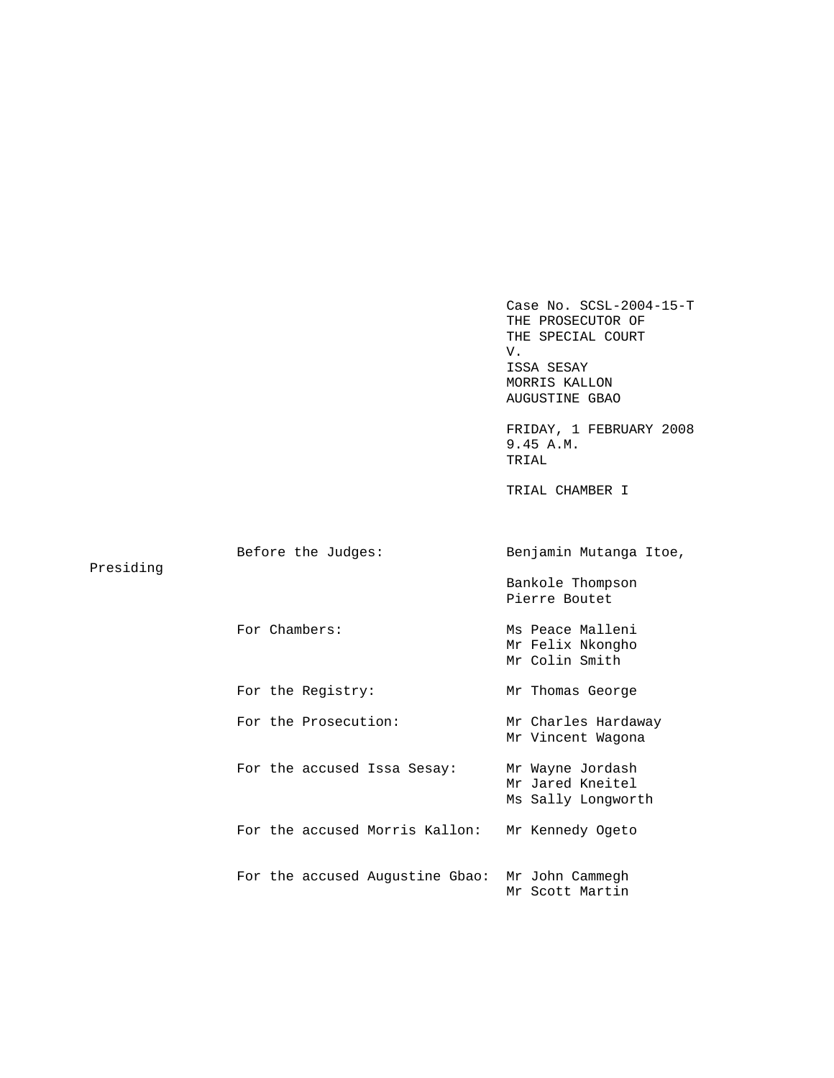Case No. SCSL-2004-15-T THE PROSECUTOR OF THE SPECIAL COURT V. ISSA SESAY MORRIS KALLON AUGUSTINE GBAO FRIDAY, 1 FEBRUARY 2008 9.45 A.M. TRIAL TRIAL CHAMBER I Before the Judges: Benjamin Mutanga Itoe, Presiding Bankole Thompson Pierre Boutet For Chambers: Ms Peace Malleni Mr Felix Nkongho Mr Colin Smith For the Registry: Mr Thomas George For the Prosecution: Mr Charles Hardaway Mr Vincent Wagona For the accused Issa Sesay: Mr Wayne Jordash Mr Jared Kneitel Ms Sally Longworth For the accused Morris Kallon: Mr Kennedy Ogeto For the accused Augustine Gbao: Mr John Cammegh Mr Scott Martin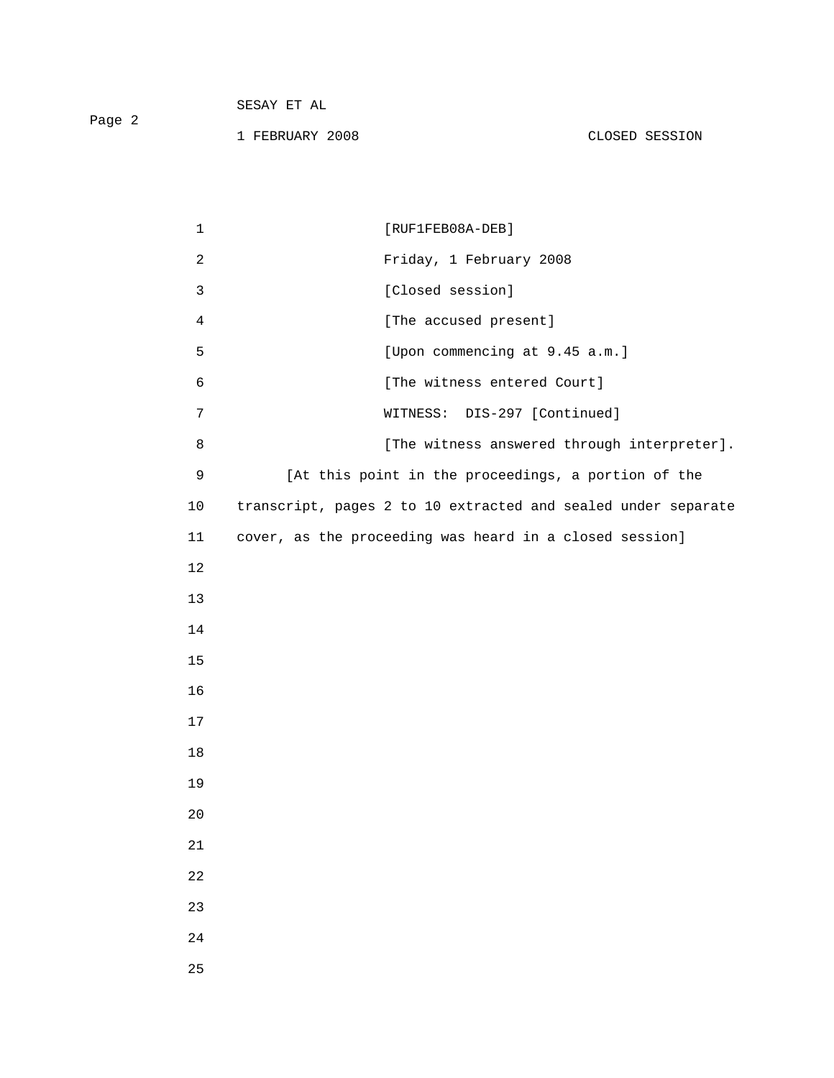| Page 2 | SESAY ET AL     |                |
|--------|-----------------|----------------|
|        | 1 FEBRUARY 2008 | CLOSED SESSION |

| $\mathbf 1$    | $[RUF1FEB08A-DEB]$                                            |
|----------------|---------------------------------------------------------------|
| $\overline{c}$ | Friday, 1 February 2008                                       |
| $\mathbf{3}$   | [Closed session]                                              |
| $\overline{4}$ | [The accused present]                                         |
| 5              | [Upon commencing at 9.45 a.m.]                                |
| 6              | [The witness entered Court]                                   |
| 7              | DIS-297 [Continued]<br>WITNESS:                               |
| 8              | [The witness answered through interpreter].                   |
| $\mathsf 9$    | [At this point in the proceedings, a portion of the           |
| 10             | transcript, pages 2 to 10 extracted and sealed under separate |
| 11             | cover, as the proceeding was heard in a closed session]       |
| 12             |                                                               |
| 13             |                                                               |
| 14             |                                                               |
| 15             |                                                               |
| 16             |                                                               |
| 17             |                                                               |
| 18             |                                                               |
| 19             |                                                               |
| 20             |                                                               |
| 21             |                                                               |
| 22             |                                                               |
| 23             |                                                               |
| $2\sqrt{4}$    |                                                               |
| 25             |                                                               |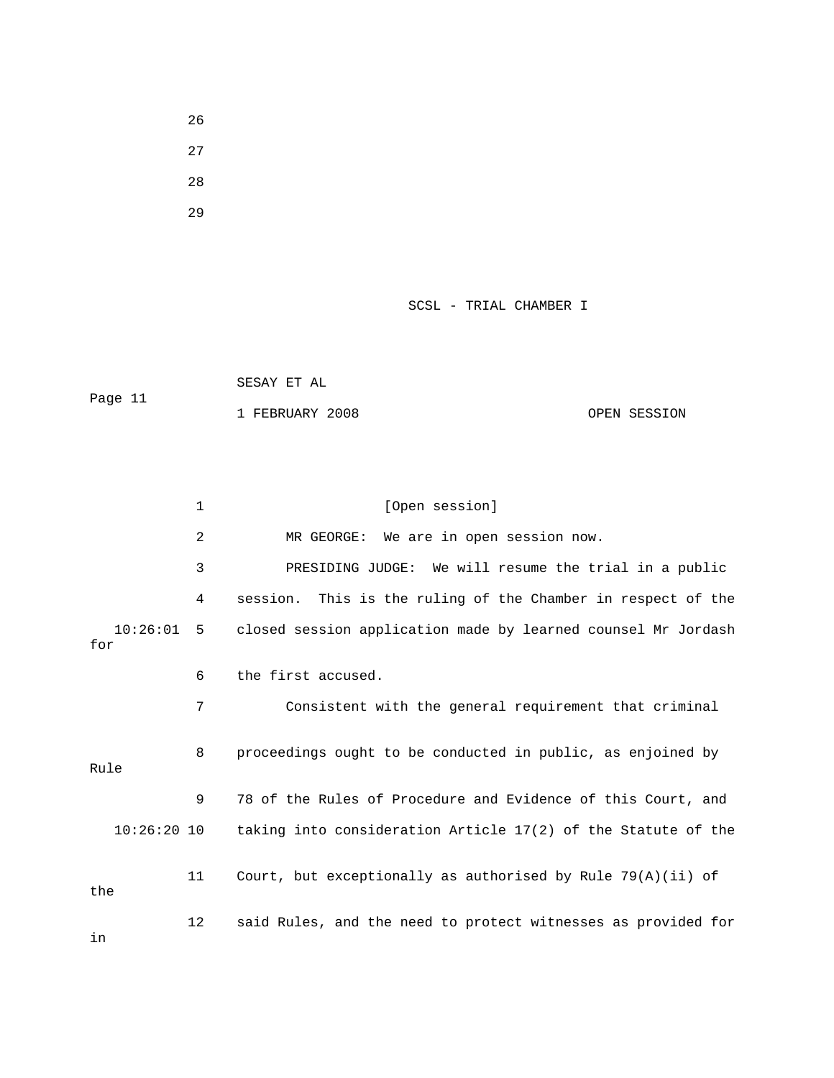- 26
- 27
- 28
- 29

 SESAY ET AL Page 11 1 FEBRUARY 2008 OPEN SESSION

|                 | 1  | [Open session]                                                |
|-----------------|----|---------------------------------------------------------------|
|                 | 2  | We are in open session now.<br>MR GEORGE:                     |
|                 | 3  | PRESIDING JUDGE: We will resume the trial in a public         |
|                 | 4  | session. This is the ruling of the Chamber in respect of the  |
| 10:26:01<br>for | 5  | closed session application made by learned counsel Mr Jordash |
|                 | 6  | the first accused.                                            |
|                 | 7  | Consistent with the general requirement that criminal         |
| Rule            | 8  | proceedings ought to be conducted in public, as enjoined by   |
|                 | 9  | 78 of the Rules of Procedure and Evidence of this Court, and  |
| $10:26:20$ 10   |    | taking into consideration Article 17(2) of the Statute of the |
| the             | 11 | Court, but exceptionally as authorised by Rule $79(A)(ii)$ of |
| in              | 12 | said Rules, and the need to protect witnesses as provided for |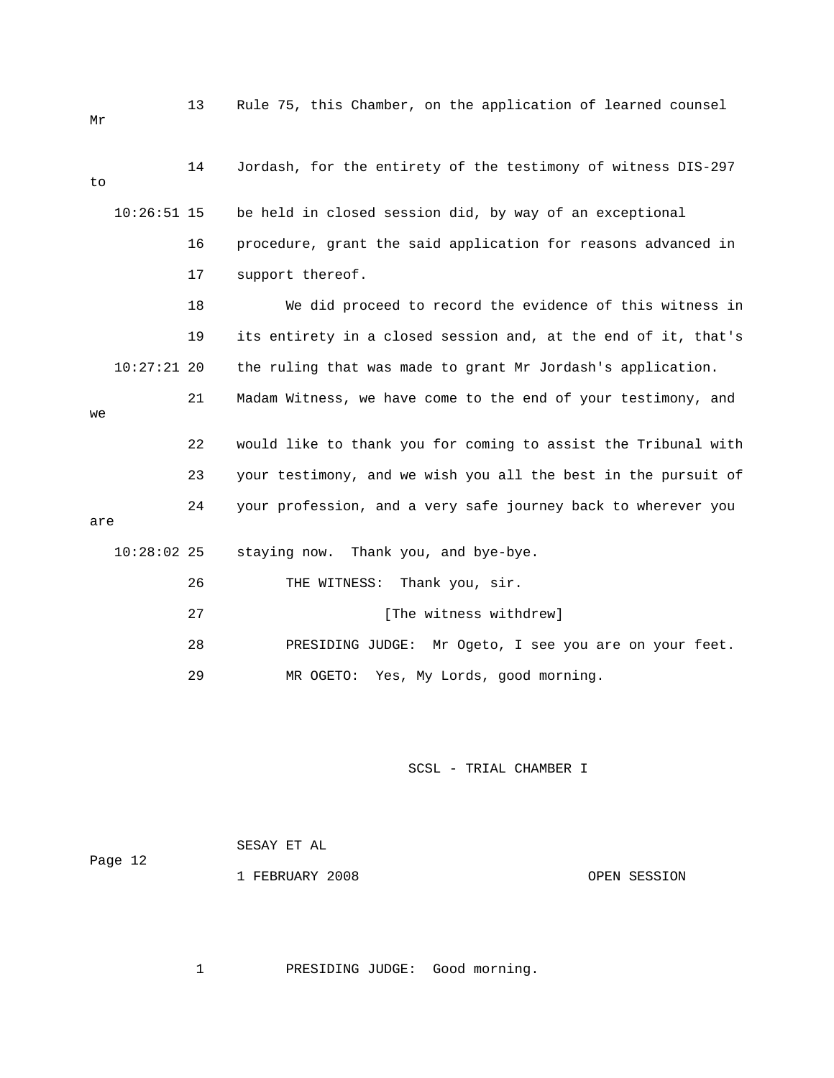| Mr  |               | 13 | Rule 75, this Chamber, on the application of learned counsel   |
|-----|---------------|----|----------------------------------------------------------------|
| to  |               | 14 | Jordash, for the entirety of the testimony of witness DIS-297  |
|     | $10:26:51$ 15 |    | be held in closed session did, by way of an exceptional        |
|     |               | 16 | procedure, grant the said application for reasons advanced in  |
|     |               | 17 | support thereof.                                               |
|     |               | 18 | We did proceed to record the evidence of this witness in       |
|     |               | 19 | its entirety in a closed session and, at the end of it, that's |
|     | $10:27:21$ 20 |    | the ruling that was made to grant Mr Jordash's application.    |
| we  |               | 21 | Madam Witness, we have come to the end of your testimony, and  |
|     |               |    |                                                                |
|     |               | 22 | would like to thank you for coming to assist the Tribunal with |
|     |               | 23 | your testimony, and we wish you all the best in the pursuit of |
| are |               | 24 | your profession, and a very safe journey back to wherever you  |
|     |               |    |                                                                |
|     | $10:28:02$ 25 |    | Thank you, and bye-bye.<br>staying now.                        |
|     |               | 26 | Thank you, sir.<br>THE WITNESS:                                |
|     |               | 27 | [The witness withdrew]                                         |
|     |               | 28 | PRESIDING JUDGE:<br>Mr Ogeto, I see you are on your feet.      |
|     |               | 29 | Yes, My Lords, good morning.<br>MR OGETO:                      |
|     |               |    |                                                                |

| Page 12 | SESAY ET AL     |              |
|---------|-----------------|--------------|
|         | 1 FEBRUARY 2008 | OPEN SESSION |

1 PRESIDING JUDGE: Good morning.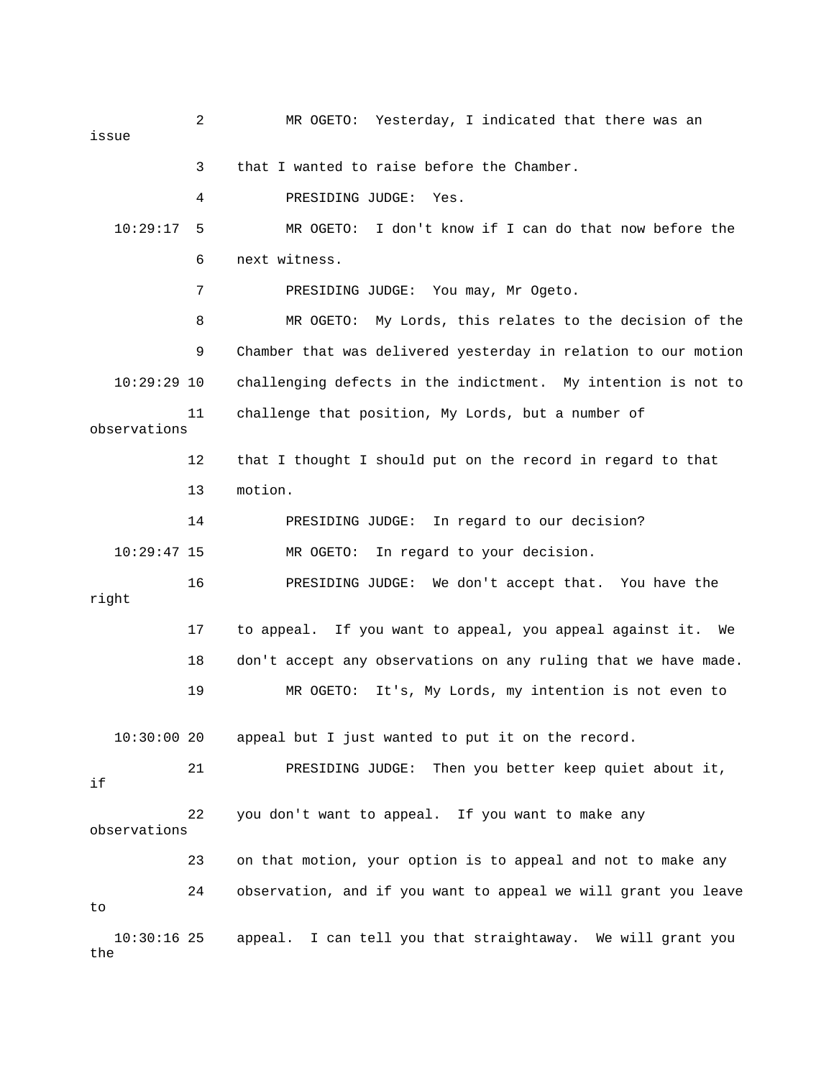2 MR OGETO: Yesterday, I indicated that there was an issue 3 that I wanted to raise before the Chamber. 4 PRESIDING JUDGE: Yes. 10:29:17 5 MR OGETO: I don't know if I can do that now before the 6 next witness. 7 PRESIDING JUDGE: You may, Mr Ogeto. 8 MR OGETO: My Lords, this relates to the decision of the 9 Chamber that was delivered yesterday in relation to our motion 10:29:29 10 challenging defects in the indictment. My intention is not to 11 challenge that position, My Lords, but a number of observations 12 that I thought I should put on the record in regard to that 13 motion. 14 PRESIDING JUDGE: In regard to our decision? 10:29:47 15 MR OGETO: In regard to your decision. 16 PRESIDING JUDGE: We don't accept that. You have the right 17 to appeal. If you want to appeal, you appeal against it. We 18 don't accept any observations on any ruling that we have made. 19 MR OGETO: It's, My Lords, my intention is not even to 10:30:00 20 appeal but I just wanted to put it on the record. 21 PRESIDING JUDGE: Then you better keep quiet about it, if 22 you don't want to appeal. If you want to make any observations 23 on that motion, your option is to appeal and not to make any 24 observation, and if you want to appeal we will grant you leave to 10:30:16 25 appeal. I can tell you that straightaway. We will grant you the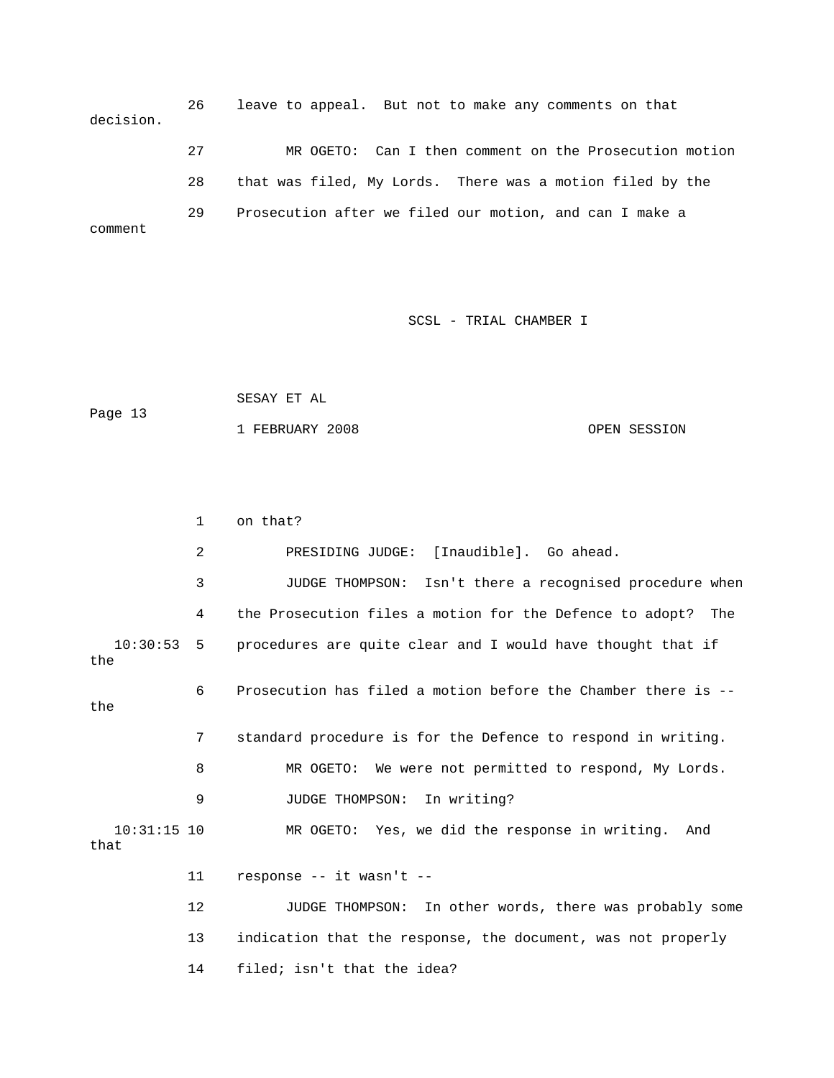26 leave to appeal. But not to make any comments on that decision. 27 MR OGETO: Can I then comment on the Prosecution motion 28 that was filed, My Lords. There was a motion filed by the 29 Prosecution after we filed our motion, and can I make a comment

SCSL - TRIAL CHAMBER I

```
 SESAY ET AL 
Page 13 
            1 FEBRUARY 2008 OPEN SESSION
```

|                       | $\mathbf 1$ | on that?                                                        |
|-----------------------|-------------|-----------------------------------------------------------------|
|                       | 2           | PRESIDING JUDGE: [Inaudible]. Go ahead.                         |
|                       | 3           | JUDGE THOMPSON: Isn't there a recognised procedure when         |
|                       | 4           | the Prosecution files a motion for the Defence to adopt?<br>The |
| $10:30:53$ 5<br>the   |             | procedures are quite clear and I would have thought that if     |
| the                   | 6           | Prosecution has filed a motion before the Chamber there is --   |
|                       | 7           | standard procedure is for the Defence to respond in writing.    |
|                       | 8           | MR OGETO: We were not permitted to respond, My Lords.           |
|                       | 9           | JUDGE THOMPSON: In writing?                                     |
| $10:31:15$ 10<br>that |             | MR OGETO: Yes, we did the response in writing. And              |
|                       | 11          | response -- it wasn't --                                        |
|                       | 12          | JUDGE THOMPSON: In other words, there was probably some         |
|                       | 13          | indication that the response, the document, was not properly    |
|                       | 14          | filed; isn't that the idea?                                     |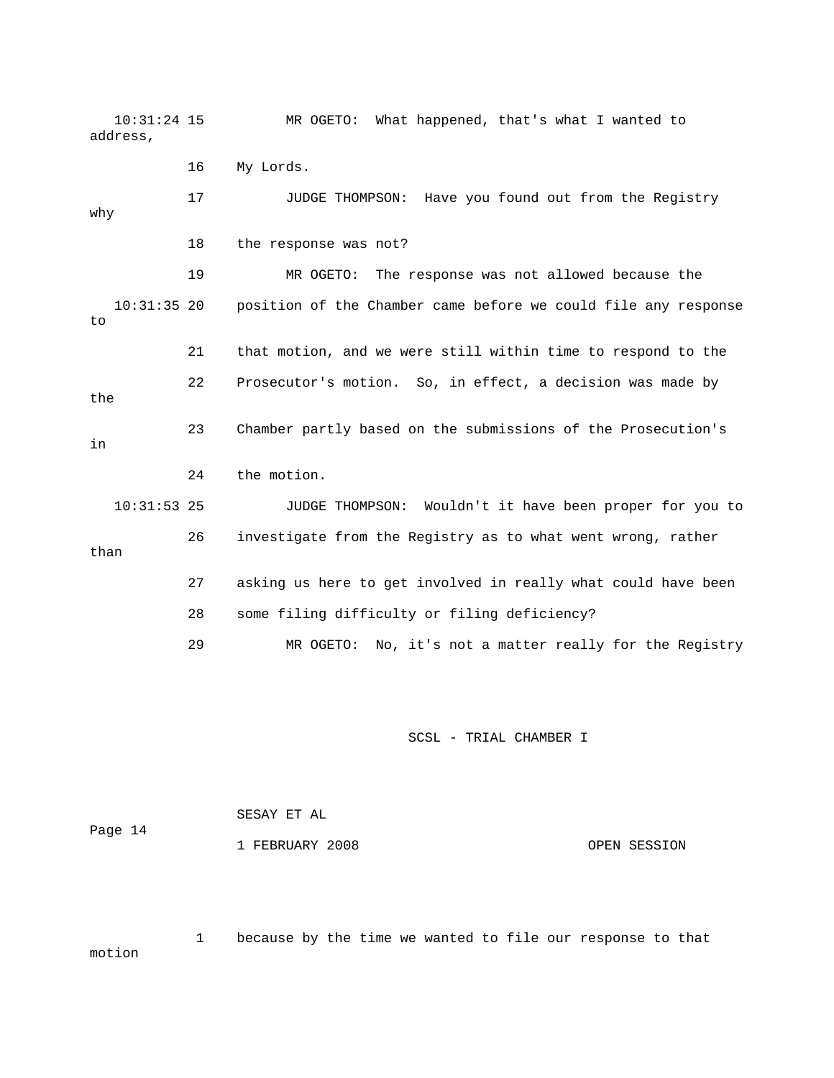10:31:24 15 MR OGETO: What happened, that's what I wanted to address,

16 My Lords.

 17 JUDGE THOMPSON: Have you found out from the Registry why 18 the response was not? 19 MR OGETO: The response was not allowed because the 10:31:35 20 position of the Chamber came before we could file any response to 21 that motion, and we were still within time to respond to the 22 Prosecutor's motion. So, in effect, a decision was made by the 23 Chamber partly based on the submissions of the Prosecution's in 24 the motion. 10:31:53 25 JUDGE THOMPSON: Wouldn't it have been proper for you to 26 investigate from the Registry as to what went wrong, rather than 27 asking us here to get involved in really what could have been 28 some filing difficulty or filing deficiency? 29 MR OGETO: No, it's not a matter really for the Registry

SCSL - TRIAL CHAMBER I

 SESAY ET AL Page 14 1 FEBRUARY 2008 OPEN SESSION

 1 because by the time we wanted to file our response to that motion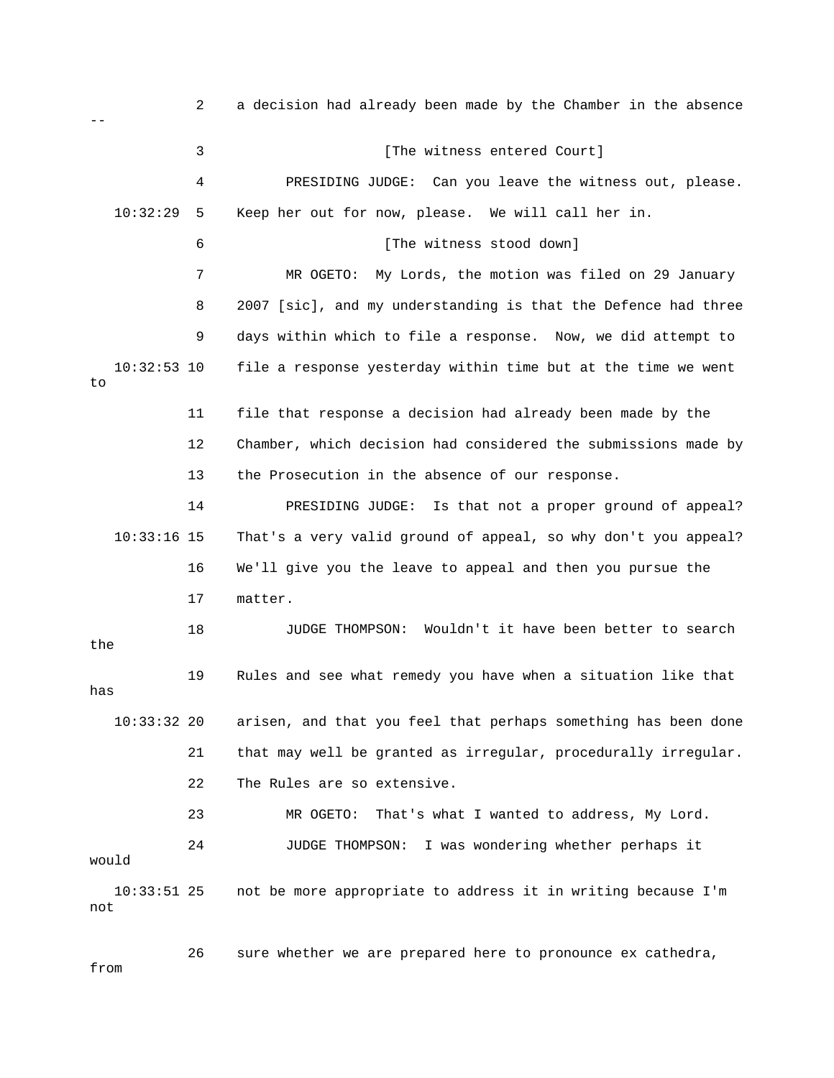2 a decision had already been made by the Chamber in the absence -- 3 [The witness entered Court] 4 PRESIDING JUDGE: Can you leave the witness out, please. 10:32:29 5 Keep her out for now, please. We will call her in. 6 [The witness stood down] 7 MR OGETO: My Lords, the motion was filed on 29 January 9 days within which to file a response. Now, we did attempt to 10:32:53 10 file a response yesterday within time but at the time we went 11 file that response a decision had already been made by the 13 the Prosecution in the absence of our response. 14 PRESIDING JUDGE: Is that not a proper ground of appeal? 16 We'll give you the leave to appeal and then you pursue the 17 matter. JUDGE THOMPSON: Wouldn't it have been better to search 19 Rules and see what remedy you have when a situation like that arisen, and that you feel that perhaps something has been done 21 that may well be granted as irregular, procedurally irregular. 22 The Rules are so extensive. 23 MR OGETO: That's what I wanted to address, My Lord. 24 JUDGE THOMPSON: I was wondering whether perhaps it 10:33:51 25 not be more appropriate to address it in writing because I'm 8 2007 [sic], and my understanding is that the Defence had three to 12 Chamber, which decision had considered the submissions made by 10:33:16 15 That's a very valid ground of appeal, so why don't you appeal? 18 JU the has  $10:33:32$  20 would not

 26 sure whether we are prepared here to pronounce ex cathedra, from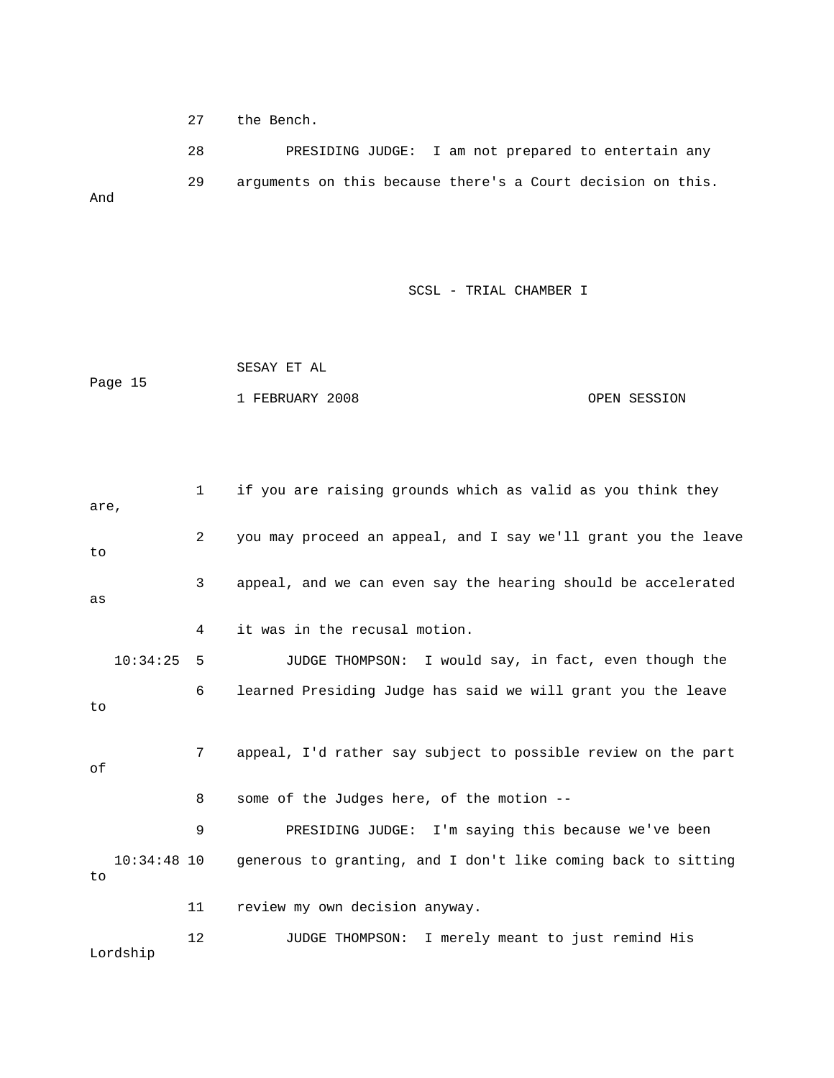27 the Bench.

28 PRESIDING JUDGE: I am not prepared to entertain any And 29 arguments on this because there's a Court decision on this.

SCSL - TRIAL CHAMBER I

 SESAY ET AL Page 15 1 FEBRUARY 2008 OPEN SESSION

 1 if you are raising grounds which as valid as you think they are, 2 you may proceed an appeal, and I say we'll grant you the leave 10:34:25 5 JUDGE THOMPSON: I would say, in fact, even though the 7 appeal, I'd rather say subject to possible review on the part 8 some of the Judges here, of the motion -- 9 PRESIDING JUDGE: I'm saying this because we've been g 10:34:48 10 generous to granting, and I don't like coming back to sittin 12 JUDGE THOMPSON: I merely meant to just remind His to 3 appeal, and we can even say the hearing should be accelerated as 4 it was in the recusal motion. 6 learned Presiding Judge has said we will grant you the leave to of to 11 review my own decision anyway. Lordship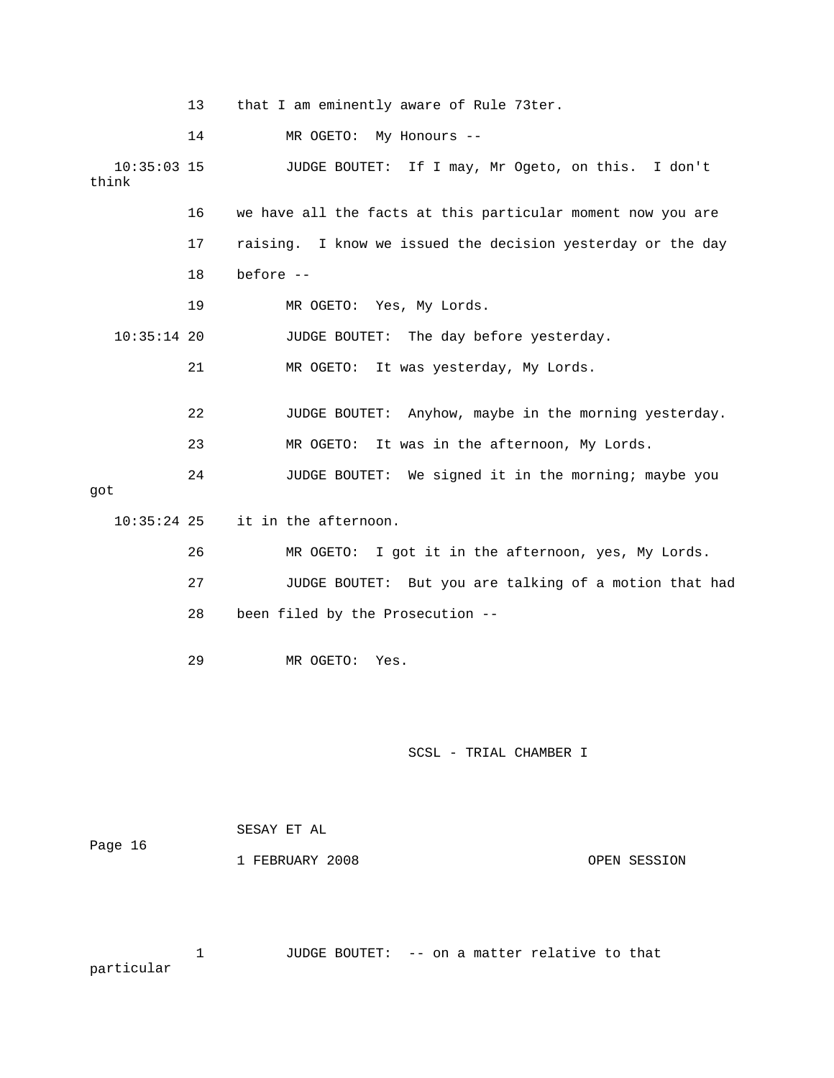|                        | 13 | that I am eminently aware of Rule 73ter.                    |
|------------------------|----|-------------------------------------------------------------|
|                        | 14 | MR OGETO: My Honours --                                     |
| $10:35:03$ 15<br>think |    | JUDGE BOUTET: If I may, Mr Ogeto, on this. I don't          |
|                        | 16 | we have all the facts at this particular moment now you are |
|                        | 17 | raising. I know we issued the decision yesterday or the day |
|                        | 18 | before --                                                   |
|                        | 19 | MR OGETO: Yes, My Lords.                                    |
| $10:35:14$ 20          |    | JUDGE BOUTET: The day before yesterday.                     |
|                        | 21 | MR OGETO: It was yesterday, My Lords.                       |
|                        | 22 | JUDGE BOUTET: Anyhow, maybe in the morning yesterday.       |
|                        | 23 | It was in the afternoon, My Lords.<br>MR OGETO:             |
| got                    | 24 | JUDGE BOUTET: We signed it in the morning; maybe you        |
| $10:35:24$ 25          |    | it in the afternoon.                                        |
|                        | 26 | MR OGETO: I got it in the afternoon, yes, My Lords.         |
|                        | 27 | JUDGE BOUTET: But you are talking of a motion that had      |
|                        | 28 | been filed by the Prosecution --                            |
|                        | 29 | MR OGETO:<br>Yes.                                           |
|                        |    |                                                             |
|                        |    | SCSL - TRIAL CHAMBER I                                      |
|                        |    | SESAY ET AL                                                 |
| Page 16                |    | 1 FEBRUARY 2008<br>OPEN SESSION                             |
|                        |    |                                                             |

 1 JUDGE BOUTET: -- on a matter relative to that rticular pa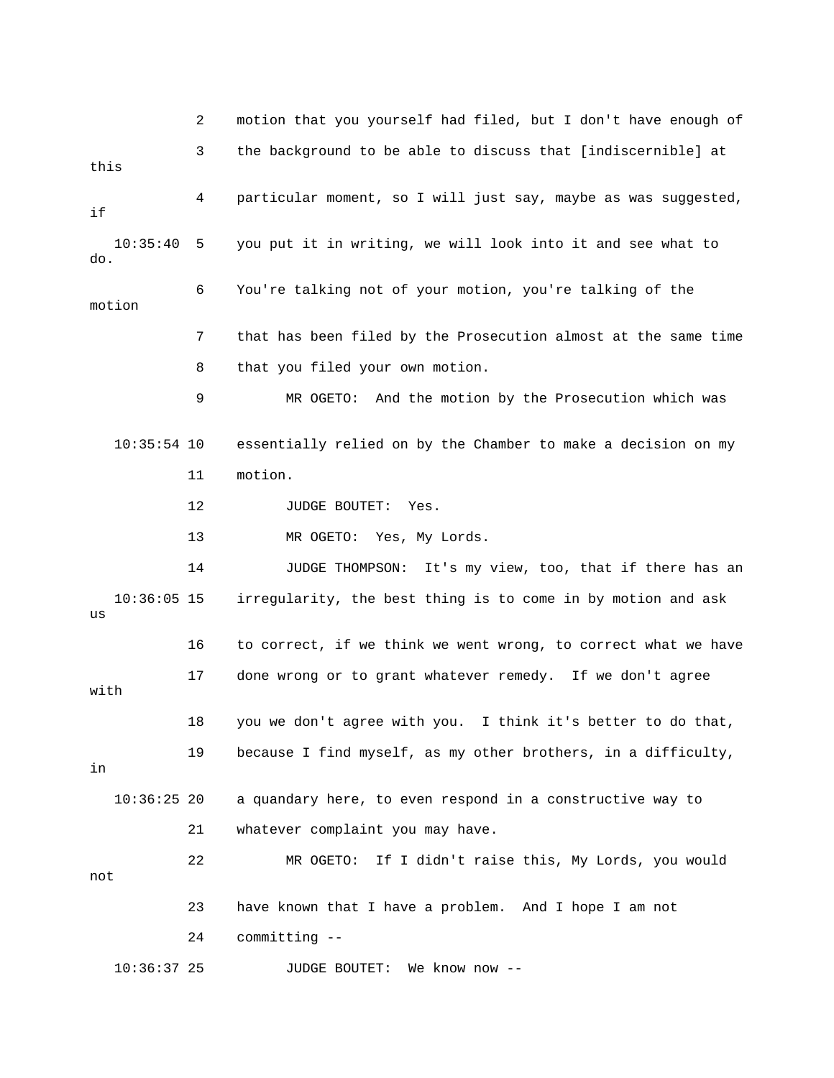2 motion that you yourself had filed, but I don't have e nough of 3 the background to be able to discuss that [indiscernible] at motion 7 that has been filed by the Prosecution almost at the same time 8 that you filed your own motion. 9 MR OGETO: And the motion by the Prosecution which was 11 motion. 12 JUDGE BOUTET: Yes. MR OGETO: Yes, My Lords. 14 JUDGE THOMPSON: It's my view, too, that if there has an 10:36:05 15 irregularity, the best thing is to come in by motion and ask 17 done wrong or to grant whatever remedy. If we don't agree 18 you we don't agree with you. I think it's better to do that, 19 because I find myself, as my other brothers, in a difficulty, 21 whatever complaint you may have. 22 MR OGETO: If I didn't raise this, My Lords, you would 24 committing -- 10:36:37 25 JUDGE BOUTET: We know now - this 4 particular moment, so I will just say, maybe as was suggested, if 10:35:40 5 you put it in writing, we will look into it and see what to do. 6 You're talking not of your motion, you're talking of the 10:35:54 10 essentially relied on by the Chamber to make a decision on my 13 MR us 16 to correct, if we think we went wrong, to correct what we have with in 10:36:25 20 a quandary here, to even respond in a constructive way to not 23 have known that I have a problem. And I hope I am not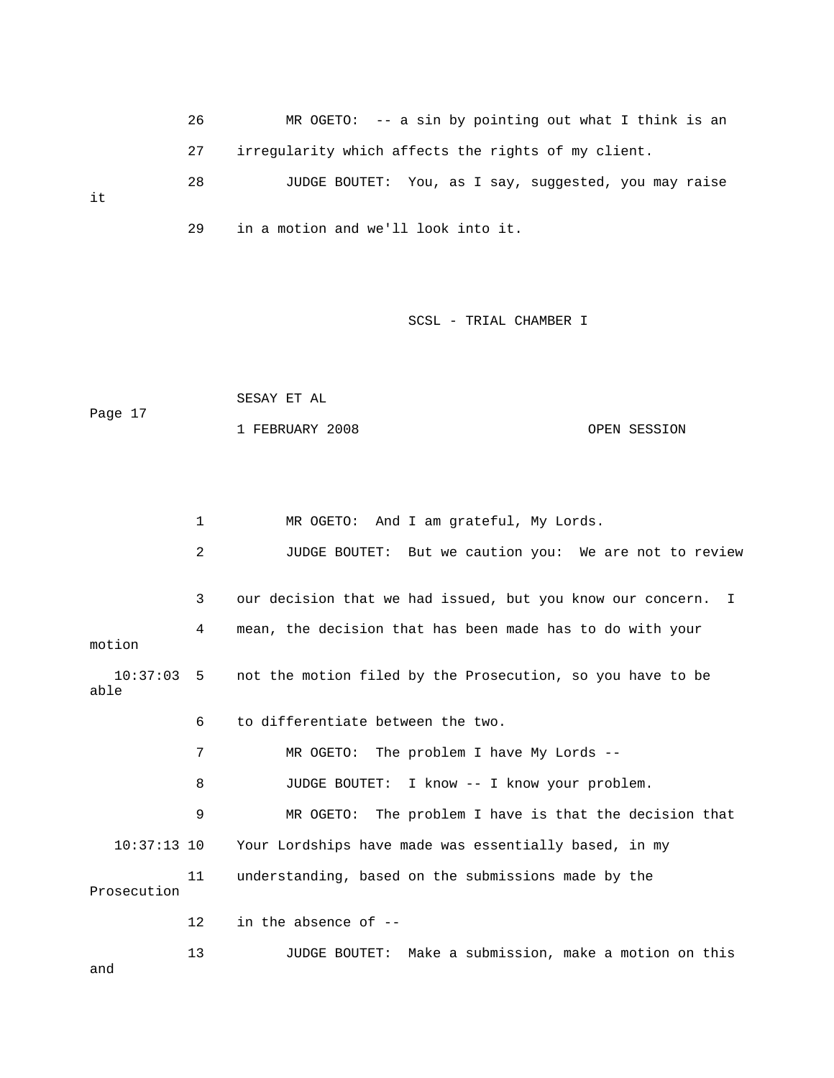26 MR OGETO: -- a sin by pointin g out what I think is an 27 irregularity which affects the right s of my client. 28 JUDGE BOUTET: You, as I say, suggested, you may raise 29 in a motion and we'll look into it.

it

SCSL - TRIAL CHAMBER I

```
 SESAY ET AL 
Page 17
             1 FEBRUARY 2008 OPEN SESSION
```

```
 1 MR OGETO: And I am grateful, My Lords. 
             2 JUDGE BOUTET: But we caution you: We are not to review 
             4 mean, the decision that has been made has to do with your 
            7 MR OGETO: The problem I have My Lords -- 
             8 JUDGE BOUTET: I know -- I know your problem. 
9 MR OGETO: The problem I have is that the decision that
   10:37:13 10 Your Lordships have made was essentially based, in my 
            11 understanding, based on the submissions made by the 
           13 JUDGE BOUTET: Make a submission, make a motion on this 
             3 our decision that we had issued, but you know our concern. I 
motion 
   10:37:03 5 not the motion filed by the Prosecution, so you have to be 
able 
             6 to differentiate between the two. 
Prosecution 
            12 in the absence of -- 
and
```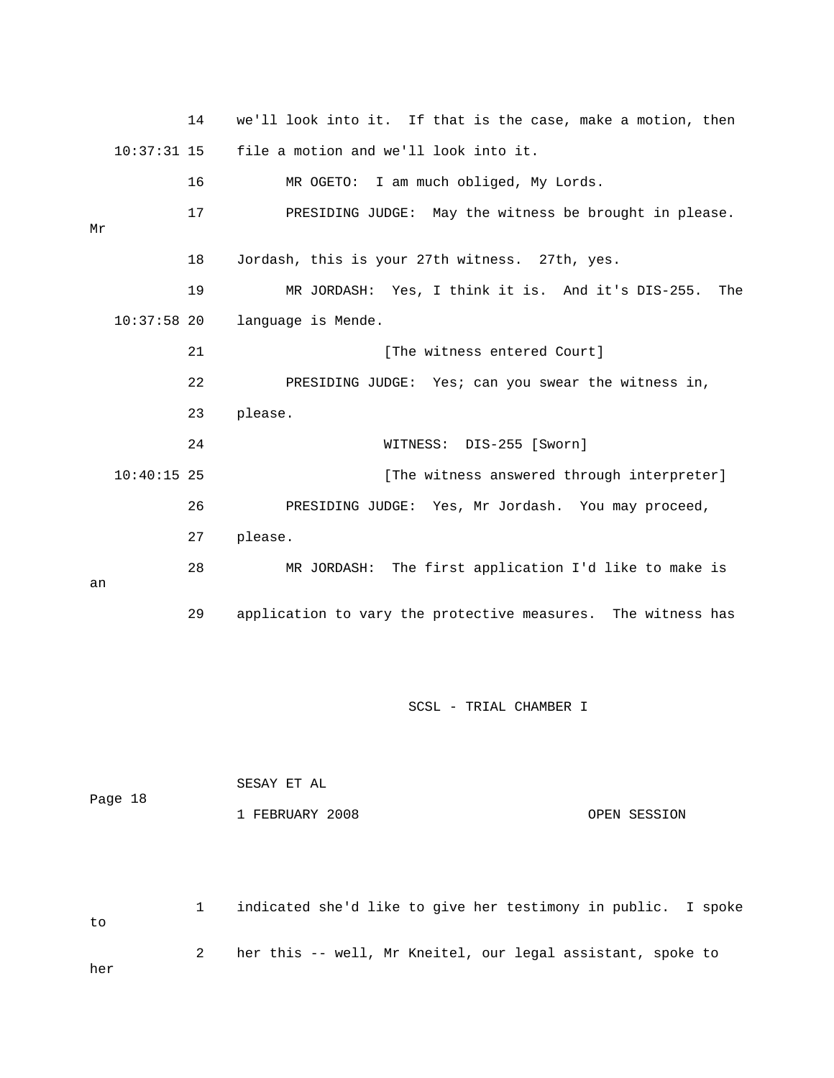14 we'll look into it. If that is the case, make a motion, then 10:37:31 15 file a motion and we'll look into it. 16 MR OGETO: I am much obliged, My Lords. 17 PRESIDING JUDGE: May the witness be brought in please. 19 MR JORDASH: Yes, I think it is. And it's DIS-255. The 10:37:58 20 language is Mende. The witness entered Court] 22 PRESIDING JUDGE: Yes; can you swear the witness in, 23 please. WITNESS: DIS-255 [Sworn] 10:40:15 25 [The witness answered through interpreter] 26 PRESIDING JUDGE: Yes, Mr Jordash. You may proceed, 28 MR JORDASH: The first application I'd like to make is Mr 18 Jordash, this is your 27th witness. 27th, yes. 21 [ 24 27 please. an 29 application to vary the protective measures. The witness has

SCSL - TRIAL CHAMBER I

| Page 18 | SESAY ET AL     |              |
|---------|-----------------|--------------|
|         | 1 FEBRUARY 2008 | OPEN SESSION |

 1 indicated she'd like to give her testimony in public. I spoke to 2 her this -- well, Mr Kneitel, our legal assistant, spoke to her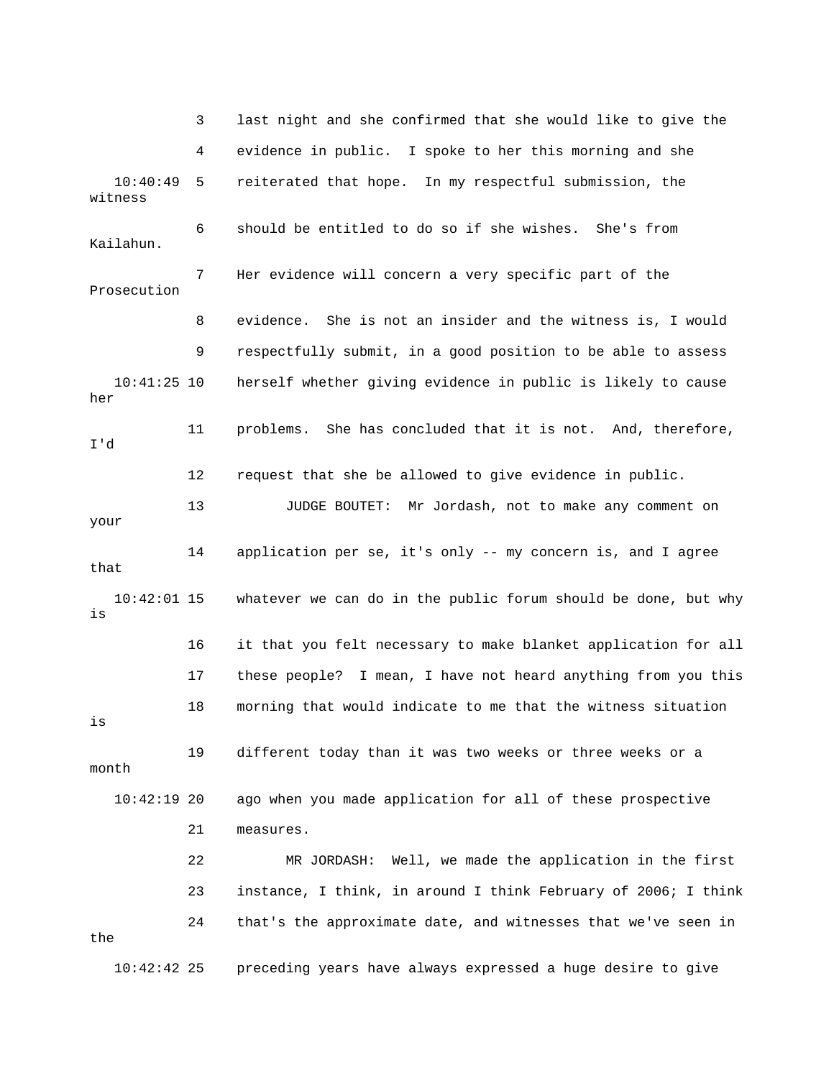3 last night and she confirmed that she would like to give the 4 evidence in public. I spoke to her this morning and she 10:40:49 5 reiterated that hope. In my respectful submission, the 8 evidence. She is not an insider and the witness is, I would 10:41:25 10 herself whether giving evidence in public is likely to cause 13 JUDGE BOUTET: Mr Jordash, not to make any comment on 10:42:01 15 whatever we can do in the public forum should be done, but why 17 these people? I mean, I have not heard anything from you this 18 morning that would indicate to me that the witness situation 21 measures. 22 MR JORDASH: Well, we made the application in the first 23 instance, I think, in around I think February of 2006; I think 10:42:42 25 preceding years have always expressed a huge desire to give witness 6 should be entitled to do so if she wishes. She's from Kailahun. 7 Her evidence will concern a very specific part of the Prosecution 9 respectfully submit, in a good position to be able to assess her 11 problems. She has concluded that it is not. And, therefore, I'd 12 request that she be allowed to give evidence in public. your 14 application per se, it's only -- my concern is, and I agree that is 16 it that you felt necessary to make blanket application for all is 19 different today than it was two weeks or three weeks or a month 10:42:19 20 ago when you made application for all of these prospective 24 that's the approximate date, and witnesses that we've seen in the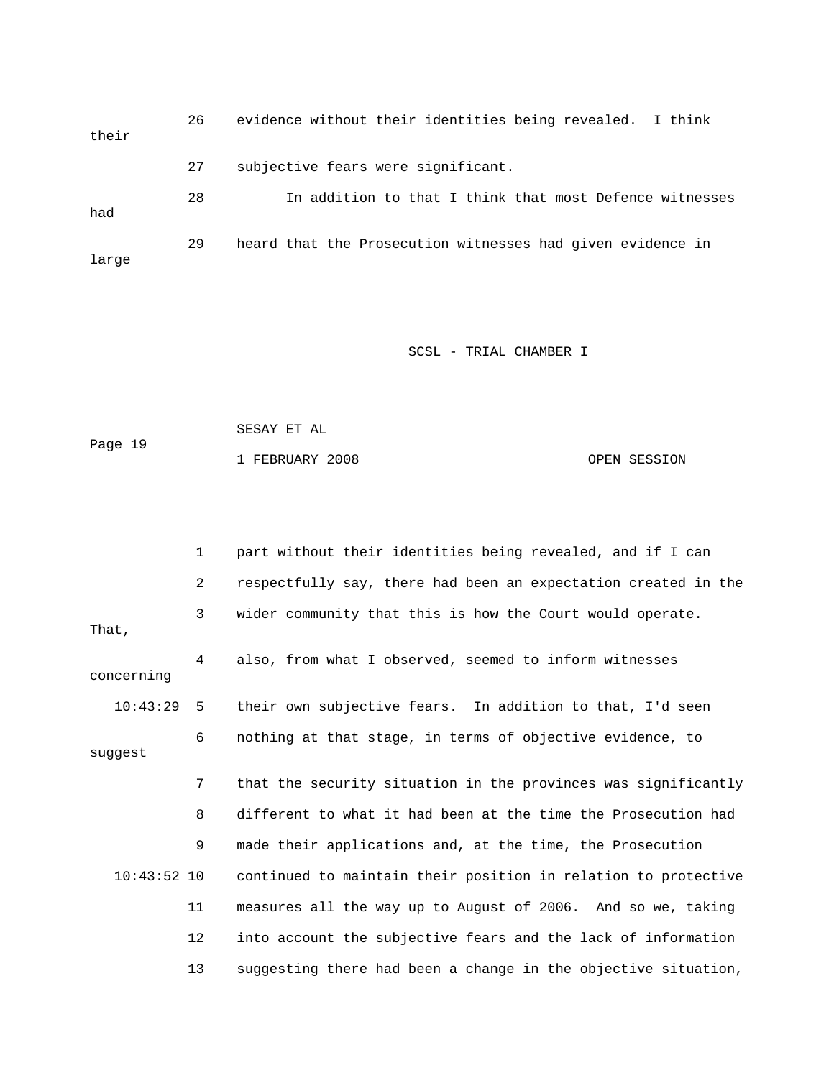26 evidence without their identities being revealed. I think their 28 In addition to that I think that most Defence witnesses 29 heard that the Prosecution witnesses had given evidence in 27 subjective fears were significant. had large

SCSL - TRIAL CHAMBER I

 SESAY ET AL Page 19 1 FEBRUARY 2008 OPEN SESSION

 1 part without their identities being revealed, and if I can 2 respectfully say, there had been an expectation created in the 4 also, from what I observed, seemed to inform witnesses 10:43:29 5 their own subjective fears. In addition to that, I'd seen 6 nothing at that stage, in terms of objective evidence, to suggest 7 that the security situation in the provinces was significantly 8 different to what it had been at the time the Prosecution had 11 measures all the way up to August of 2006. And so we, taking 3 wider community that this is how the Court would operate. That, concerning 9 made their applications and, at the time, the Prosecution 10:43:52 10 continued to maintain their position in relation to protective 12 into account the subjective fears and the lack of information 13 suggesting there had been a change in the objective situation,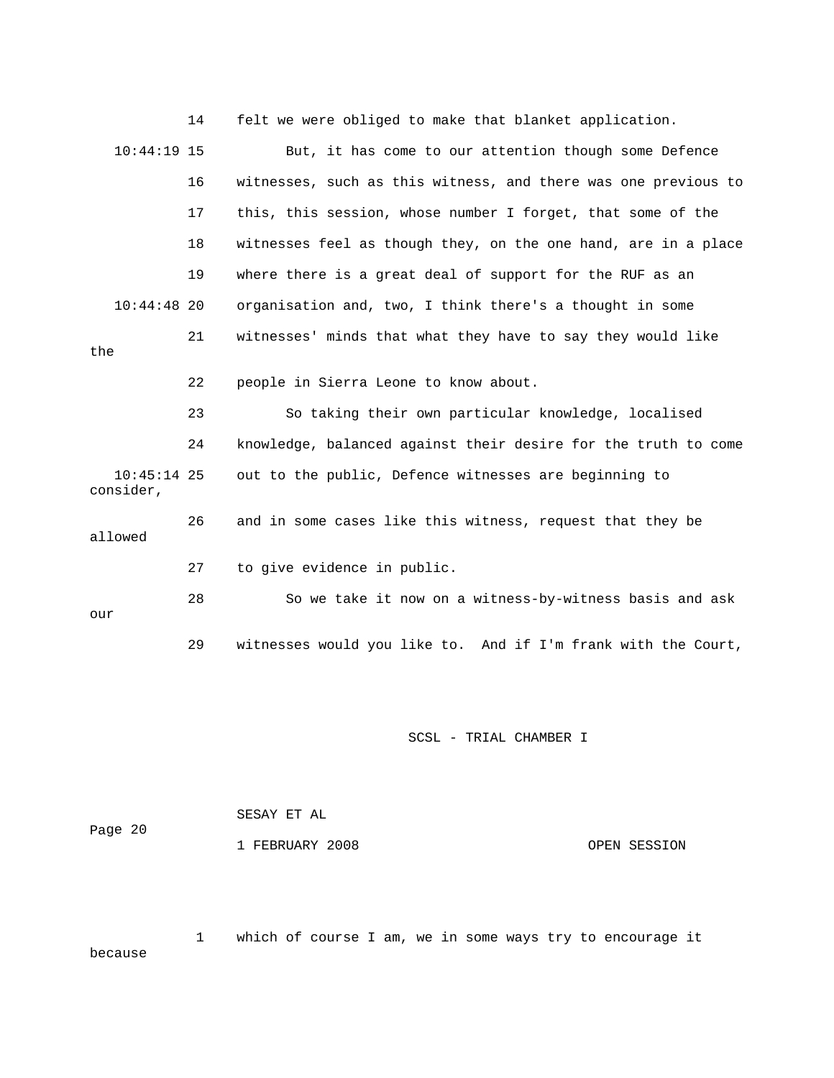|                            | 14 | felt we were obliged to make that blanket application.         |
|----------------------------|----|----------------------------------------------------------------|
| $10:44:19$ 15              |    | But, it has come to our attention though some Defence          |
|                            | 16 | witnesses, such as this witness, and there was one previous to |
|                            | 17 | this, this session, whose number I forget, that some of the    |
|                            | 18 | witnesses feel as though they, on the one hand, are in a place |
|                            | 19 | where there is a great deal of support for the RUF as an       |
| $10:44:48$ 20              |    | organisation and, two, I think there's a thought in some       |
| the                        | 21 | witnesses' minds that what they have to say they would like    |
|                            | 22 | people in Sierra Leone to know about.                          |
|                            | 23 | So taking their own particular knowledge, localised            |
|                            | 24 | knowledge, balanced against their desire for the truth to come |
| $10:45:14$ 25<br>consider, |    | out to the public, Defence witnesses are beginning to          |
| allowed                    | 26 | and in some cases like this witness, request that they be      |
|                            | 27 | to give evidence in public.                                    |
| our                        | 28 | So we take it now on a witness-by-witness basis and ask        |
|                            | 29 | witnesses would you like to. And if I'm frank with the Court,  |

|         | SESAY ET AL     |              |
|---------|-----------------|--------------|
| Page 20 |                 |              |
|         | 1 FEBRUARY 2008 | OPEN SESSION |

 1 which of course I am, we in some ways try to encourage it cause be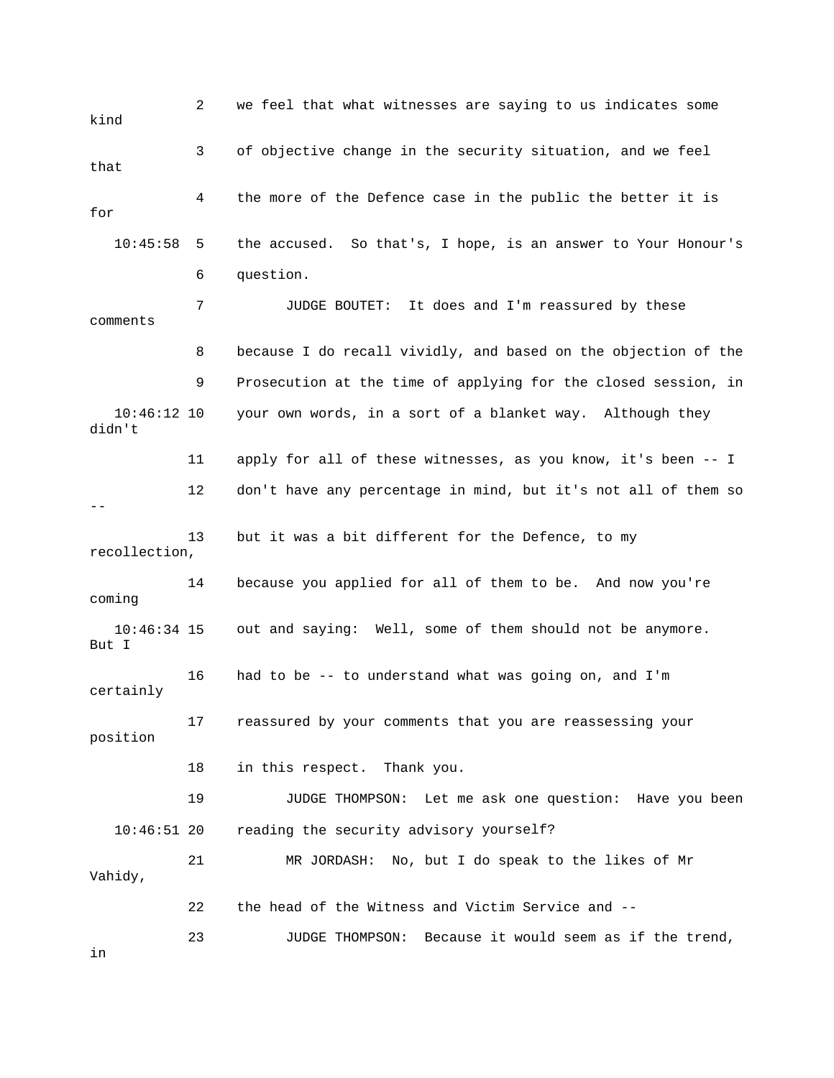2 we feel that what witnesses are saying to us indicates some 3 of objective change in the security situation, and we feel 4 the more of the Defence case in the public the better it is 10:45:58 5 the accused. So that's, I hope, is an answer to Your Honour's 6 question. comments 8 because I do recall vividly, and based on the objection of the 9 Prosecution at the time of applying for the closed session, in didn't 11 apply for all of these witnesses, as you know, it's been -- I 12 don't have any percentage in mind, but it's not all of them so 14 because you applied for all of them to be. And now you're out and saying: Well, some of them should not be anymore. 16 had to be -- to understand what was going on, and I'm 17 reassured by your comments that you are reassessing your 18 in this respect. Thank you. 19 JUDGE THOMPSON: Let me ask one question: Have you been yourself? 10:46:51 20 reading the security advisory Vahidy, 22 the head of the Witness and Victim Service and -- 23 JUDGE THOMPSON: Because it would seem as if the trend, kind that for 7 JUDGE BOUTET: It does and I'm reassured by these 10:46:12 10 your own words, in a sort of a blanket way. Although they -- 13 but it was a bit different for the Defence, to my recollection, coming 10:46:34 15 But I certainly position 21 MR JORDASH: No, but I do speak to the likes of Mr in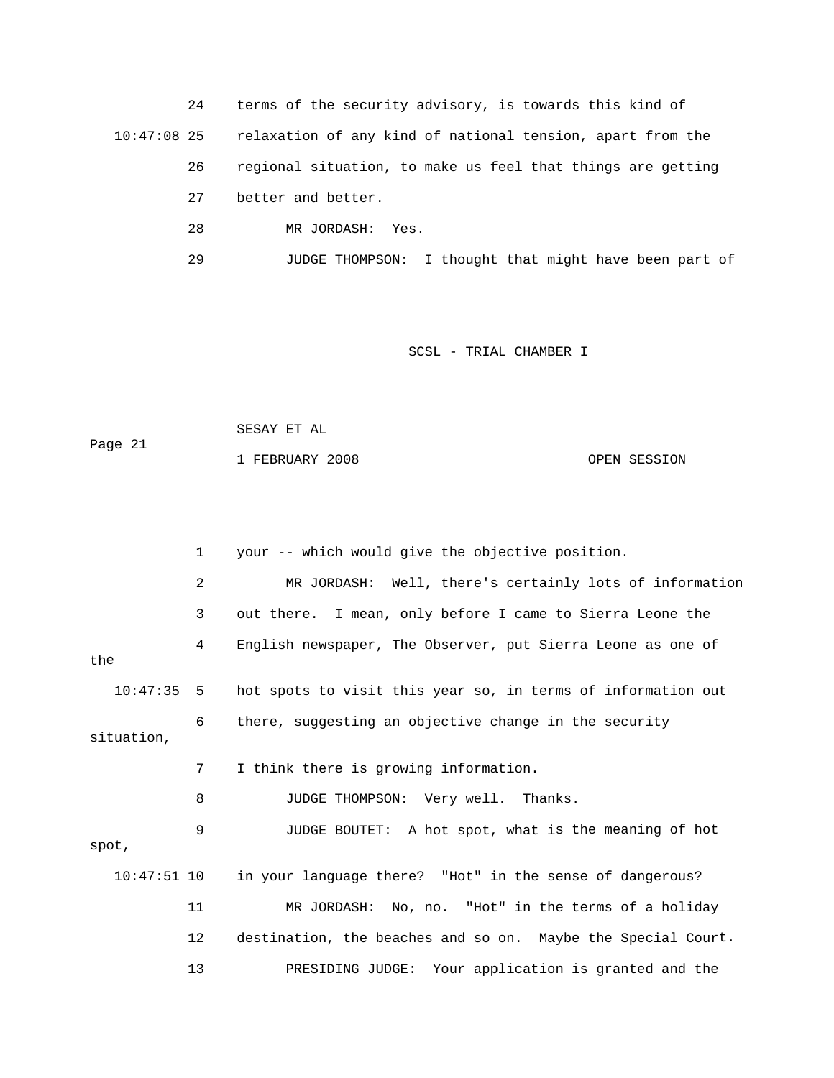24 terms of the security advisory, is towards this kind of relaxation of any kind of national tension, apart from the  $10:47:08$  25

- 26 regional situation, to make us feel that things are getting
	- 27 better and better.
	- 28 MR JORDASH: Yes.
- 29 JUDGE THOMPSON: I thought that might have been part of

#### SCSL - TRIAL CHAMBER I

 SESAY ET AL Page 21

1 FEBRUARY 2008 OPEN SESSION

 1 your -- which would give the objective position. 2 MR JORDASH: Well, there's certainly lots of information 3 out there. I mean, only before I came to Sierra Leone the the 10:47:35 5 hot spots to visit this year so, in terms of information out situation, 8 JUDGE THOMPSON: Very well. Thanks. 9 JUDGE BOUTET: A hot spot, what is the meaning of hot spot, 10:47:51 10 in your language there? "Hot" in the sense of dangerous? 12 destination, the beaches and so on. Maybe the Special Court. 4 English newspaper, The Observer, put Sierra Leone as one of 6 there, suggesting an objective change in the security 7 I think there is growing information. 11 MR JORDASH: No, no. "Hot" in the terms of a holiday

13 PRESIDING JUDGE: Your application is granted and the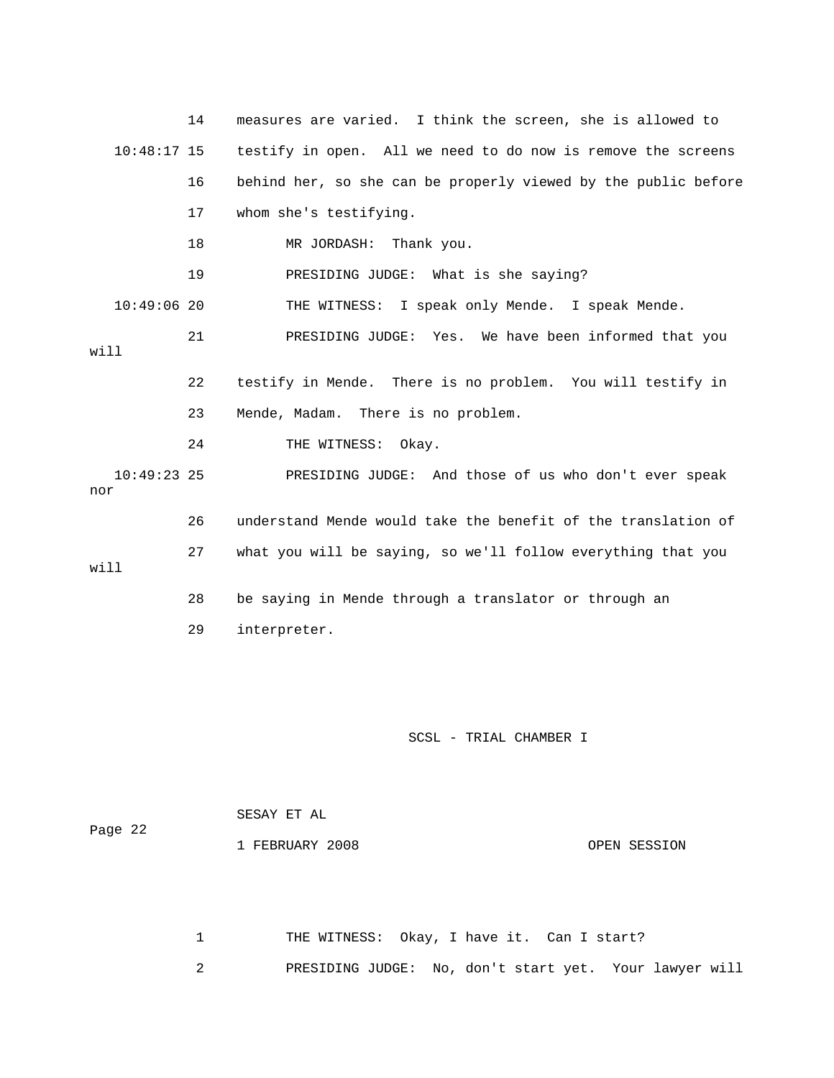|                      | 14 | measures are varied. I think the screen, she is allowed to     |
|----------------------|----|----------------------------------------------------------------|
| $10:48:17$ 15        |    | testify in open. All we need to do now is remove the screens   |
|                      | 16 | behind her, so she can be properly viewed by the public before |
|                      | 17 | whom she's testifying.                                         |
|                      | 18 | MR JORDASH: Thank you.                                         |
|                      | 19 | PRESIDING JUDGE: What is she saying?                           |
| $10:49:06$ 20        |    | THE WITNESS: I speak only Mende. I speak Mende.                |
| will                 | 21 | PRESIDING JUDGE: Yes. We have been informed that you           |
|                      | 22 | testify in Mende. There is no problem. You will testify in     |
|                      | 23 | Mende, Madam. There is no problem.                             |
|                      | 24 | THE WITNESS: Okay.                                             |
| $10:49:23$ 25<br>nor |    | PRESIDING JUDGE: And those of us who don't ever speak          |
|                      | 26 | understand Mende would take the benefit of the translation of  |
| will                 | 27 | what you will be saying, so we'll follow everything that you   |
|                      | 28 | be saying in Mende through a translator or through an          |
|                      | 29 | interpreter.                                                   |

| Page 22 | SESAY ET AL     |              |
|---------|-----------------|--------------|
|         | 1 FEBRUARY 2008 | OPEN SESSION |

1 THE WITNESS: Okay, I have it. Can I start? 2 PRESIDING JUDGE: No, don't start yet. Your lawyer will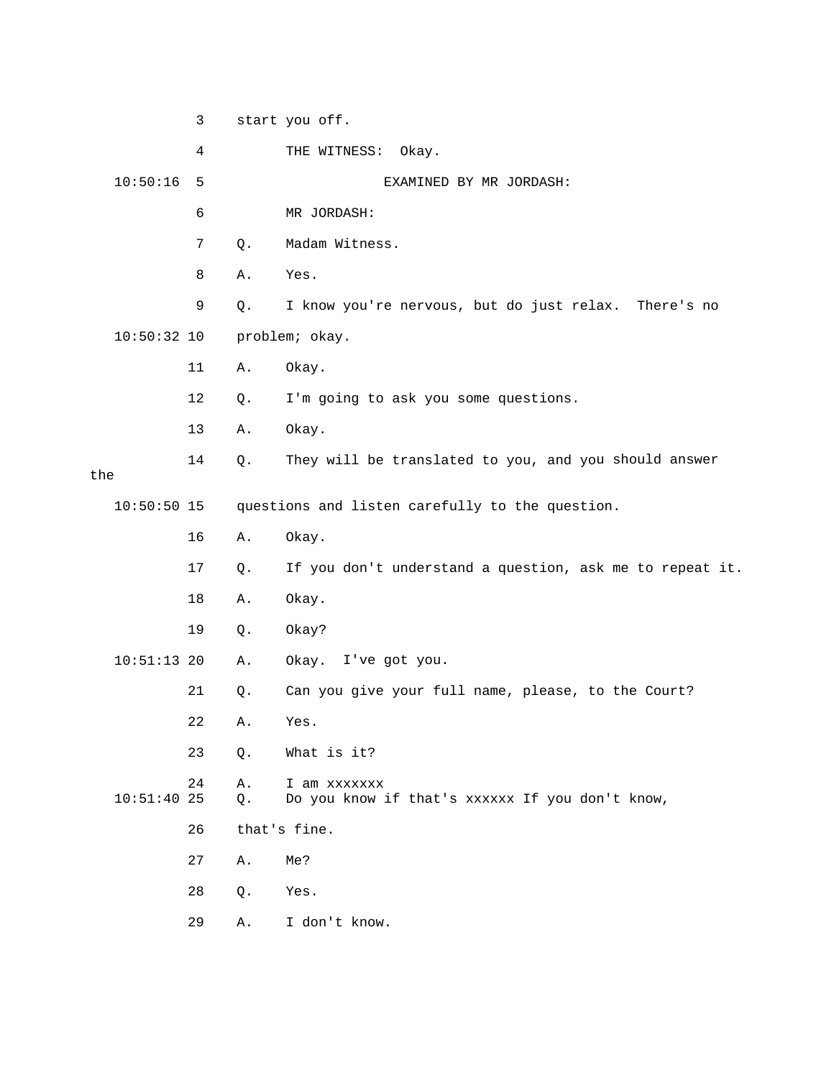|     |               | 3  |          | start you off.                                                  |
|-----|---------------|----|----------|-----------------------------------------------------------------|
|     |               | 4  |          | THE WITNESS:<br>Okay.                                           |
|     | 10:50:16      | 5  |          | EXAMINED BY MR JORDASH:                                         |
|     |               | 6  |          | MR JORDASH:                                                     |
|     |               | 7  | Q.       | Madam Witness.                                                  |
|     |               | 8  | Α.       | Yes.                                                            |
|     |               | 9  | Q.       | I know you're nervous, but do just relax. There's no            |
|     | $10:50:32$ 10 |    |          | problem; okay.                                                  |
|     |               | 11 | Α.       | Okay.                                                           |
|     |               | 12 | Q.       | I'm going to ask you some questions.                            |
|     |               | 13 | Α.       | Okay.                                                           |
| the |               | 14 | Q.       | They will be translated to you, and you should answer           |
|     | $10:50:50$ 15 |    |          | questions and listen carefully to the question.                 |
|     |               | 16 | Α.       | Okay.                                                           |
|     |               | 17 | Q.       | If you don't understand a question, ask me to repeat it.        |
|     |               | 18 | Α.       | Okay.                                                           |
|     |               | 19 | Q.       | Okay?                                                           |
|     | $10:51:13$ 20 |    | Α.       | Okay. I've got you.                                             |
|     |               | 21 | $Q$ .    | Can you give your full name, please, to the Court?              |
|     |               | 22 | Α.       | Yes.                                                            |
|     |               | 23 | Q.       | What is it?                                                     |
|     | $10:51:40$ 25 | 24 | Α.<br>Q. | I am xxxxxxx<br>Do you know if that's xxxxxx If you don't know, |
|     |               | 26 |          | that's fine.                                                    |
|     |               | 27 | Α.       | Me?                                                             |
|     |               | 28 | Q.       | Yes.                                                            |
|     |               | 29 | Α.       | I don't know.                                                   |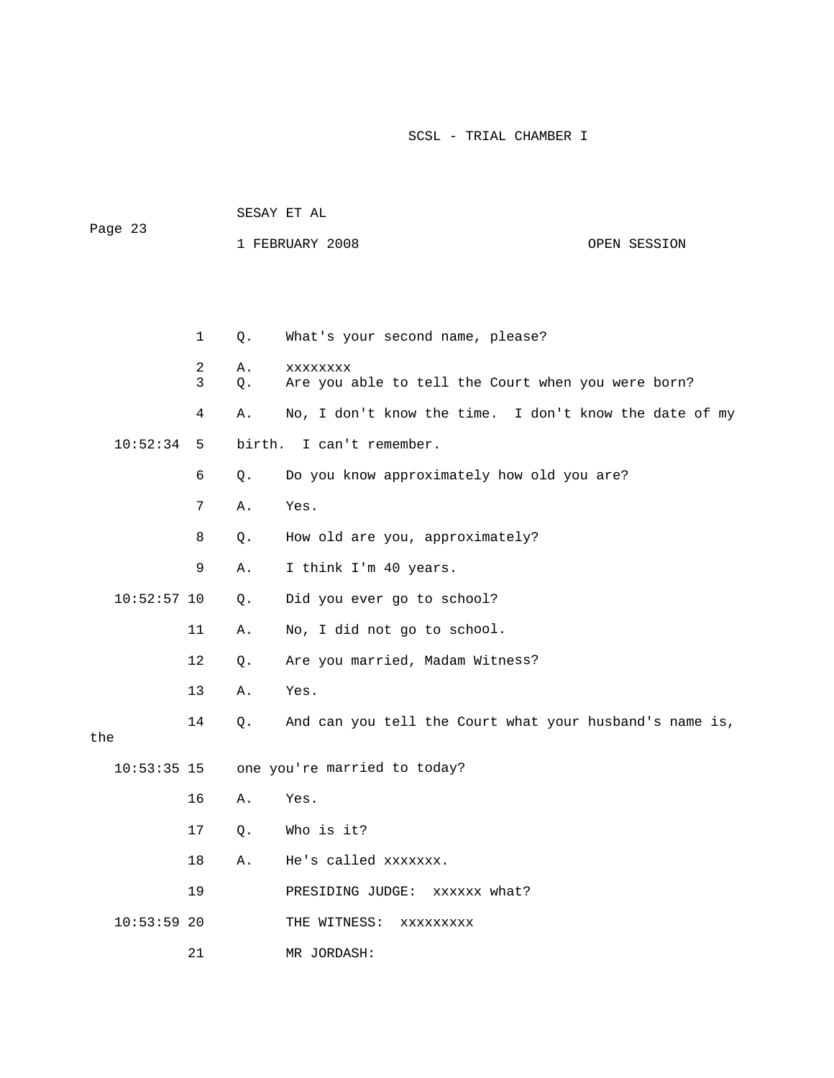| Page 23       |        |          | 1 FEBRUARY 2008                                                | OPEN SESSION |
|---------------|--------|----------|----------------------------------------------------------------|--------------|
|               |        |          |                                                                |              |
|               | 1      | Q.       | What's your second name, please?                               |              |
|               | 2<br>3 | Α.<br>Q. | XXXXXXXX<br>Are you able to tell the Court when you were born? |              |
|               | 4      | Α.       | No, I don't know the time. I don't know the date of my         |              |
| 10:52:34      | 5      | birth.   | I can't remember.                                              |              |
|               | 6      | Q.       | Do you know approximately how old you are?                     |              |
|               | 7      | Α.       | Yes.                                                           |              |
|               | 8      | Q.       | How old are you, approximately?                                |              |
|               | 9      | Α.       | I think I'm 40 years.                                          |              |
| $10:52:57$ 10 |        | $Q$ .    | Did you ever go to school?                                     |              |
|               | 11     | Α.       | No, I did not go to school.                                    |              |
|               | 12     | Q.       | Are you married, Madam Witness?                                |              |
|               | 13     | Α.       | Yes.                                                           |              |
| the           | 14     | Q.       | And can you tell the Court what your husband's name is,        |              |
| $10:53:35$ 15 |        |          | one you're married to today?                                   |              |
|               | 16     | Α.       | Yes.                                                           |              |
|               | 17     | Q.       | Who is it?                                                     |              |
|               | 18     | Α.       | He's called xxxxxxx.                                           |              |
|               | 19     |          | PRESIDING JUDGE: XXXXXX what?                                  |              |
| $10:53:59$ 20 |        |          | THE WITNESS:<br>XXXXXXXXX                                      |              |
|               | 21     |          | MR JORDASH:                                                    |              |

SESAY ET AL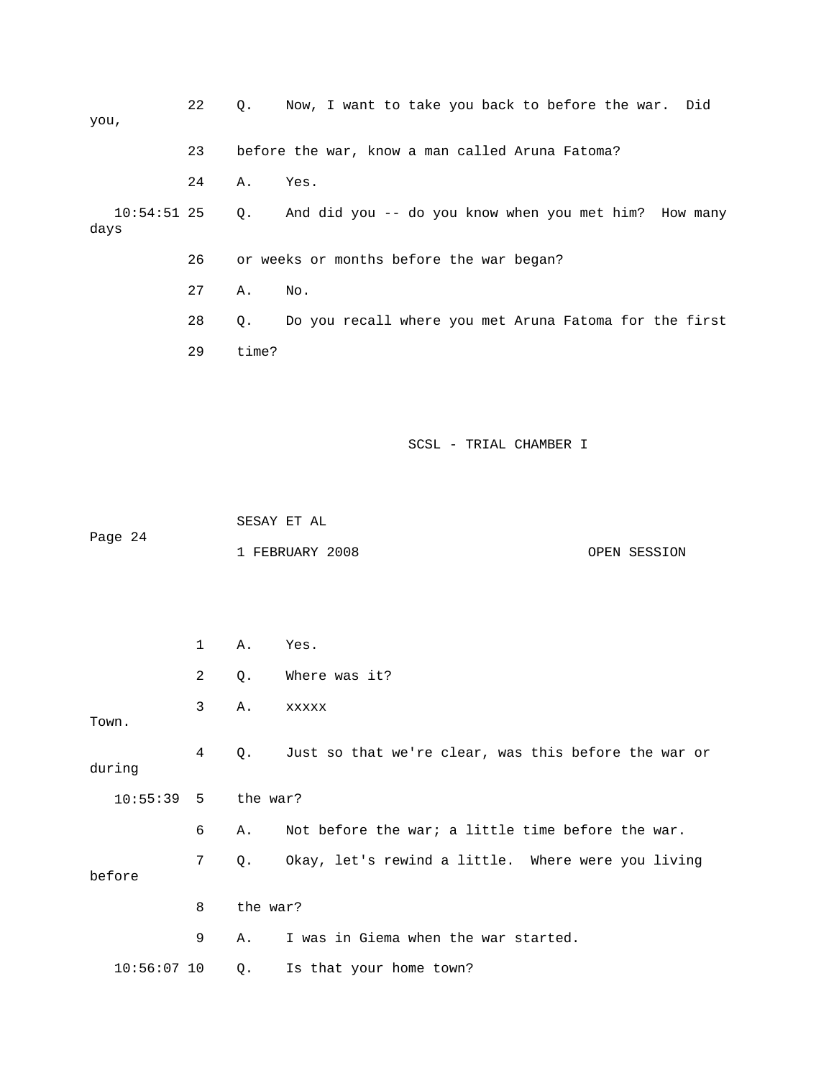| you,                     | 22 | $\circ$ . | Now, I want to take you back to before the war. Did    |
|--------------------------|----|-----------|--------------------------------------------------------|
|                          | 23 |           | before the war, know a man called Aruna Fatoma?        |
|                          | 24 | А.        | Yes.                                                   |
| $10:54:51$ 25 Q.<br>days |    |           | And did you -- do you know when you met him? How many  |
|                          | 26 |           | or weeks or months before the war began?               |
|                          | 27 | Α.        | No.                                                    |
|                          | 28 | О.        | Do you recall where you met Aruna Fatoma for the first |
|                          | 29 | time?     |                                                        |

 1 FEBRUARY 2008 OPEN SESSION SESAY ET AL Page 24

|               | $\mathbf{1}$   | Α.       | Yes.                                                    |  |  |
|---------------|----------------|----------|---------------------------------------------------------|--|--|
|               | $\overline{2}$ | Q.       | Where was it?                                           |  |  |
| Town.         | 3              | Α.       | <b>XXXXX</b>                                            |  |  |
| during        | 4              |          | Q. Just so that we're clear, was this before the war or |  |  |
| 10:55:39      | 5              |          | the war?                                                |  |  |
|               | 6              | Α.       | Not before the war; a little time before the war.       |  |  |
| before        | 7              |          | Q. Okay, let's rewind a little. Where were you living   |  |  |
|               | 8              | the war? |                                                         |  |  |
|               | 9              | Α.       | I was in Giema when the war started.                    |  |  |
| $10:56:07$ 10 |                |          | Q. Is that your home town?                              |  |  |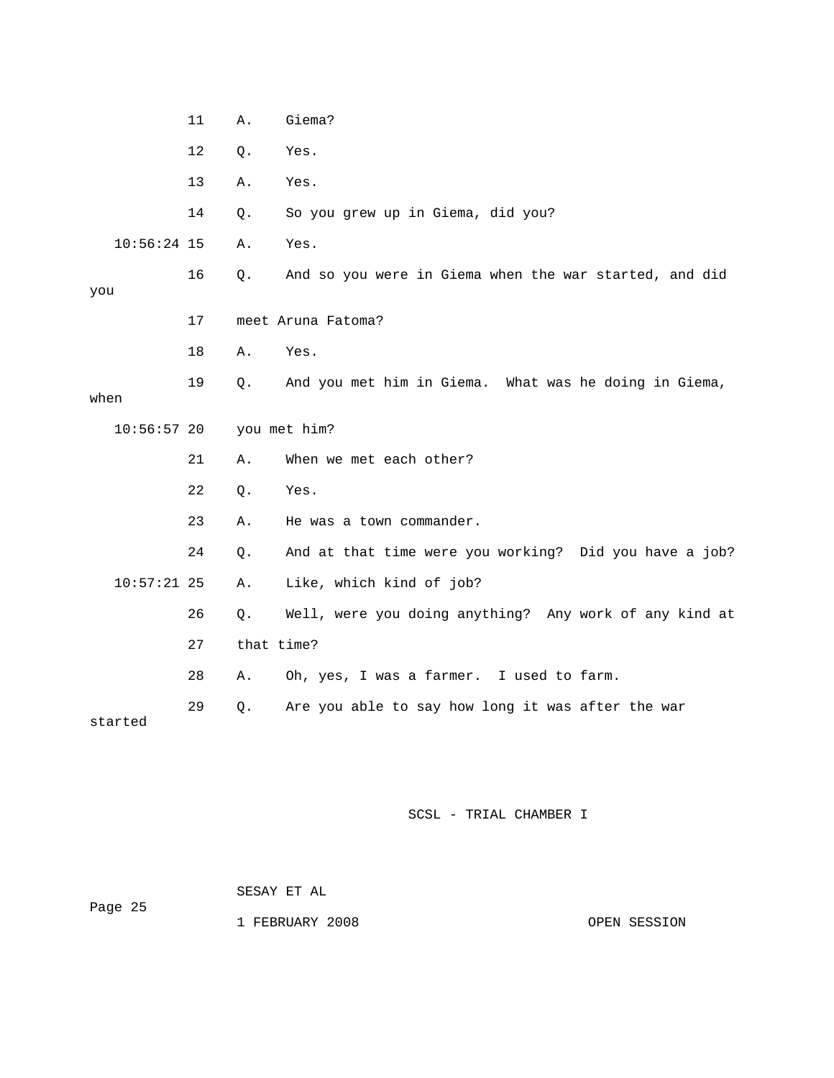|               | 11           | Α.         | Giema?                                                 |  |
|---------------|--------------|------------|--------------------------------------------------------|--|
|               | 12           | Q.         | Yes.                                                   |  |
|               | 13           | Α.         | Yes.                                                   |  |
|               | 14           | Q.         | So you grew up in Giema, did you?                      |  |
| $10:56:24$ 15 |              | Α.         | Yes.                                                   |  |
| you           | 16           | Q.         | And so you were in Giema when the war started, and did |  |
|               | 17           |            | meet Aruna Fatoma?                                     |  |
|               | 18           | Α.         | Yes.                                                   |  |
| when          | 19           | Q.         | And you met him in Giema. What was he doing in Giema,  |  |
| $10:56:57$ 20 | you met him? |            |                                                        |  |
|               | 21           | Α.         | When we met each other?                                |  |
|               | 22           | Q.         | Yes.                                                   |  |
|               | 23           | Α.         | He was a town commander.                               |  |
|               | 24           | Q.         | And at that time were you working? Did you have a job? |  |
| $10:57:21$ 25 |              | Α.         | Like, which kind of job?                               |  |
|               | 26           | Q.         | Well, were you doing anything? Any work of any kind at |  |
|               | 27           | that time? |                                                        |  |
|               | 28           | Α.         | Oh, yes, I was a farmer. I used to farm.               |  |
| started       | 29           | Q.         | Are you able to say how long it was after the war      |  |

# SESAY ET AL

Page 25

1 FEBRUARY 2008 OPEN SESSION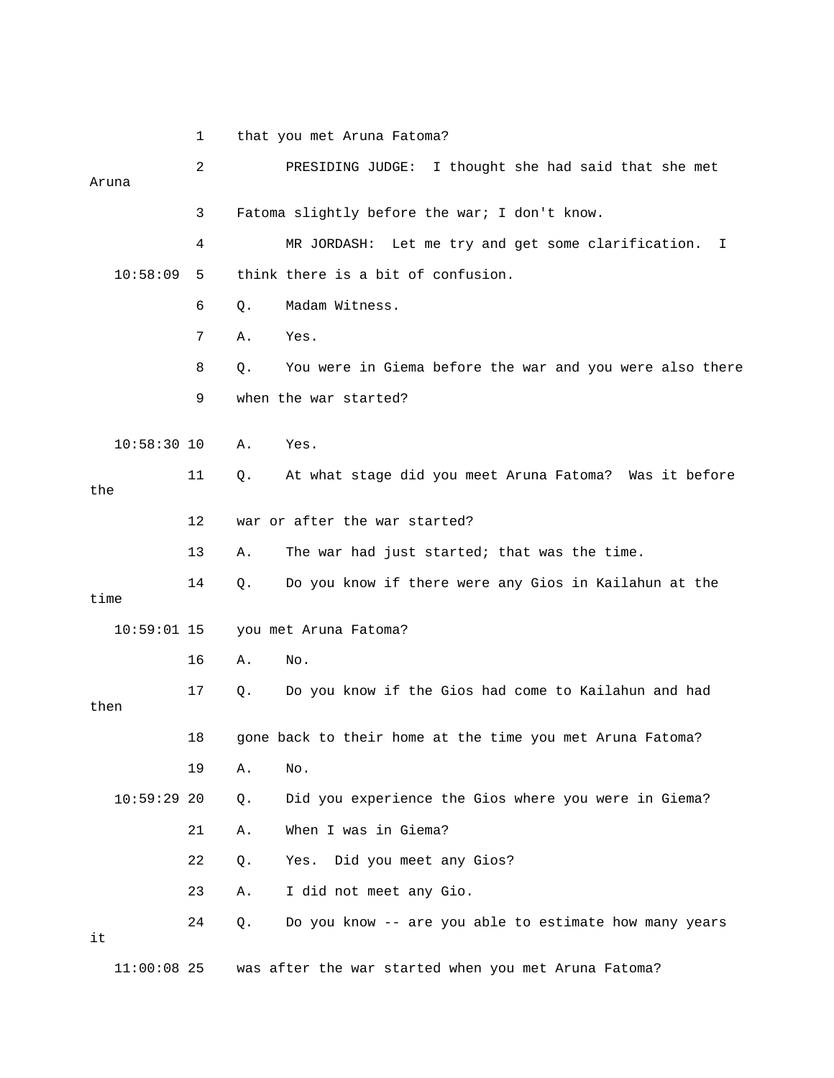|               | 1  | that you met Aruna Fatoma?                                     |  |  |  |  |
|---------------|----|----------------------------------------------------------------|--|--|--|--|
| Aruna         | 2  | PRESIDING JUDGE:<br>I thought she had said that she met        |  |  |  |  |
|               | 3  | Fatoma slightly before the war; I don't know.                  |  |  |  |  |
|               | 4  | MR JORDASH: Let me try and get some clarification.<br>I.       |  |  |  |  |
| 10:58:09      | 5  | think there is a bit of confusion.                             |  |  |  |  |
|               | 6  | Madam Witness.<br>Q.                                           |  |  |  |  |
|               | 7  | Yes.<br>Α.                                                     |  |  |  |  |
|               | 8  | You were in Giema before the war and you were also there<br>Q. |  |  |  |  |
|               | 9  | when the war started?                                          |  |  |  |  |
| $10:58:30$ 10 |    | Yes.<br>Α.                                                     |  |  |  |  |
| the           | 11 | At what stage did you meet Aruna Fatoma? Was it before<br>Q.   |  |  |  |  |
|               | 12 | war or after the war started?                                  |  |  |  |  |
|               | 13 | The war had just started; that was the time.<br>Α.             |  |  |  |  |
| time          | 14 | Do you know if there were any Gios in Kailahun at the<br>Q.    |  |  |  |  |
| $10:59:01$ 15 |    | you met Aruna Fatoma?                                          |  |  |  |  |
|               | 16 | No.<br>Α.                                                      |  |  |  |  |
| then          | 17 | Do you know if the Gios had come to Kailahun and had<br>Q.     |  |  |  |  |
|               | 18 | gone back to their home at the time you met Aruna Fatoma?      |  |  |  |  |
|               | 19 | No.<br>Α.                                                      |  |  |  |  |
| 10:59:2920    |    | Did you experience the Gios where you were in Giema?<br>Q.     |  |  |  |  |
|               | 21 | When I was in Giema?<br>Α.                                     |  |  |  |  |
|               | 22 | Yes. Did you meet any Gios?<br>Q.                              |  |  |  |  |
|               | 23 | I did not meet any Gio.<br>Α.                                  |  |  |  |  |
| it            | 24 | Do you know -- are you able to estimate how many years<br>Q.   |  |  |  |  |
| $11:00:08$ 25 |    | was after the war started when you met Aruna Fatoma?           |  |  |  |  |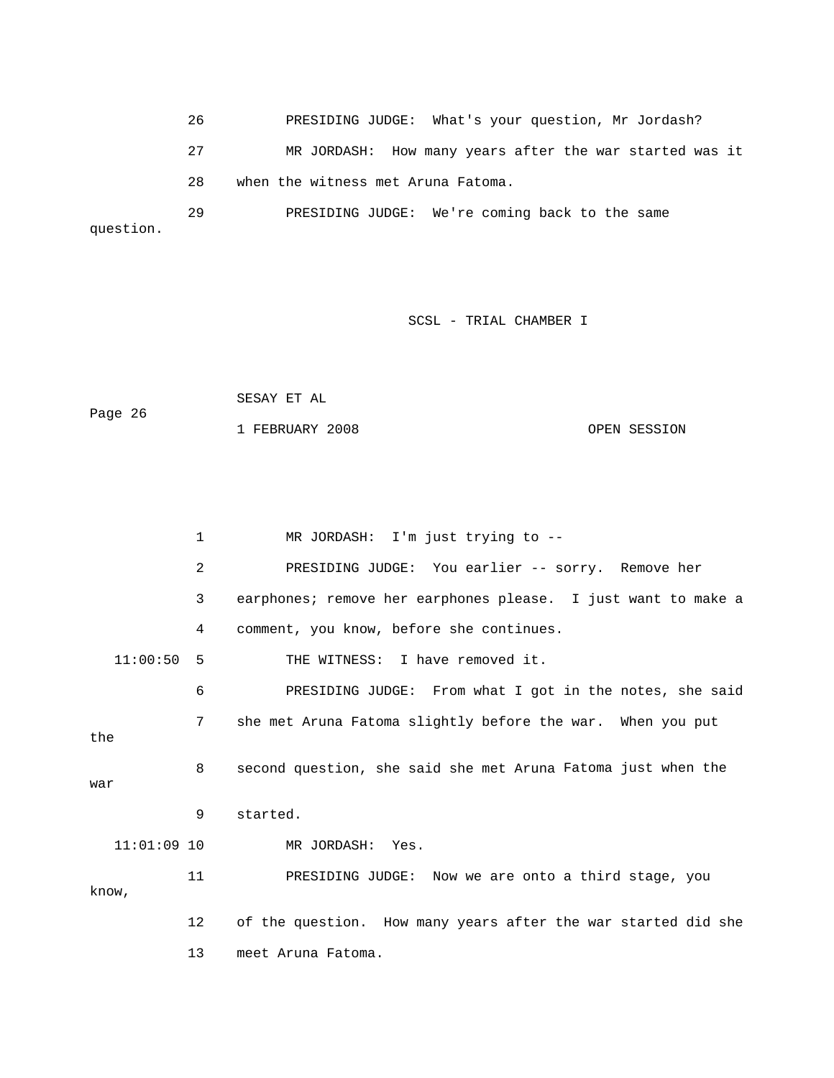26 PRESIDING JUDGE: What's your question, Mr Jordash? 27 MR JORDASH: How many years after the war started was it question. 28 when the witness met Aruna Fatoma. 29 PRESIDING JUDGE: We're coming back to the same

SCSL - TRIAL CHAMBER I

|         | SESAY ET AL     |              |
|---------|-----------------|--------------|
| Page 26 |                 |              |
|         | 1 FEBRUARY 2008 | OPEN SESSION |

```
 2 PRESIDING JUDGE: You earlier -- sorry. Remove her 
            3 earphones; remove her earphones please. I just want to make a 
            4 comment, you know, before she continues. 
   11:00:50 5 THE WITNESS: I have removed it. 
            6 PRESIDING JUDGE: From what I got in the notes, she said 
8 second question, she said she met Aruna Fatoma just when the
war
                     MR JORDASH: Yes.
12 of the question. How many years after the war started did she
            1 MR JORDASH: I'm just trying to -- 
            7 she met Aruna Fatoma slightly before the war. When you put 
the 
            9 started. 
  11:01:09 10
           11 PRESIDING JUDGE: Now we are onto a third stage, you 
know,
           13 meet Aruna Fatoma.
```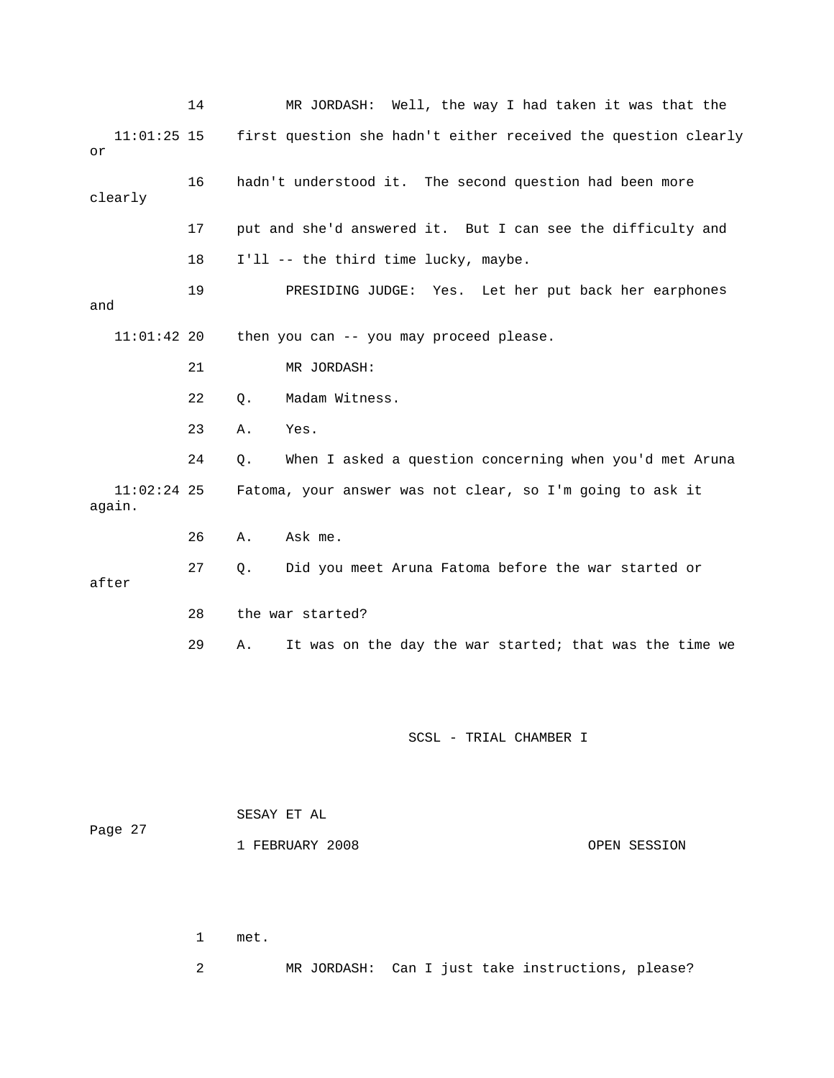|                         | 14 |    | MR JORDASH: Well, the way I had taken it was that the          |
|-------------------------|----|----|----------------------------------------------------------------|
| $11:01:25$ 15<br>or     |    |    | first question she hadn't either received the question clearly |
| clearly                 | 16 |    | hadn't understood it. The second question had been more        |
|                         | 17 |    | put and she'd answered it. But I can see the difficulty and    |
|                         | 18 |    | I'll -- the third time lucky, maybe.                           |
| and                     | 19 |    | PRESIDING JUDGE: Yes. Let her put back her earphones           |
| $11:01:42$ 20           |    |    | then you can -- you may proceed please.                        |
|                         | 21 |    | MR JORDASH:                                                    |
|                         | 22 | О. | Madam Witness.                                                 |
|                         | 23 | Α. | Yes.                                                           |
|                         | 24 | Q. | When I asked a question concerning when you'd met Aruna        |
| $11:02:24$ 25<br>again. |    |    | Fatoma, your answer was not clear, so I'm going to ask it      |
|                         | 26 | Α. | Ask me.                                                        |
| after                   | 27 | Q. | Did you meet Aruna Fatoma before the war started or            |
|                         | 28 |    | the war started?                                               |
|                         | 29 | Α. | It was on the day the war started; that was the time we        |
|                         |    |    |                                                                |
|                         |    |    | SCSL - TRIAL CHAMBER I                                         |

|         |  | SESAY ET AL |  |                 |  |
|---------|--|-------------|--|-----------------|--|
| Page 27 |  |             |  |                 |  |
|         |  |             |  | 1 FEBRUARY 2008 |  |

OPEN SESSION

 1 met. 2 MR JORDASH: Can I just take instructions, please?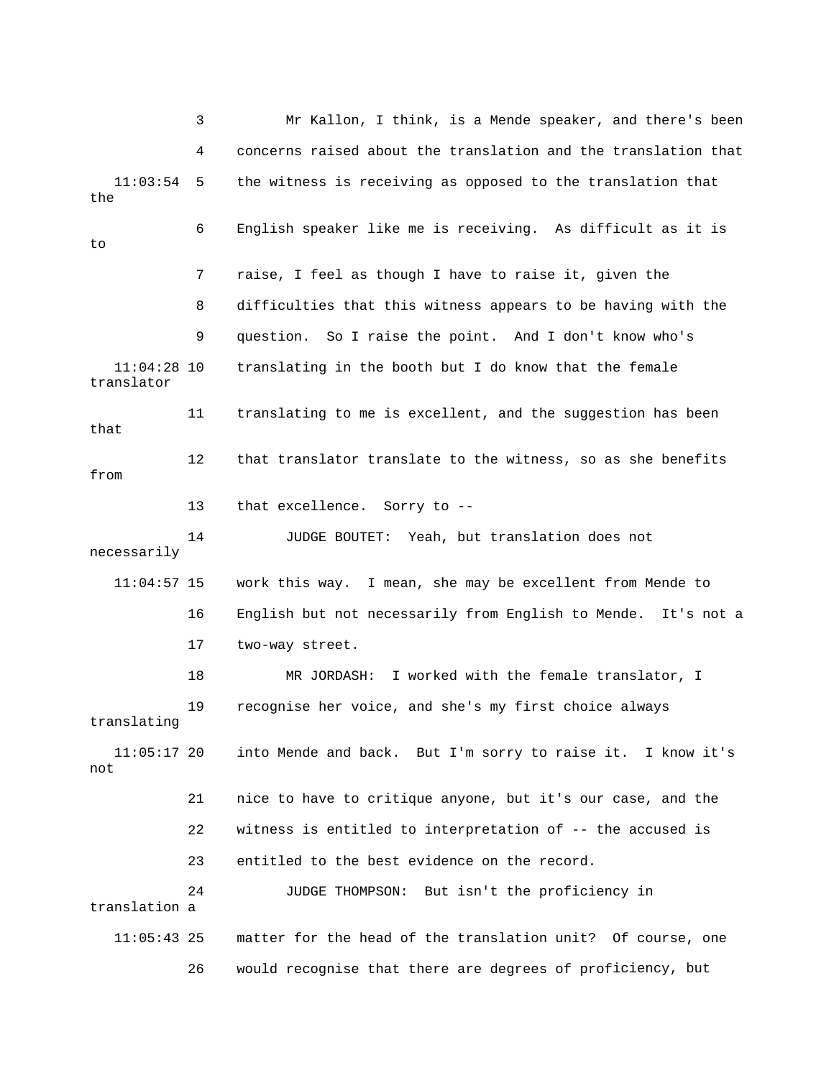3 Mr Kallon, I think, is a Mende speaker, and there's been 4 concerns raised about the translation and the translation that 11:03:54 5 the witness is receiving as opposed to the translation that 7 raise, I feel as though I have to raise it, given the 8 difficulties that this witness appears to be having with the 11:04:28 10 translating in the booth but I do know that the female that 12 that translator translate to the witness, so as she benefits 13 that excellence. Sorry to - necessarily 16 English but not necessarily from English to Mende. It's not a 18 MR JORDASH: I worked with the female translator, I 19 recognise her voice, and she's my first choice always 11:05:17 20 into Mende and back. But I'm sorry to raise it. I know it's 21 nice to have to critique anyone, but it's our case, and the 22 witness is entitled to interpretation of -- the accused is 24 JUDGE THOMPSON: But isn't the proficiency in 26 would recognise that there are degrees of proficiency, but the 6 English speaker like me is receiving. As difficult as it is  $t_{\Omega}$  9 question. So I raise the point. And I don't know who's translator 11 translating to me is excellent, and the suggestion has been from 14 JUDGE BOUTET: Yeah, but translation does not 11:04:57 15 work this way. I mean, she may be excellent from Mende to 17 two-way street. translating not 2 23 entitled to the best evidence on the record. translation a 11:05:43 25 matter for the head of the translation unit? Of course, one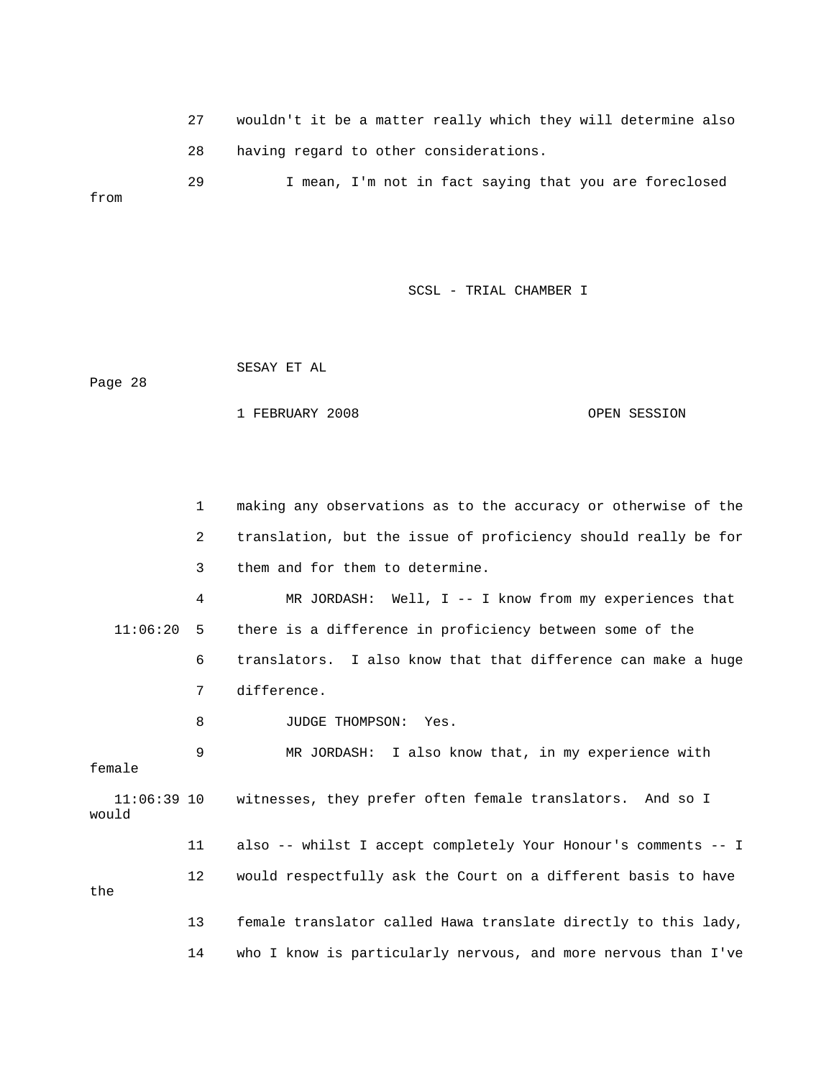27 wouldn't it be a matter really which they will determ ine also 28 having regard to other considerations. 29 I mean, I'm not in fact saying that you are foreclosed

SCSL - TRIAL CHAMBER I

Page 28

from

SESAY ET AL

1 FEBRUARY 2008 OPEN SESSION

 1 making any observations as to the accuracy or otherwise of the 2 translation, but the issue of proficiency should really be for 3 them and for them to determine. 4 MR JORDASH: Well, I -- I know from my experiences that 6 translators. I also know that that difference can make a huge 7 difference. 9 MR JORDASH: I also know that, in my experience with 11:06:39 10 witnesses, they prefer often female translators. And so I 11 also -- whilst I accept completely Your Honour's comments -- I 12 would respectfully ask the Court on a different basis to have the 13 female translator called Hawa translate directly to this lady, 11:06:20 5 there is a difference in proficiency between some of the 8 JUDGE THOMPSON: Yes. female would 14 who I know is particularly nervous, and more nervous than I've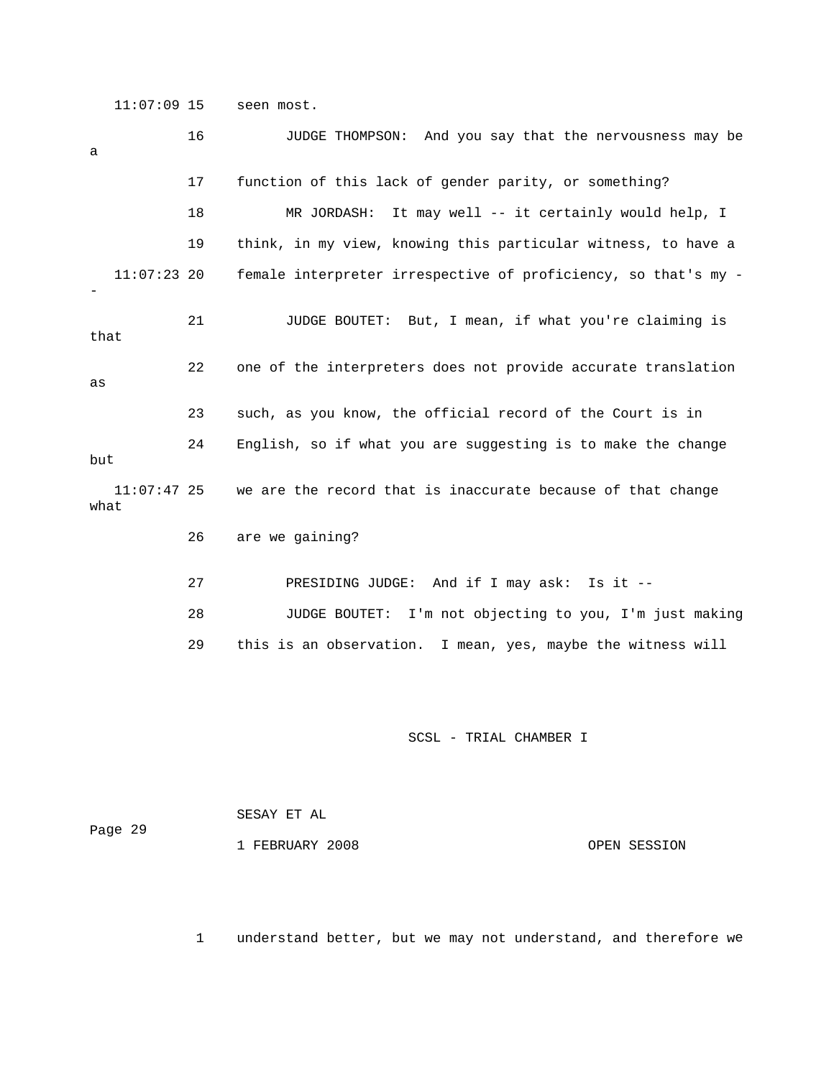11:07:09 15 seen most.

| a                     | 16 | JUDGE THOMPSON: And you say that the nervousness may be        |
|-----------------------|----|----------------------------------------------------------------|
|                       | 17 | function of this lack of gender parity, or something?          |
|                       | 18 | MR JORDASH:<br>It may well -- it certainly would help, I       |
|                       | 19 | think, in my view, knowing this particular witness, to have a  |
| $11:07:23$ 20         |    | female interpreter irrespective of proficiency, so that's my - |
| that                  | 21 | JUDGE BOUTET: But, I mean, if what you're claiming is          |
| as                    | 22 | one of the interpreters does not provide accurate translation  |
|                       | 23 | such, as you know, the official record of the Court is in      |
| but                   | 24 | English, so if what you are suggesting is to make the change   |
| $11:07:47$ 25<br>what |    | we are the record that is inaccurate because of that change    |
|                       | 26 | are we gaining?                                                |
|                       |    |                                                                |
|                       | 27 | PRESIDING JUDGE: And if I may ask: Is it --                    |
|                       | 28 | JUDGE BOUTET: I'm not objecting to you, I'm just making        |

SCSL - TRIAL CHAMBER I

 SESAY ET AL ge 29 Pa

1 FEBRUARY 2008 OPEN SESSION

1 understand better, but we may not understand, and therefore we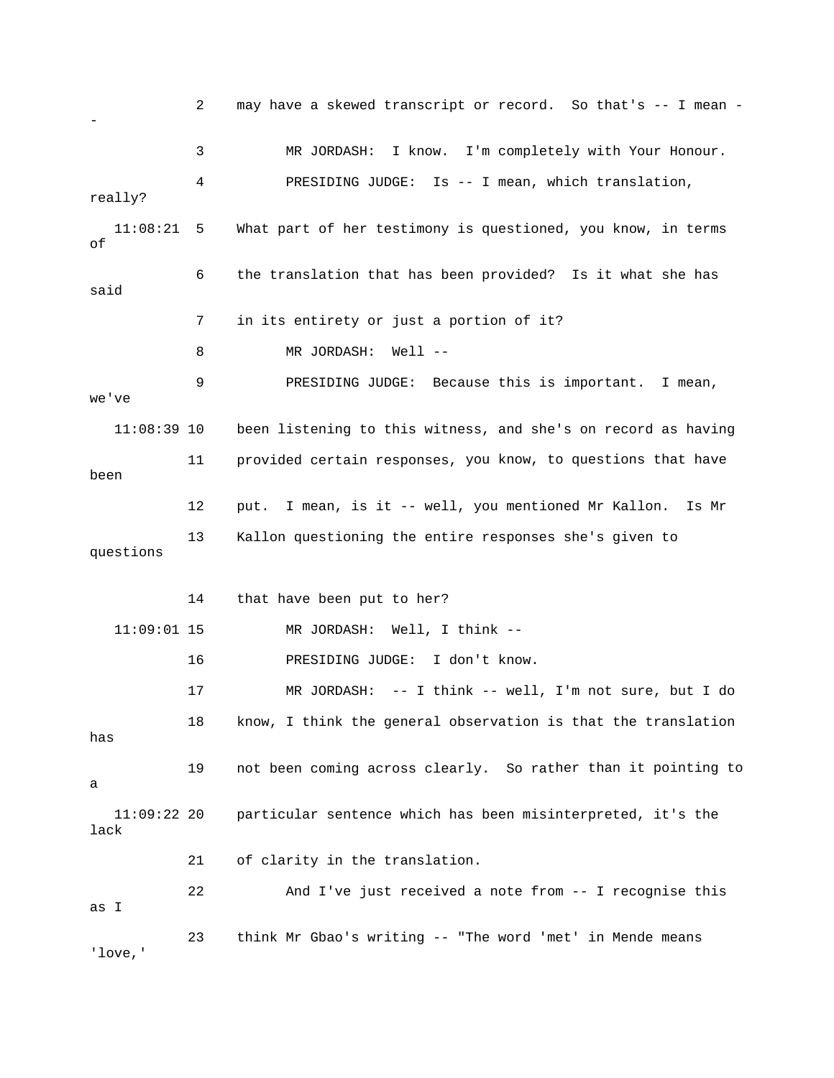2 may have a skewed transcript or record. So that's -- I mean - 3 MR JORDASH: I know. I'm completely with Your Honour. really? 11:08:21 5 What part of her testimony is questioned, you know, in terms 6 the translation that has been provided? Is it what she has 7 in its entirety or just a portion of it? 8 MR JORDASH: Well --11:08:39 10 been listening to this witness, and she's on record as having you know, to questions that have 11 provided certain responses, been 12 put. I mean, is it -- well, you mentioned Mr Kallon. Is Mr questions 14 that have been put to her? 16 PRESIDING JUDGE: I don't know. 17 MR JORDASH: -- I think -- well, I'm not sure, but I do 18 know, I think the general observation is that the translation 19 not been coming across clearly. So rather than it pointing to 21 of clarity in the translation. 22 And I've just received a note from -- I recognise this I as 23 think Mr Gbao's writing -- "The word 'met' in Mende means 'love,' - 4 PRESIDING JUDGE: Is -- I mean, which translation, of said 9 PRESIDING JUDGE: Because this is important. I mean, we've 13 Kallon questioning the entire responses she's given to 11:09:01 15 MR JORDASH: Well, I think - has a 11:09:22 20 particular sentence which has been misinterpreted, it's the lack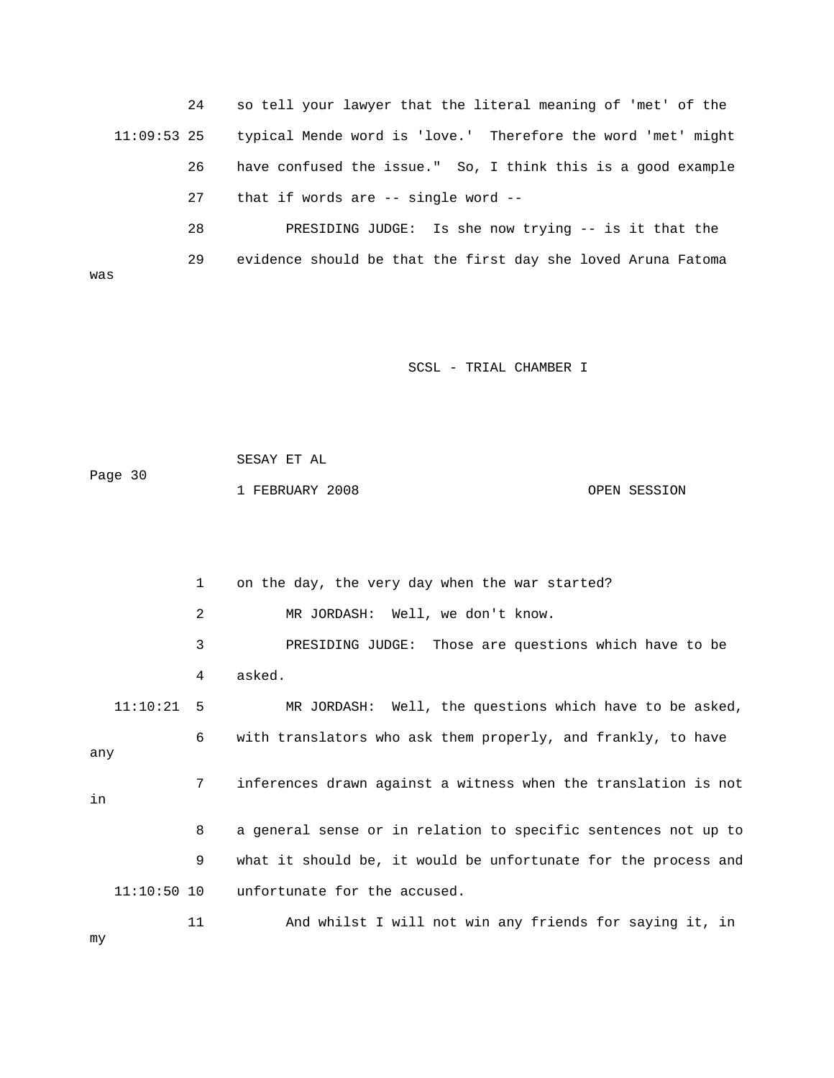24 so tell your lawyer that the literal meaning of 'met' of the 26 have confused the issue." So, I think this is a good example 27 that if words are -- single word -- 11:09:53 25 typical Mende word is 'love.' Therefore the word 'met' might 28 PRESIDING JUDGE: Is she now trying -- is it that the

was 29 evidence should be that the first day she loved Aruna Fatoma

SCSL - TRIAL CHAMBER I

 SESAY ET AL Page 30 OPEN SESSION 1 FEBRUARY 2008

 3 PRESIDING JUDGE: Those are questions which have to be 4 asked. 11:10:21 5 MR JORDASH: Well, the questions which have to be asked, 6 with translators who ask them properly, and frankly, to have any 7 inferences drawn against a witness when the translation is not 11:10:50 10 unfortunate for the accused. 11 And whilst I will not win any friends for saying it, in 1 on the day, the very day when the war started? 2 MR JORDASH: Well, we don't know. in 8 a general sense or in relation to specific sentences not up to 9 what it should be, it would be unfortunate for the process and

my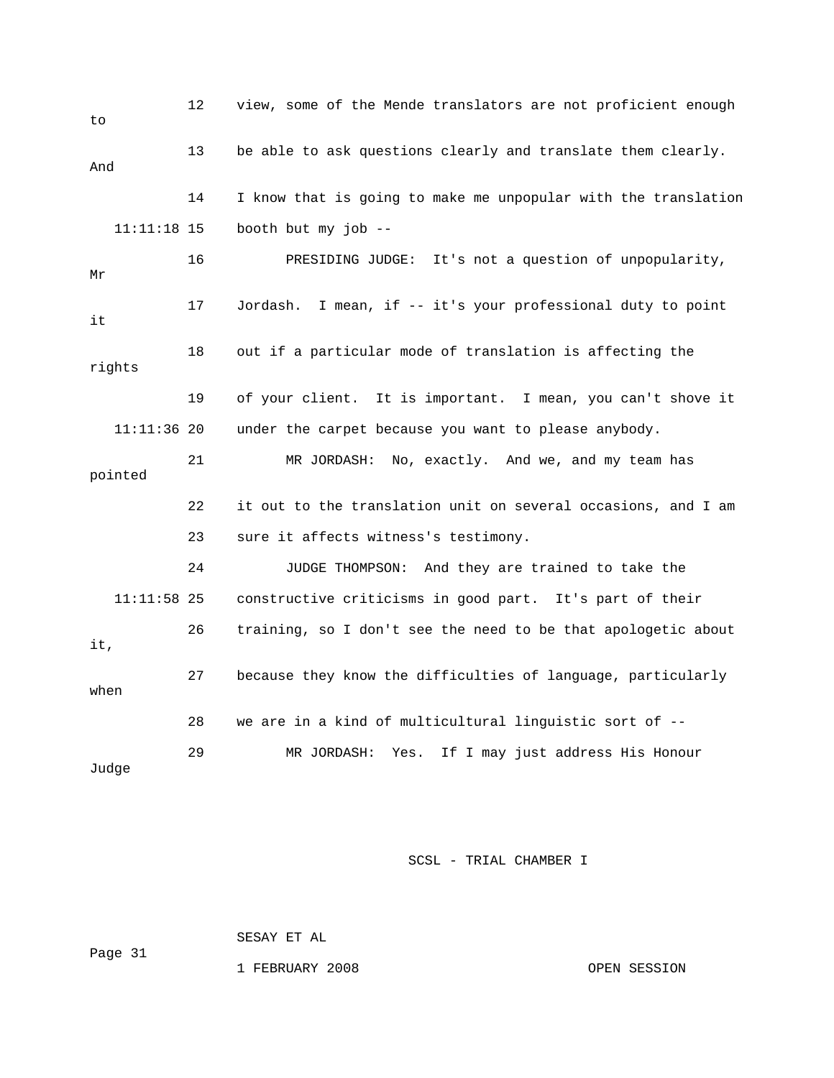| to            | 12 | view, some of the Mende translators are not proficient enough  |  |  |  |  |  |
|---------------|----|----------------------------------------------------------------|--|--|--|--|--|
| And           | 13 | be able to ask questions clearly and translate them clearly.   |  |  |  |  |  |
|               | 14 | I know that is going to make me unpopular with the translation |  |  |  |  |  |
| $11:11:18$ 15 |    | booth but my job --                                            |  |  |  |  |  |
| Μr            | 16 | PRESIDING JUDGE: It's not a question of unpopularity,          |  |  |  |  |  |
| it            | 17 | Jordash. I mean, if -- it's your professional duty to point    |  |  |  |  |  |
| rights        | 18 | out if a particular mode of translation is affecting the       |  |  |  |  |  |
|               | 19 | of your client. It is important. I mean, you can't shove it    |  |  |  |  |  |
| $11:11:36$ 20 |    | under the carpet because you want to please anybody.           |  |  |  |  |  |
| pointed       | 21 | MR JORDASH: No, exactly. And we, and my team has               |  |  |  |  |  |
|               | 22 | it out to the translation unit on several occasions, and I am  |  |  |  |  |  |
|               | 23 | sure it affects witness's testimony.                           |  |  |  |  |  |
|               | 24 | JUDGE THOMPSON: And they are trained to take the               |  |  |  |  |  |
| $11:11:58$ 25 |    | constructive criticisms in good part. It's part of their       |  |  |  |  |  |
| it,           | 26 | training, so I don't see the need to be that apologetic about  |  |  |  |  |  |
| when          | 27 | because they know the difficulties of language, particularly   |  |  |  |  |  |
|               | 28 | we are in a kind of multicultural linguistic sort of --        |  |  |  |  |  |
| Judge         | 29 | If I may just address His Honour<br>MR JORDASH:<br>Yes.        |  |  |  |  |  |

SESAY ET AL

1 FEBRUARY 2008 CPEN SESSION

ge 31 Pa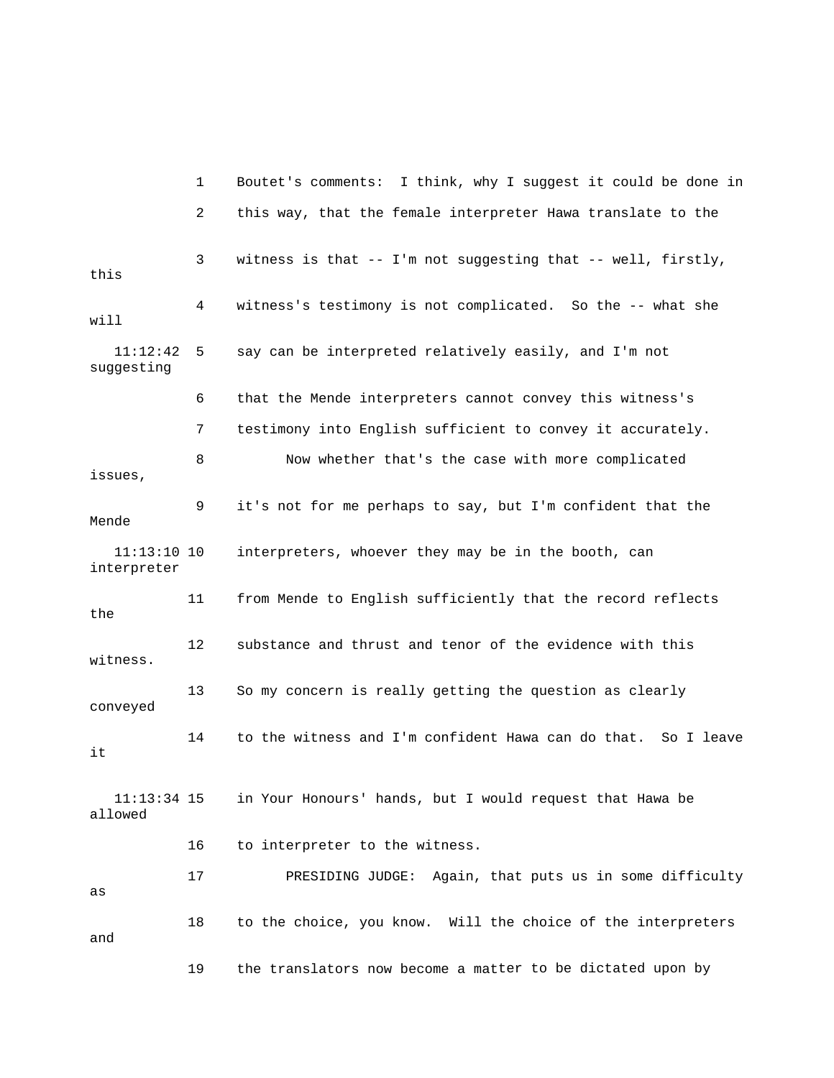1 Boutet's comments: I think, why I suggest it could be done in 2 this way, that the female interpreter Hawa translate to the 3 witness is that -- I'm not suggesting that -- well, firstly, this will 11:12:42 5 say can be interpreted relatively easily, and I'm not suggesting 6 that the Mende interpreters cannot convey this witness's 8 Now whether that's the case with more complicated 9 it's not for me perhaps to say, but I'm confident that the interpreter 11 from Mende to English sufficiently that the record reflects the 12 substance and thrust and tenor of the evidence with this witness. 3 So my concern is really getting the question as clearly conveyed 14 to the witness and I'm confident Hawa can do that. So I leave 11:13:34 15 in Your Honours' hands, but I would request that Hawa be 16 to interpreter to the witness. 17 PRESIDING JUDGE: Again, that puts us in some difficulty 18 to the choice, you know. Will the choice of the interpreters 19 the translators now become a matter to be dictated upon by 4 witness's testimony is not complicated. So the -- what she 7 testimony into English sufficient to convey it accurately. issues, Mende 11:13:10 10 interpreters, whoever they may be in the booth, can 1 it allowed as and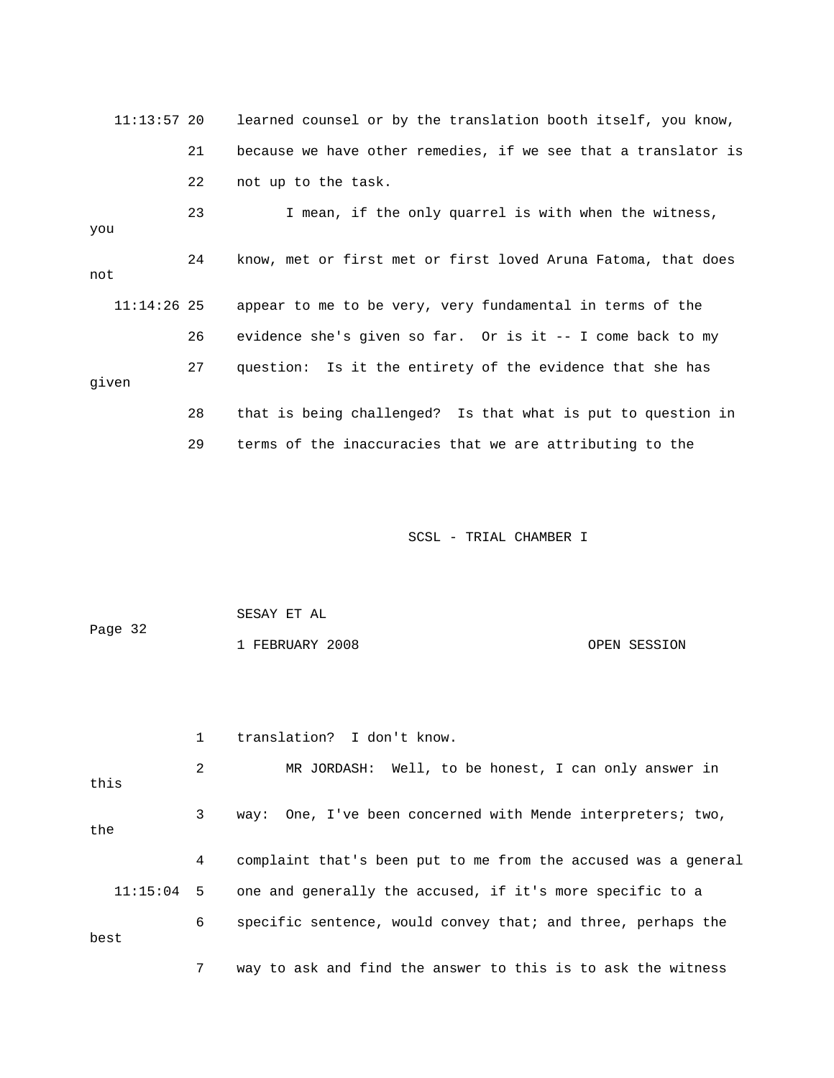| $11:13:57$ 20 |    | learned counsel or by the translation booth itself, you know,  |
|---------------|----|----------------------------------------------------------------|
|               | 21 | because we have other remedies, if we see that a translator is |
|               | 22 | not up to the task.                                            |
| you           | 23 | I mean, if the only quarrel is with when the witness,          |
| not           | 24 | know, met or first met or first loved Aruna Fatoma, that does  |
| $11:14:26$ 25 |    | appear to me to be very, very fundamental in terms of the      |
|               | 26 | evidence she's given so far. Or is it $-$ I come back to my    |
| given         | 27 | question: Is it the entirety of the evidence that she has      |
|               | 28 | that is being challenged? Is that what is put to question in   |
|               | 29 | terms of the inaccuracies that we are attributing to the       |

| Page 32 | SESAY ET AL     |              |
|---------|-----------------|--------------|
|         | 1 FEBRUARY 2008 | OPEN SESSION |

|      | $\mathbf{1}$ | translation? I don't know.                                           |
|------|--------------|----------------------------------------------------------------------|
| this | 2            | MR JORDASH: Well, to be honest, I can only answer in                 |
| the  | 3            | way: One, I've been concerned with Mende interpreters; two,          |
|      | 4            | complaint that's been put to me from the accused was a general       |
|      |              | 11:15:04 5 one and generally the accused, if it's more specific to a |
| best | 6            | specific sentence, would convey that; and three, perhaps the         |
|      | 7            | way to ask and find the answer to this is to ask the witness         |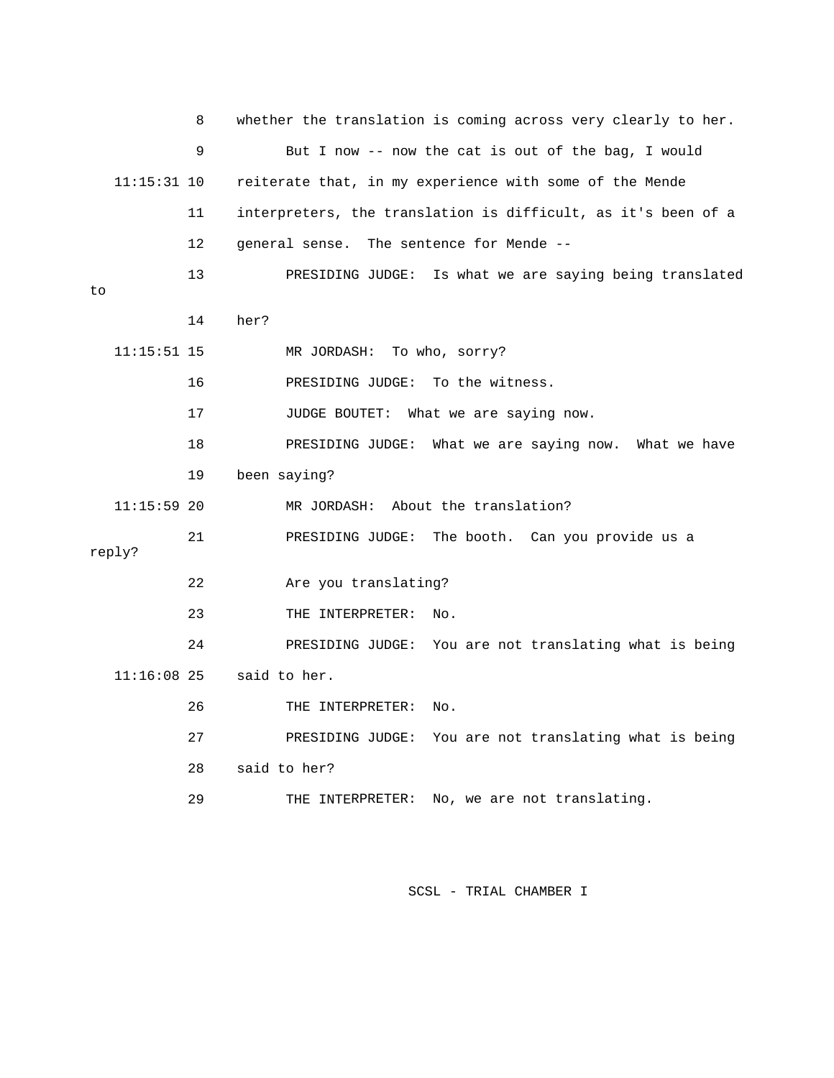|    |               | 8  | whether the translation is coming across very clearly to her. |
|----|---------------|----|---------------------------------------------------------------|
|    |               | 9  | But I now -- now the cat is out of the bag, I would           |
|    | $11:15:31$ 10 |    | reiterate that, in my experience with some of the Mende       |
|    |               | 11 | interpreters, the translation is difficult, as it's been of a |
|    |               | 12 | general sense. The sentence for Mende --                      |
| to |               | 13 | Is what we are saying being translated<br>PRESIDING JUDGE:    |
|    |               | 14 | her?                                                          |
|    | $11:15:51$ 15 |    | MR JORDASH:<br>To who, sorry?                                 |
|    |               | 16 | To the witness.<br>PRESIDING JUDGE:                           |
|    |               | 17 | JUDGE BOUTET:<br>What we are saying now.                      |
|    |               | 18 | PRESIDING JUDGE: What we are saying now.<br>What we have      |
|    |               | 19 | been saying?                                                  |
|    | $11:15:59$ 20 |    | About the translation?<br>MR JORDASH:                         |
|    | reply?        | 21 | PRESIDING JUDGE: The booth. Can you provide us a              |
|    |               | 22 | Are you translating?                                          |
|    |               | 23 | THE INTERPRETER:<br>No.                                       |
|    |               | 24 | You are not translating what is being<br>PRESIDING JUDGE:     |
|    | $11:16:08$ 25 |    | said to her.                                                  |
|    |               | 26 | THE INTERPRETER:<br>No.                                       |
|    |               |    |                                                               |
|    |               | 27 | PRESIDING JUDGE: You are not translating what is being        |
|    |               | 28 | said to her?                                                  |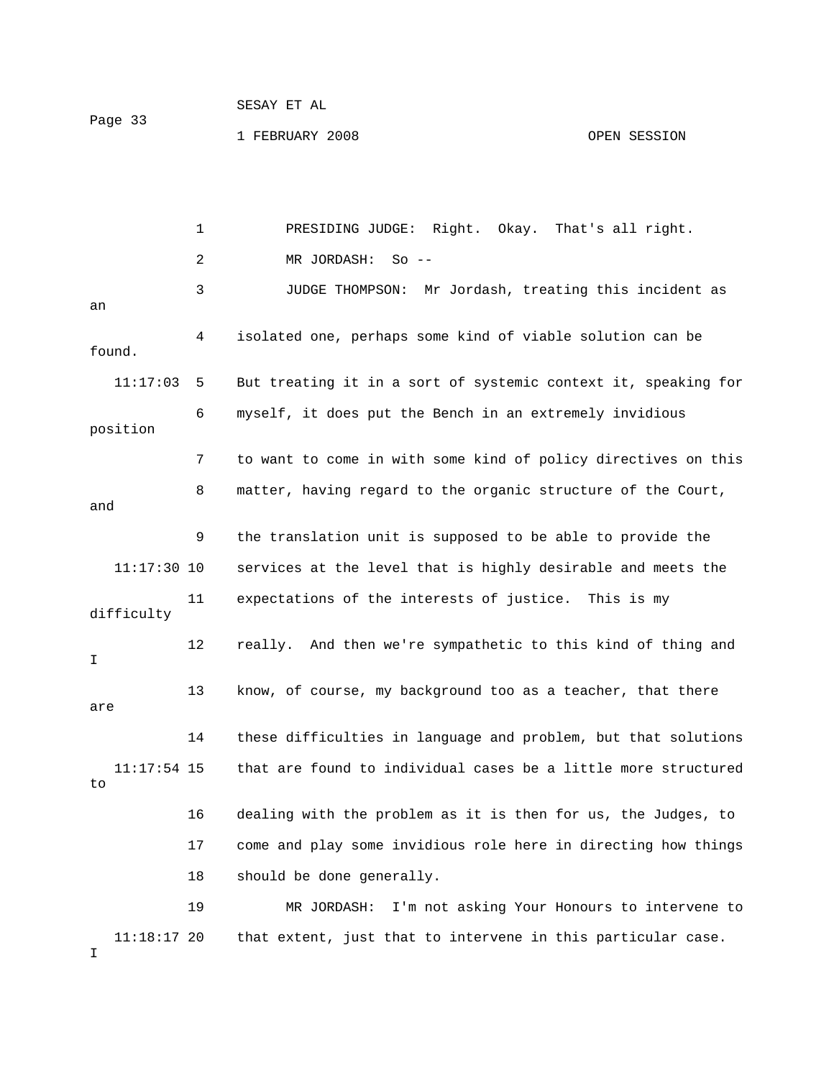1 FEBRUARY 2008

OPEN SESSION

 1 PRESIDING JUDGE: Right. Okay. That's all right. 2 MR JORDASH: So -- 3 JUDGE THOMPSON: Mr Jordash, treating this incident as 11:17:03 5 But treating it in a sort of systemic context it, speaking for 6 myself, it does put the Bench in an extremely invidious position 7 to want to come in with some kind of policy directives on this and 9 the translation unit is supposed to be able to provide the difficulty 12 really. And then we're sympathetic to this kind of thing and 13 know, of course, my background too as a teacher, that there 14 these difficulties in language and problem, but that solutions 16 dealing with the problem as it is then for us, the Judges, to 19 MR JORDASH: I'm not asking Your Honours to intervene to 11:18:17 20 that extent, just that to intervene in this particular case. an 4 isolated one, perhaps some kind of viable solution can be found. 8 matter, having regard to the organic structure of the Court, 11:17:30 10 services at the level that is highly desirable and meets the 11 expectations of the interests of justice. This is my I are 11:17:54 15 that are found to individual cases be a little more structured to 17 come and play some invidious role here in directing how things 18 should be done generally. I

Page 33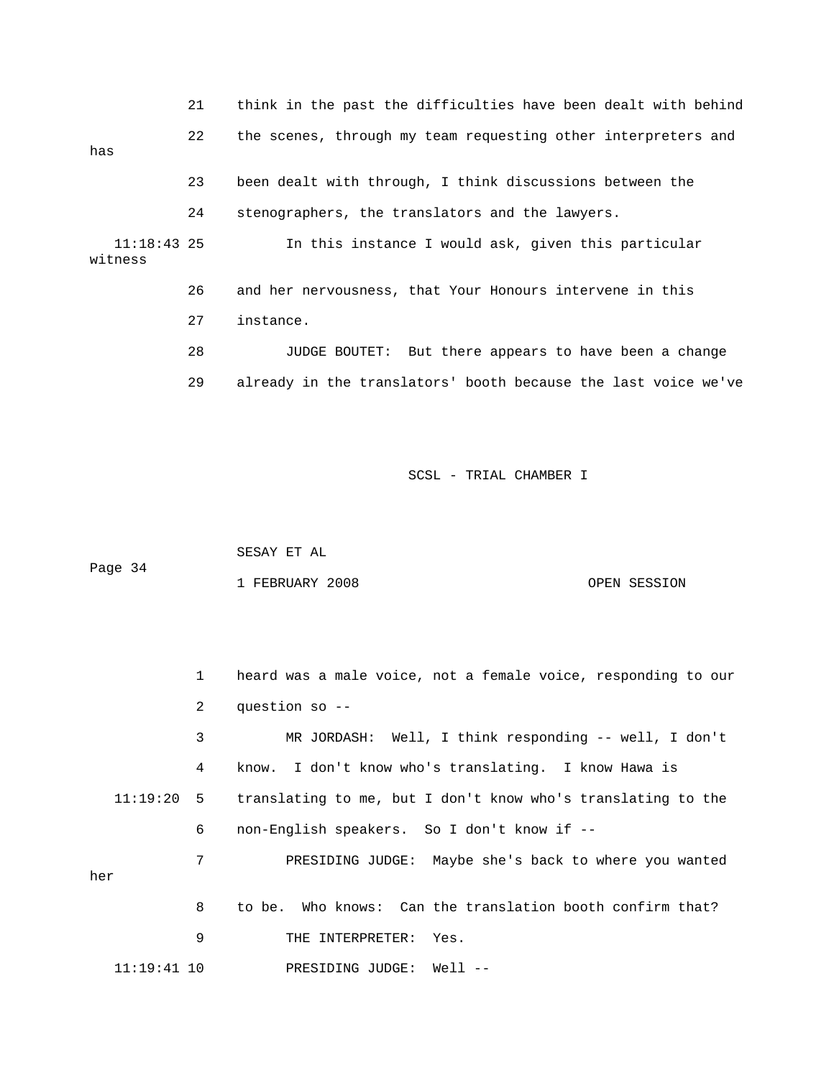21 think in the past the difficulties have been dealt with behind 23 been dealt with through, I think discussions between the witness 28 JUDGE BOUTET: But there appears to have been a change 29 already in the translators' booth because the last voice we've 22 the scenes, through my team requesting other interpreters and has 24 stenographers, the translators and the lawyers. 11:18:43 25 In this instance I would ask, given this particular 26 and her nervousness, that Your Honours intervene in this 27 instance.

SCSL - TRIAL CHAMBER I

| Page 34 | SESAY ET AL     |              |
|---------|-----------------|--------------|
|         | 1 FEBRUARY 2008 | OPEN SESSION |

1 heard was a male voice, not a female voice, responding to our 2 question so -- 3 MR JORDASH: Well, I think responding -- well, I don't 4 know. I don't know who's translating. I know Hawa is 11:19:20 5 translating to me, but I don't know who's translating to the 6 non-English speakers. So I don't know if -- 11:19:41 10 PRESIDING JUDGE: Well -- 7 PRESIDING JUDGE: Maybe she's back to where you wanted her 8 to be. Who knows: Can the translation booth confirm that? 9 THE INTERPRETER: Yes.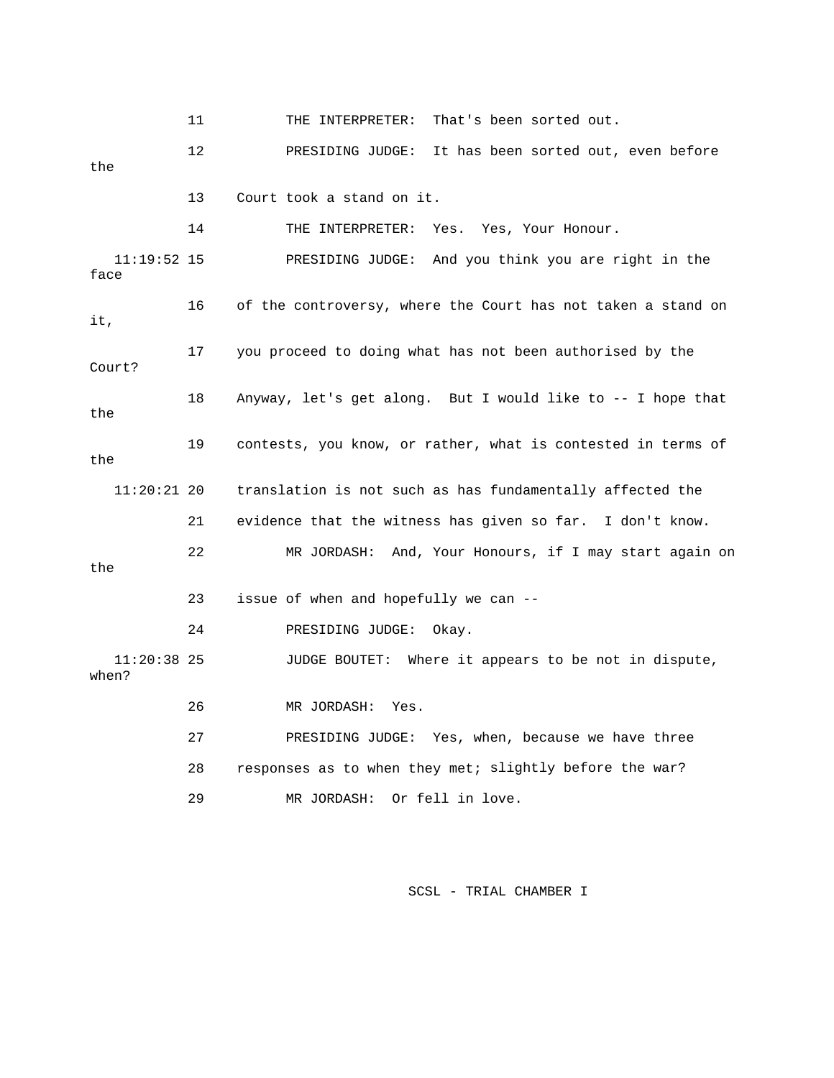11 THE INTERPRETER: That's been sorted out. 13 Court took a stand on it. 14 THE INTERPRETER: Yes. Yes, Your Honour. 16 of the controversy, where the Court has not taken a stand on 17 you proceed to doing what has not been authorised by the Court? 18 Anyway, let's get along. But I would like to -- I hope that the 19 contests, you know, or rather, what is contested in terms of the translation is not such as has fundamentally affected the 22 MR JORDASH: And, Your Honours, if I may start again on 23 issue of when and hopefully we can -- 11:20:38 25 JUDGE BOUTET: Where it appears to be not in dispute, 26 MR JORDASH: Yes. 27 PRESIDING JUDGE: Yes, when, because we have three 28 responses as to when they met; slightly before the war? 29 MR JORDASH: Or fell in love. 12 PRESIDING JUDGE: It has been sorted out, even before the 11:19:52 15 PRESIDING JUDGE: And you think you are right in the face it, 11:20 21 evidence that the witness has given so far. I don't know. the 24 PRESIDING JUDGE: Okay. when?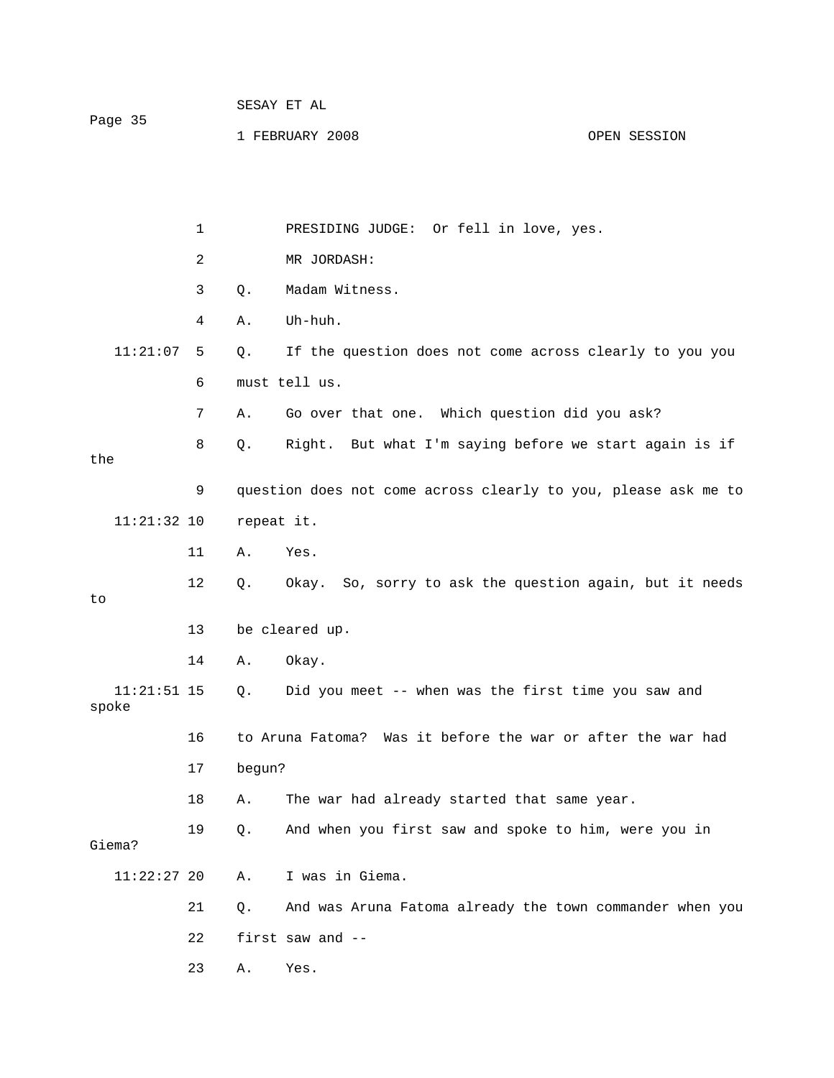|         | SESAY ET AL     |              |
|---------|-----------------|--------------|
| Page 35 | 1 FEBRUARY 2008 | OPEN SESSION |

|                        | $\mathbf 1$ |            | PRESIDING JUDGE: Or fell in love, yes.                         |
|------------------------|-------------|------------|----------------------------------------------------------------|
|                        | 2           |            | MR JORDASH:                                                    |
|                        | 3           | Q.         | Madam Witness.                                                 |
|                        | 4           | Α.         | Uh-huh.                                                        |
| 11:21:07               | 5           | Q.         | If the question does not come across clearly to you you        |
|                        | 6           |            | must tell us.                                                  |
|                        | 7           | Α.         | Go over that one. Which question did you ask?                  |
|                        | 8           | Q.         | Right. But what I'm saying before we start again is if         |
| the                    |             |            |                                                                |
|                        | 9           |            | question does not come across clearly to you, please ask me to |
| $11:21:32$ 10          |             | repeat it. |                                                                |
|                        | 11          | Α.         | Yes.                                                           |
|                        | 12          | Q.         | Okay. So, sorry to ask the question again, but it needs        |
| to                     |             |            |                                                                |
|                        | 13          |            | be cleared up.                                                 |
|                        | 14          | Α.         | Okay.                                                          |
| $11:21:51$ 15<br>spoke |             | Q.         | Did you meet -- when was the first time you saw and            |
|                        | 16          |            | to Aruna Fatoma? Was it before the war or after the war had    |
|                        | 17          | begun?     |                                                                |
|                        | 18          | Α.         | The war had already started that same year.                    |
| Giema?                 | 19          | Q.         | And when you first saw and spoke to him, were you in           |
| $11:22:27$ 20          |             | Α.         | I was in Giema.                                                |
|                        | 21          | Q.         | And was Aruna Fatoma already the town commander when you       |
|                        | 22          |            | first saw and --                                               |
|                        | 23          | Α.         | Yes.                                                           |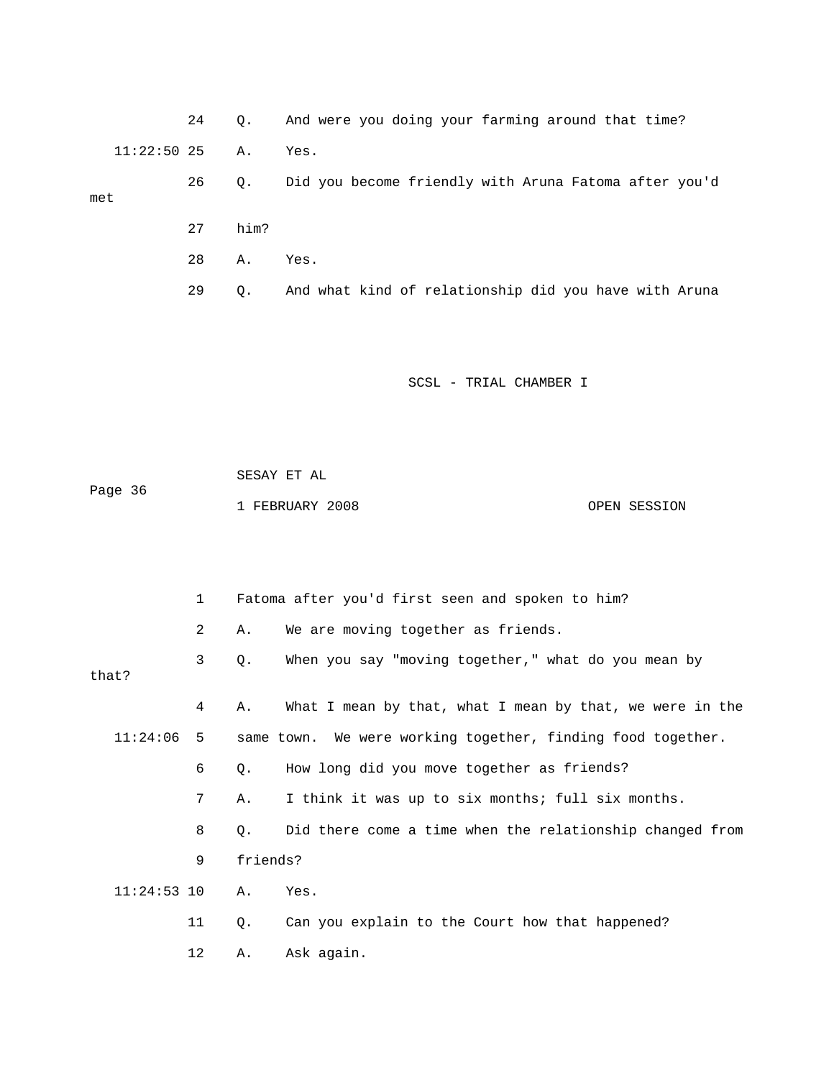|                  | 24   | 0.        | And were you doing your farming around that time?     |
|------------------|------|-----------|-------------------------------------------------------|
| $11:22:50$ 25 A. |      |           | Yes.                                                  |
| met              | 26 — | $\circ$ . | Did you become friendly with Aruna Fatoma after you'd |
|                  | 27   | him?      |                                                       |
|                  | 28   | А.        | Yes.                                                  |
|                  | 29   | $\circ$ . | And what kind of relationship did you have with Aruna |

|         | SESAY ET AL     |  |              |  |  |  |
|---------|-----------------|--|--------------|--|--|--|
| Page 36 | 1 FEBRUARY 2008 |  | OPEN SESSION |  |  |  |
|         |                 |  |              |  |  |  |

|               | $\mathbf{1}$ |          | Fatoma after you'd first seen and spoken to him?            |
|---------------|--------------|----------|-------------------------------------------------------------|
|               | 2            | Α.       | We are moving together as friends.                          |
| that?         | 3            | Q.       | When you say "moving together," what do you mean by         |
|               | 4            | Α.       | What I mean by that, what I mean by that, we were in the    |
| 11:24:06      | 5            |          | same town. We were working together, finding food together. |
|               | 6            | Q.       | How long did you move together as friends?                  |
|               | 7            | Α.       | I think it was up to six months; full six months.           |
|               | 8            | Q.       | Did there come a time when the relationship changed from    |
|               | 9            | friends? |                                                             |
| $11:24:53$ 10 |              | Α.       | Yes.                                                        |
|               | 11           | Q.       | Can you explain to the Court how that happened?             |
|               | 12           | Α.       | Ask again.                                                  |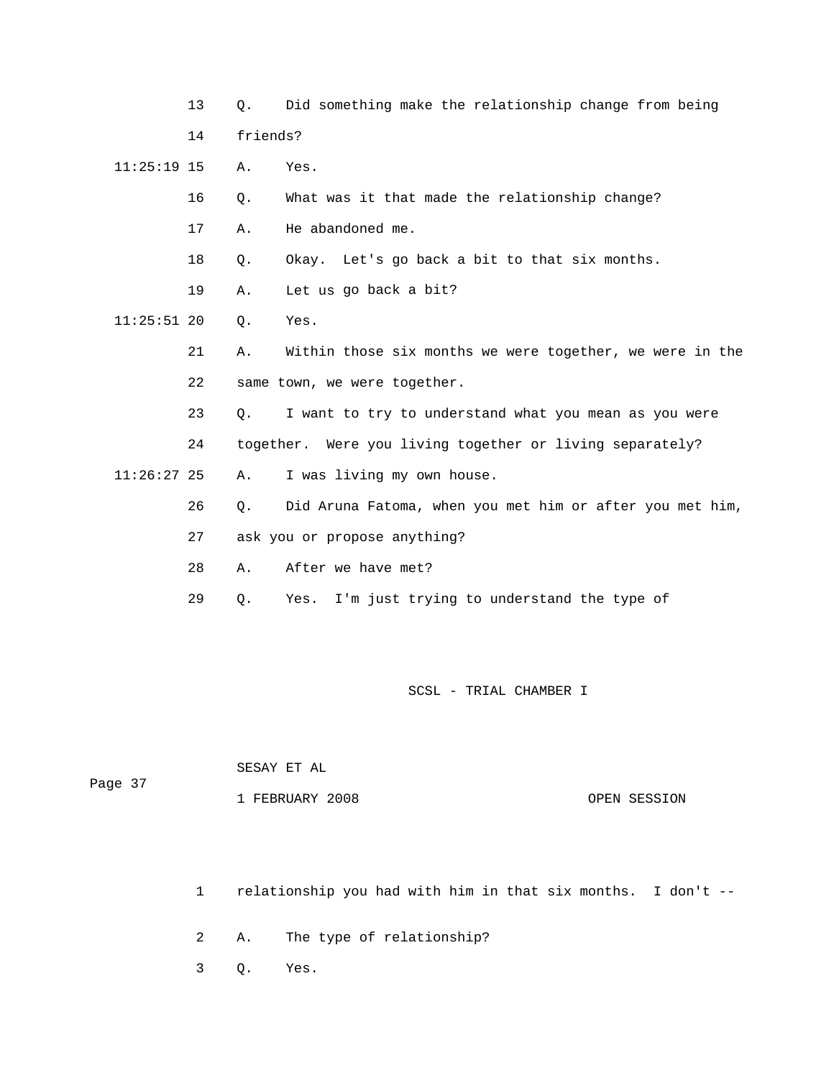|               | 13 | Q.       | Did something make the relationship change from being    |
|---------------|----|----------|----------------------------------------------------------|
|               | 14 | friends? |                                                          |
| $11:25:19$ 15 |    | Α.       | Yes.                                                     |
|               | 16 | $Q$ .    | What was it that made the relationship change?           |
|               | 17 | Α.       | He abandoned me.                                         |
|               | 18 | Q.       | Okay. Let's go back a bit to that six months.            |
|               | 19 | Α.       | Let us go back a bit?                                    |
| $11:25:51$ 20 |    | Q.       | Yes.                                                     |
|               | 21 | Α.       | Within those six months we were together, we were in the |
|               | 22 |          | same town, we were together.                             |
|               | 23 | О.       | I want to try to understand what you mean as you were    |
|               | 24 |          | together. Were you living together or living separately? |
| $11:26:27$ 25 |    | Α.       | I was living my own house.                               |
|               | 26 | Q.       | Did Aruna Fatoma, when you met him or after you met him, |
|               | 27 |          | ask you or propose anything?                             |
|               | 28 | Α.       | After we have met?                                       |
|               | 29 | Q.       | I'm just trying to understand the type of<br>Yes.        |

| Page 37 | SESAY ET AL     |              |
|---------|-----------------|--------------|
|         | 1 FEBRUARY 2008 | OPEN SESSION |

- 1 relationship you had with him in that six months. I don't --
- 2 A. The type of relationship?
- 3 Q. Yes.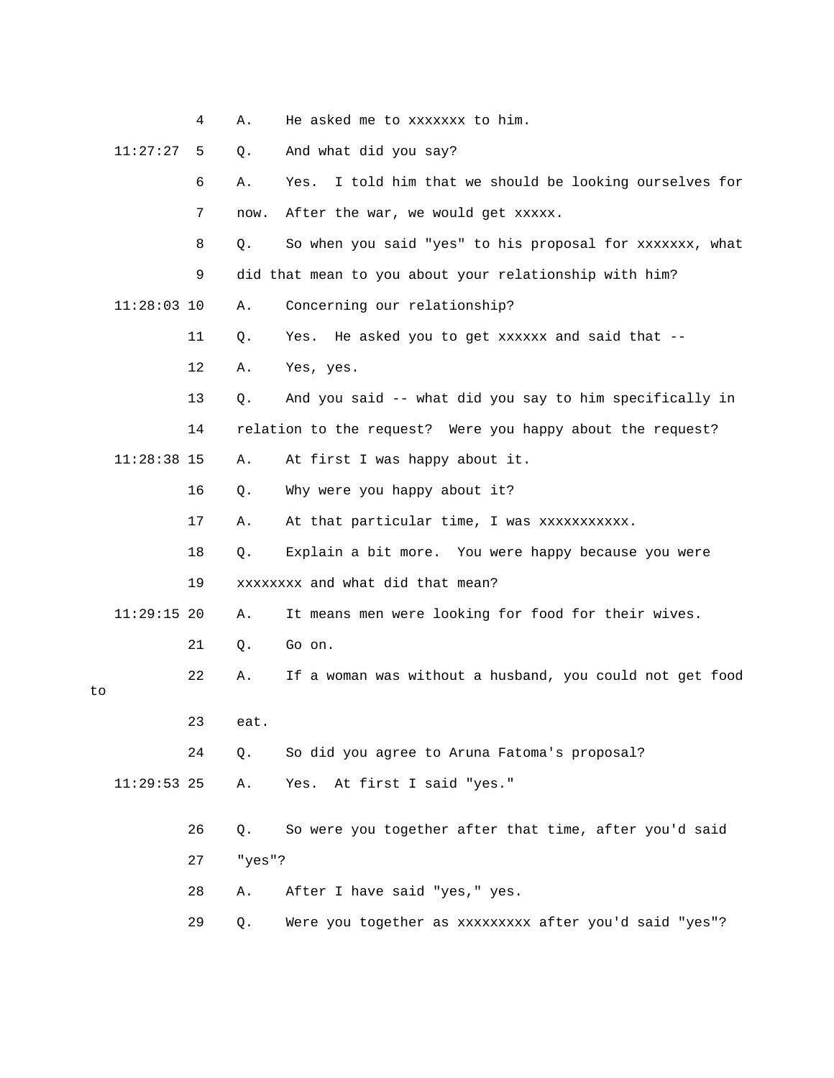|    |               | 4  | Α.     | He asked me to xxxxxxx to him.                             |
|----|---------------|----|--------|------------------------------------------------------------|
|    | 11:27:27      | 5  | Q.     | And what did you say?                                      |
|    |               | 6  | Α.     | I told him that we should be looking ourselves for<br>Yes. |
|    |               | 7  | now.   | After the war, we would get xxxxx.                         |
|    |               | 8  | Q.     | So when you said "yes" to his proposal for xxxxxxx, what   |
|    |               | 9  |        | did that mean to you about your relationship with him?     |
|    | $11:28:03$ 10 |    | Α.     | Concerning our relationship?                               |
|    |               | 11 | Q.     | Yes. He asked you to get xxxxxx and said that --           |
|    |               | 12 | Α.     | Yes, yes.                                                  |
|    |               | 13 | Q.     | And you said -- what did you say to him specifically in    |
|    |               | 14 |        | relation to the request? Were you happy about the request? |
|    | $11:28:38$ 15 |    | Α.     | At first I was happy about it.                             |
|    |               | 16 | Q.     | Why were you happy about it?                               |
|    |               | 17 | Α.     | At that particular time, I was xxxxxxxxxxx.                |
|    |               | 18 | Q.     | Explain a bit more. You were happy because you were        |
|    |               | 19 |        | xxxxxxxx and what did that mean?                           |
|    | $11:29:15$ 20 |    | Α.     | It means men were looking for food for their wives.        |
|    |               | 21 | Q.     | Go on.                                                     |
| to |               | 22 | Α.     | If a woman was without a husband, you could not get food   |
|    |               | 23 | eat.   |                                                            |
|    |               | 24 |        | So did you agree to Aruna Fatoma's proposal?               |
|    |               |    | Q.     |                                                            |
|    | $11:29:53$ 25 |    | Α.     | Yes. At first I said "yes."                                |
|    |               | 26 | Q.     | So were you together after that time, after you'd said     |
|    |               | 27 | "yes"? |                                                            |
|    |               | 28 | Α.     | After I have said "yes," yes.                              |
|    |               | 29 | Q.     | Were you together as xxxxxxxxx after you'd said "yes"?     |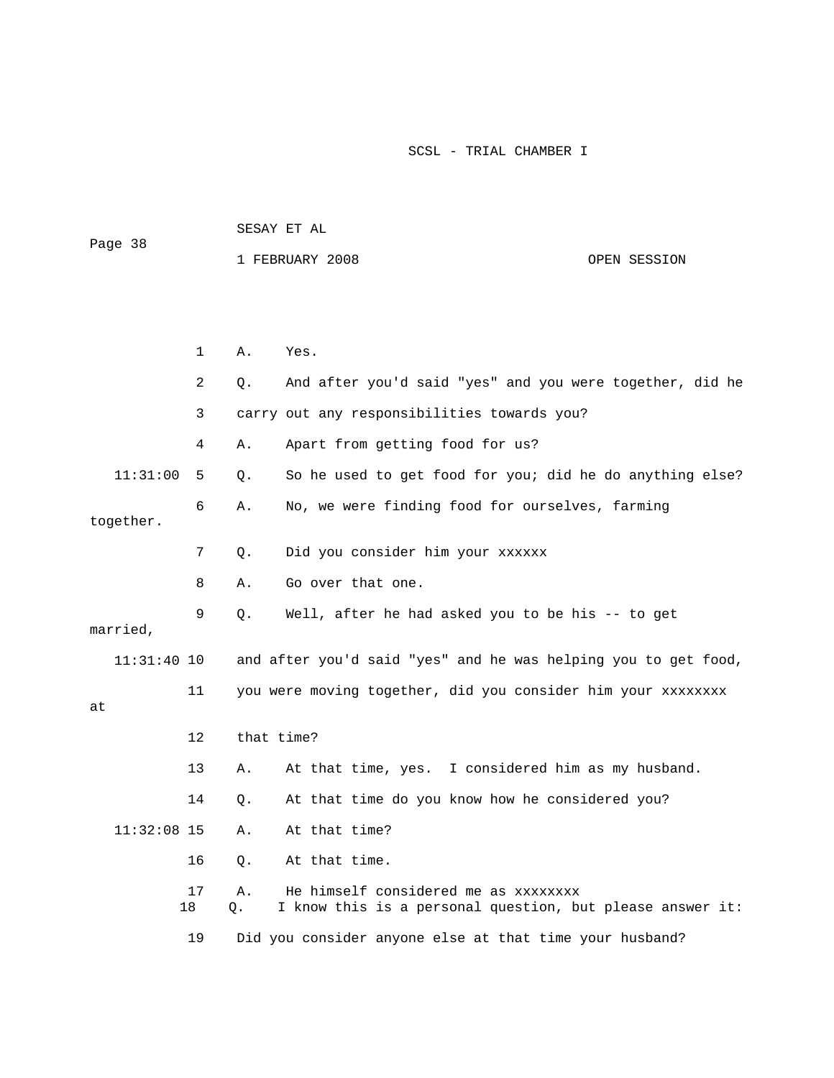|               |          | SESAY ET AL                                                                                                   |  |  |  |
|---------------|----------|---------------------------------------------------------------------------------------------------------------|--|--|--|
| Page 38       |          | 1 FEBRUARY 2008<br>OPEN SESSION                                                                               |  |  |  |
|               |          |                                                                                                               |  |  |  |
|               |          |                                                                                                               |  |  |  |
|               |          |                                                                                                               |  |  |  |
|               | 1        | Α.<br>Yes.                                                                                                    |  |  |  |
|               | 2        | And after you'd said "yes" and you were together, did he<br>Q.                                                |  |  |  |
|               | 3        | carry out any responsibilities towards you?                                                                   |  |  |  |
|               | 4        | Apart from getting food for us?<br>Α.                                                                         |  |  |  |
| 11:31:00      | 5        | So he used to get food for you; did he do anything else?<br>Q.                                                |  |  |  |
| together.     | 6        | No, we were finding food for ourselves, farming<br>Α.                                                         |  |  |  |
|               | 7        | Did you consider him your xxxxxx<br>Q.                                                                        |  |  |  |
|               | 8        | Go over that one.<br>Α.                                                                                       |  |  |  |
| married,      | 9        | Q.<br>Well, after he had asked you to be his -- to get                                                        |  |  |  |
| $11:31:40$ 10 |          | and after you'd said "yes" and he was helping you to get food,                                                |  |  |  |
| at            | 11       | you were moving together, did you consider him your xxxxxxxx                                                  |  |  |  |
|               | 12       | that time?                                                                                                    |  |  |  |
|               | 13       | At that time, yes. I considered him as my husband.<br>Α.                                                      |  |  |  |
|               | 14       | At that time do you know how he considered you?<br>Q.                                                         |  |  |  |
| $11:32:08$ 15 |          | At that time?<br>Α.                                                                                           |  |  |  |
|               | 16       | At that time.<br>$Q$ .                                                                                        |  |  |  |
|               | 17<br>18 | He himself considered me as xxxxxxxx<br>Α.<br>I know this is a personal question, but please answer it:<br>Q. |  |  |  |
|               | 19       | Did you consider anyone else at that time your husband?                                                       |  |  |  |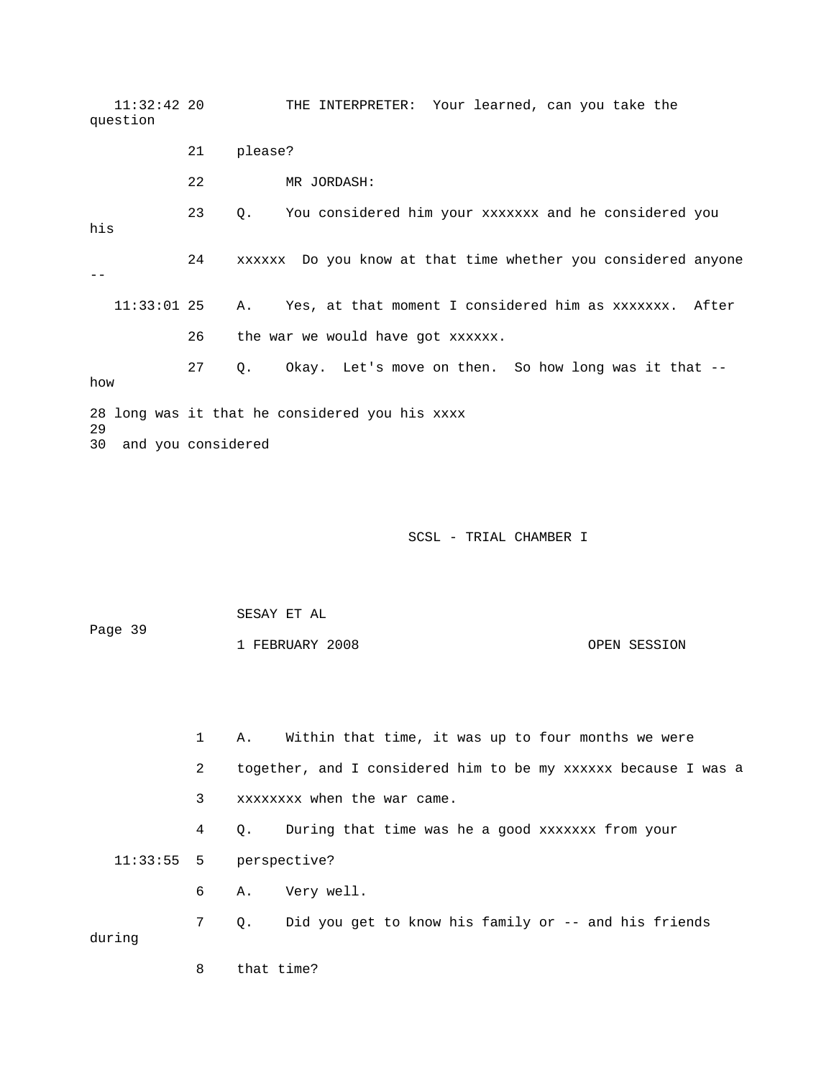11:32:42 20 THE INTERPRETER: Your learned, can you take the 21 please? 23 Q. You considered him your xxxxxxx and he considered you his 24 xxxxxx Do you know at that time whether you considered anyone 11:33:01 25 A. Yes, at that moment I considered him as xxxxxxx. After 26 the war we would have got xxxxxx. 27 Q. Okay. Let's move on then. So how long was it that - w ho 28 long was it that he considered you his xxxx 29 question 22 MR JORDASH:  $- -$ 30 and you considered

SCSL - TRIAL CHAMBER I

 SESAY ET AL Page 39

1 FEBRUARY 2008 OPEN SESSION

 1 A. Within that time, it was up to four months we were 2 together, and I considered him to be my xxxxxx because I was a 3 xxxxxxxx when the war came. 4 Q. During that time was he a good xxxxxxx from your 11:33:55 5 perspective? 6 A. Very well. 7 Q. Did you get to know his family or -- and his friends during

8 that time?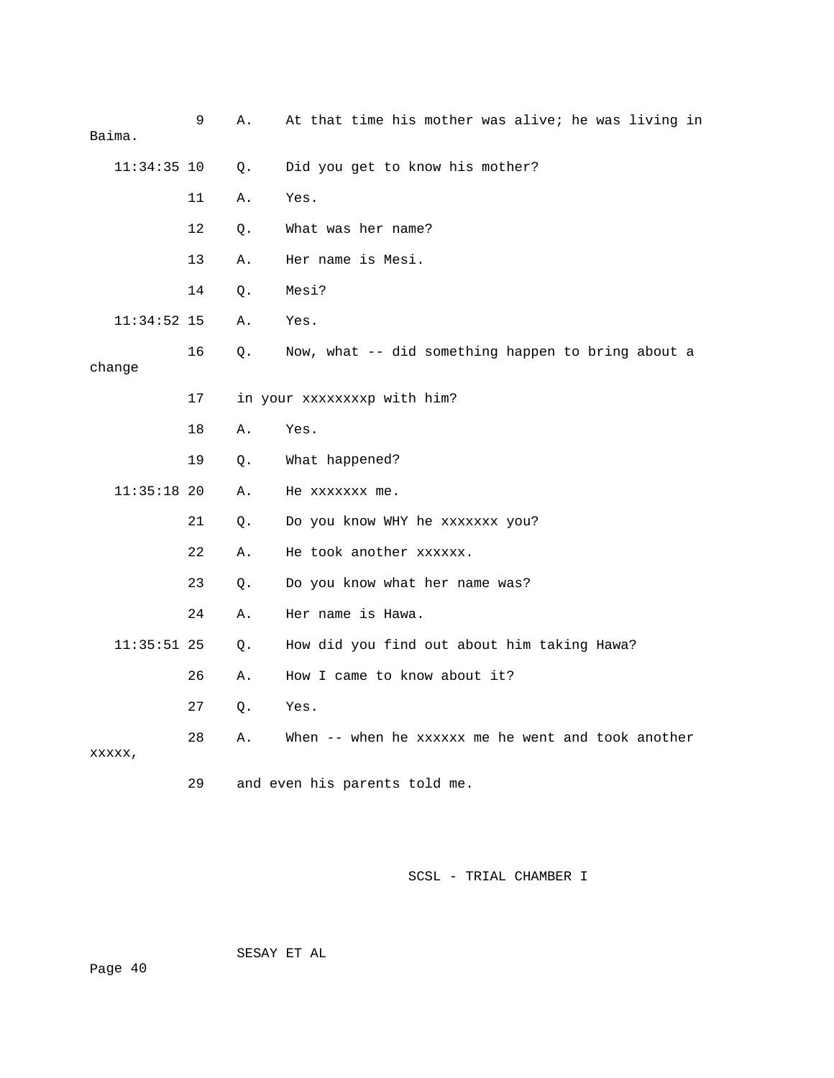| Baima. |               | 9  | Α. | At that time his mother was alive; he was living in |
|--------|---------------|----|----|-----------------------------------------------------|
|        | $11:34:35$ 10 |    | Q. | Did you get to know his mother?                     |
|        |               | 11 | Α. | Yes.                                                |
|        |               | 12 | Q. | What was her name?                                  |
|        |               | 13 | Α. | Her name is Mesi.                                   |
|        |               | 14 | О. | Mesi?                                               |
|        | $11:34:52$ 15 |    | Α. | Yes.                                                |
| change |               | 16 | Q. | Now, what -- did something happen to bring about a  |
|        |               | 17 |    | in your xxxxxxxxp with him?                         |
|        |               | 18 | Α. | Yes.                                                |
|        |               | 19 | Q. | What happened?                                      |
|        | $11:35:18$ 20 |    | Α. | He xxxxxxx me.                                      |
|        |               | 21 | О. | Do you know WHY he xxxxxxx you?                     |
|        |               | 22 | Α. | He took another xxxxxx.                             |
|        |               | 23 | Q. | Do you know what her name was?                      |
|        |               | 24 | Α. | Her name is Hawa.                                   |
|        | $11:35:51$ 25 |    | 0. | How did you find out about him taking Hawa?         |
|        |               | 26 | Α. | How I came to know about it?                        |
|        |               | 27 | Q. | Yes.                                                |
| XXXXX, |               | 28 | Α. | When -- when he xxxxxx me he went and took another  |
|        |               | 29 |    | and even his parents told me.                       |

SESAY ET AL

ge 40 Pa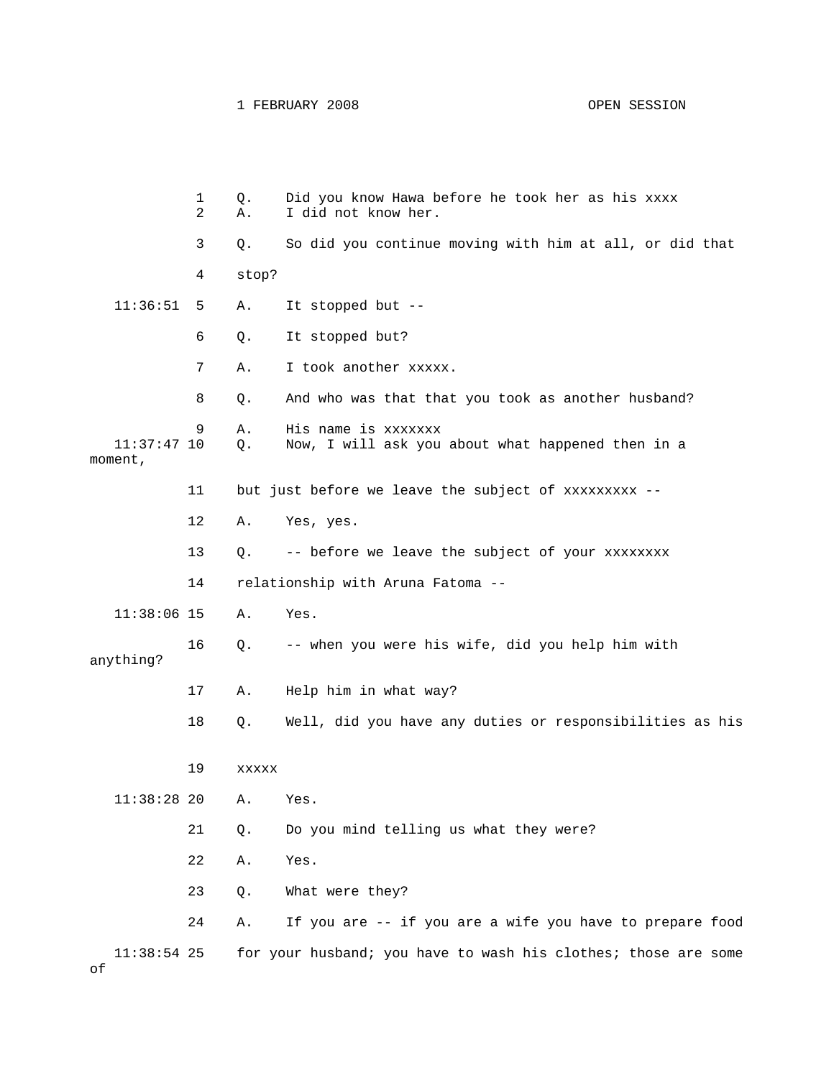1 FEBRUARY 2008 OPEN SESSION

|                          | 1<br>2 | Q.<br>Α.    | Did you know Hawa before he took her as his xxxx<br>I did not know her.  |
|--------------------------|--------|-------------|--------------------------------------------------------------------------|
|                          | 3      | $Q$ .       | So did you continue moving with him at all, or did that                  |
|                          | 4      | stop?       |                                                                          |
| 11:36:51                 | 5      | Α.          | It stopped but --                                                        |
|                          | 6      | Q.          | It stopped but?                                                          |
|                          | 7      | Α.          | I took another xxxxx.                                                    |
|                          | 8      | Q.          | And who was that that you took as another husband?                       |
| $11:37:47$ 10<br>moment, | 9      | Α.<br>$Q$ . | His name is xxxxxxx<br>Now, I will ask you about what happened then in a |
|                          | 11     |             | but just before we leave the subject of xxxxxxxxx --                     |
|                          | 12     | Α.          | Yes, yes.                                                                |
|                          | 13     | $Q$ .       | -- before we leave the subject of your xxxxxxxx                          |
|                          | 14     |             | relationship with Aruna Fatoma --                                        |
| $11:38:06$ 15            |        | Α.          | Yes.                                                                     |
| anything?                | 16     | Q.          | -- when you were his wife, did you help him with                         |
|                          | 17     | Α.          | Help him in what way?                                                    |
|                          | 18     | Q.          | Well, did you have any duties or responsibilities as his                 |
|                          | 19     | XXXXX       |                                                                          |
| 11:38:2820               |        | Α.          | Yes.                                                                     |
|                          | 21     | Q.          | Do you mind telling us what they were?                                   |
|                          | 22     | Α.          | Yes.                                                                     |
|                          | 23     | Q.          | What were they?                                                          |
|                          | 24     | Α.          | If you are -- if you are a wife you have to prepare food                 |
| $11:38:54$ 25<br>оf      |        |             | for your husband; you have to wash his clothes; those are some           |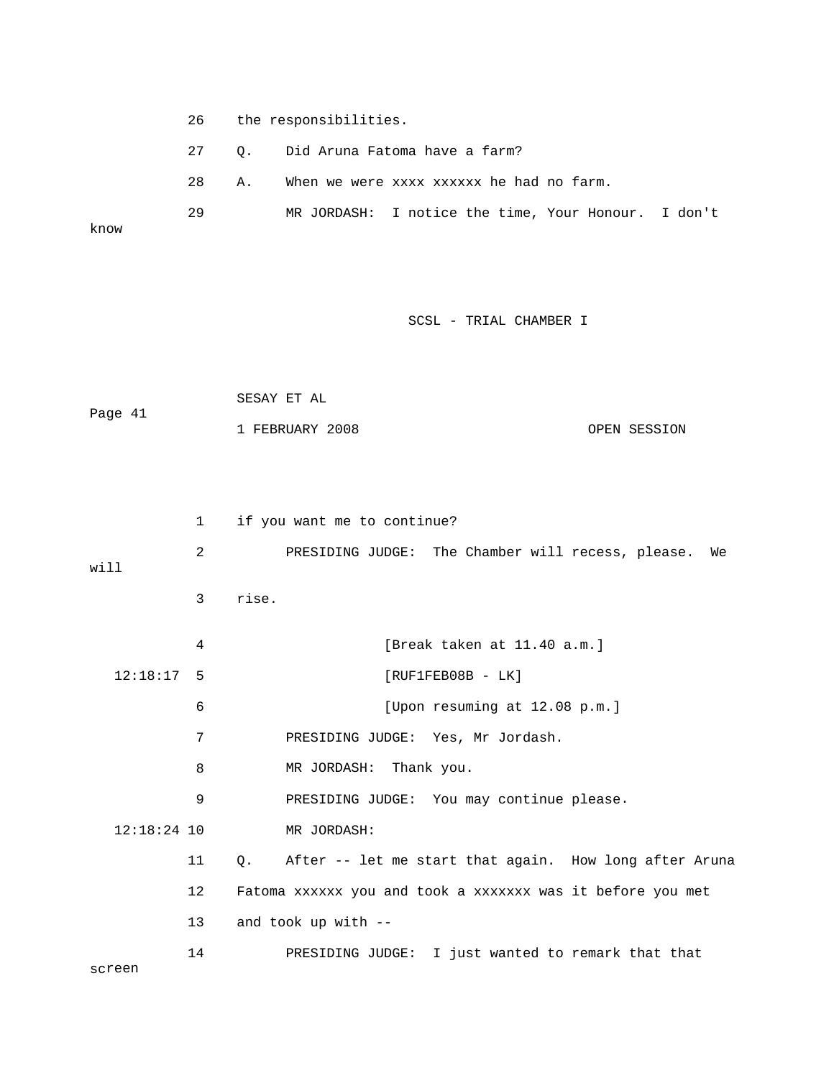- 26 the respons ibilities.
	- 27 Q. Did A runa Fatoma have a farm?

28 A. When we were xxxx xxxxxx he had no farm.

 29 MR JORDASH: I notice the time, Your Honour. I don't know

|         | SESAY ET AL     |              |
|---------|-----------------|--------------|
| Page 41 |                 |              |
|         | 1 FEBRUARY 2008 | OPEN SESSION |

|               | 1              | if you want me to continue?                                  |
|---------------|----------------|--------------------------------------------------------------|
| will          | $\overline{2}$ | PRESIDING JUDGE: The Chamber will recess, please. We         |
|               | 3              | rise.                                                        |
|               | 4              | [Break taken at $11.40$ a.m.]                                |
| $12:18:17$ 5  |                | $[RUF1FEB08B - LK]$                                          |
|               | 6              | [Upon resuming at 12.08 p.m.]                                |
|               | 7              | PRESIDING JUDGE: Yes, Mr Jordash.                            |
|               | 8              | MR JORDASH: Thank you.                                       |
|               | 9              | PRESIDING JUDGE: You may continue please.                    |
| $12:18:24$ 10 |                | MR JORDASH:                                                  |
|               | 11             | After -- let me start that again. How long after Aruna<br>О. |
|               | 12             | Fatoma xxxxxx you and took a xxxxxxx was it before you met   |
|               | 13             | and took up with --                                          |
| screen        | 14             | PRESIDING JUDGE: I just wanted to remark that that           |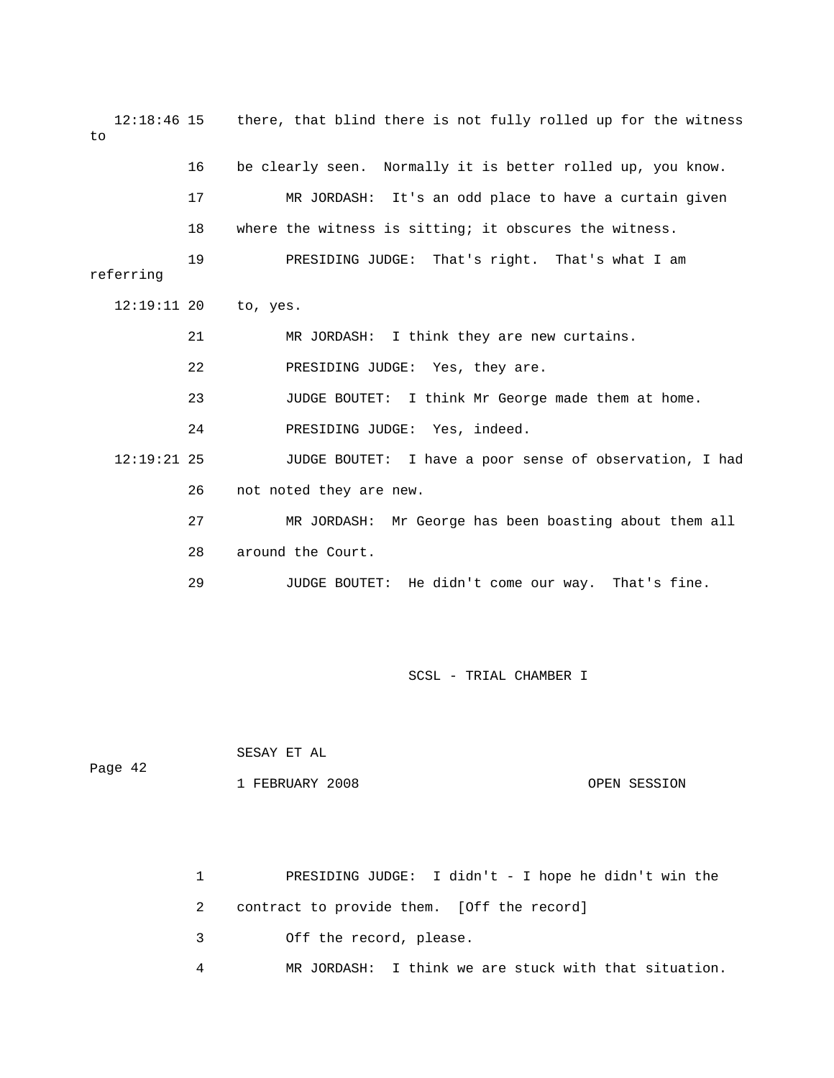12:18:46 15 there, that blind there is not fully rolled up for the witness to 17 MR JORDASH: It's an odd place to have a curtain given 21 MR JORDASH: I think they are new curtains. 22 PRESIDING JUDGE: Yes, they are. 23 JUDGE BOUTET: I think Mr George made them at home. 24 PRESIDING JUDGE: Yes, indeed. E BOUTET: I have a poor sense of observation, I had 27 MR JORDASH: Mr George has been boasting about them all 29 JUDGE BOUTET: He didn't come our way. That's fine. 16 be clearly seen. Normally it is better rolled up, you know. 18 where the witness is sitting; it obscures the witness. 19 PRESIDING JUDGE: That's right. That's what I am referring 12:19:11 20 to, yes.  $12:19:21$  25 26 not noted they are new. 28 around the Court.

SCSL - TRIAL CHAMBER I

 SESAY ET AL Page 42 1 FEBRUARY 2008 OPEN SESSION

> 1 PRESIDING JUDGE: I didn't - I hope he didn't win the 4 MR JORDASH: I think we are stuck with that situation. 2 contract to provide them. [Off the record] 3 Off the record, please.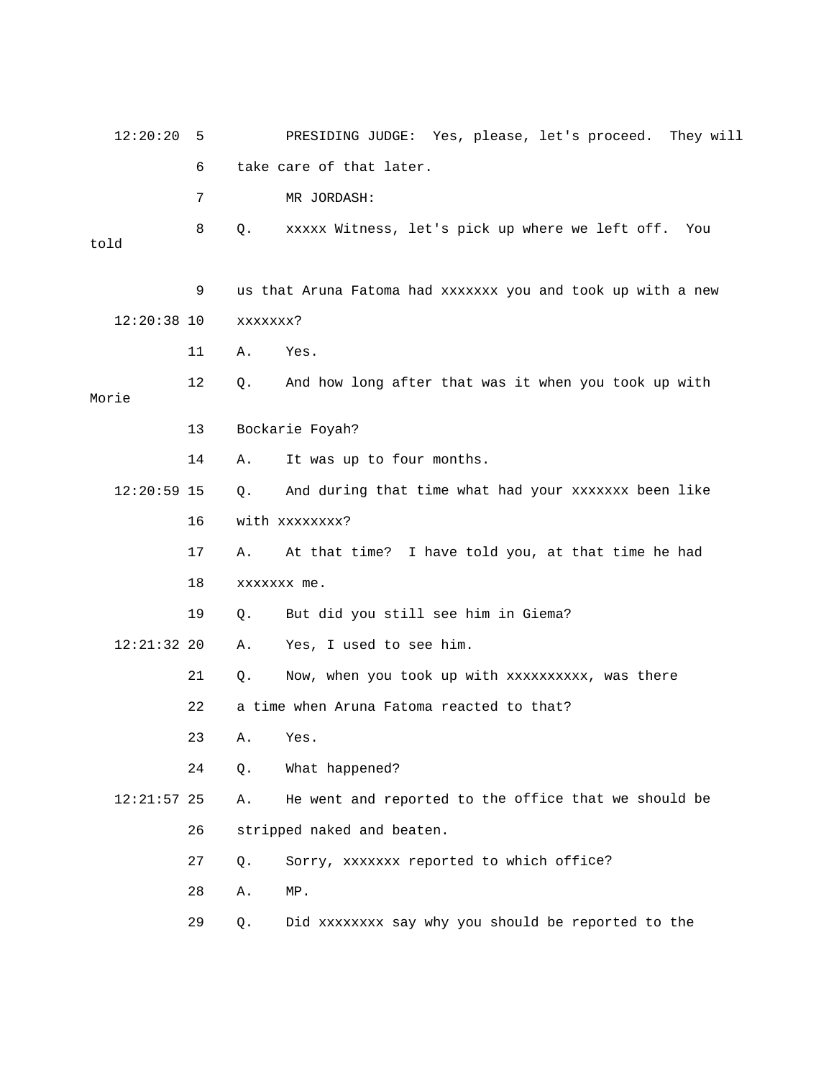| 12:20:20      | 5  | PRESIDING JUDGE: Yes, please, let's proceed. They will      |
|---------------|----|-------------------------------------------------------------|
|               | 6  | take care of that later.                                    |
|               | 7  | MR JORDASH:                                                 |
| told          | 8  | Q.<br>xxxxx Witness, let's pick up where we left off. You   |
|               | 9  | us that Aruna Fatoma had xxxxxxx you and took up with a new |
| $12:20:38$ 10 |    | xxxxxxx?                                                    |
|               | 11 | Α.<br>Yes.                                                  |
| Morie         | 12 | And how long after that was it when you took up with<br>Q.  |
|               | 13 | Bockarie Foyah?                                             |
|               | 14 | It was up to four months.<br>Α.                             |
| $12:20:59$ 15 |    | And during that time what had your xxxxxxx been like<br>Q.  |
|               | 16 | with xxxxxxxx?                                              |
|               | 17 | At that time? I have told you, at that time he had<br>Α.    |
|               | 18 | xxxxxxx me.                                                 |
|               | 19 | But did you still see him in Giema?<br>Q.                   |
| $12:21:32$ 20 |    | Yes, I used to see him.<br>Α.                               |
|               | 21 | Now, when you took up with xxxxxxxxxx, was there<br>Q.      |
|               | 22 | a time when Aruna Fatoma reacted to that?                   |
|               | 23 | Α.<br>Yes.                                                  |
|               | 24 | What happened?<br>Q.                                        |
| $12:21:57$ 25 |    | He went and reported to the office that we should be<br>Α.  |
|               | 26 | stripped naked and beaten.                                  |
|               | 27 | Sorry, xxxxxxx reported to which office?<br>Q.              |
|               | 28 | Α.<br>MP.                                                   |
|               | 29 | Did xxxxxxxx say why you should be reported to the<br>Q.    |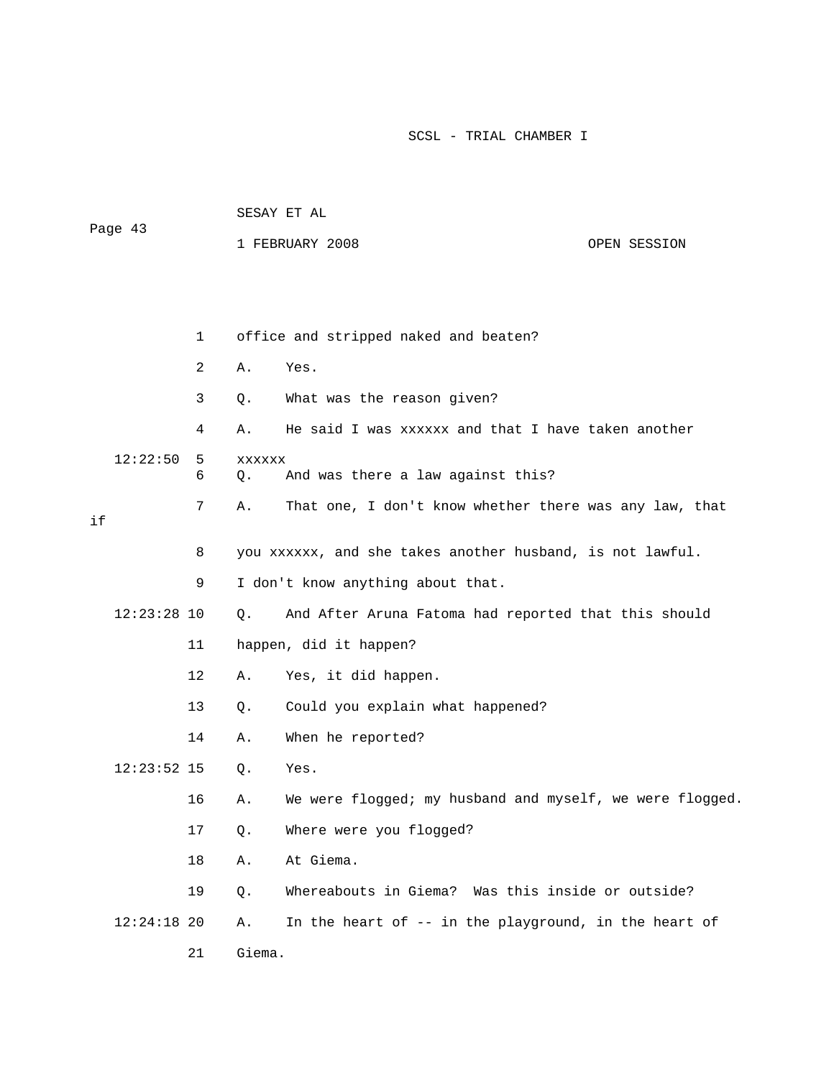| Page 43 |               |        | SESAY ET AL            |                                                           |  |  |  |
|---------|---------------|--------|------------------------|-----------------------------------------------------------|--|--|--|
|         |               |        | 1 FEBRUARY 2008        | OPEN SESSION                                              |  |  |  |
|         |               |        |                        |                                                           |  |  |  |
|         |               |        |                        |                                                           |  |  |  |
|         |               | 1      |                        | office and stripped naked and beaten?                     |  |  |  |
|         |               | 2      | Α.                     | Yes.                                                      |  |  |  |
|         |               | 3      | Q.                     | What was the reason given?                                |  |  |  |
|         |               | 4      | Α.                     | He said I was xxxxxx and that I have taken another        |  |  |  |
|         | 12:22:50      | 5<br>6 | XXXXXX<br>$Q$ .        | And was there a law against this?                         |  |  |  |
| if      |               | 7      | Α.                     | That one, I don't know whether there was any law, that    |  |  |  |
|         |               | 8      |                        | you xxxxxx, and she takes another husband, is not lawful. |  |  |  |
|         |               |        |                        |                                                           |  |  |  |
|         |               | 9      |                        | I don't know anything about that.                         |  |  |  |
|         | $12:23:28$ 10 |        | Q.                     | And After Aruna Fatoma had reported that this should      |  |  |  |
|         |               | 11     | happen, did it happen? |                                                           |  |  |  |
|         |               | 12     | Α.                     | Yes, it did happen.                                       |  |  |  |
|         |               | 13     | Q.                     | Could you explain what happened?                          |  |  |  |
|         |               | 14     | Α.                     | When he reported?                                         |  |  |  |
|         | $12:23:52$ 15 |        | $Q$ .                  | Yes.                                                      |  |  |  |
|         |               | 16     | Α.                     | We were flogged; my husband and myself, we were flogged.  |  |  |  |
|         |               | 17     | Q.                     | Where were you flogged?                                   |  |  |  |
|         |               | 18     | Α.                     | At Giema.                                                 |  |  |  |
|         |               | 19     | Q.                     | Whereabouts in Giema? Was this inside or outside?         |  |  |  |
|         | $12:24:18$ 20 |        | Α.                     | In the heart of -- in the playground, in the heart of     |  |  |  |
|         |               | 21     | Giema.                 |                                                           |  |  |  |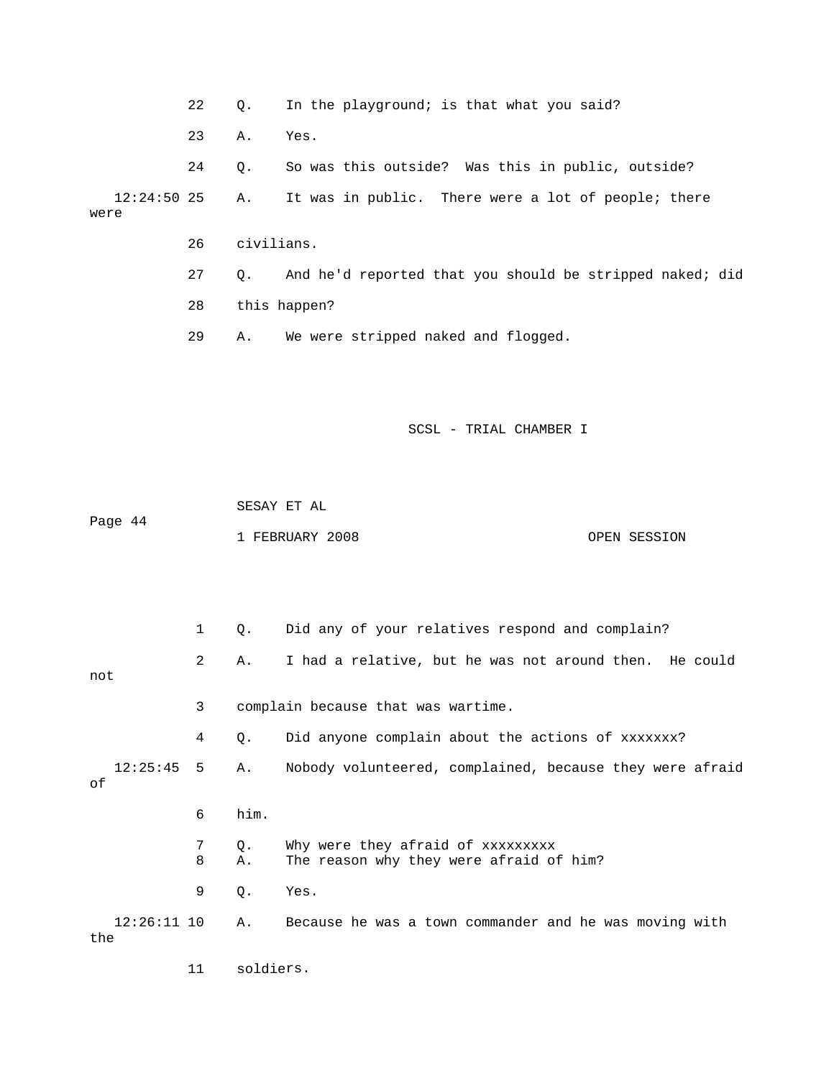22 Q. In the playground; is that what you said? 26 civilians. 27 Q. And he'd reported that you should be stripped naked; did 29 A. We were stripped naked and flogged. 23 A. Yes. 24 Q. So was this outside? Was this in public, outside? 12:24:50 25 A. It was in public. There were a lot of people; there were 28 this happen?

SCSL - TRIAL CHAMBER I

 SESAY ET AL Page 44 1 FEBRUARY 2008 OPEN SESSION

 1 Q. Did any of your relatives respond and complain? 3 complain because that was wartime. 4 Q. Did anyone complain about the actions of xxxxxxx? 12:25:45 5 A. Nobody volunteered, complained, because they were afraid 7 Q. Why were they afraid of xxxxxxxxx 8 A. The reason why they were afraid of him? 2 A. I had a relative, but he was not around then. He could not of 6 him. 9 Q. Yes. 12:26:11 10 A. Because he was a town commander and he was moving with the

11 soldiers.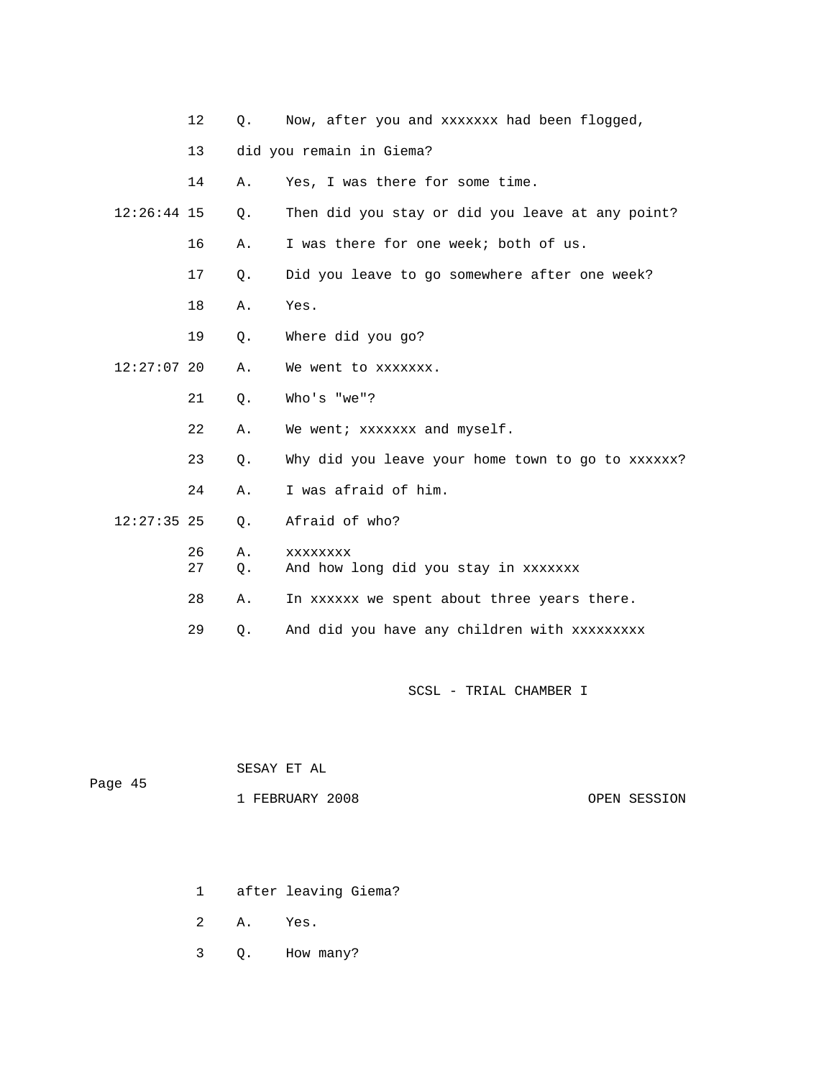|               | 12 <sup>°</sup> | О.       | Now, after you and xxxxxxx had been flogged,            |
|---------------|-----------------|----------|---------------------------------------------------------|
|               | 13              |          | did you remain in Giema?                                |
|               | 14              | Α.       | Yes, I was there for some time.                         |
| $12:26:44$ 15 |                 | Q.       | Then did you stay or did you leave at any point?        |
|               | 16              | Α.       | I was there for one week; both of us.                   |
|               | 17              | Q.       | Did you leave to go somewhere after one week?           |
|               | 18              | Α.       | Yes.                                                    |
|               | 19              | $Q$ .    | Where did you go?                                       |
| $12:27:07$ 20 |                 | Α.       | We went to xxxxxxx.                                     |
|               | 21              | 0.       | Who's "we"?                                             |
|               | 22              | Α.       | We went; xxxxxxx and myself.                            |
|               | 23              | $Q$ .    | Why did you leave your home town to go to xxxxxx?       |
|               | 24              | Α.       | I was afraid of him.                                    |
| $12:27:35$ 25 |                 | Q.       | Afraid of who?                                          |
|               | 26<br>27        | Α.<br>Q. | <b>XXXXXXXX</b><br>And how long did you stay in xxxxxxx |
|               | 28              | Α.       | In xxxxxx we spent about three years there.             |
|               | 29              | О.       | And did you have any children with xxxxxxxxx            |

| Page 45 | SESAY ET AL     |              |
|---------|-----------------|--------------|
|         | 1 FEBRUARY 2008 | OPEN SESSION |

- 1 after leaving Giema?
- 2 A. Yes.
- 3 Q. How many?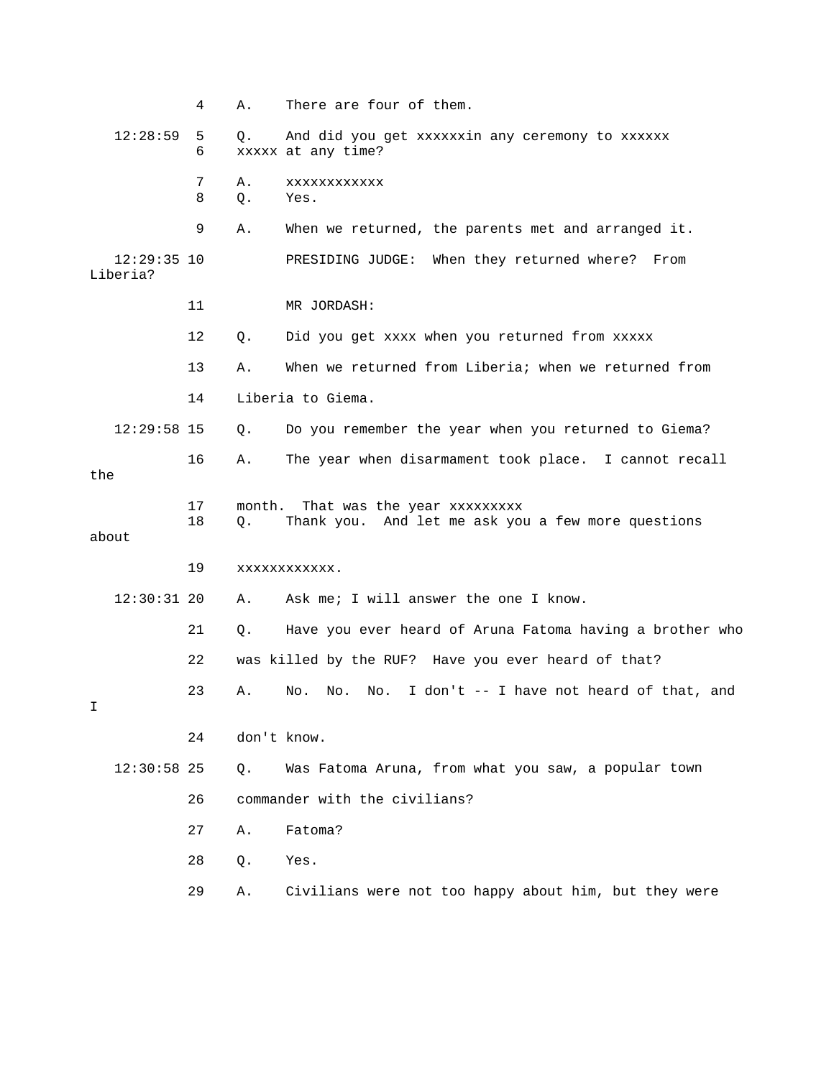|     |                           | 4        | Α.           | There are four of them.                                                           |
|-----|---------------------------|----------|--------------|-----------------------------------------------------------------------------------|
|     | 12:28:59                  | 5<br>6   | Q.           | And did you get xxxxxxin any ceremony to xxxxxx<br>xxxxx at any time?             |
|     |                           | 7<br>8   | Α.<br>$Q$ .  | XXXXXXXXXXX<br>Yes.                                                               |
|     |                           | 9        | Α.           | When we returned, the parents met and arranged it.                                |
|     | $12:29:35$ 10<br>Liberia? |          |              | When they returned where?<br>PRESIDING JUDGE:<br>From                             |
|     |                           | 11       |              | MR JORDASH:                                                                       |
|     |                           | 12       | Q.           | Did you get xxxx when you returned from xxxxx                                     |
|     |                           | 13       | Α.           | When we returned from Liberia; when we returned from                              |
|     |                           | 14       |              | Liberia to Giema.                                                                 |
|     | $12:29:58$ 15             |          | Q.           | Do you remember the year when you returned to Giema?                              |
| the |                           | 16       | Α.           | The year when disarmament took place. I cannot recall                             |
|     | about                     | 17<br>18 | month.<br>Q. | That was the year xxxxxxxxx<br>Thank you. And let me ask you a few more questions |
|     |                           | 19       |              | XXXXXXXXXXXX.                                                                     |
|     | $12:30:31$ 20             |          | Α.           | Ask me; I will answer the one I know.                                             |
|     |                           | 21       | Q.           | Have you ever heard of Aruna Fatoma having a brother who                          |
|     |                           | 22       |              | was killed by the RUF? Have you ever heard of that?                               |
| Ι   |                           | 23       | Α.           | I don't -- I have not heard of that, and<br>No.<br>No.<br>No.                     |
|     |                           | 24       |              | don't know.                                                                       |
|     | $12:30:58$ 25             |          | $Q$ .        | Was Fatoma Aruna, from what you saw, a popular town                               |
|     |                           | 26       |              | commander with the civilians?                                                     |
|     |                           | 27       | Α.           | Fatoma?                                                                           |
|     |                           | 28       | Q.           | Yes.                                                                              |
|     |                           | 29       | Α.           | Civilians were not too happy about him, but they were                             |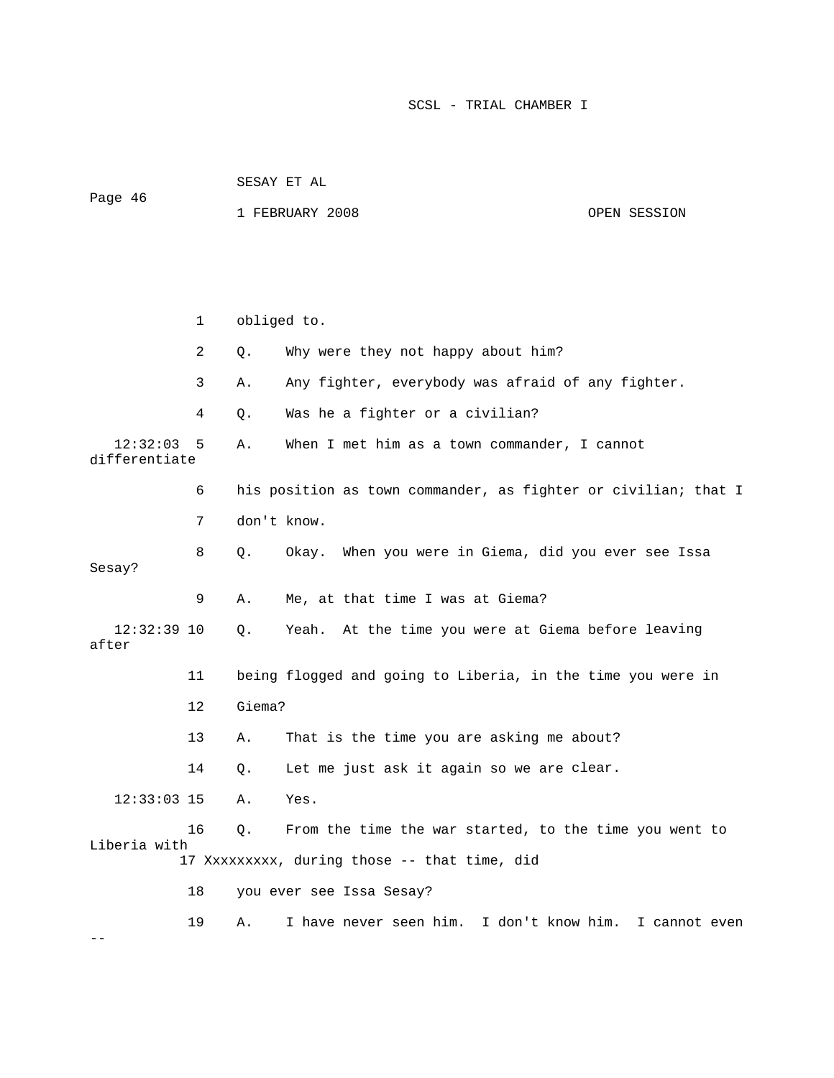1 FEBRUARY 2008 OPEN SESSION 1 obliged to. 4 Q. Was he a fighter or a civilian? 12:32:03 5 A. When I met him as a town commander, I cannot differentiate 6 his position as town commander, as fighter or civilian; that I a 8 Q. Okay. When you were in Giema, did you ever see Iss Sesay? 9 A. Me, at that time I was at Giema? 12:32:39 10 Q. Yeah. At the time you were at Giema before leaving after 12 Giema? 13 A. That is the time you are asking me about? 14 Q. Let me just ask it again so we are clear. 16 Q. From the time the war started, to the time you went to 18 you ever see Issa Sesay? 19 A. I have never seen him. I don't know him. I cannot even 2 Q. Why were they not happy about him? 3 A. Any fighter, everybody was afraid of any fighter. 7 don't know. 11 being flogged and going to Liberia, in the time you were in 12:33:03 15 A. Yes. Liberia with 17 Xxxxxxxxx, during those -- that time, did --

Page 46

SESAY ET AL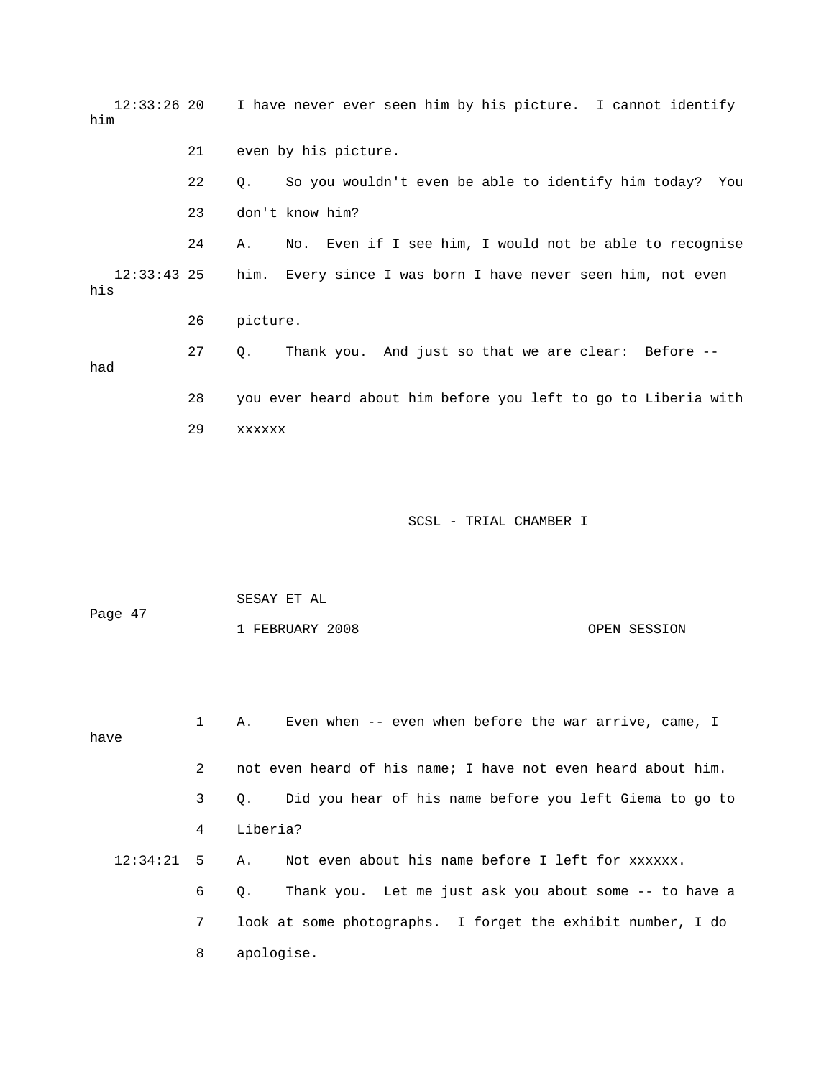12:33:26 20 I have never ever seen him by his picture. I cannot identify 22 Q. So you wouldn't even be able to identify him today? You 24 A. No. Even if I see him, I would not be able to recognise him. Every since I was born I have never seen him, not even his 26 picture. 27 Q. Thank you. And just so that we are clear: Before -- SCSL - TRIAL CHAMBER I him 21 even by his picture. 23 don't know him?  $12:33:43$  25 had 28 you ever heard about him before you left to go to Liberia with 29 xxxxxx

 SESAY ET AL Page 47 1 FEBRUARY 2008 OPEN SESSION

 1 A. Even when -- even when before the war arrive, came, I have 3 Q. Did you hear of his name before you left Giema to go to 4 Liberia? 12:34:21 5 A. Not even about his name before I left for xxxxxx. 6 Q. Thank you. Let me just ask you about some -- to have a 2 not even heard of his name; I have not even heard about him. 7 look at some photographs. I forget the exhibit number, I do 8 apologise.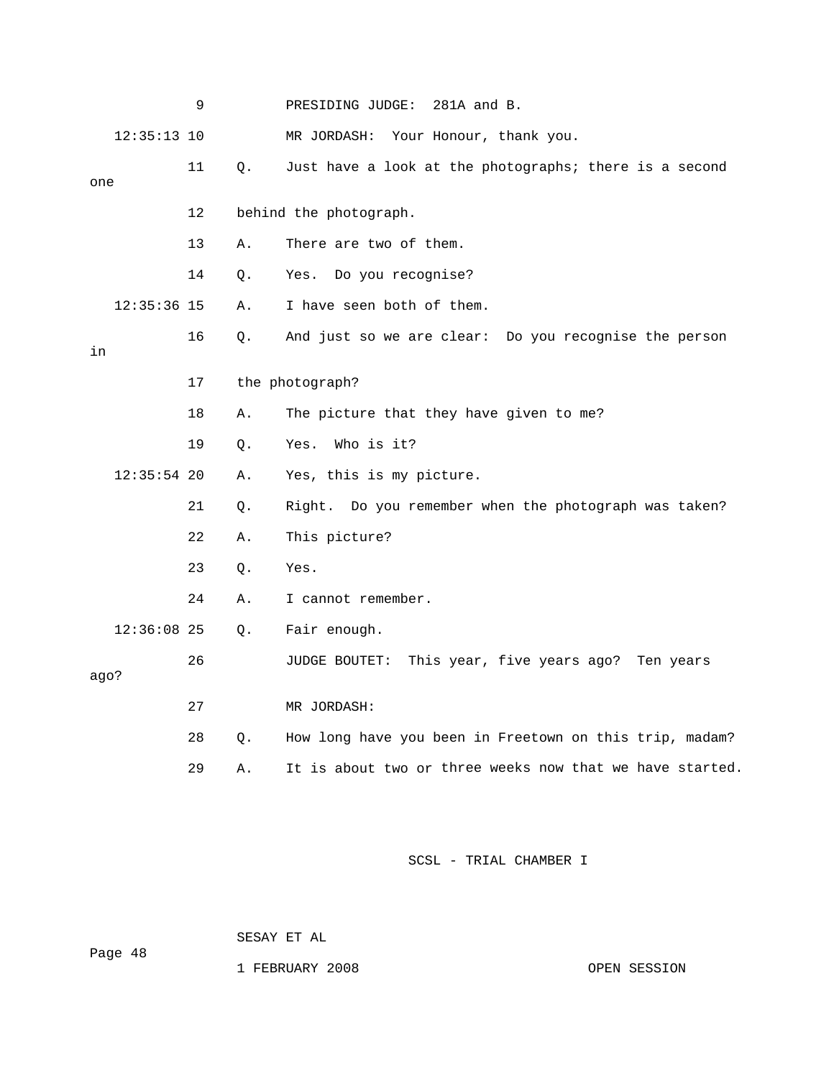|      |               | 9  |    | PRESIDING JUDGE:<br>281A and B.                          |
|------|---------------|----|----|----------------------------------------------------------|
|      | $12:35:13$ 10 |    |    | MR JORDASH: Your Honour, thank you.                      |
| one  |               | 11 | Q. | Just have a look at the photographs; there is a second   |
|      |               | 12 |    | behind the photograph.                                   |
|      |               | 13 | Α. | There are two of them.                                   |
|      |               | 14 | Q. | Do you recognise?<br>Yes.                                |
|      | $12:35:36$ 15 |    | Α. | I have seen both of them.                                |
| in   |               | 16 | Q. | And just so we are clear: Do you recognise the person    |
|      |               | 17 |    | the photograph?                                          |
|      |               | 18 | Α. | The picture that they have given to me?                  |
|      |               | 19 | Q. | Who is it?<br>Yes.                                       |
|      | $12:35:54$ 20 |    | Α. | Yes, this is my picture.                                 |
|      |               | 21 | О. | Right. Do you remember when the photograph was taken?    |
|      |               | 22 | Α. | This picture?                                            |
|      |               | 23 | Q. | Yes.                                                     |
|      |               | 24 | Α. | I cannot remember.                                       |
|      | $12:36:08$ 25 |    | Q. | Fair enough.                                             |
| ago? |               | 26 |    | JUDGE BOUTET: This year, five years ago? Ten years       |
|      |               | 27 |    | MR JORDASH:                                              |
|      |               | 28 | Q. | How long have you been in Freetown on this trip, madam?  |
|      |               | 29 | Α. | It is about two or three weeks now that we have started. |

SESAY ET AL

ge 48 Pa

1 FEBRUARY 2008 OPEN SESSION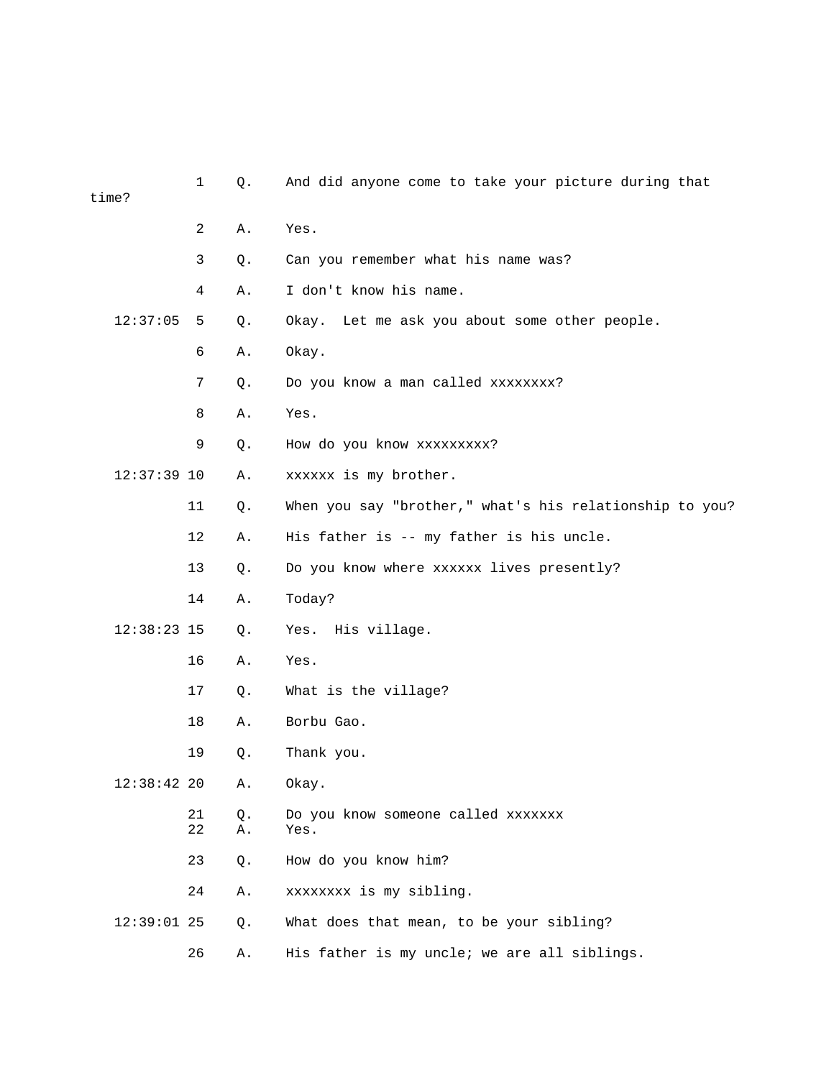| time?         | $\mathbf{1}$ | Q.       | And did anyone come to take your picture during that    |
|---------------|--------------|----------|---------------------------------------------------------|
|               | 2            | Α.       | Yes.                                                    |
|               | $\mathsf{3}$ | Q.       | Can you remember what his name was?                     |
|               | 4            | Α.       | I don't know his name.                                  |
| 12:37:05      | 5            | Q.       | Okay. Let me ask you about some other people.           |
|               | 6            | Α.       | Okay.                                                   |
|               | 7            | Q.       | Do you know a man called xxxxxxxx?                      |
|               | 8            | Α.       | Yes.                                                    |
|               | 9            | Q.       | How do you know xxxxxxxxx?                              |
| $12:37:39$ 10 |              | Α.       | xxxxxx is my brother.                                   |
|               | 11           | Q.       | When you say "brother," what's his relationship to you? |
|               | 12           | Α.       | His father is -- my father is his uncle.                |
|               | 13           | Q.       | Do you know where xxxxxx lives presently?               |
|               | 14           | Α.       | Today?                                                  |
| $12:38:23$ 15 |              | Q.       | Yes. His village.                                       |
|               | 16           | Α.       | Yes.                                                    |
|               | 17           | $Q$ .    | What is the village?                                    |
|               | 18           | Α.       | Borbu Gao.                                              |
|               | 19           | Q.       | Thank you.                                              |
| $12:38:42$ 20 |              | Α.       | Okay.                                                   |
|               | 21<br>22     | Q.<br>Α. | Do you know someone called xxxxxxx<br>Yes.              |
|               | 23           | Q.       | How do you know him?                                    |
|               | 24           | Α.       | xxxxxxxx is my sibling.                                 |
| $12:39:01$ 25 |              | Q.       | What does that mean, to be your sibling?                |
|               | 26           | Α.       | His father is my uncle; we are all siblings.            |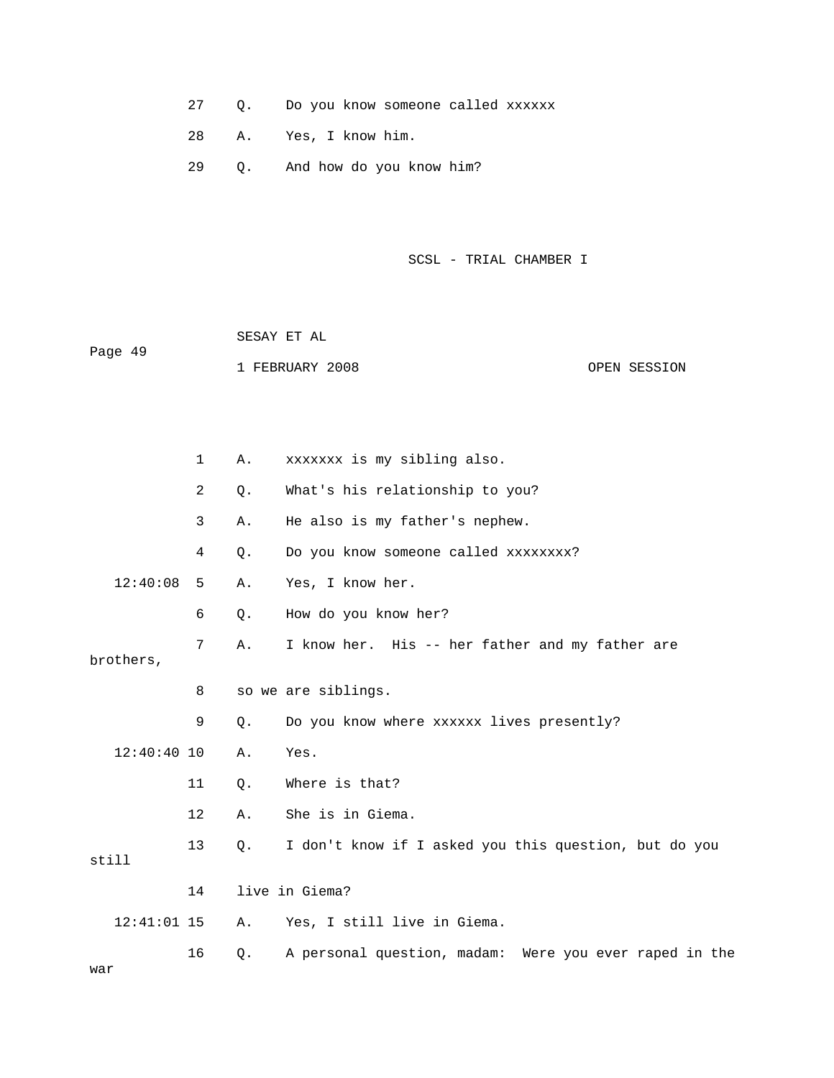- 27 Q. Do you know someone called xxxxxx
- 28 A. Yes, I know him.
- 29 Q. And how do you know him?
- SCSL TRIAL CHAMBER I

|         |           | SESAY ET AL |                                      |  |              |  |  |
|---------|-----------|-------------|--------------------------------------|--|--------------|--|--|
| Page 49 |           |             | 1 FEBRUARY 2008                      |  | OPEN SESSION |  |  |
|         |           |             |                                      |  |              |  |  |
|         | $1 \quad$ | Α.          | xxxxxxx is my sibling also.          |  |              |  |  |
|         | 2         |             | Q. What's his relationship to you?   |  |              |  |  |
|         | 3         | Α.          | He also is my father's nephew.       |  |              |  |  |
|         | 4         | Q.          | Do you know someone called xxxxxxxx? |  |              |  |  |

- 12:40:08 5 A. Yes, I know her.
	- 6 Q. How do you know her?
- 7 A. I know her. His -- her father and my father are
- brothers,
	- 8 so we are siblings.
- 9 Q. Do you know where xxxxxx lives presently?
- 12:40:40 10 A. Yes.
	- 11 Q. Where is that?
		- 12 A. She is in Giema.
- 13 Q. I don't know if I asked you this question, but do you still
	- 14 live in Giema?
- 12:41:01 15 A. Yes, I still live in Giema.
- 16 Q. A personal question, madam: Were you ever raped in the war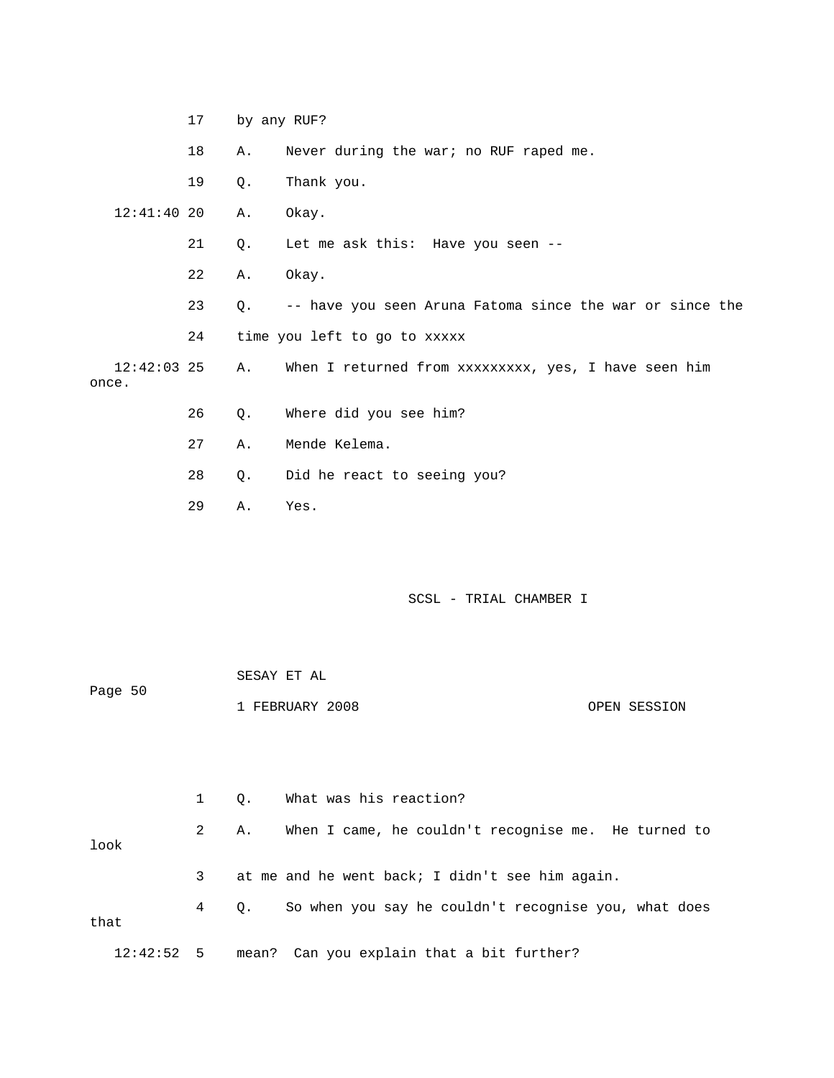|                        | 17 |       | by any RUF?                                              |
|------------------------|----|-------|----------------------------------------------------------|
|                        | 18 | Α.    | Never during the war; no RUF raped me.                   |
|                        | 19 | Q.    | Thank you.                                               |
| $12:41:40$ 20          |    | Α.    | Okay.                                                    |
|                        | 21 | $Q$ . | Let me ask this: Have you seen --                        |
|                        | 22 | Α.    | Okay.                                                    |
|                        | 23 | 0.    | -- have you seen Aruna Fatoma since the war or since the |
|                        | 24 |       | time you left to go to xxxxx                             |
| $12:42:03$ 25<br>once. |    | A.,   | When I returned from xxxxxxxxx, yes, I have seen him     |
|                        | 26 | Q.    | Where did you see him?                                   |
|                        | 27 | Α.    | Mende Kelema.                                            |
|                        | 28 | Q.    | Did he react to seeing you?                              |
|                        | 29 | Α.    | Yes.                                                     |

| Page 50 |   |    |                                                      |              |
|---------|---|----|------------------------------------------------------|--------------|
|         |   |    | 1 FEBRUARY 2008                                      | OPEN SESSION |
|         |   |    |                                                      |              |
|         |   |    |                                                      |              |
|         |   |    |                                                      |              |
|         |   |    |                                                      |              |
|         |   |    |                                                      |              |
|         | 1 | 0. | What was his reaction?                               |              |
|         |   |    |                                                      |              |
|         | 2 | Α. | When I came, he couldn't recognise me. He turned to  |              |
| look    |   |    |                                                      |              |
|         |   |    |                                                      |              |
|         | 3 |    |                                                      |              |
|         |   |    | at me and he went back; I didn't see him again.      |              |
|         |   |    |                                                      |              |
|         | 4 | Q. | So when you say he couldn't recognise you, what does |              |
| that    |   |    |                                                      |              |
|         |   |    |                                                      |              |

12:42:52 5 mean? Can you explain that a bit further?

SESAY ET AL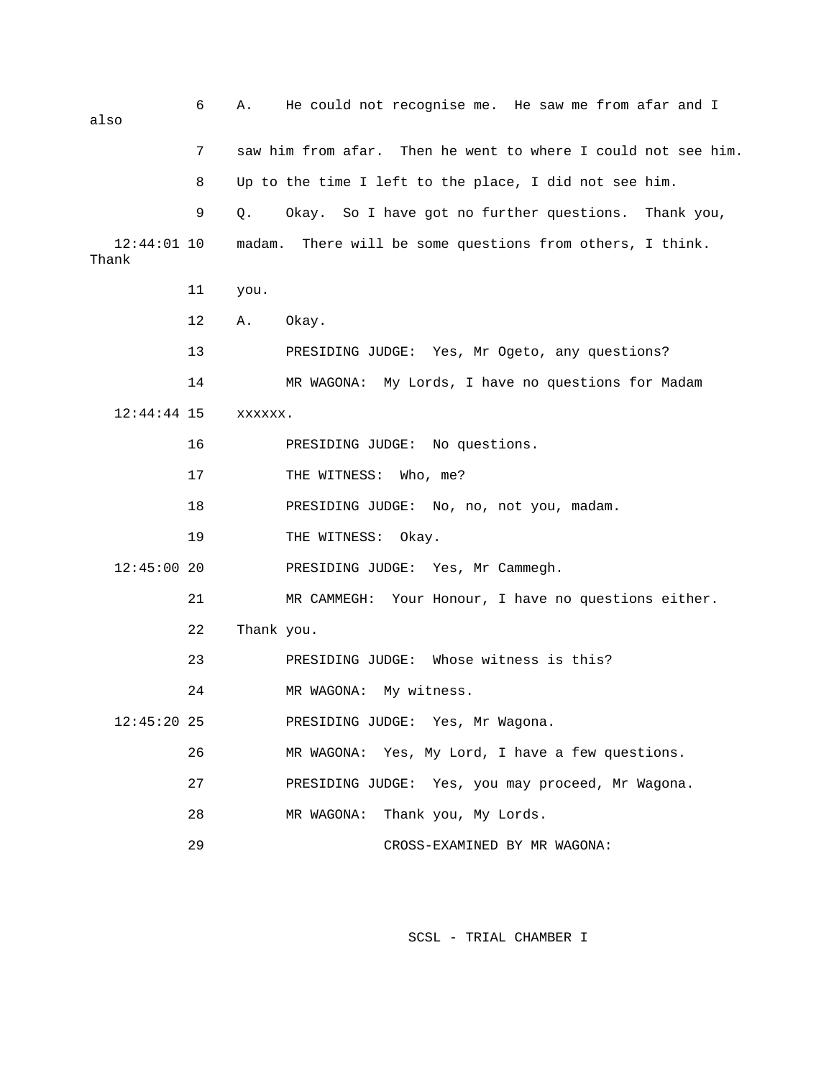6 A. He could not recognise me. He saw me from afar and I also 7 saw him from afar. Then he went to where I could not see him. 8 Up to the time I left to the place, I did not see him. 9 Q. Okay. So I have got no further questions. Thank you, 12:44:01 10 madam. There will be some questions from others, I think. 11 you. PRESIDING JUDGE: No questions. 17 THE WITNESS: Who, me? 18 PRESIDING JUDGE: No, no, not you, madam. 12:45:00 20 PRESIDING JUDGE: Yes, Mr Cammegh. 21 MR CAMMEGH: Your Honour, I have no questions either. 23 PRESIDING JUDGE: Whose witness is this? 24 MR WAGONA: My witness. 12:45:20 25 PRESIDING JUDGE: Yes, Mr Wagona. 26 MR WAGONA: Yes, My Lord, I have a few questions. 27 PRESIDING JUDGE: Yes, you may proceed, Mr Wagona. 28 MR WAGONA: Thank you, My Lords. 29 CROSS-EXAMINED BY MR WAGONA: Thank 12 A. Okay. 13 PRESIDING JUDGE: Yes, Mr Ogeto, any questions? 14 MR WAGONA: My Lords, I have no questions for Madam 12:44:44 15 xxxxxx. 16 19 THE WITNESS: Okay. 22 Thank you.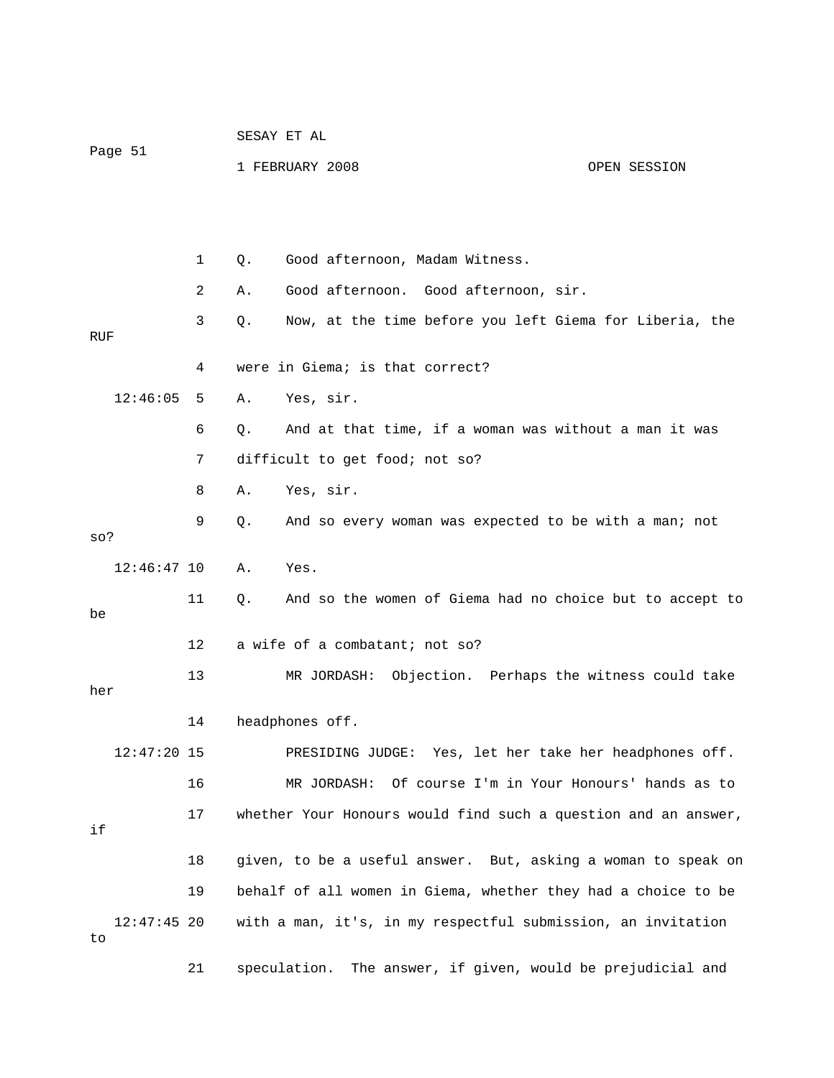|                     |    | SESAY ET AL |                                                                |              |  |  |  |  |  |
|---------------------|----|-------------|----------------------------------------------------------------|--------------|--|--|--|--|--|
| Page 51             |    |             | 1 FEBRUARY 2008                                                | OPEN SESSION |  |  |  |  |  |
|                     |    |             |                                                                |              |  |  |  |  |  |
|                     |    |             |                                                                |              |  |  |  |  |  |
|                     | 1  | Q.          | Good afternoon, Madam Witness.                                 |              |  |  |  |  |  |
|                     | 2  | Α.          | Good afternoon. Good afternoon, sir.                           |              |  |  |  |  |  |
| RUF                 | 3  | Q.          | Now, at the time before you left Giema for Liberia, the        |              |  |  |  |  |  |
|                     | 4  |             | were in Giema; is that correct?                                |              |  |  |  |  |  |
| 12:46:05            | 5  | Α.          | Yes, sir.                                                      |              |  |  |  |  |  |
|                     | 6  | О.          | And at that time, if a woman was without a man it was          |              |  |  |  |  |  |
|                     | 7  |             | difficult to get food; not so?                                 |              |  |  |  |  |  |
|                     | 8  | Α.          | Yes, sir.                                                      |              |  |  |  |  |  |
| $SO$ ?              | 9  | Q.          | And so every woman was expected to be with a man; not          |              |  |  |  |  |  |
| $12:46:47$ 10       |    | Α.          | Yes.                                                           |              |  |  |  |  |  |
| be                  | 11 | Q.          | And so the women of Giema had no choice but to accept to       |              |  |  |  |  |  |
|                     | 12 |             | a wife of a combatant; not so?                                 |              |  |  |  |  |  |
| her                 | 13 |             | MR JORDASH: Objection. Perhaps the witness could take          |              |  |  |  |  |  |
|                     | 14 |             | headphones off.                                                |              |  |  |  |  |  |
| $12:47:20$ 15       |    |             | PRESIDING JUDGE: Yes, let her take her headphones off.         |              |  |  |  |  |  |
|                     | 16 |             | Of course I'm in Your Honours' hands as to<br>MR JORDASH:      |              |  |  |  |  |  |
| if                  | 17 |             | whether Your Honours would find such a question and an answer, |              |  |  |  |  |  |
|                     | 18 |             | given, to be a useful answer. But, asking a woman to speak on  |              |  |  |  |  |  |
|                     | 19 |             | behalf of all women in Giema, whether they had a choice to be  |              |  |  |  |  |  |
| $12:47:45$ 20<br>to |    |             | with a man, it's, in my respectful submission, an invitation   |              |  |  |  |  |  |
|                     | 21 |             | speculation.<br>The answer, if given, would be prejudicial and |              |  |  |  |  |  |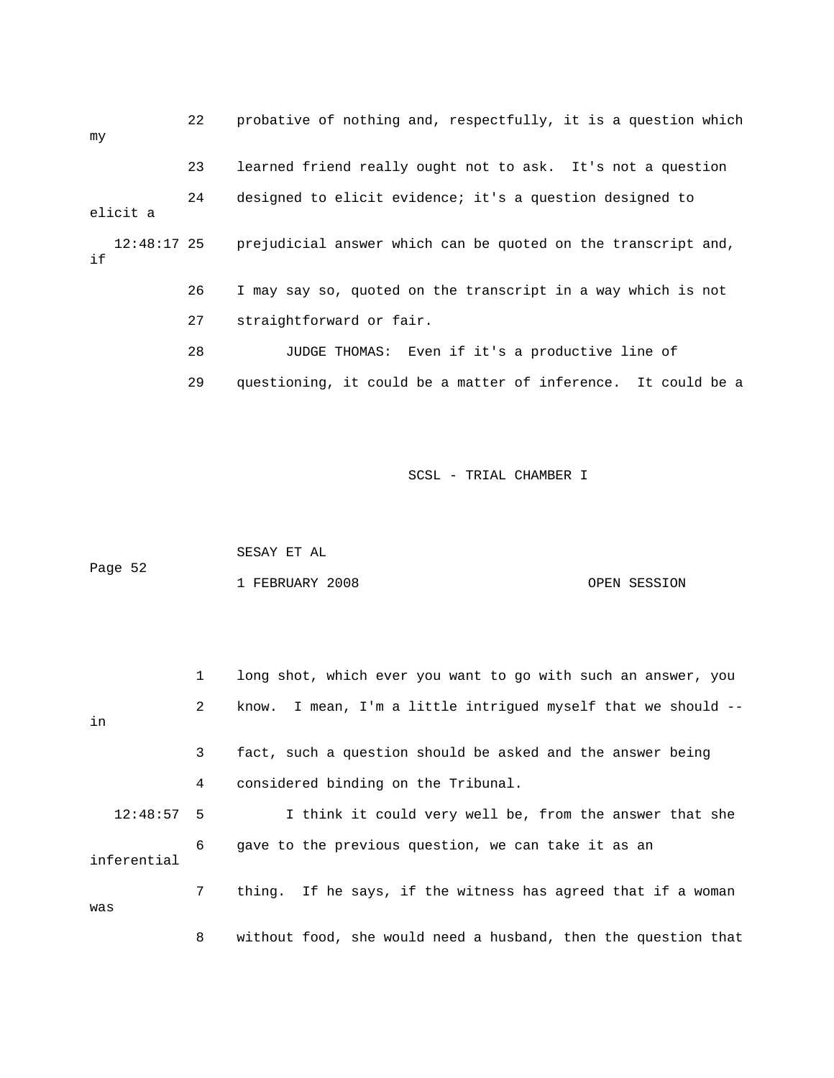| my |               | 22 | probative of nothing and, respectfully, it is a question which |
|----|---------------|----|----------------------------------------------------------------|
|    |               | 23 | learned friend really ought not to ask. It's not a question    |
|    | elicit a      | 24 | designed to elicit evidence; it's a question designed to       |
| if | $12:48:17$ 25 |    | prejudicial answer which can be quoted on the transcript and,  |
|    |               | 26 | I may say so, quoted on the transcript in a way which is not   |
|    |               | 27 | straightforward or fair.                                       |
|    |               | 28 | JUDGE THOMAS: Even if it's a productive line of                |
|    |               | 29 | questioning, it could be a matter of inference. It could be a  |

| Page 52 | SESAY ET AL     |              |
|---------|-----------------|--------------|
|         | 1 FEBRUARY 2008 | OPEN SESSION |

|              | $\mathbf{1}$   | long shot, which ever you want to go with such an answer, you  |
|--------------|----------------|----------------------------------------------------------------|
| in           | $\overline{2}$ | know. I mean, I'm a little intrigued myself that we should --  |
|              | $\mathbf{3}$   | fact, such a question should be asked and the answer being     |
|              | 4              | considered binding on the Tribunal.                            |
| $12:48:57$ 5 |                | I think it could very well be, from the answer that she        |
| inferential  | 6              | gave to the previous question, we can take it as an            |
| was          | 7              | thing. If he says, if the witness has agreed that if a woman   |
|              | 8              | without food, she would need a husband, then the question that |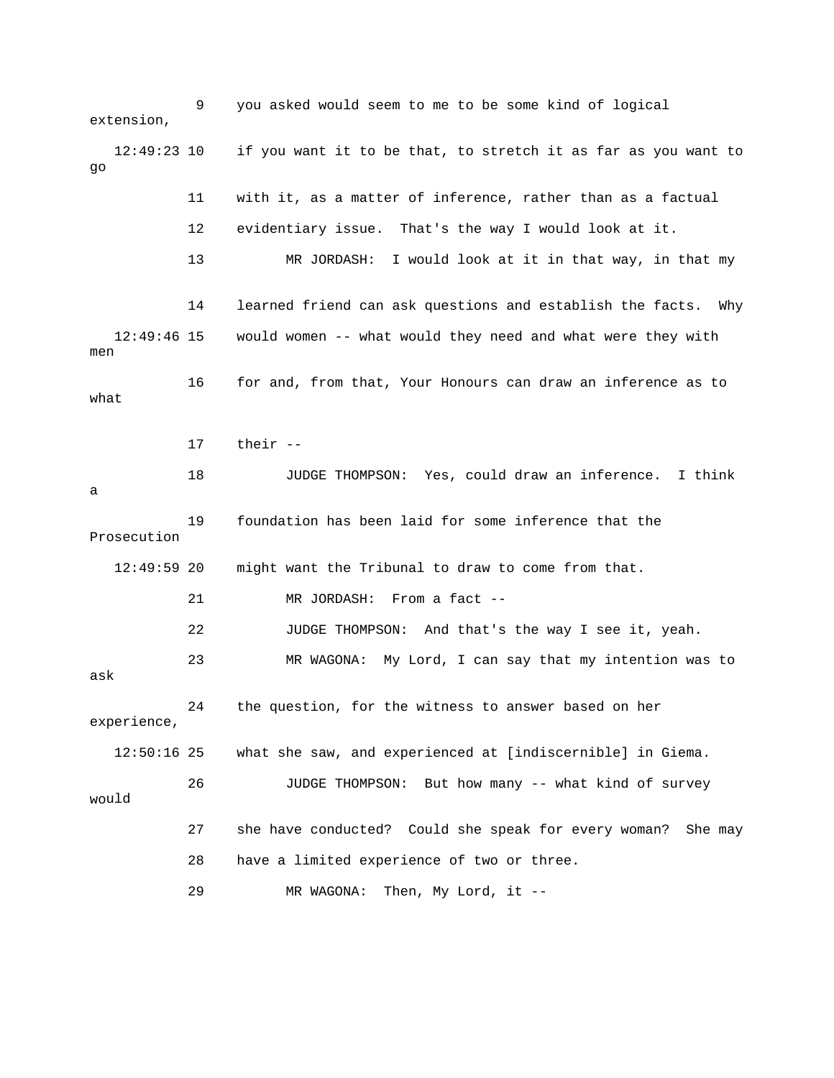9 you asked would seem to me to be some kind of logical extension, 12:49:23 10 if you want it to be that, to stretch it as far as you want to 11 with it, as a matter of inference, rather than as a factual 13 MR JORDASH: I would look at it in that way, in that my 12:49:46 15 would women -- what would they need and what were they with 16 for and, from that, Your Honours can draw an inference as to 18 JUDGE THOMPSON: Yes, could draw an inference. I think 19 foundation has been laid for some inference that the 12:49:59 20 might want the Tribunal to draw to come from that. 21 MR JORDASH: From a fact -- 23 MR WAGONA: My Lord, I can say that my intention was to 24 the question, for the witness to answer based on her 12:50:16 25 what she saw, and experienced at [indiscernible] in Giema. would 27 she have conducted? Could she speak for every woman? She may 29 MR WAGONA: Then, My Lord, it - go 12 evidentiary issue. That's the way I would look at it. 14 learned friend can ask questions and establish the facts. Why men what 17 their - a Prosecution 22 JUDGE THOMPSON: And that's the way I see it, yeah. ask experience, 26 JUDGE THOMPSON: But how many -- what kind of survey 28 have a limited experience of two or three.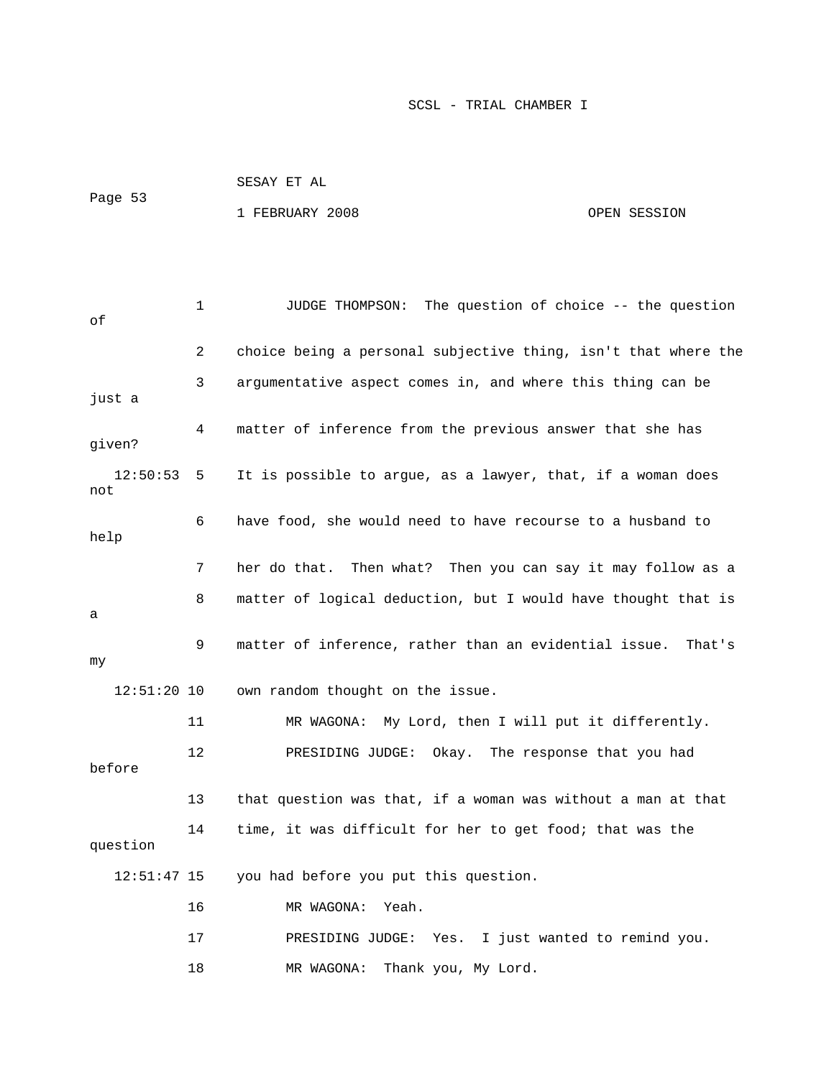|         | SESAY ET AL     |              |
|---------|-----------------|--------------|
| Page 53 | 1 FEBRUARY 2008 | OPEN SESSION |

```
 1 JUDGE THOMPSON: The question of choice -- the question 
2 choice being a personal subjective thing, isn't that where the
             3 argumentative aspect comes in, and where this thing can be 
just a
             4 matter of inference from the previous answer that she has 
                 It is possible to argue, as a lawyer, that, if a woman does
             6 have food, she would need to have recourse to a husband to 
             7 her do that. Then what? Then you can say it may follow as a 
             8 matter of logical deduction, but I would have thought that is 
             9 matter of inference, rather than an evidential issue. That's 
                 own random thought on the issue.
            14 time, it was difficult for her to get food; that was the 
            17 PRESIDING JUDGE: Yes. I just wanted to remind you. 
            18 MR WAGONA: Thank you, My Lord. 
of
given? 
  12:50:53 5
not 
help 
a 
my
  12:51:20 10
            11 MR WAGONA: My Lord, then I will put it differently. 
            12 PRESIDING JUDGE: Okay. The response that you had 
before 
            13 that question was that, if a woman was without a man at that 
question 
   12:51:47 15 you had before you put this question. 
            16 MR WAGONA: Yeah.
```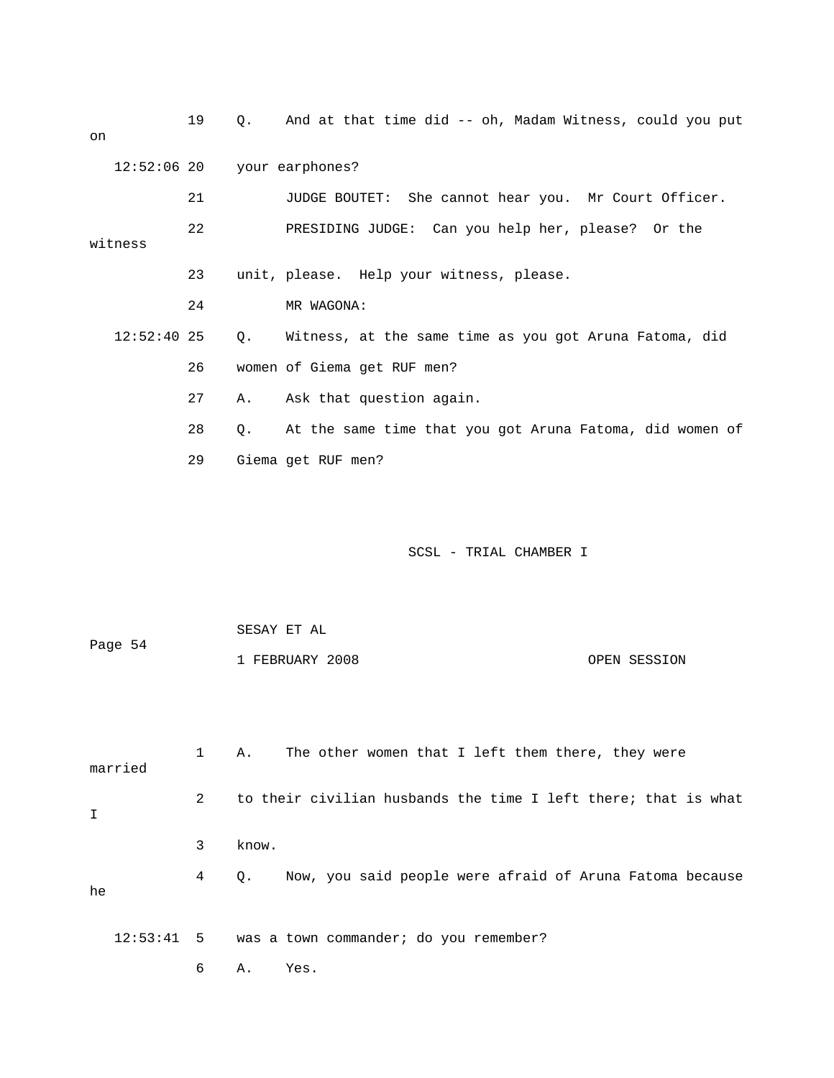| on |               | 19 | Q. | And at that time did -- oh, Madam Witness, could you put       |              |  |  |  |  |
|----|---------------|----|----|----------------------------------------------------------------|--------------|--|--|--|--|
|    | $12:52:06$ 20 |    |    | your earphones?                                                |              |  |  |  |  |
|    |               | 21 |    | JUDGE BOUTET:<br>She cannot hear you. Mr Court Officer.        |              |  |  |  |  |
|    | witness       | 22 |    | PRESIDING JUDGE: Can you help her, please? Or the              |              |  |  |  |  |
|    |               | 23 |    | unit, please. Help your witness, please.                       |              |  |  |  |  |
|    |               | 24 |    | MR WAGONA:                                                     |              |  |  |  |  |
|    | $12:52:40$ 25 |    | Q. | Witness, at the same time as you got Aruna Fatoma, did         |              |  |  |  |  |
|    |               | 26 |    | women of Giema get RUF men?                                    |              |  |  |  |  |
|    |               | 27 | Α. | Ask that question again.                                       |              |  |  |  |  |
|    |               | 28 | Q. | At the same time that you got Aruna Fatoma, did women of       |              |  |  |  |  |
|    |               | 29 |    | Giema get RUF men?                                             |              |  |  |  |  |
|    |               |    |    | SCSL - TRIAL CHAMBER I                                         |              |  |  |  |  |
|    | Page 54       |    |    | SESAY ET AL<br>1 FEBRUARY 2008                                 | OPEN SESSION |  |  |  |  |
|    | married       | 1  | Α. | The other women that I left them there, they were              |              |  |  |  |  |
|    |               | 2  |    | to their civilian husbands the time I left there; that is what |              |  |  |  |  |

I

he

 3 know. 4 Q. Now, you said people were afraid of Aruna Fatoma because

12:53:41 5 was a town commander; do you remember?

6 A. Yes.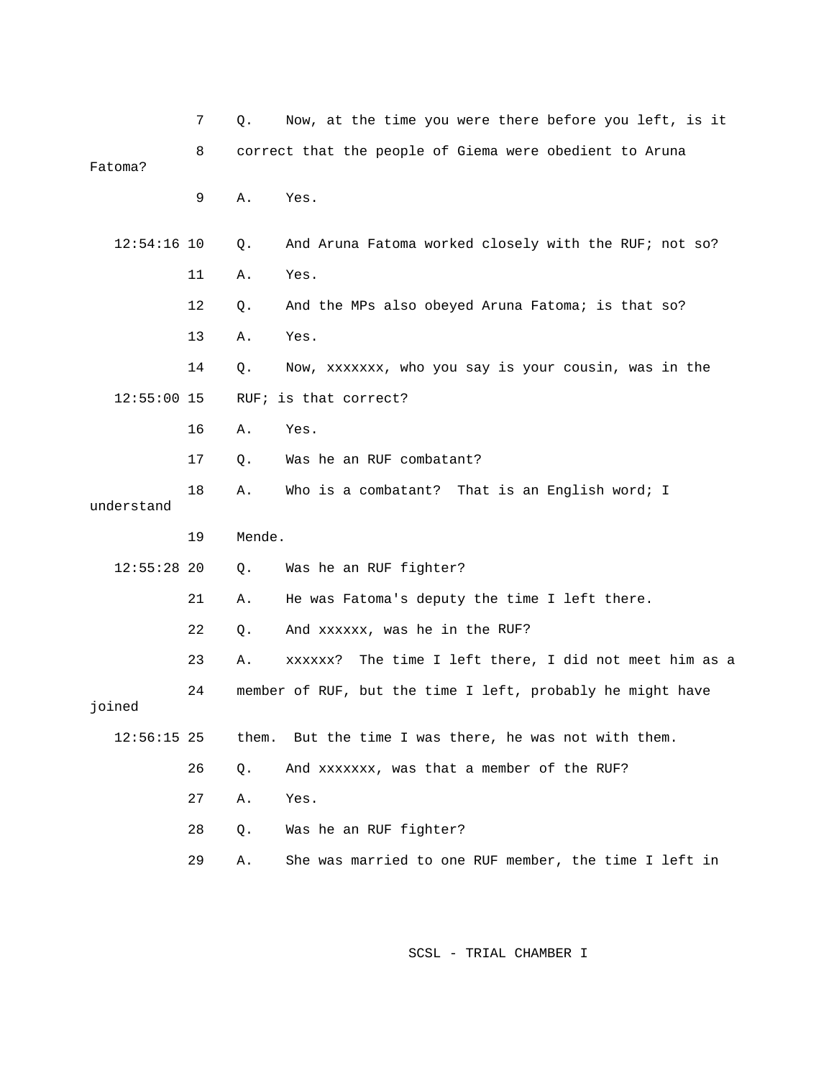|               | 7  | Q.     | Now, at the time you were there before you left, is it     |
|---------------|----|--------|------------------------------------------------------------|
| Fatoma?       | 8  |        | correct that the people of Giema were obedient to Aruna    |
|               | 9  | Α.     | Yes.                                                       |
| $12:54:16$ 10 |    | Q.     | And Aruna Fatoma worked closely with the RUF; not so?      |
|               | 11 | Α.     | Yes.                                                       |
|               | 12 | Q.     | And the MPs also obeyed Aruna Fatoma; is that so?          |
|               | 13 | Α.     | Yes.                                                       |
|               | 14 | Q.     | Now, xxxxxxx, who you say is your cousin, was in the       |
| $12:55:00$ 15 |    |        | RUF; is that correct?                                      |
|               | 16 | Α.     | Yes.                                                       |
|               | 17 | Q.     | Was he an RUF combatant?                                   |
| understand    | 18 | Α.     | That is an English word; I<br>Who is a combatant?          |
|               | 19 | Mende. |                                                            |
| $12:55:28$ 20 |    | Q.     | Was he an RUF fighter?                                     |
|               | 21 | Α.     | He was Fatoma's deputy the time I left there.              |
|               | 22 | Q.     | And xxxxxx, was he in the RUF?                             |
|               | 23 | Α.     | The time I left there, I did not meet him as a<br>xxxxxx?  |
| joined        | 24 |        | member of RUF, but the time I left, probably he might have |
| $12:56:15$ 25 |    | them.  | But the time I was there, he was not with them.            |
|               | 26 | Q.     | And xxxxxxx, was that a member of the RUF?                 |
|               | 27 | Α.     | Yes.                                                       |
|               | 28 | Q.     | Was he an RUF fighter?                                     |
|               | 29 | Α.     | She was married to one RUF member, the time I left in      |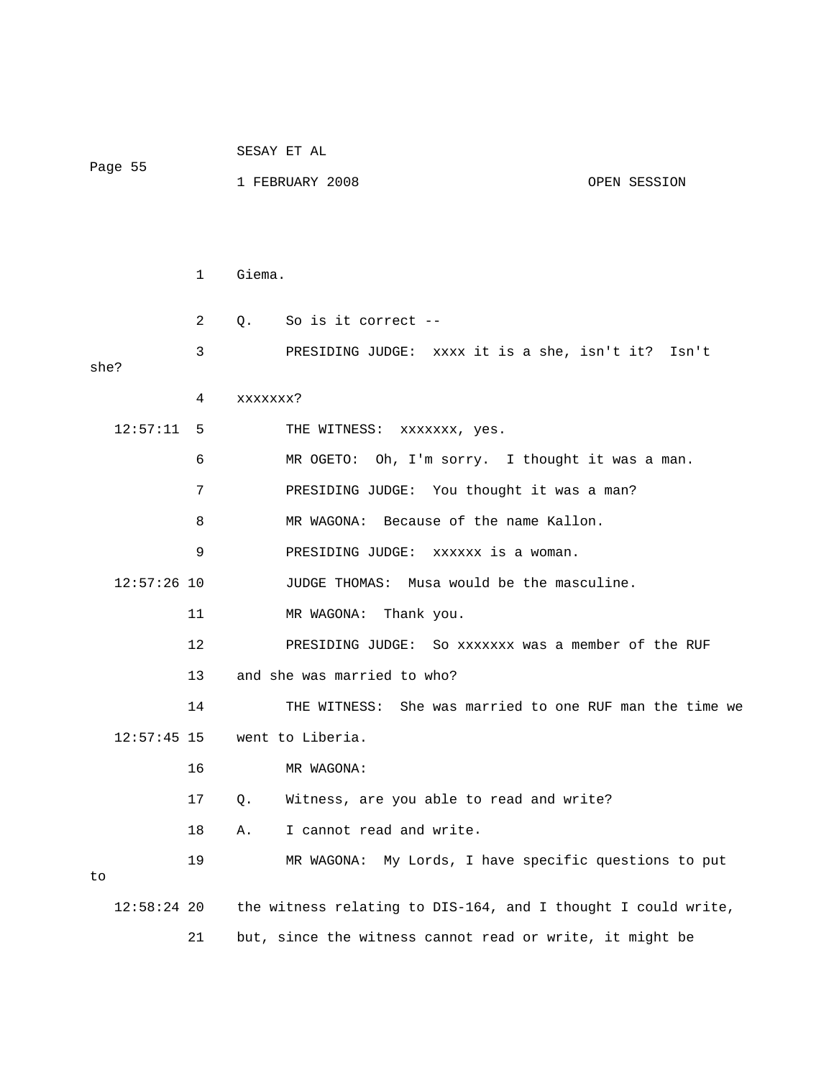| Page 55 |               |              |                                 | SESAY ET AL                                                   |  |       |  |  |
|---------|---------------|--------------|---------------------------------|---------------------------------------------------------------|--|-------|--|--|
|         |               |              | 1 FEBRUARY 2008<br>OPEN SESSION |                                                               |  |       |  |  |
|         |               |              |                                 |                                                               |  |       |  |  |
|         |               |              |                                 |                                                               |  |       |  |  |
|         |               | $\mathbf{1}$ | Giema.                          |                                                               |  |       |  |  |
|         |               | 2            |                                 | Q. So is it correct --                                        |  |       |  |  |
| she?    |               | 3            |                                 | PRESIDING JUDGE: xxxx it is a she, isn't it?                  |  | Isn't |  |  |
|         |               | 4            | xxxxxxx?                        |                                                               |  |       |  |  |
|         | $12:57:11$ 5  |              |                                 | THE WITNESS: xxxxxxx, yes.                                    |  |       |  |  |
|         |               | 6            |                                 | MR OGETO: Oh, I'm sorry. I thought it was a man.              |  |       |  |  |
|         |               | 7            |                                 | PRESIDING JUDGE: You thought it was a man?                    |  |       |  |  |
|         |               | 8            |                                 | MR WAGONA: Because of the name Kallon.                        |  |       |  |  |
|         |               | 9            |                                 | PRESIDING JUDGE: XXXXXX is a woman.                           |  |       |  |  |
|         | $12:57:26$ 10 |              |                                 | JUDGE THOMAS: Musa would be the masculine.                    |  |       |  |  |
|         |               | 11           |                                 | MR WAGONA: Thank you.                                         |  |       |  |  |
|         |               | 12           |                                 | PRESIDING JUDGE: So xxxxxxx was a member of the RUF           |  |       |  |  |
|         |               | 13           |                                 | and she was married to who?                                   |  |       |  |  |
|         |               | 14           |                                 | THE WITNESS: She was married to one RUF man the time we       |  |       |  |  |
|         |               |              |                                 | $12:57:45$ 15 went to Liberia.                                |  |       |  |  |
|         |               | 16           |                                 | MR WAGONA:                                                    |  |       |  |  |
|         |               | 17           | Q.                              | Witness, are you able to read and write?                      |  |       |  |  |
|         |               | 18           | Α.                              | I cannot read and write.                                      |  |       |  |  |
| to      |               | 19           |                                 | My Lords, I have specific questions to put<br>MR WAGONA:      |  |       |  |  |
|         | $12:58:24$ 20 |              |                                 | the witness relating to DIS-164, and I thought I could write, |  |       |  |  |
|         |               | 21           |                                 | but, since the witness cannot read or write, it might be      |  |       |  |  |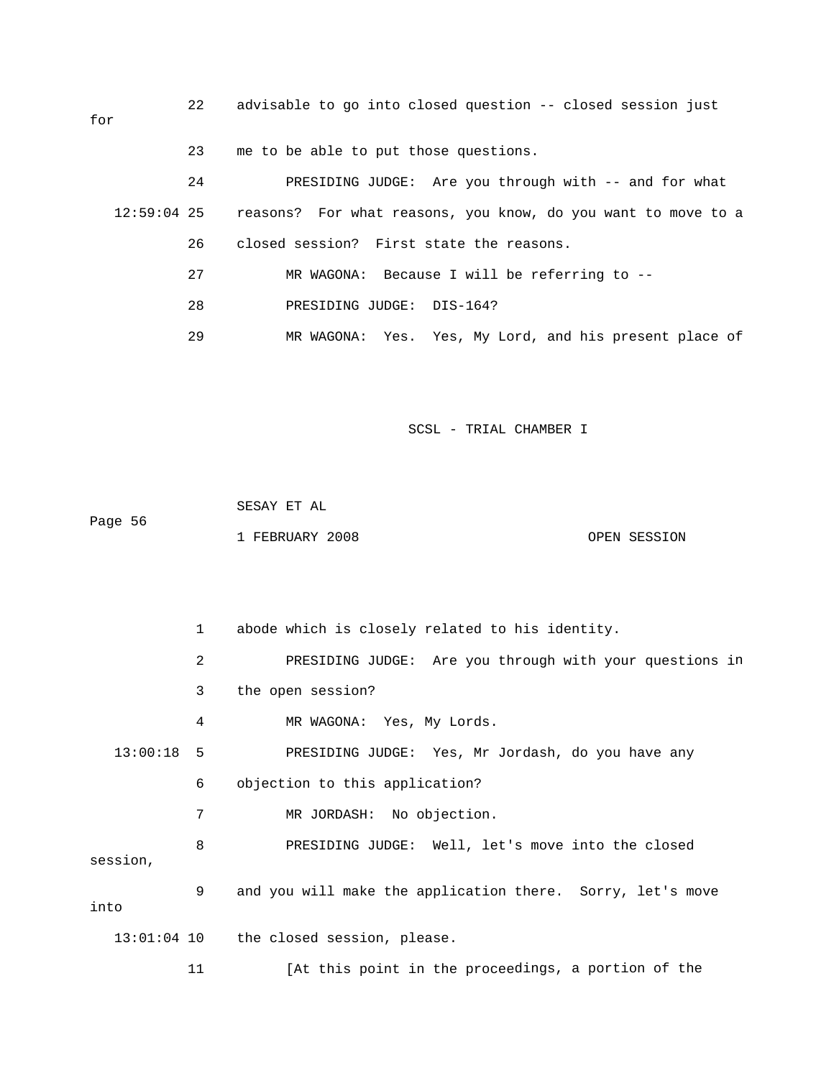22 advisable to go into closed question -- closed session just 24 PRESIDING JUDGE: Are you through with -- and for what 12:59:04 25 reasons? For what reasons, you know, do you want to move to a 26 closed session? First state the reasons. 27 MR WAGONA: Because I will be referring to - for 23 me to be able to put those questions. 28 PRESIDING JUDGE: DIS-164? 29 MR WAGONA: Yes. Yes, My Lord, and his present place of

SCSL - TRIAL CHAMBER I

 SESAY ET AL Page 56 1 FEBRUARY 2008 OPEN SESSION

 1 abode which is closely related to his identity. n 2 PRESIDING JUDGE: Are you through with your questions i 4 MR WAGONA: Yes, My Lords. 13:00:18 5 PRESIDING JUDGE: Yes, Mr Jordash, do you have any 8 BRESIDING JUDGE: Well, let's move into the closed 9 and you will make the application there. Sorry, let's move 3 the open session? 6 objection to this application? 7 MR JORDASH: No objection. session, into 13:01:04 10 the closed session, please.

11 **1** [At this point in the proceedings, a portion of the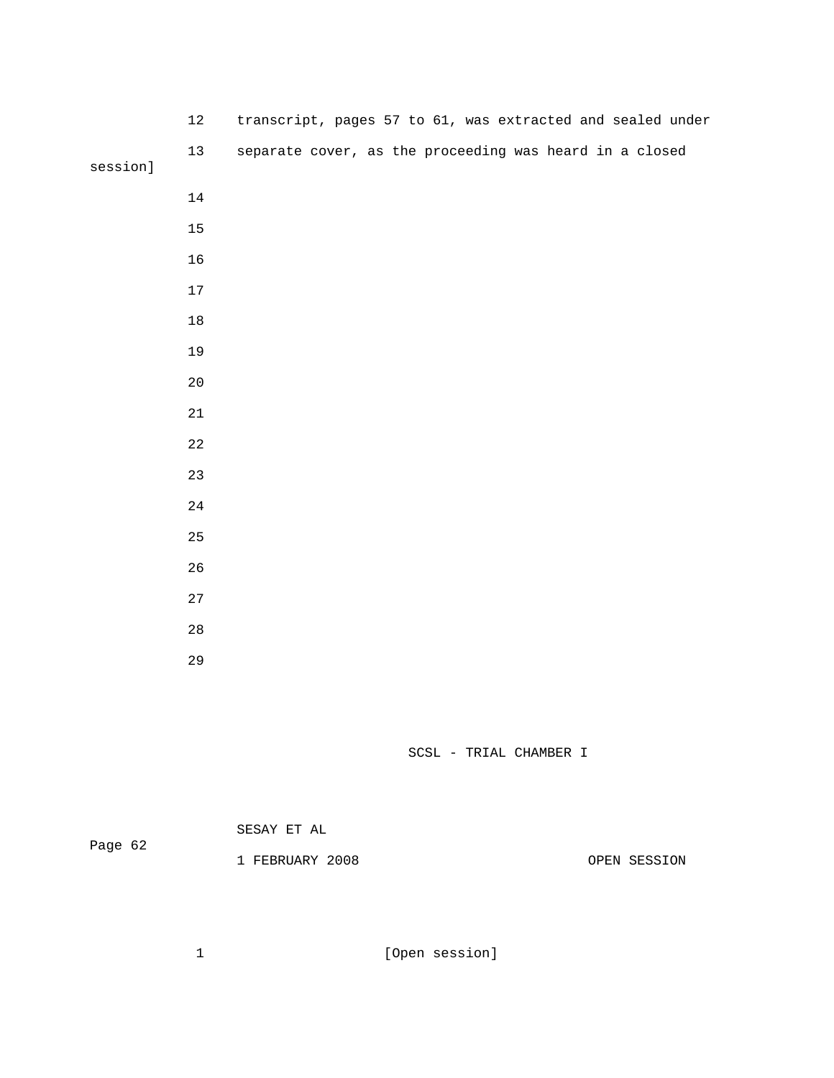|          | $12\,$      |  |  |  |  |  | transcript, pages 57 to 61, was extracted and sealed under |  |
|----------|-------------|--|--|--|--|--|------------------------------------------------------------|--|
| session] | $13$        |  |  |  |  |  | separate cover, as the proceeding was heard in a closed    |  |
|          | $14\,$      |  |  |  |  |  |                                                            |  |
|          | $15\,$      |  |  |  |  |  |                                                            |  |
|          | $16$        |  |  |  |  |  |                                                            |  |
|          | $17$        |  |  |  |  |  |                                                            |  |
|          | $18\,$      |  |  |  |  |  |                                                            |  |
|          | 19          |  |  |  |  |  |                                                            |  |
|          | $20\,$      |  |  |  |  |  |                                                            |  |
|          | $21\,$      |  |  |  |  |  |                                                            |  |
|          | $2\sqrt{2}$ |  |  |  |  |  |                                                            |  |
|          | 23          |  |  |  |  |  |                                                            |  |
|          | $2\sqrt{4}$ |  |  |  |  |  |                                                            |  |
|          | 25          |  |  |  |  |  |                                                            |  |
|          | 26          |  |  |  |  |  |                                                            |  |
|          | $2\,7$      |  |  |  |  |  |                                                            |  |
|          | $2\,8$      |  |  |  |  |  |                                                            |  |
|          | 29          |  |  |  |  |  |                                                            |  |

| Page 62 | SESAY ET AL     |              |
|---------|-----------------|--------------|
|         | 1 FEBRUARY 2008 | OPEN SESSION |

1 [Open session]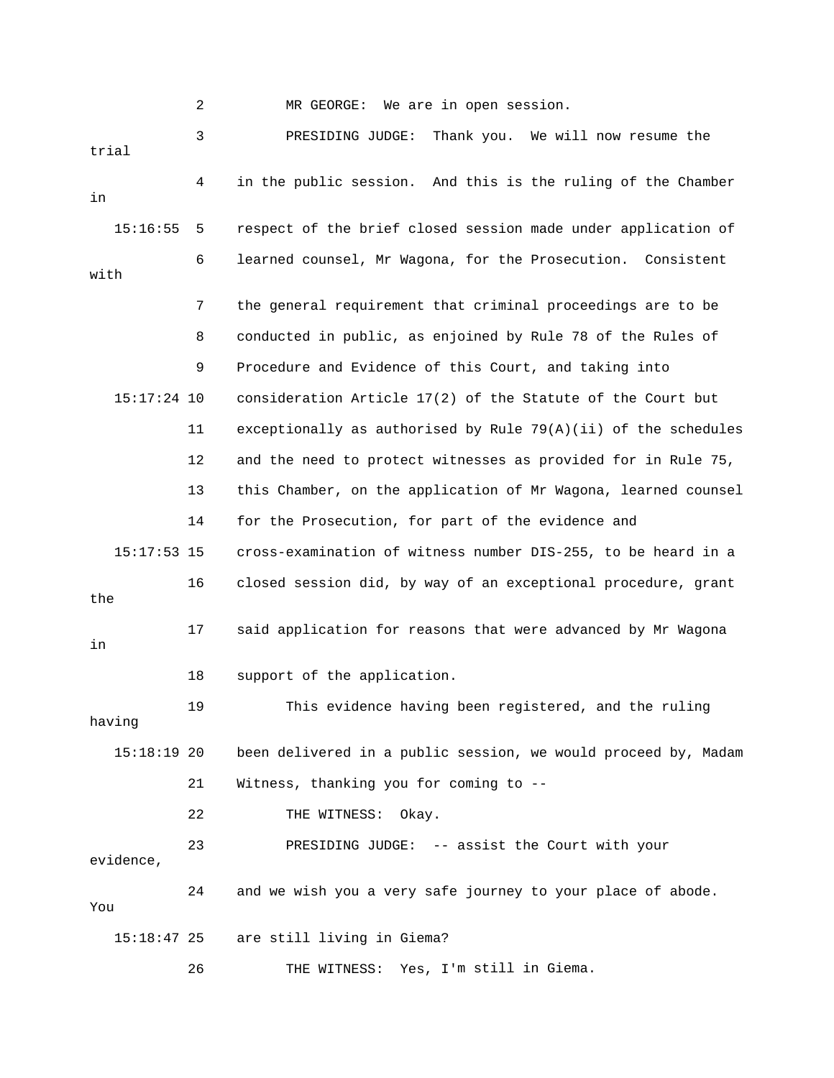|               | 2  | We are in open session.<br>MR GEORGE:                            |
|---------------|----|------------------------------------------------------------------|
| trial         | 3  | Thank you. We will now resume the<br>PRESIDING JUDGE:            |
| in            | 4  | in the public session. And this is the ruling of the Chamber     |
| 15:16:55      | 5  | respect of the brief closed session made under application of    |
| with          | 6  | learned counsel, Mr Wagona, for the Prosecution. Consistent      |
|               | 7  | the general requirement that criminal proceedings are to be      |
|               | 8  | conducted in public, as enjoined by Rule 78 of the Rules of      |
|               | 9  | Procedure and Evidence of this Court, and taking into            |
| $15:17:24$ 10 |    | consideration Article 17(2) of the Statute of the Court but      |
|               | 11 | exceptionally as authorised by Rule $79(A)(ii)$ of the schedules |
|               | 12 | and the need to protect witnesses as provided for in Rule 75,    |
|               | 13 | this Chamber, on the application of Mr Wagona, learned counsel   |
|               | 14 | for the Prosecution, for part of the evidence and                |
| $15:17:53$ 15 |    | cross-examination of witness number DIS-255, to be heard in a    |
| the           | 16 | closed session did, by way of an exceptional procedure, grant    |
| in            | 17 | said application for reasons that were advanced by Mr Wagona     |
|               | 18 | support of the application.                                      |
| having        | 19 | This evidence having been registered, and the ruling             |
| $15:18:19$ 20 |    | been delivered in a public session, we would proceed by, Madam   |
|               | 21 | Witness, thanking you for coming to --                           |
|               | 22 | THE WITNESS:<br>Okay.                                            |
| evidence,     | 23 | PRESIDING JUDGE: -- assist the Court with your                   |
| You           | 24 | and we wish you a very safe journey to your place of abode.      |
| $15:18:47$ 25 |    | are still living in Giema?                                       |
|               | 26 | THE WITNESS: Yes, I'm still in Giema.                            |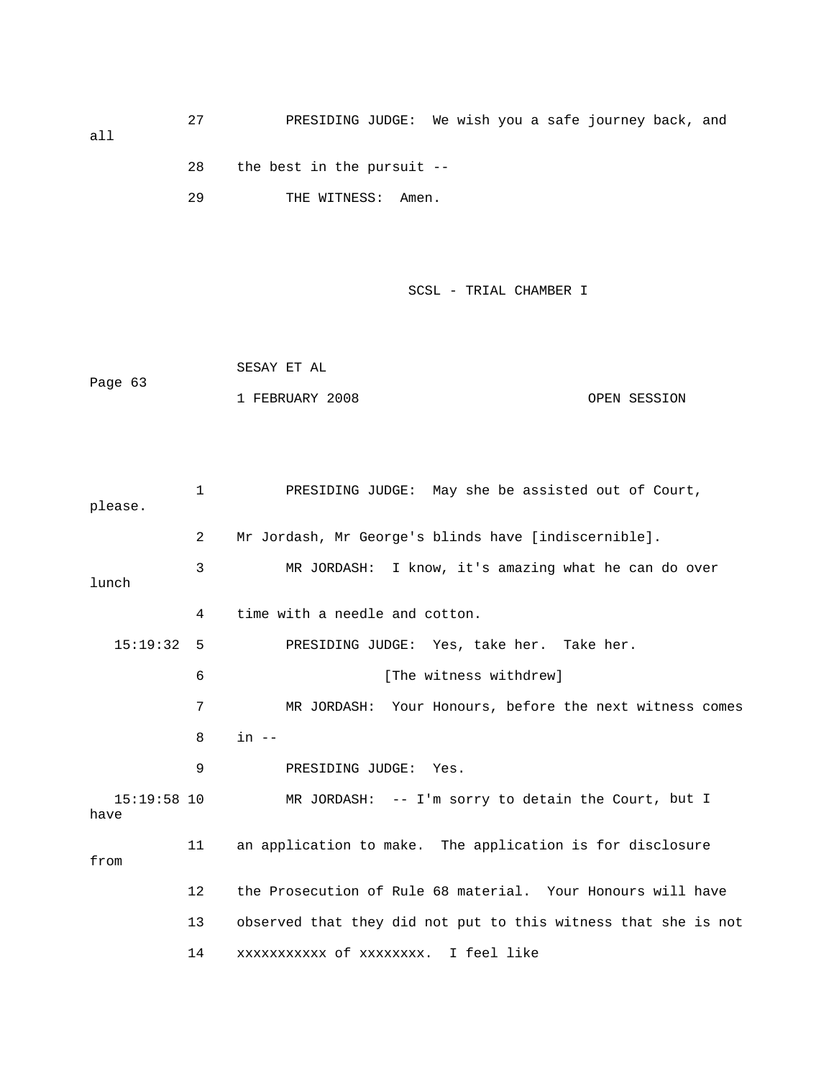all

27 PRESIDING JUDGE: We wish you a safe journey back , and

29 THE WITNESS: Amen. 28 the best in the pursuit --

SCSL - TRIAL CHAMBER I

 SESAY ET AL Page 63 1 FEBRUARY 2008 OPEN SESSION

 1 PRESIDING JUDGE: May she be assisted out of Court, please. 3 MR JORDASH: I know, it's amazing what he can do over lunch 4 time with a needle and cotton. 6 [The witness withdrew] 7 MR JORDASH: Your Honours, before the next witness comes 8 in -- 15:19:58 10 MR JORDASH: -- I'm sorry to detain the Court, but I 11 an application to make. The application is for disclosure 12 the Prosecution of Rule 68 material. Your Honours will have 13 observed that they did not put to this witness that she is not 2 Mr Jordash, Mr George's blinds have [indiscernible]. 15:19:32 5 PRESIDING JUDGE: Yes, take her. Take her. 9 PRESIDING JUDGE: Yes. have from 14 xxxxxxxxxxx of xxxxxxxx. I feel like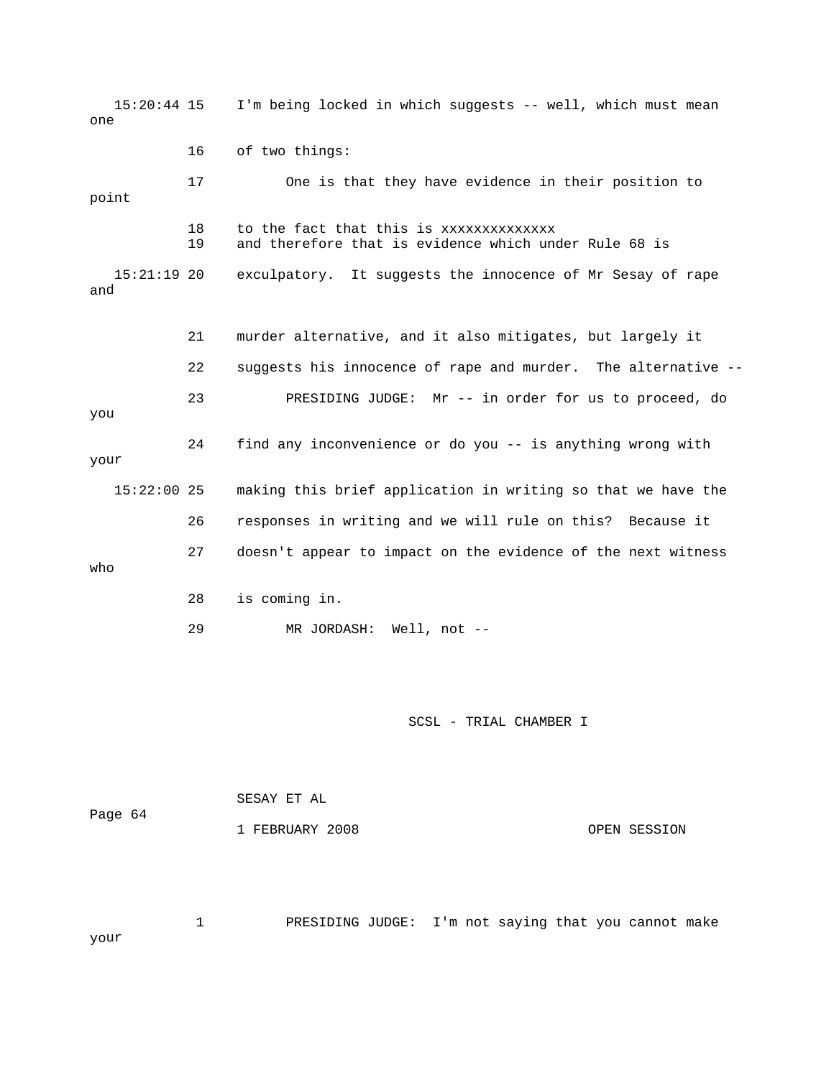15:20:44 15 I'm being locked in which suggests -- well, which must mean 16 of two things: 17 One is that they have evidence in their position to 19 and therefore that is evidence which under Rule 68 is exculpatory. It suggests the innocence of Mr Sesay of rape and 22 suggests his innocence of rape and murder. The alternative -- 23 PRESIDING JUDGE: Mr -- in order for us to proceed, do you 24 find any inconvenience or do you -- is anything wrong with your 15:22:00 25 making this brief application in writing so that we have the 29 MR JORDASH: Well, not - one point 18 to the fact that this is xxxxxxxxxxxxxx  $15:21:19$  20 21 murder alternative, and it also mitigates, but largely it 26 responses in writing and we will rule on this? Because it 27 doesn't appear to impact on the evidence of the next witness who 28 is coming in.

SCSL - TRIAL CHAMBER I

 SESAY ET AL Page 64 1 FEBRUARY 2008 OPEN SESSION

 1 PRESIDING JUDGE: I'm not saying that you cannot make your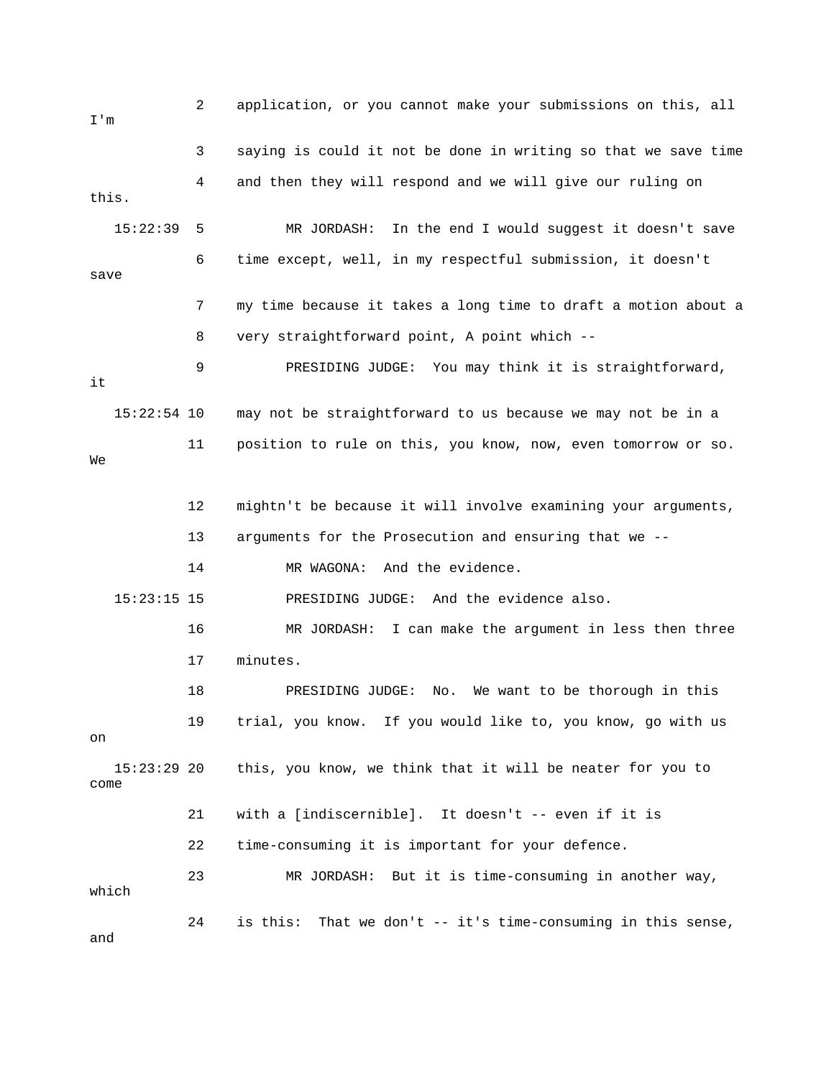2 application, or you cannot make your submissions on this, all m I' 3 saying is could it not be done in writing so that we save time 4 and then they will respond and we will give our ruling on 15:22:39 5 MR JORDASH: In the end I would suggest it doesn't save 6 time except, well, in my respectful submission, it doesn't save 7 my time because it takes a long time to draft a motion about a 9 PRESIDING JUDGE: You may think it is straightforward, 12 mightn't be because it will involve examining your arguments, 16 MR JORDASH: I can make the argument in less then three 18 PRESIDING JUDGE: No. We want to be thorough in this 19 trial, you know. If you would like to, you know, go with us 15:23:29 20 this, you know, we think that it will be neater for you to 21 with a [indiscernible]. It doesn't -- even if it is 22 time-consuming it is important for your defence. 23 MR JORDASH: But it is time-consuming in another way, 24 is this: That we don't -- it's time-consuming in this sense, this. 8 very straightforward point, A point which - it 15:22:54 10 may not be straightforward to us because we may not be in a 11 position to rule on this, you know, now, even tomorrow or so. We 13 arguments for the Prosecution and ensuring that we -- 14 MR WAGONA: And the evidence. 15:23:15 15 PRESIDING JUDGE: And the evidence also. 17 minutes. on come which and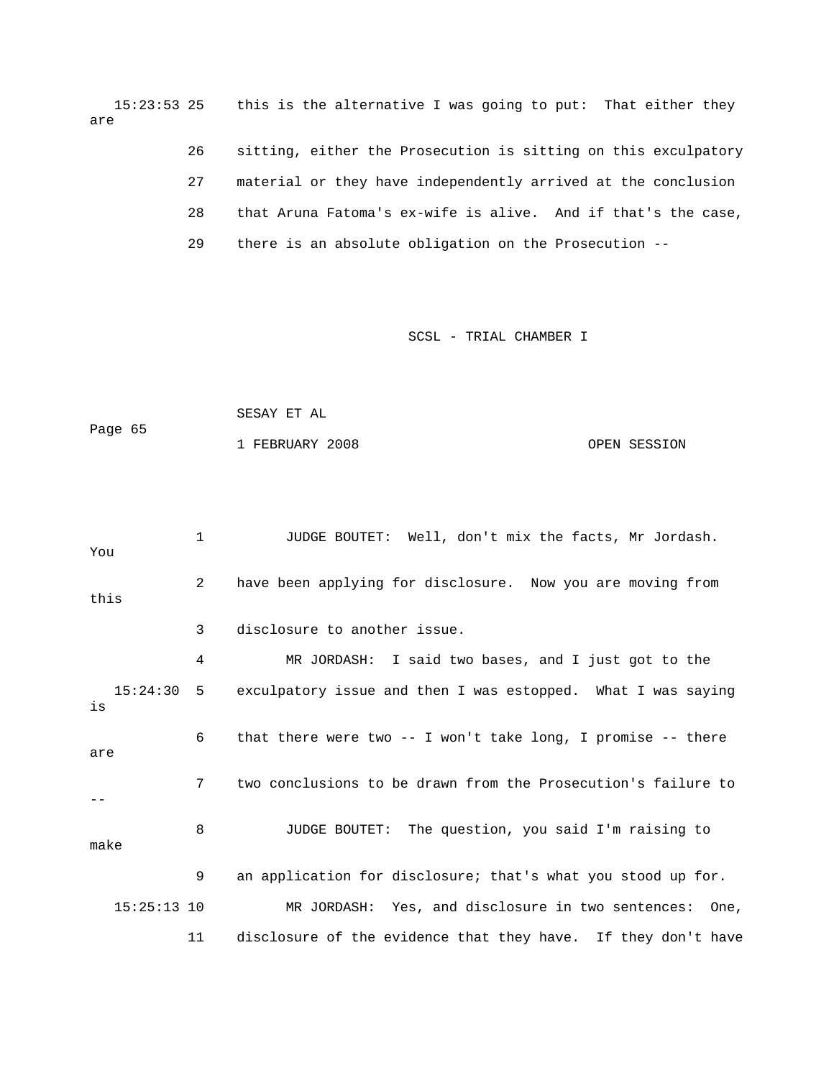15:23:53 25 this is the alternative I was going to put: That either they are

26 sitting, either the Prosecution is sitting on this exculpatory 27 material or they have independently arrived at the conclusion 29 there is an absolute obligation on the Prosecution -- 28 that Aruna Fatoma's ex-wife is alive. And if that's the case,

SCSL - TRIAL CHAMBER I

|         | SESAY ET AL     |              |
|---------|-----------------|--------------|
| Page 65 |                 |              |
|         | 1 FEBRUARY 2008 | OPEN SESSION |

1 JUDGE BOUTET: Well, don't mix the facts, Mr Jordash. You 2 have been applying for disclosure. Now you are moving from 4 MR JORDASH: I said two bases, and I just got to the 15:24:30 5 exculpatory issue and then I was estopped. What I was saying 6 that there were two -- I won't take long, I promise -- there are 7 two conclusions to be drawn from the Prosecution's failure to 8 JUDGE BOUTET: The question, you said I'm raising to 15:25:13 10 MR JORDASH: Yes, and disclosure in two sentences: One, 11 disclosure of the evidence that they have. If they don't have this 3 disclosure to another issue. is - make 9 an application for disclosure; that's what you stood up for.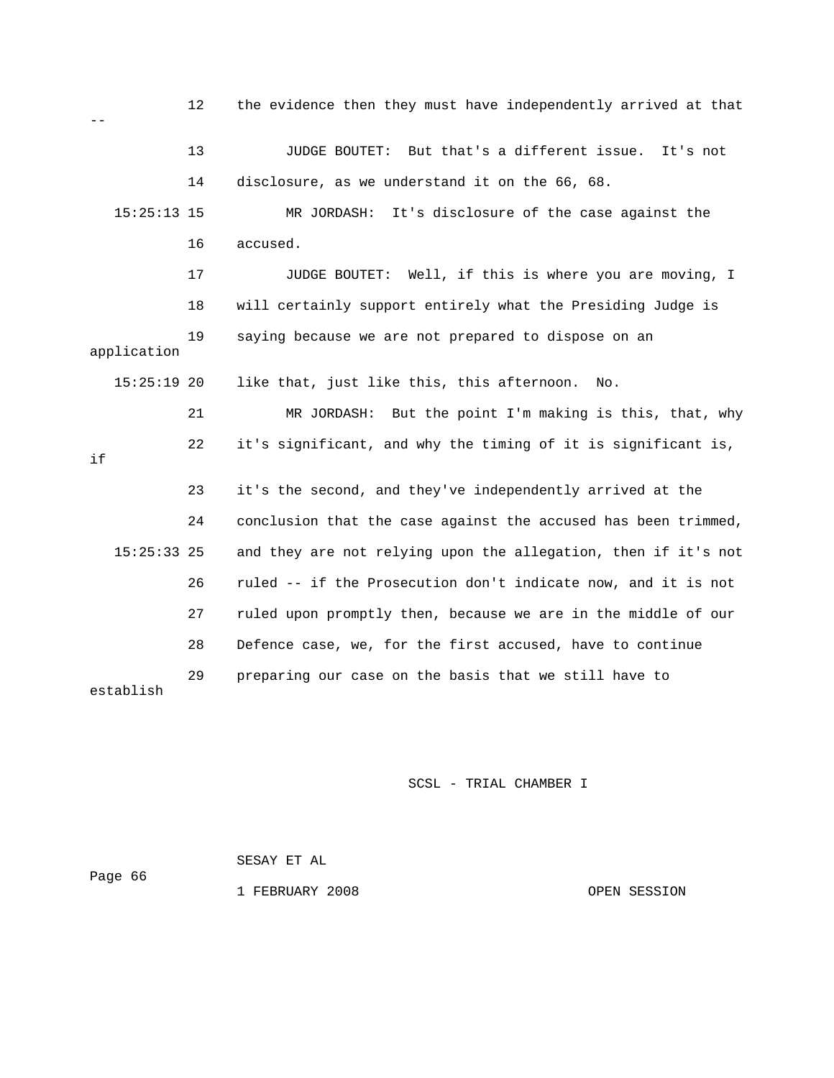|               | 12 | the evidence then they must have independently arrived at that |
|---------------|----|----------------------------------------------------------------|
|               |    |                                                                |
|               | 13 | JUDGE BOUTET: But that's a different issue. It's not           |
|               | 14 | disclosure, as we understand it on the 66, 68.                 |
| $15:25:13$ 15 |    | It's disclosure of the case against the<br>MR JORDASH:         |
|               | 16 | accused.                                                       |
|               | 17 | JUDGE BOUTET: Well, if this is where you are moving, I         |
|               | 18 | will certainly support entirely what the Presiding Judge is    |
| application   | 19 | saying because we are not prepared to dispose on an            |
| $15:25:19$ 20 |    | like that, just like this, this afternoon.<br>No.              |
|               | 21 | MR JORDASH:<br>But the point I'm making is this, that, why     |
| if            | 22 | it's significant, and why the timing of it is significant is,  |
|               | 23 | it's the second, and they've independently arrived at the      |
|               |    |                                                                |
|               | 24 | conclusion that the case against the accused has been trimmed, |
| $15:25:33$ 25 |    | and they are not relying upon the allegation, then if it's not |
|               | 26 | ruled -- if the Prosecution don't indicate now, and it is not  |
|               | 27 | ruled upon promptly then, because we are in the middle of our  |
|               | 28 | Defence case, we, for the first accused, have to continue      |

 SESAY ET AL Page 66

1 FEBRUARY 2008 CPEN SESSION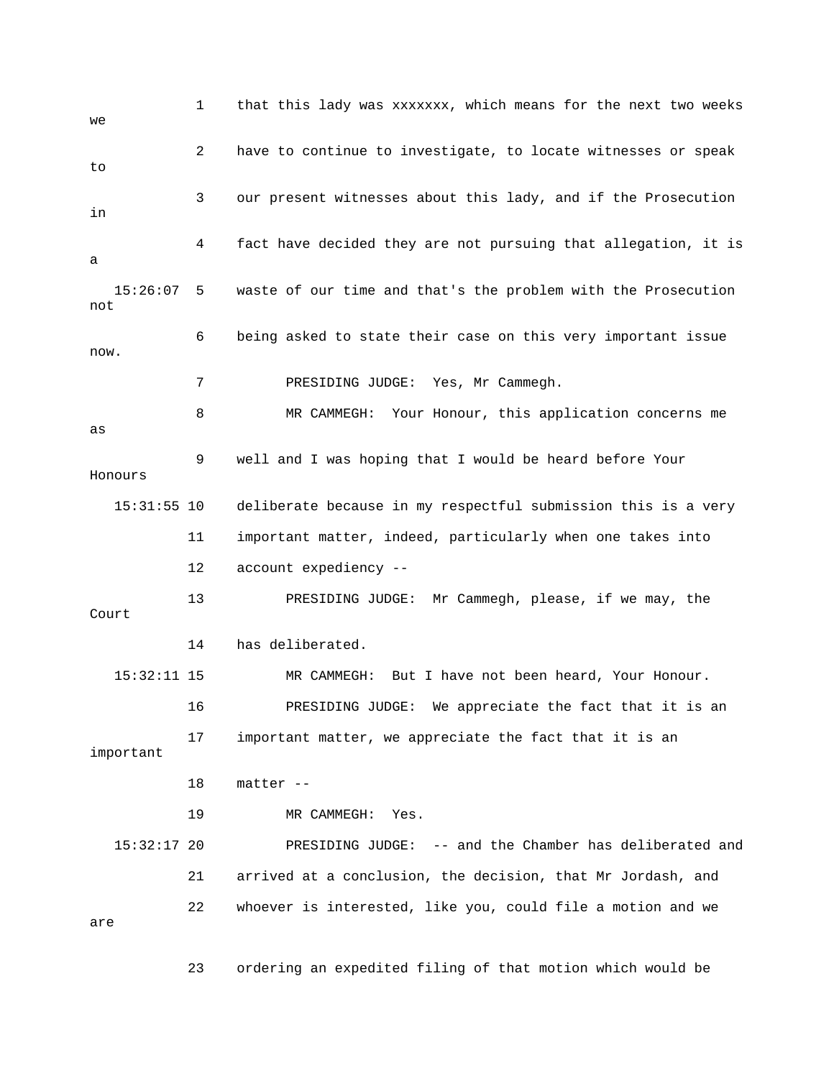1 that this lady was xxxxxxx, which means for the next two weeks 2 have to continue to investigate, to locate witnesses or speak 3 our present witnesses about this lady, and if the Prosecution 4 fact have decided they are not pursuing that allegation, it is 15:26:07 5 waste of our time and that's the problem with the Prosecution 6 being asked to state their case on this very important issue 7 PRESIDING JUDGE: Yes, Mr Cammegh. 8 MR CAMMEGH: Your Honour, this application concerns me 9 well and I was hoping that I would be heard before Your Honours deliberate because in my respectful submission this is a very 12 account expediency -- 13 PRESIDING JUDGE: Mr Cammegh, please, if we may, the 14 has deliberated. 15:32:11 15 MR CAMMEGH: But I have not been heard, Your Honour. important 18 matter -- 15:32:17 20 PRESIDING JUDGE: -- and the Chamber has deliberated and 21 arrived at a conclusion, the decision, that Mr Jordash, and we to in a not now. as  $15:31:55$  10 11 important matter, indeed, particularly when one takes into Court 16 PRESIDING JUDGE: We appreciate the fact that it is an 17 important matter, we appreciate the fact that it is an 19 MR CAMMEGH: Yes. 22 whoever is interested, like you, could file a motion and we are

23 ordering an expedited filing of that motion which would be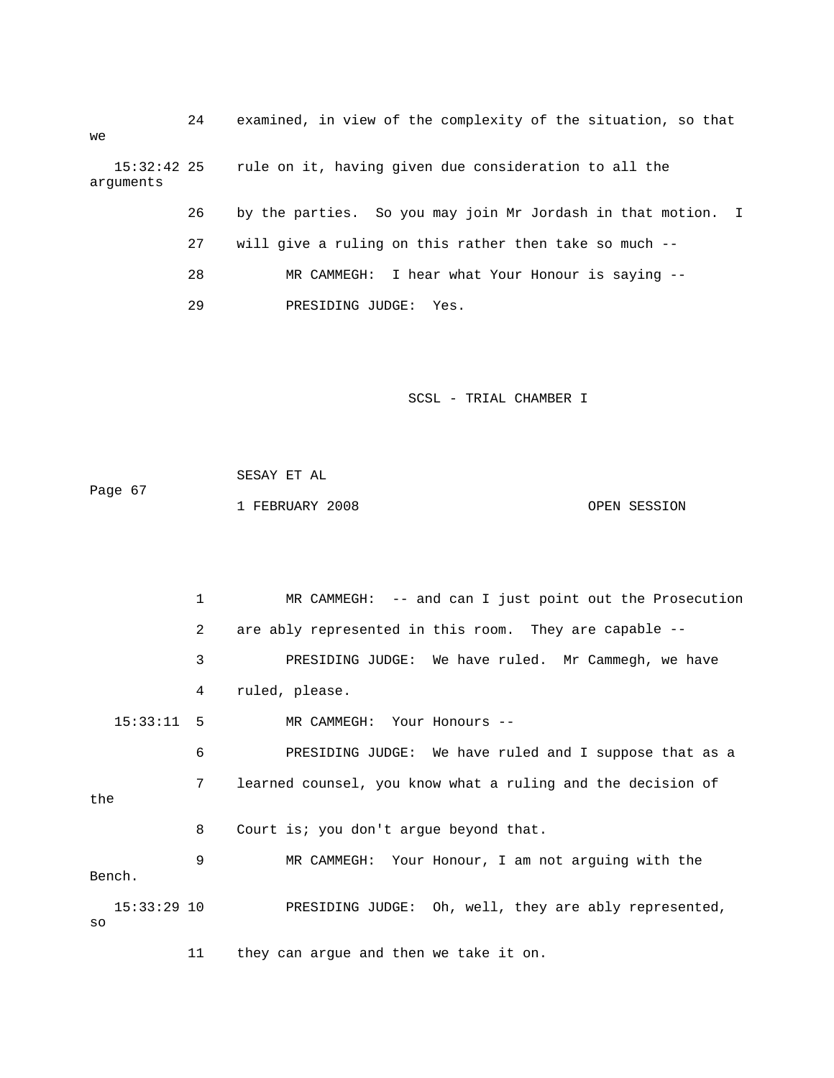24 examined, in view of the complexity of the situation, so that 26 by the parties. So you may join Mr Jordash in that motion. I 28 MR CAMMEGH: I hear what Your Honour is saying - we 15:32:42 25 rule on it, having given due consideration to all the arguments 27 will give a ruling on this rather then take so much -- 29 PRESIDING JUDGE: Yes.

SCSL - TRIAL CHAMBER I

 SESAY ET AL 1 FEBRUARY 2008 OPEN SESSION Page 67

 1 MR CAMMEGH: -- and can I just point out the Prosecution 2 are ably represented in this room. They are capable -- 3 PRESIDING JUDGE: We have ruled. Mr Cammegh, we have 6 PRESIDING JUDGE: We have ruled and I suppose that as a 7 learned counsel, you know what a ruling and the decision of the 8 Court is; you don't argue beyond that. e 9 MR CAMMEGH: Your Honour, I am not arguing with th PRESIDING JUDGE: Oh, well, they are ably represented, 11 they can argue and then we take it on. 4 ruled, please. 15:33:11 5 MR CAMMEGH: Your Honours -- Bench.  $15:33:29$  10 so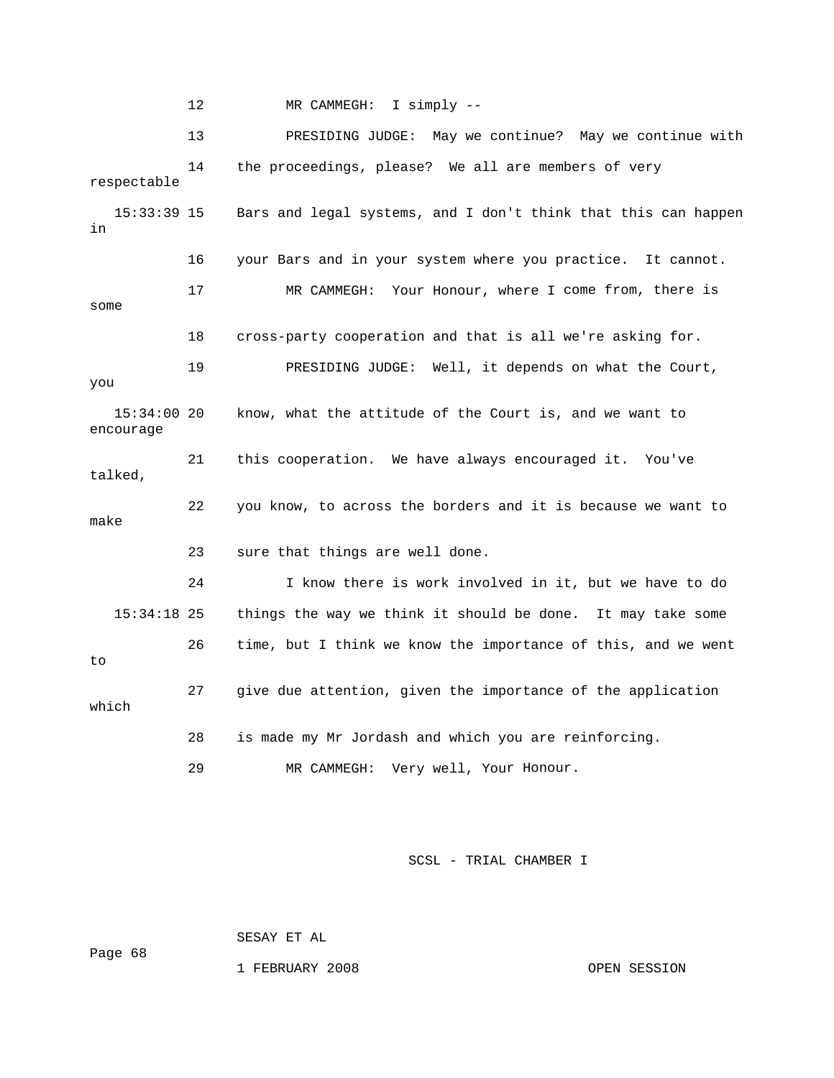12 MR CAMMEGH: I simply -- 13 PRESIDING JUDGE: May we continue? May we continue with 14 the proceedings, please? We all are members of very respectable Bars and legal systems, and I don't think that this can happen 16 your Bars and in your system where you practice. It cannot. 17 MR CAMMEGH: Your Honour, where I come from, there is 18 cross-party cooperation and that is all we're asking for. 19 PRESIDING JUDGE: Well, it depends on what the Court, 15:34:00 20 know, what the attitude of the Court is, and we want to 21 this cooperation. We have always encouraged it. You've 15:34:18 25 things the way we think it should be done. It may take some 26 time, but I think we know the importance of this, and we went 27 give due attention, given the importance of the application which 28 is made my Mr Jordash and which you are reinforcing. 29 MR CAMMEGH: Very well, Your Honour. 15:33:39 15 in some you encourage talked, 22 you know, to across the borders and it is because we want to make 23 sure that things are well done. 24 I know there is work involved in it, but we have to do to

SCSL - TRIAL CHAMBER I

SESAY ET AL

Page 68

1 FEBRUARY 2008 OPEN SESSION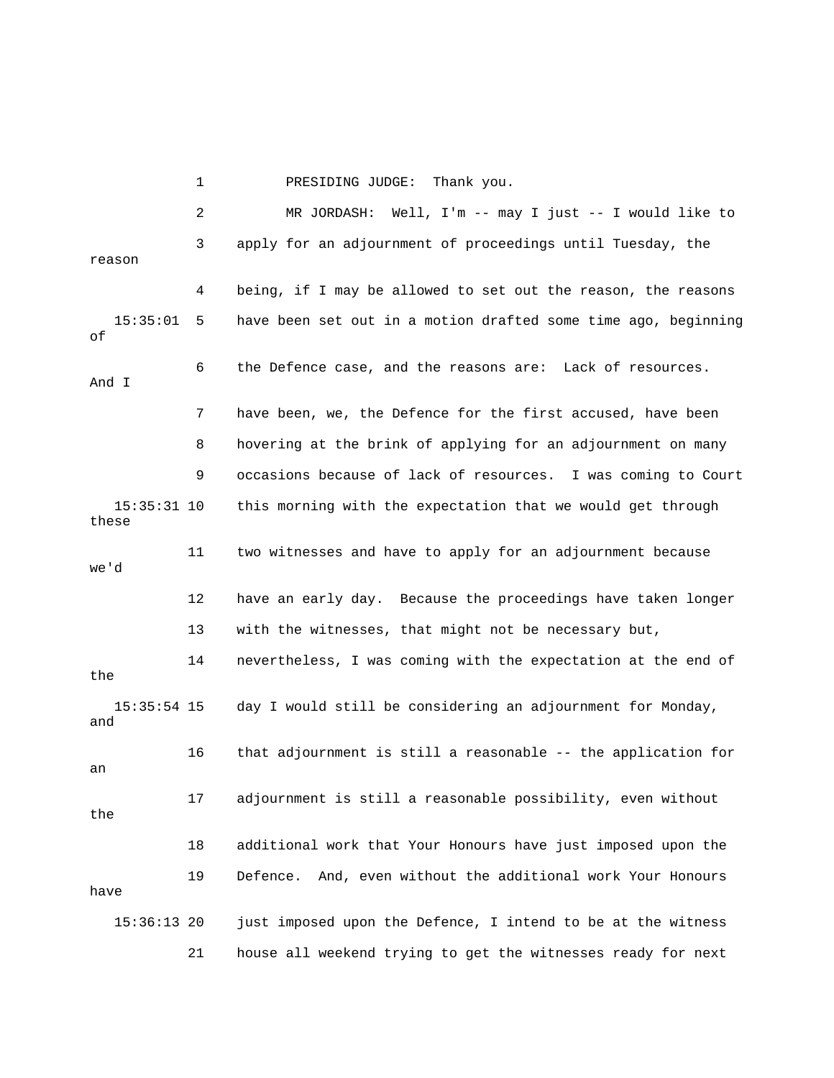1 PRESIDING JUDGE: Thank you. 2 MR JORDASH: Well, I'm -- may I just -- I would like to 3 apply for an adjournment of proceedings until Tuesday, the 4 being, if I may be allowed to set out the reason, the reasons 15:35:01 5 have been set out in a motion drafted some time ago, beginning 6 the Defence case, and the reasons are: Lack of resources. And I 7 have been, we, the Defence for the first accused, have been 8 bovering at the brink of applying for an adjournment on many 9 occasions because of lack of resources. I was coming to Court these 11 two witnesses and have to apply for an adjournment because 'd we 12 have an early day. Because the proceedings have taken longer 15:35:54 15 day I would still be considering an adjournment for Monday, 16 that adjournment is still a reasonable -- the application for 17 adjournment is still a reasonable possibility, even without 18 additional work that Your Honours have just imposed upon the 21 house all weekend trying to get the witnesses ready for next reason of 15:35:31 10 this morning with the expectation that we would get through 13 with the witnesses, that might not be necessary but, 14 nevertheless, I was coming with the expectation at the end of the and an the 19 Defence. And, even without the additional work Your Honours have 15:36:13 20 just imposed upon the Defence, I intend to be at the witness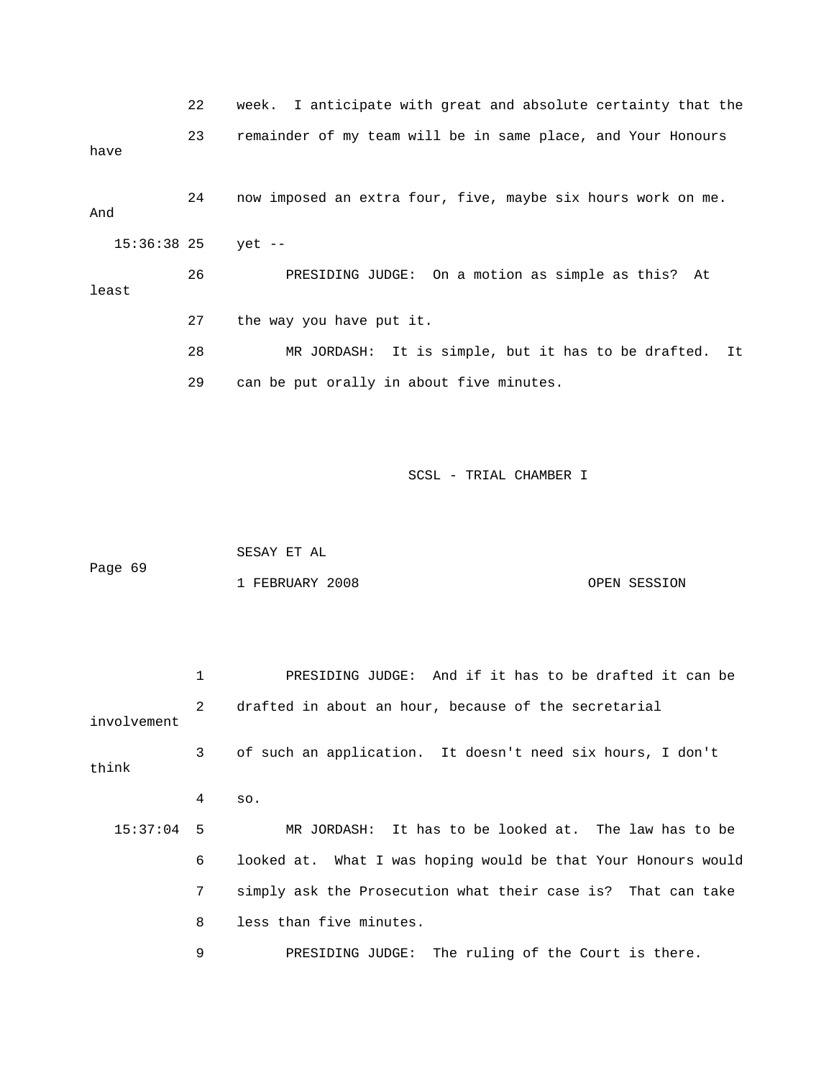22 week. I anticipate with great and absolute certainty that the 23 remainder of my team will be in same place, and Your Honours 36:38 25 yet -- 15: least 27 the way you have put it. 28 MR JORDASH: It is simple, but it has to be drafted. It 29 can be put orally in about five minutes. have 24 now imposed an extra four, five, maybe six hours work on me. And 26 PRESIDING JUDGE: On a motion as simple as this? At

SCSL - TRIAL CHAMBER I

|         | SESAY ET AL     |              |
|---------|-----------------|--------------|
| Page 69 |                 |              |
|         | 1 FEBRUARY 2008 | OPEN SESSION |

 1 PRESIDING JUDGE: And if it has to be drafted it can be 2 drafted in about an hour, because of the secretarial 3 of such an application. It doesn't need six hours, I don't think 4 so. 15:37:04 5 MR JORDASH: It has to be looked at. The law has to be 6 looked at. What I was hoping would be that Your Honours would 7 simply ask the Prosecution what their case is? That can take 9 PRESIDING JUDGE: The ruling of the Court is there. involvement 8 less than five minutes.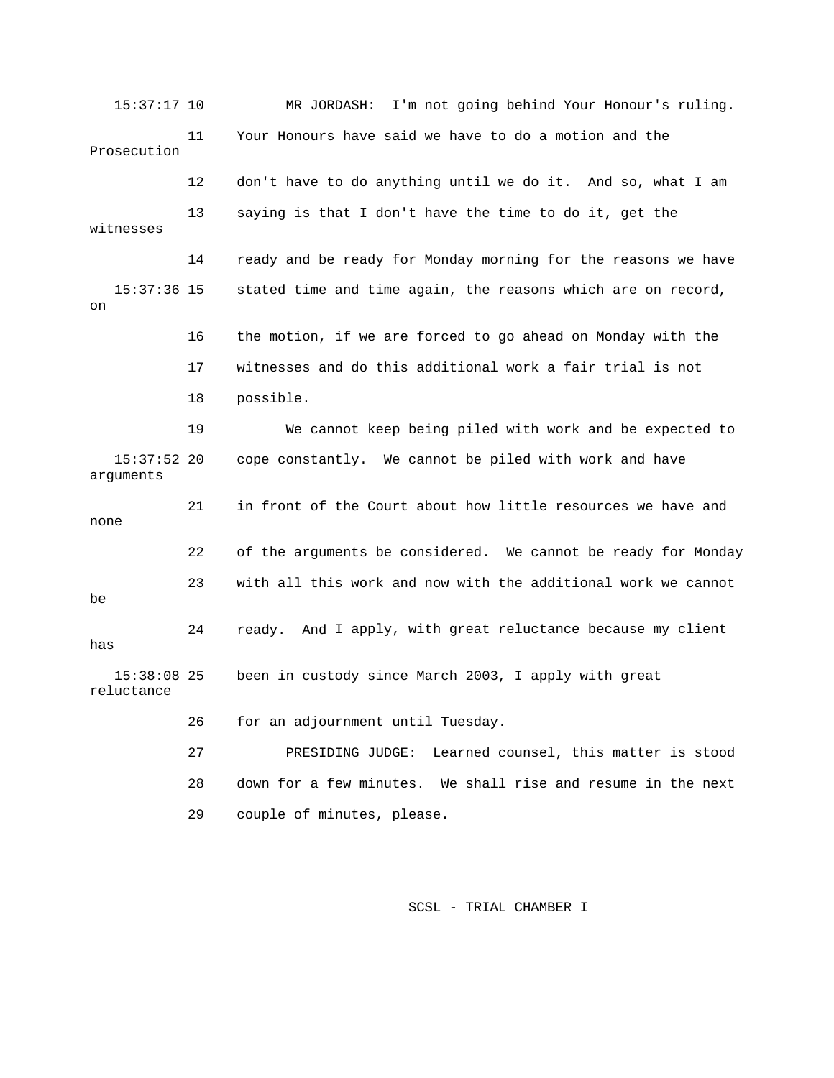15:37:17 10 MR JORDASH: I'm not going behind Your Honour's ruling. 11 Your Honours have said we have to do a motion and the witnesses 14 ready and be ready for Monday morning for the reasons we have 15:37:36 15 stated time and time again, the reasons which are on record, 17 witnesses and do this additional work a fair trial is not 19 We cannot keep being piled with work and be expected to cope constantly. We cannot be piled with work and have arguments 21 in front of the Court about how little resources we have and 22 of the arguments be considered. We cannot be ready for Monday 23 with all this work and now with the additional work we cannot 24 ready. And I apply, with great reluctance because my client has 26 for an adjournment until Tuesday. 27 PRESIDING JUDGE: Learned counsel, this matter is stood Prosecution 12 don't have to do anything until we do it. And so, what I am 13 saying is that I don't have the time to do it, get the on 16 the motion, if we are forced to go ahead on Monday with the 18 possible. 15:37:52 none be 15:38:08 25 been in custody since March 2003, I apply with great reluctance 28 down for a few minutes. We shall rise and resume in the next 29 couple of minutes, please.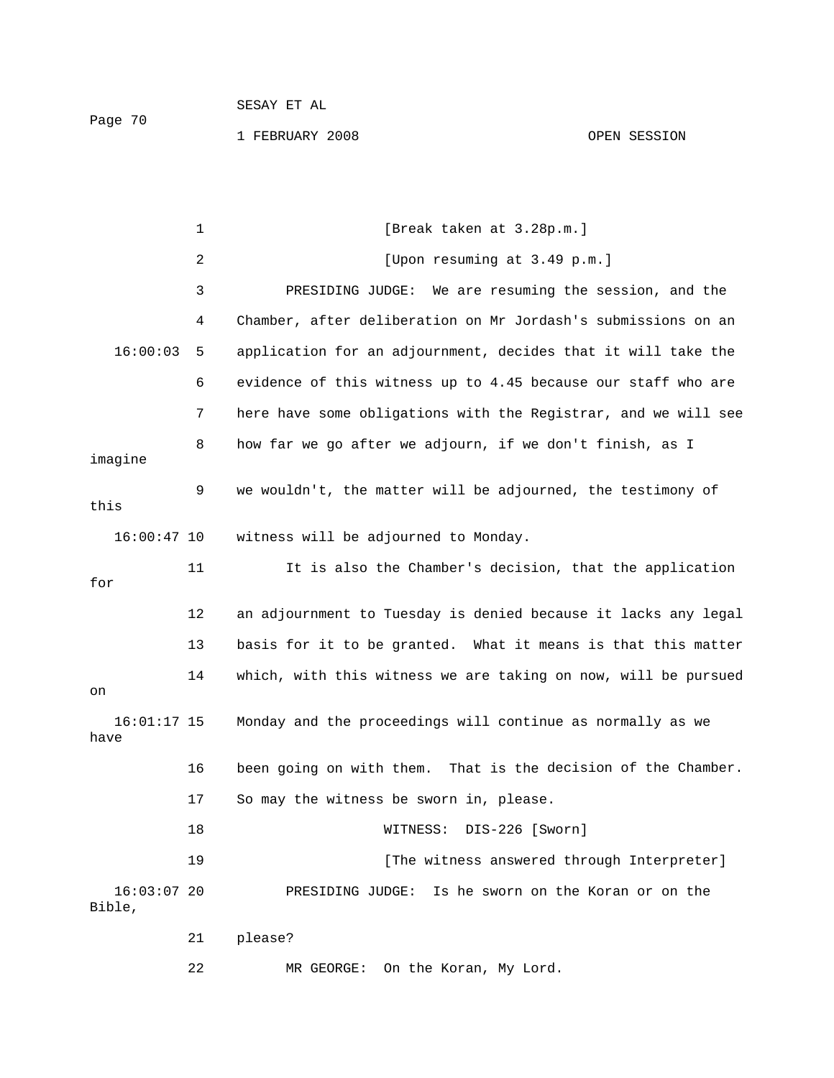1 FEBRUARY 2008 OPEN SESSION

|                         | $\mathbf{1}$ | [Break taken at 3.28p.m.]                                      |
|-------------------------|--------------|----------------------------------------------------------------|
|                         | 2            | [Upon resuming at 3.49 p.m.]                                   |
|                         | 3            | PRESIDING JUDGE: We are resuming the session, and the          |
|                         | 4            | Chamber, after deliberation on Mr Jordash's submissions on an  |
| 16:00:03                | 5            | application for an adjournment, decides that it will take the  |
|                         | 6            | evidence of this witness up to 4.45 because our staff who are  |
|                         | 7            | here have some obligations with the Registrar, and we will see |
| imagine                 | 8            | how far we go after we adjourn, if we don't finish, as I       |
| this                    | 9            | we wouldn't, the matter will be adjourned, the testimony of    |
| $16:00:47$ 10           |              | witness will be adjourned to Monday.                           |
| for                     | 11           | It is also the Chamber's decision, that the application        |
|                         | 12           | an adjournment to Tuesday is denied because it lacks any legal |
|                         | 13           | basis for it to be granted. What it means is that this matter  |
| on                      | 14           | which, with this witness we are taking on now, will be pursued |
| $16:01:17$ 15<br>have   |              | Monday and the proceedings will continue as normally as we     |
|                         | 16           | been going on with them. That is the decision of the Chamber.  |
|                         | 17           | So may the witness be sworn in, please.                        |
|                         | 18           | WITNESS: DIS-226 [Sworn]                                       |
|                         | 19           | [The witness answered through Interpreter]                     |
| $16:03:07$ 20<br>Bible, |              | PRESIDING JUDGE: Is he sworn on the Koran or on the            |
|                         | 21           | please?                                                        |

22 MR GEORGE: On the Koran, My Lord.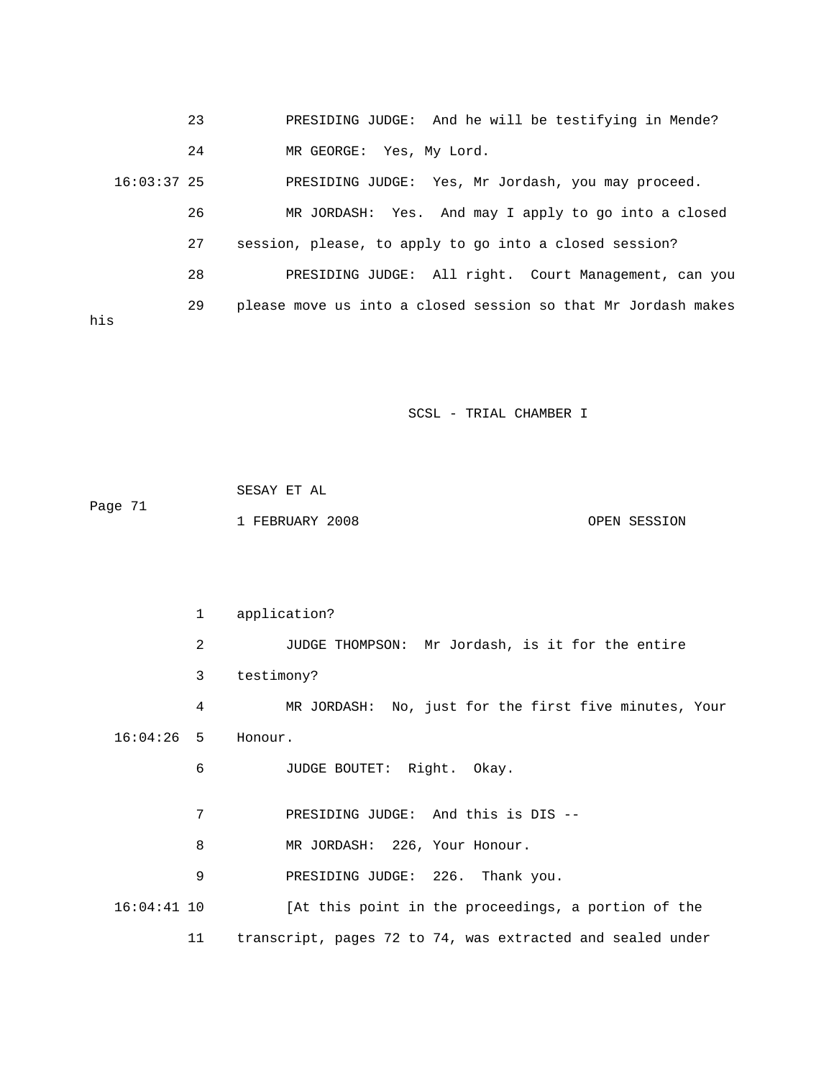23 PRESIDING JUDGE: And he will be testifying in Mende? 24 MR GEORGE: Yes, My Lord. 16:03:37 25 PRESIDING JUDGE: Yes, Mr Jordash, you may proceed. 28 PRESIDING JUDGE: All right. Court Management, can you 29 please move us into a closed session so that Mr Jordash makes 26 MR JORDASH: Yes. And may I apply to go into a closed 27 session, please, to apply to go into a closed session? his

SCSL - TRIAL CHAMBER I

|         | SESAY ET AL     |              |
|---------|-----------------|--------------|
| Page 71 |                 |              |
|         | 1 FEBRUARY 2008 | OPEN SESSION |

 1 application? 2 3 JUDGE THOMPSON: Mr Jordash, is it for the entire 3 testimony? 4 MR JORDASH: No, just for the first five minutes, Your Honour. 7 PRESIDING JUDGE: And this is DIS -- 8 MR JORDASH: 226, Your Honour. [At this point in the proceedings, a portion of the  $16:04:26$  5 6 JUDGE BOUTET: Right. Okay. 9 PRESIDING JUDGE: 226. Thank you.  $16:04:41$  10 11 transcript, pages 72 to 74, was extracted and sealed under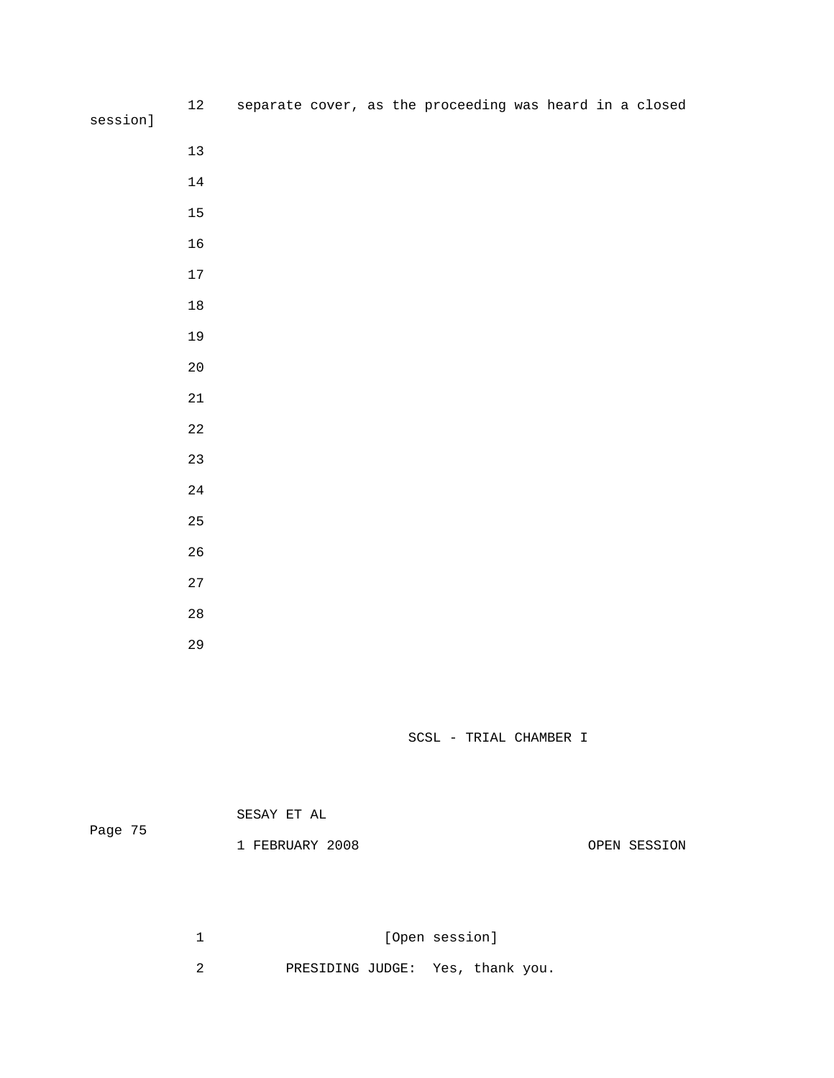| session] | $12\,$      |  |  | separate cover, as the proceeding was heard in a closed |  |  |
|----------|-------------|--|--|---------------------------------------------------------|--|--|
|          |             |  |  |                                                         |  |  |
|          | $13\,$      |  |  |                                                         |  |  |
|          | $14\,$      |  |  |                                                         |  |  |
|          | $15\,$      |  |  |                                                         |  |  |
|          | $16\,$      |  |  |                                                         |  |  |
|          | $17\,$      |  |  |                                                         |  |  |
|          | $18\,$      |  |  |                                                         |  |  |
|          | 19          |  |  |                                                         |  |  |
|          | $20\,$      |  |  |                                                         |  |  |
|          | $2\sqrt{1}$ |  |  |                                                         |  |  |
|          | $2\sqrt{2}$ |  |  |                                                         |  |  |
|          | 23          |  |  |                                                         |  |  |
|          | $2\sqrt{4}$ |  |  |                                                         |  |  |
|          | 25          |  |  |                                                         |  |  |
|          | $26\,$      |  |  |                                                         |  |  |
|          | $2\,7$      |  |  |                                                         |  |  |
|          | $2\,8$      |  |  |                                                         |  |  |

SCSL - TRIAL CHAMBER I

| Page 75 | SESAY ET AL     |              |
|---------|-----------------|--------------|
|         | 1 FEBRUARY 2008 | OPEN SESSION |

1 [Open session]

2 PRESIDING JUDGE: Yes, thank you.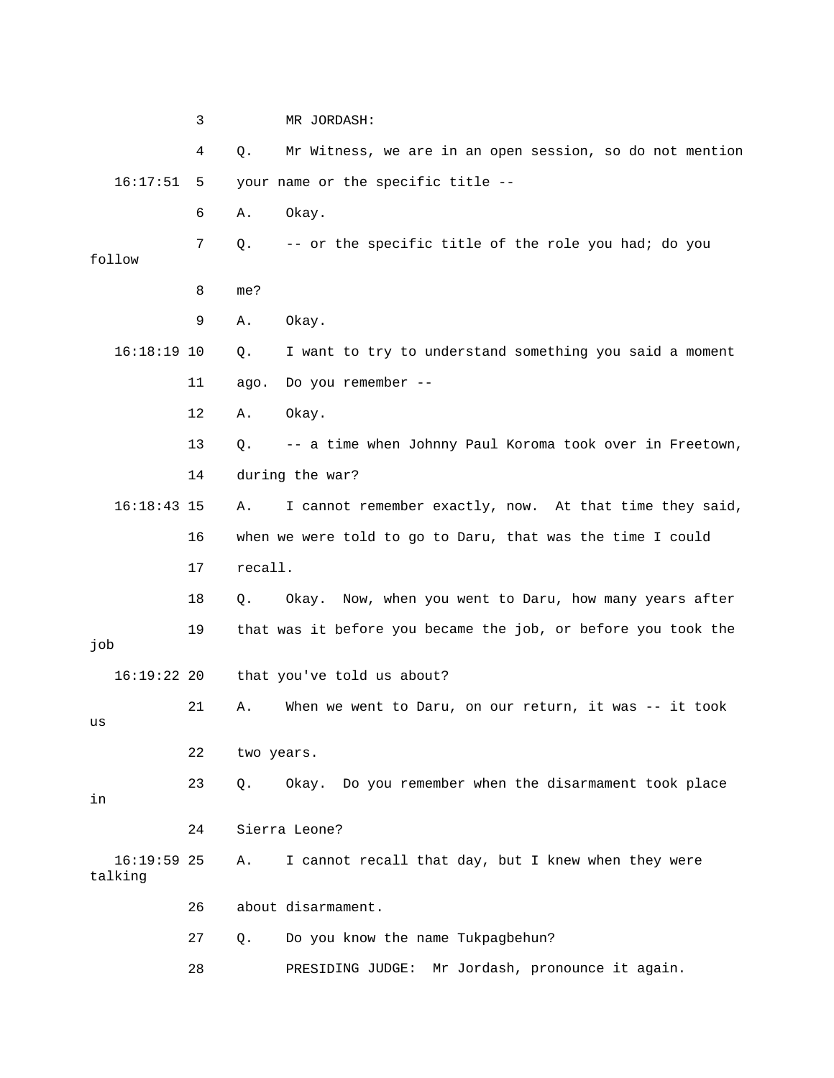|                          | 3  | MR JORDASH:                                                    |
|--------------------------|----|----------------------------------------------------------------|
|                          | 4  | Mr Witness, we are in an open session, so do not mention<br>Q. |
| 16:17:51                 | 5  | your name or the specific title --                             |
|                          | 6  | Okay.<br>Α.                                                    |
| follow                   | 7  | -- or the specific title of the role you had; do you<br>Q.     |
|                          | 8  | me?                                                            |
|                          | 9  | Okay.<br>Α.                                                    |
| $16:18:19$ 10            |    | I want to try to understand something you said a moment<br>Q.  |
|                          | 11 | Do you remember --<br>ago.                                     |
|                          | 12 | Okay.<br>Α.                                                    |
|                          | 13 | -- a time when Johnny Paul Koroma took over in Freetown,<br>Q. |
|                          | 14 | during the war?                                                |
| $16:18:43$ 15            |    | I cannot remember exactly, now. At that time they said,<br>Α.  |
|                          | 16 | when we were told to go to Daru, that was the time I could     |
|                          | 17 | recall.                                                        |
|                          | 18 | Okay. Now, when you went to Daru, how many years after<br>Q.   |
| job                      | 19 | that was it before you became the job, or before you took the  |
| $16:19:22$ 20            |    | that you've told us about?                                     |
| us                       | 21 | When we went to Daru, on our return, it was $-$ it took<br>Α.  |
|                          | 22 | two years.                                                     |
| in                       | 23 | Okay. Do you remember when the disarmament took place<br>Q.    |
|                          | 24 | Sierra Leone?                                                  |
| $16:19:59$ 25<br>talking |    | I cannot recall that day, but I knew when they were<br>Α.      |
|                          | 26 | about disarmament.                                             |
|                          | 27 | Do you know the name Tukpagbehun?<br>$Q$ .                     |
|                          | 28 | Mr Jordash, pronounce it again.<br>PRESIDING JUDGE:            |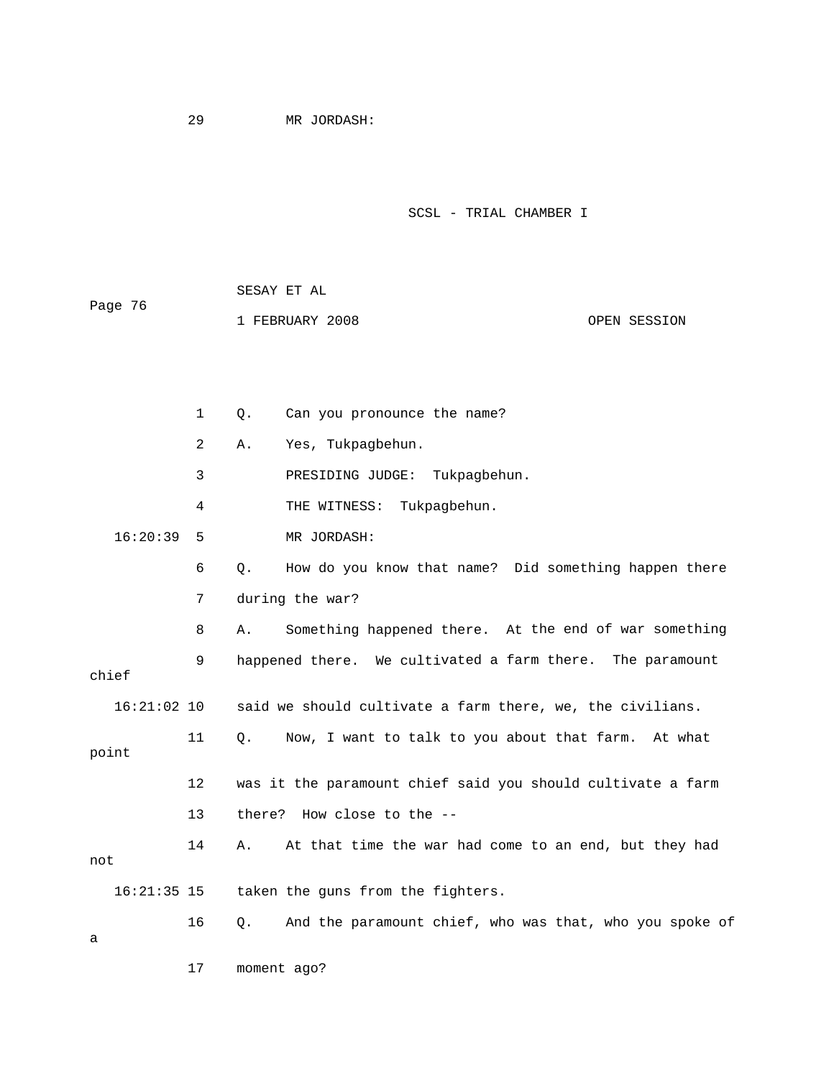17 moment ago?

```
 SCSL - TRIAL CHAMBER I
```

| Page 76 | SESAY ET AL     |  |              |  |  |  |
|---------|-----------------|--|--------------|--|--|--|
|         | 1 FEBRUARY 2008 |  | OPEN SESSION |  |  |  |

 1 Q. Can you pronounce the name? 2 A. Yes, Tukpagbehun. 3 PRESIDING JUDGE: Tukpagbehun. 6 Q. How do you know that name? Did something happen there 7 during the war? 8 A. Something happened there. At the end of war something 9 happened there. We cultivated a farm there. The paramount 16:21:02 10 said we should cultivate a farm there, we, the civilians. 11 Q. Now, I want to talk to you about that farm. At what 13 there? How close to the -taken the guns from the fighters. 16 Q. And the paramount chief, who was that, who you spoke of 4 THE WITNESS: Tukpagbehun. 16:20:39 5 MR JORDASH: chief point 12 was it the paramount chief said you should cultivate a farm 14 A. At that time the war had come to an end, but they had not  $16:21:35$  15 a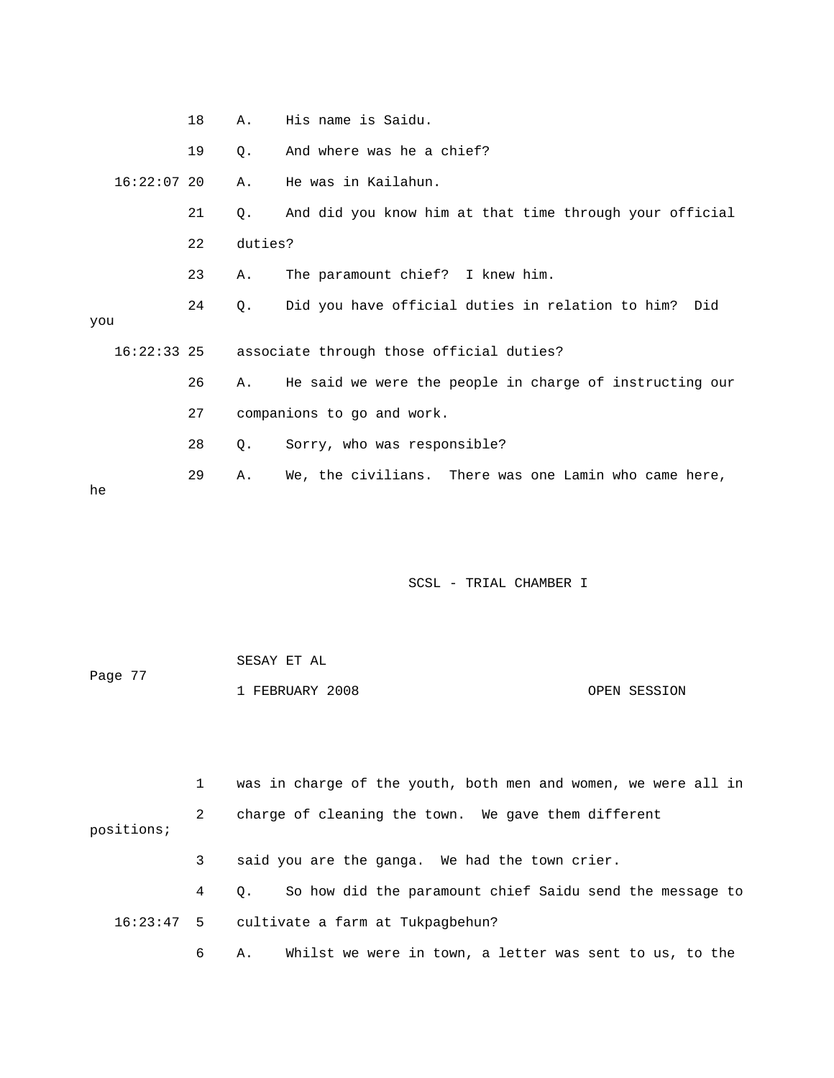| 18 | Α.            | His name is Saidu.                                      |
|----|---------------|---------------------------------------------------------|
| 19 | О.            | And where was he a chief?                               |
|    | Α.            | He was in Kailahun.                                     |
| 21 | Q.            | And did you know him at that time through your official |
| 22 |               |                                                         |
| 23 | Α.            | The paramount chief? I knew him.                        |
| 24 | Q.            | Did you have official duties in relation to him? Did    |
|    |               |                                                         |
|    |               | 16:22:33 25 associate through those official duties?    |
| 26 | Α.            | He said we were the people in charge of instructing our |
| 27 |               | companions to go and work.                              |
| 28 | О.            | Sorry, who was responsible?                             |
| 29 | Α.            | We, the civilians. There was one Lamin who came here,   |
|    | $16:22:07$ 20 | duties?                                                 |

| Page 77 | SESAY ET AL     |              |
|---------|-----------------|--------------|
|         | 1 FEBRUARY 2008 | OPEN SESSION |

 1 was in charge of the youth, both men and women, we were all in 2 charge of cleaning the town. We gave them different positions; 3 said you are the ganga. We had the town crier. 4 Q. So how did the paramount chief Saidu send the message to 16:23:47 5 cultivate a farm at Tukpagbehun? 6 A. Whilst we were in town, a letter was sent to us, to the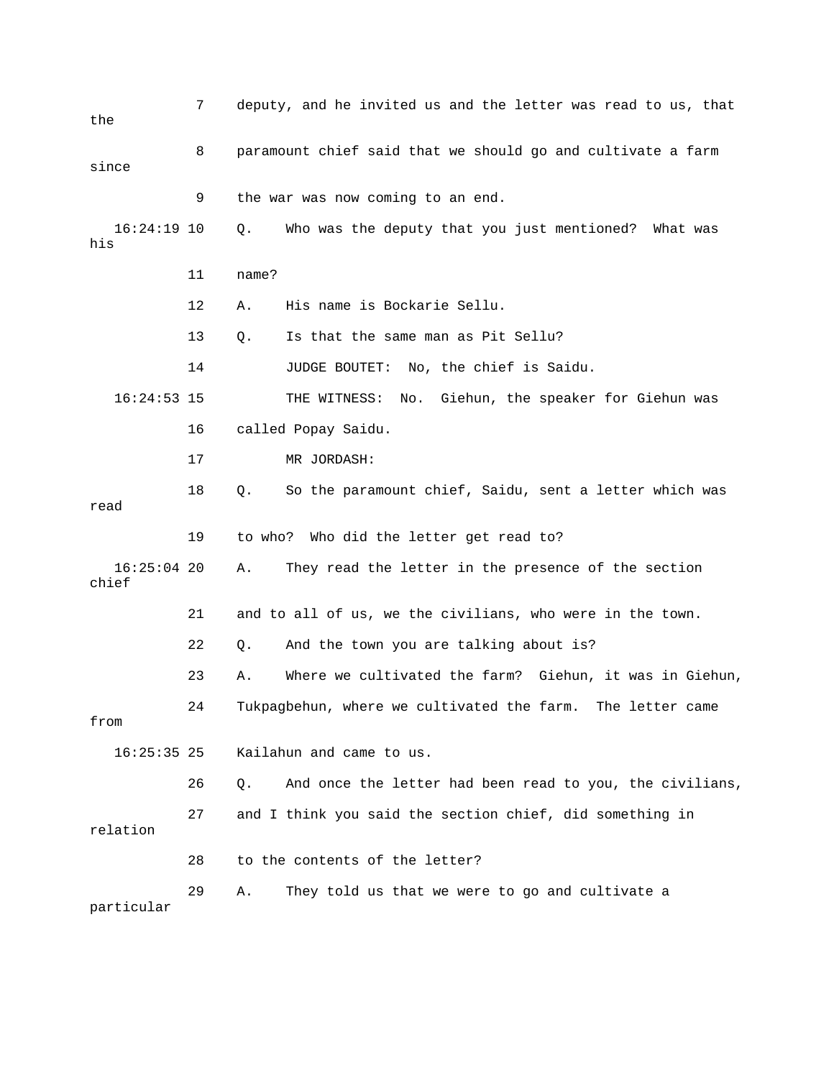| the                    | 7  | deputy, and he invited us and the letter was read to us, that  |
|------------------------|----|----------------------------------------------------------------|
| since                  | 8  | paramount chief said that we should go and cultivate a farm    |
|                        | 9  | the war was now coming to an end.                              |
| $16:24:19$ 10<br>his   |    | Who was the deputy that you just mentioned?<br>Q.<br>What was  |
|                        | 11 | name?                                                          |
|                        | 12 | His name is Bockarie Sellu.<br>Α.                              |
|                        | 13 | Is that the same man as Pit Sellu?<br>Q.                       |
|                        | 14 | JUDGE BOUTET:<br>No, the chief is Saidu.                       |
| $16:24:53$ 15          |    | THE WITNESS:<br>Giehun, the speaker for Giehun was<br>No.      |
|                        | 16 | called Popay Saidu.                                            |
|                        | 17 | MR JORDASH:                                                    |
| read                   | 18 | So the paramount chief, Saidu, sent a letter which was<br>Q.   |
|                        | 19 | to who? Who did the letter get read to?                        |
| $16:25:04$ 20<br>chief |    | They read the letter in the presence of the section<br>Α.      |
|                        | 21 | and to all of us, we the civilians, who were in the town.      |
|                        | 22 | And the town you are talking about is?<br>Q.                   |
|                        | 23 | Where we cultivated the farm? Giehun, it was in Giehun,<br>Α.  |
| from                   | 24 | Tukpagbehun, where we cultivated the farm.<br>The letter came  |
| $16:25:35$ 25          |    | Kailahun and came to us.                                       |
|                        | 26 | And once the letter had been read to you, the civilians,<br>Q. |
| relation               | 27 | and I think you said the section chief, did something in       |
|                        | 28 | to the contents of the letter?                                 |
| particular             | 29 | They told us that we were to go and cultivate a<br>Α.          |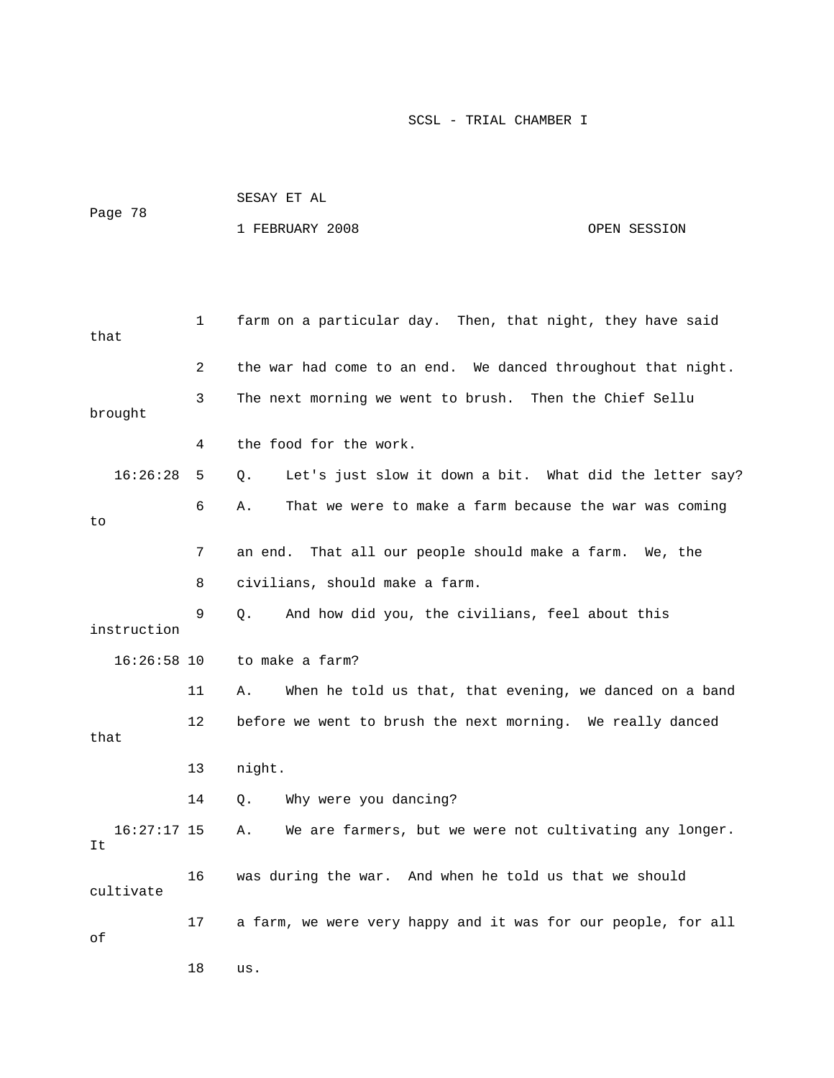| Page 78 | SESAY ET AL     |              |
|---------|-----------------|--------------|
|         | 1 FEBRUARY 2008 | OPEN SESSION |

| that                | 1  | farm on a particular day. Then, that night, they have said    |
|---------------------|----|---------------------------------------------------------------|
|                     | 2  | the war had come to an end. We danced throughout that night.  |
| brought             | 3  | The next morning we went to brush. Then the Chief Sellu       |
|                     | 4  | the food for the work.                                        |
| 16:26:28            | 5  | Let's just slow it down a bit. What did the letter say?<br>Q. |
| to                  | 6  | That we were to make a farm because the war was coming<br>Α.  |
|                     | 7  | That all our people should make a farm. We, the<br>an end.    |
|                     | 8  | civilians, should make a farm.                                |
| instruction         | 9  | And how did you, the civilians, feel about this<br>Q.         |
| $16:26:58$ 10       |    | to make a farm?                                               |
|                     |    |                                                               |
|                     | 11 | When he told us that, that evening, we danced on a band<br>Α. |
| that                | 12 | before we went to brush the next morning. We really danced    |
|                     | 13 | night.                                                        |
|                     | 14 | Why were you dancing?<br>Q.                                   |
| $16:27:17$ 15<br>It |    | We are farmers, but we were not cultivating any longer.<br>Α. |
| cultivate           | 16 | was during the war. And when he told us that we should        |
| оf                  | 17 | a farm, we were very happy and it was for our people, for all |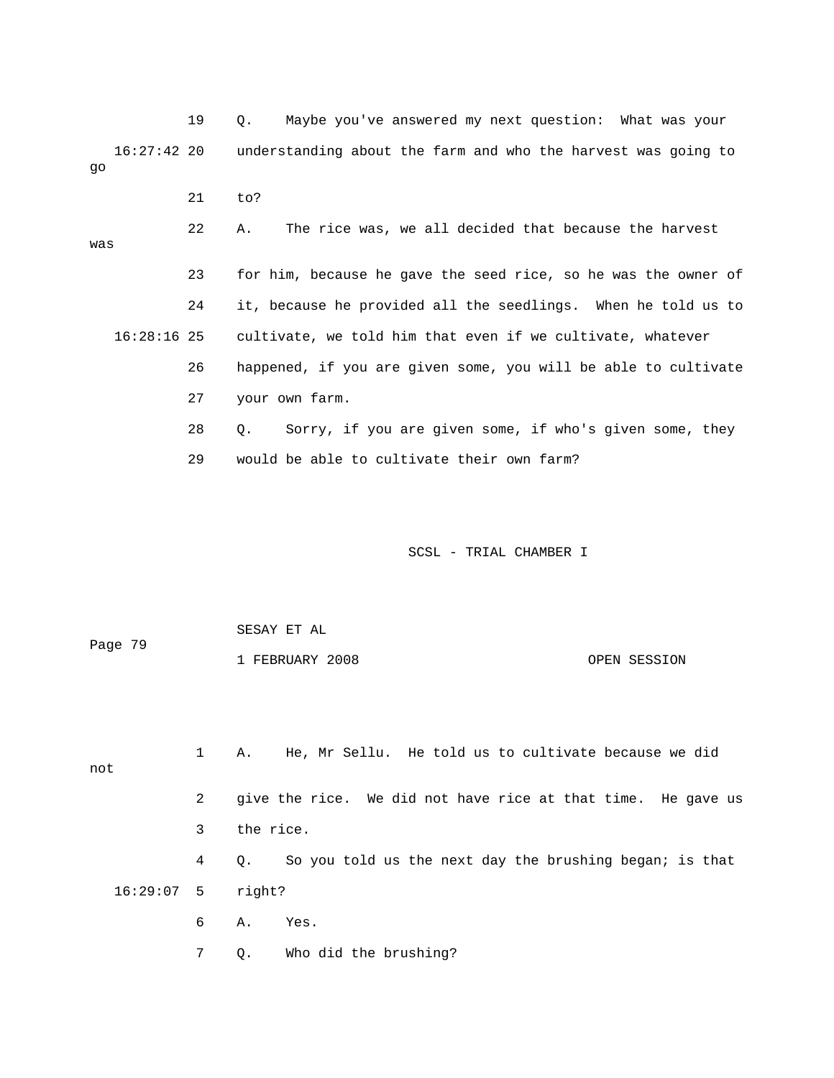19 Q. Maybe you've answered my next question: What was your 16:27:42 20 understanding about the farm and who the harvest was going to go

21 to?

 22 A. The rice was, we all decided that because the harvest was 23 for him, because he gave the seed rice, so he was the owner of 24 it, because he provided all the seedlings. When he told us to

16:28:16 25 cultivate, we told him that even if we cultivate, whatever

26 happened, if you are given some, you will be able to cultivate

27 your own farm.

 28 Q. Sorry, if you are given some, if who's given some, they 29 would be able to cultivate their own farm?

SCSL - TRIAL CHAMBER I

 1 FEBRUARY 2008 OPEN SESSION SESAY ET AL Page 79

 1 A. He, Mr Sellu. He told us to cultivate because we did 2 give the rice. We did not have rice at that time. He gave us 3 the rice. 4 Q. So you told us the next day the brushing began; is that 16:29:07 5 right? 6 A. Yes. not

7 Q. Who did the brushing?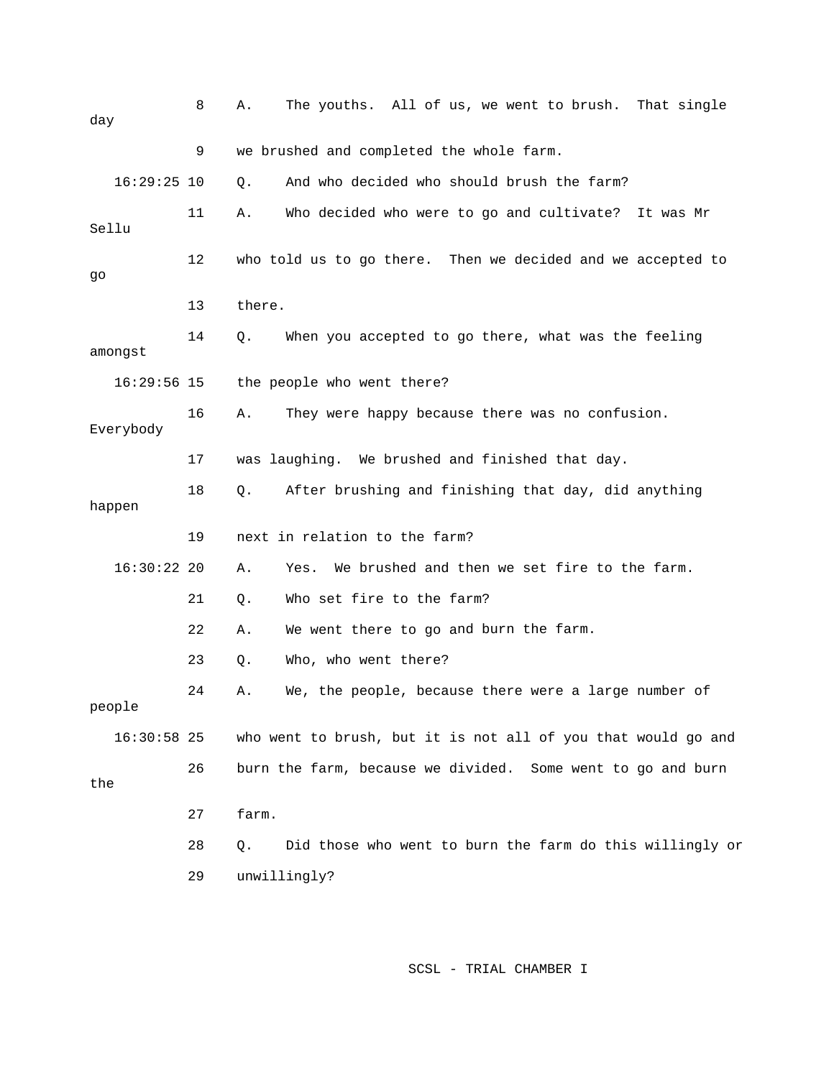| day           | 8  | The youths. All of us, we went to brush. That single<br>Α.     |
|---------------|----|----------------------------------------------------------------|
|               | 9  | we brushed and completed the whole farm.                       |
| $16:29:25$ 10 |    | And who decided who should brush the farm?<br>$Q$ .            |
| Sellu         | 11 | Who decided who were to go and cultivate?<br>Α.<br>It was Mr   |
| go            | 12 | who told us to go there. Then we decided and we accepted to    |
|               | 13 | there.                                                         |
| amongst       | 14 | When you accepted to go there, what was the feeling<br>Q.      |
| $16:29:56$ 15 |    | the people who went there?                                     |
| Everybody     | 16 | They were happy because there was no confusion.<br>Α.          |
|               | 17 | was laughing. We brushed and finished that day.                |
| happen        | 18 | After brushing and finishing that day, did anything<br>Q.      |
|               | 19 | next in relation to the farm?                                  |
| $16:30:22$ 20 |    | We brushed and then we set fire to the farm.<br>Α.<br>Yes.     |
|               | 21 | Who set fire to the farm?<br>Q.                                |
|               | 22 | We went there to go and burn the farm.<br>Α.                   |
|               | 23 | Who, who went there?<br>Q.                                     |
| people        | 24 | We, the people, because there were a large number of<br>Α.     |
| $16:30:58$ 25 |    | who went to brush, but it is not all of you that would go and  |
| the           | 26 | burn the farm, because we divided. Some went to go and burn    |
|               | 27 | farm.                                                          |
|               | 28 | Did those who went to burn the farm do this willingly or<br>Q. |
|               | 29 | unwillingly?                                                   |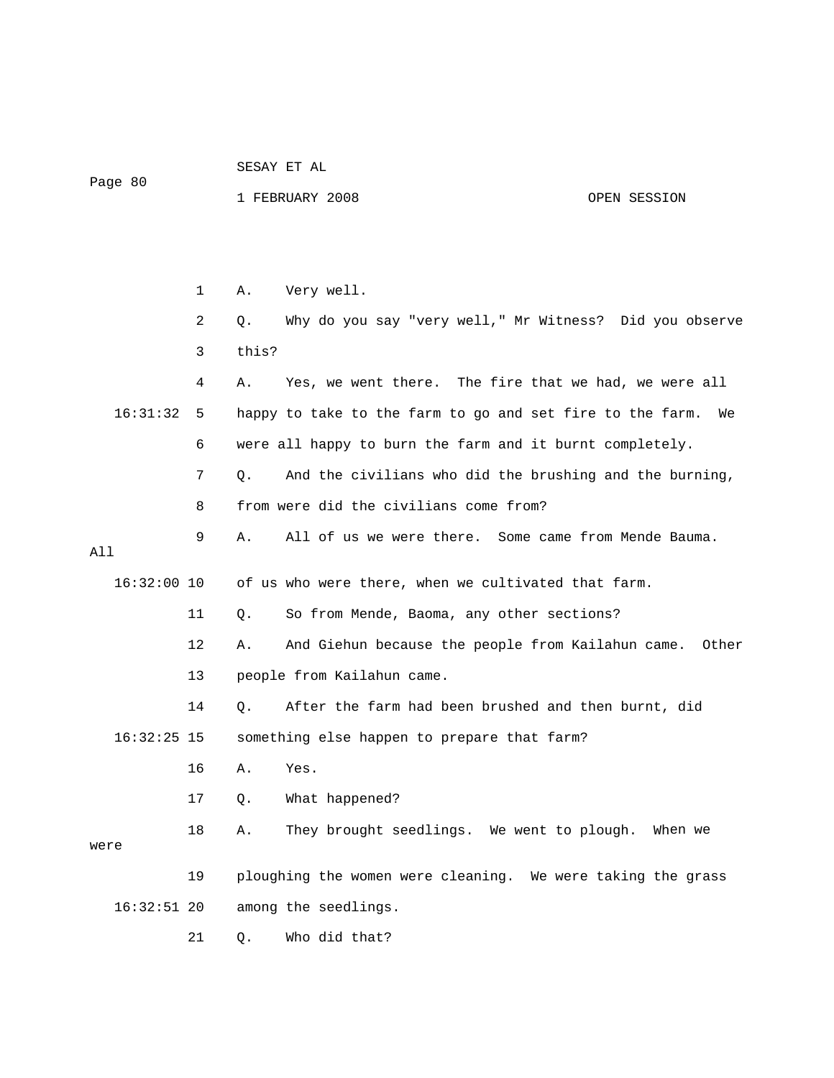| SESAY EI AL<br>$-$ |  |
|--------------------|--|
|                    |  |

Page 80

SESAY ET AL

## 1 FEBRUARY 2008 OPEN SESSION

 1 A. Very well. 2 Q. Why do you say "very well," Mr Witness? Did you observe 3 this? 4 A. Yes, we went there. The fire that we had, we were all happy to take to the farm to go and set fire to the farm. We 6 were all happy to burn the farm and it burnt completely. 7 Q. And the civilians who did the brushing and the burning, 8 from were did the civilians come from? 9 A. All of us we were there. Some came from Mende Bauma. 16:32:00 10 of us who were there, when we cultivated that farm. 11 Q. So from Mende, Baoma, any other sections? 12 A. And Giehun because the people from Kailahun came. Other 14 Q. After the farm had been brushed and then burnt, did 16:32:25 15 something else happen to prepare that farm? 17 Q. What happened? 18 A. They brought seedlings. We went to plough. When we were 19 ploughing the women were cleaning. We were taking the grass 21 Q. Who did that? 16:31: All 13 people from Kailahun came. 16 A. Yes. 16:32:51 20 among the seedlings.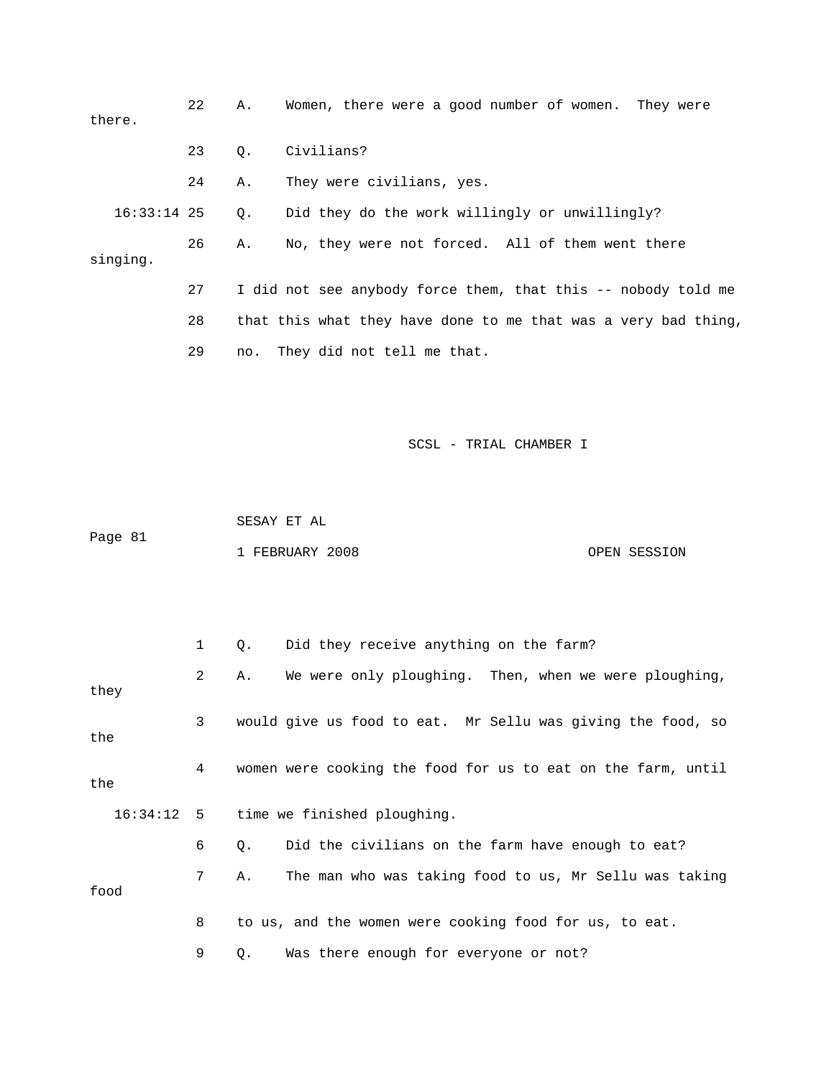| there.        | 22 | Α.  | Women, there were a good number of women. They were            |              |
|---------------|----|-----|----------------------------------------------------------------|--------------|
|               | 23 | Q.  | Civilians?                                                     |              |
|               | 24 | Α.  | They were civilians, yes.                                      |              |
| $16:33:14$ 25 |    | Q.  | Did they do the work willingly or unwillingly?                 |              |
| singing.      | 26 | Α.  | No, they were not forced. All of them went there               |              |
|               | 27 |     | I did not see anybody force them, that this -- nobody told me  |              |
|               | 28 |     | that this what they have done to me that was a very bad thing, |              |
|               | 29 | no. | They did not tell me that.                                     |              |
| Page 81       |    |     | SCSL - TRIAL CHAMBER I<br>SESAY ET AL<br>1 FEBRUARY 2008       | OPEN SESSION |
|               | 1  | Q.  | Did they receive anything on the farm?                         |              |
| they          | 2  | Α.  | We were only ploughing. Then, when we were ploughing,          |              |
| the           | 3  |     | would give us food to eat. Mr Sellu was giving the food, so    |              |
| the           | 4  |     | women were cooking the food for us to eat on the farm, until   |              |
| 16:34:12      | 5  |     | time we finished ploughing.                                    |              |
|               | 6  | Q.  | Did the civilians on the farm have enough to eat?              |              |

food

8 to us, and the women were cooking food for us, to eat.

7 A. The man who was taking food to us, Mr Sellu was taking

9 Q. Was there enough for everyone or not?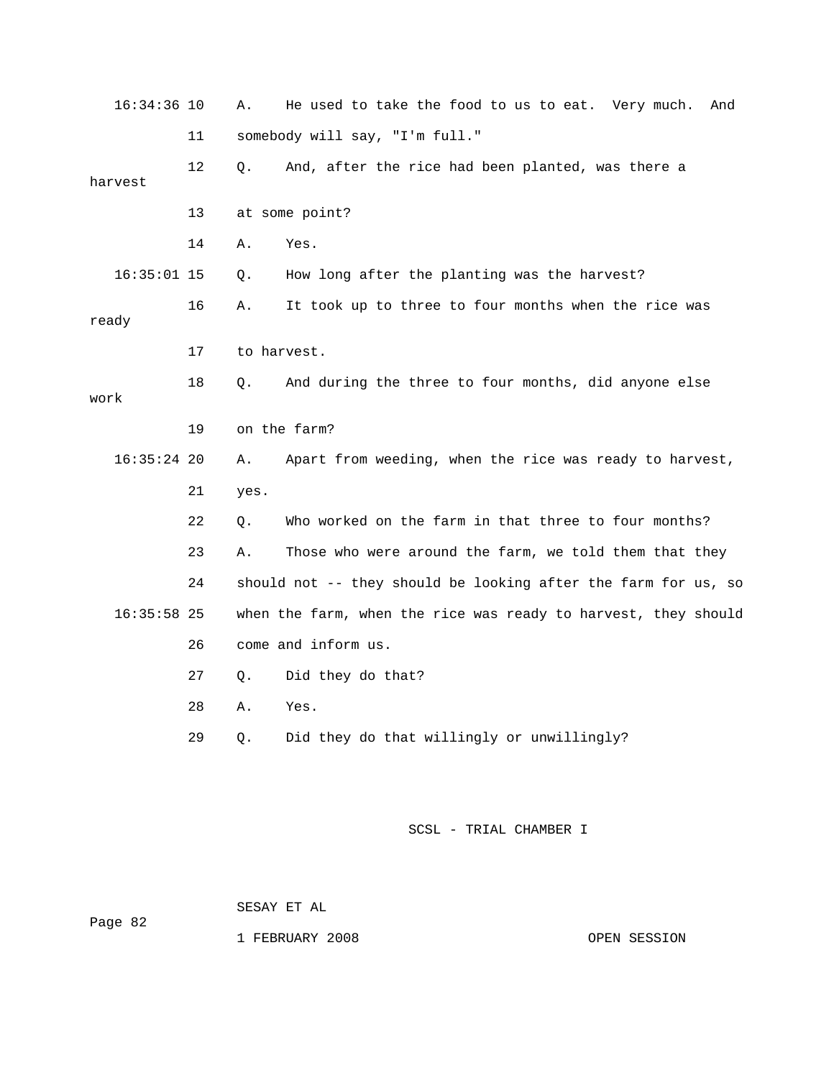| $16:34:36$ 10 |    | Α.          | He used to take the food to us to eat. Very much.<br>And       |
|---------------|----|-------------|----------------------------------------------------------------|
|               | 11 |             | somebody will say, "I'm full."                                 |
| harvest       | 12 | Q.          | And, after the rice had been planted, was there a              |
|               |    |             |                                                                |
|               | 13 |             | at some point?                                                 |
|               | 14 | Α.          | Yes.                                                           |
| $16:35:01$ 15 |    | Q.          | How long after the planting was the harvest?                   |
| ready         | 16 | Α.          | It took up to three to four months when the rice was           |
|               | 17 | to harvest. |                                                                |
| work          | 18 | Q.          | And during the three to four months, did anyone else           |
|               | 19 |             | on the farm?                                                   |
| $16:35:24$ 20 |    | Α.          | Apart from weeding, when the rice was ready to harvest,        |
|               | 21 | yes.        |                                                                |
|               | 22 | Q.          | Who worked on the farm in that three to four months?           |
|               | 23 | Α.          | Those who were around the farm, we told them that they         |
|               | 24 |             | should not -- they should be looking after the farm for us, so |
| $16:35:58$ 25 |    |             | when the farm, when the rice was ready to harvest, they should |
|               | 26 |             | come and inform us.                                            |
|               | 27 | Q.          | Did they do that?                                              |
|               | 28 | Α.          | Yes.                                                           |
|               | 29 | Q.          | Did they do that willingly or unwillingly?                     |
|               |    |             |                                                                |
|               |    |             |                                                                |
|               |    |             | SCSL - TRIAL CHAMBER I                                         |

SESAY ET AL

Page 82

1 FEBRUARY 2008

OPEN SESSION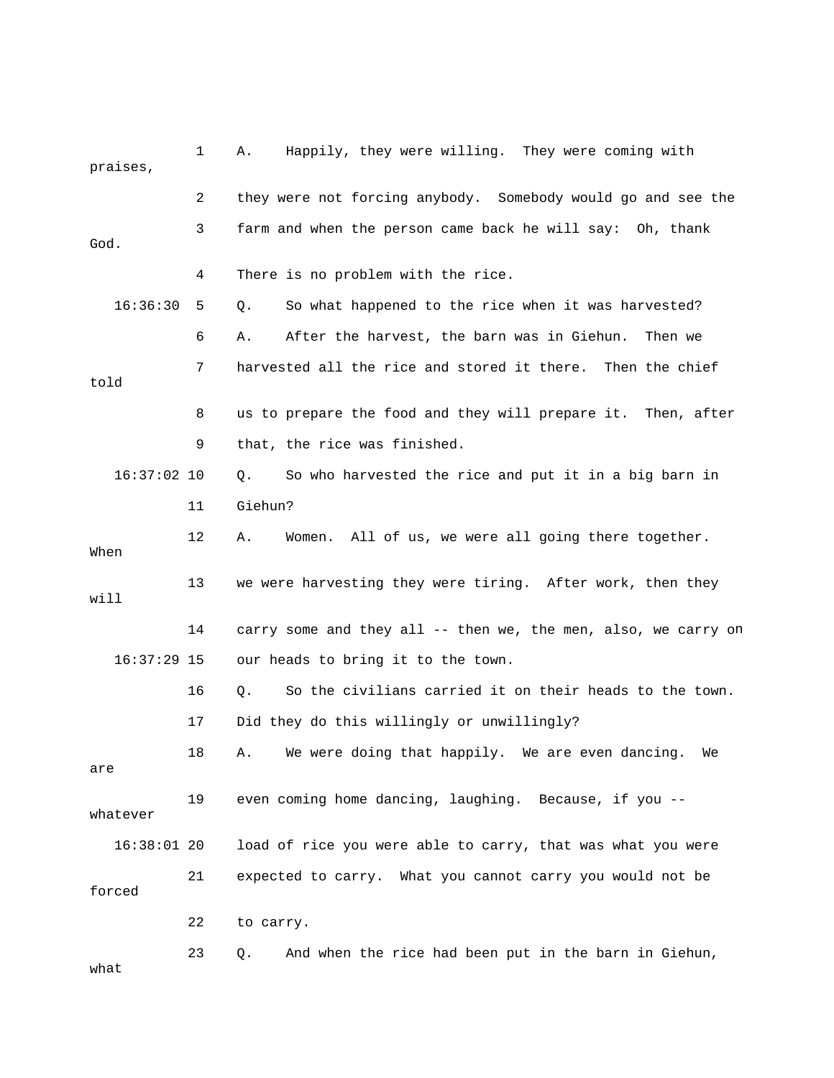| praises,      | 1  | Happily, they were willing. They were coming with<br>Α.        |
|---------------|----|----------------------------------------------------------------|
|               | 2  | they were not forcing anybody. Somebody would go and see the   |
| God.          | 3  | farm and when the person came back he will say: Oh, thank      |
|               | 4  | There is no problem with the rice.                             |
| 16:36:30      | 5  | So what happened to the rice when it was harvested?<br>Q.      |
|               | 6  | After the harvest, the barn was in Giehun.<br>Α.<br>Then we    |
| told          | 7  | harvested all the rice and stored it there. Then the chief     |
|               | 8  | us to prepare the food and they will prepare it. Then, after   |
|               | 9  | that, the rice was finished.                                   |
| $16:37:02$ 10 |    | So who harvested the rice and put it in a big barn in<br>Q.    |
|               | 11 | Giehun?                                                        |
| When          | 12 | Women. All of us, we were all going there together.<br>Α.      |
| will          | 13 | we were harvesting they were tiring. After work, then they     |
|               | 14 | carry some and they all -- then we, the men, also, we carry on |
| $16:37:29$ 15 |    | our heads to bring it to the town.                             |
|               | 16 | So the civilians carried it on their heads to the town.<br>Q.  |
|               | 17 | Did they do this willingly or unwillingly?                     |
| are           | 18 | We were doing that happily. We are even dancing.<br>Α.<br>We   |
| whatever      | 19 | even coming home dancing, laughing. Because, if you --         |
| $16:38:01$ 20 |    | load of rice you were able to carry, that was what you were    |
| forced        | 21 | expected to carry. What you cannot carry you would not be      |
|               | 22 | to carry.                                                      |
| what          | 23 | And when the rice had been put in the barn in Giehun,<br>Q.    |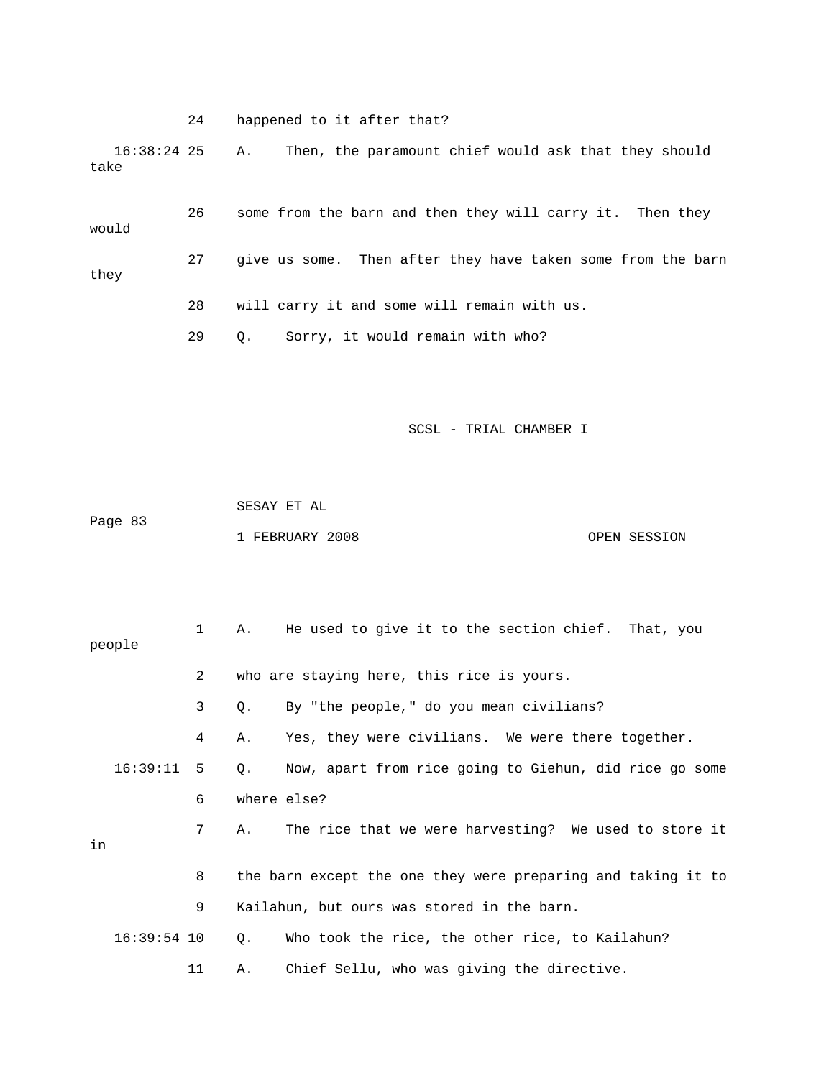24 happened to it after that?

 16:38:24 25 A. Then, the paramount chief would ask that they should take

 26 some from the barn and then they will carry it. Then they would 27 give us some. Then after they have taken some from the barn they 28 will carry it and some will remain with us. 29 Q. Sorry, it would remain with who?

|         | SESAY ET AL     |              |
|---------|-----------------|--------------|
| Page 83 |                 |              |
|         | 1 FEBRUARY 2008 | OPEN SESSION |

|    | people        | $\mathbf{1}$    |             | A. He used to give it to the section chief. That, you        |
|----|---------------|-----------------|-------------|--------------------------------------------------------------|
|    |               | $\overline{a}$  |             | who are staying here, this rice is yours.                    |
|    |               | 3               | Q.          | By "the people," do you mean civilians?                      |
|    |               | 4               | Α.          | Yes, they were civilians. We were there together.            |
|    | 16:39:11      | 5               | $Q_{\star}$ | Now, apart from rice going to Giehun, did rice go some       |
|    |               | 6               |             | where else?                                                  |
| in |               | $7\overline{ }$ | Α.          | The rice that we were harvesting? We used to store it        |
|    |               | 8               |             | the barn except the one they were preparing and taking it to |
|    |               | 9               |             | Kailahun, but ours was stored in the barn.                   |
|    | $16:39:54$ 10 |                 | О.          | Who took the rice, the other rice, to Kailahun?              |
|    |               | 11              | Α.          | Chief Sellu, who was giving the directive.                   |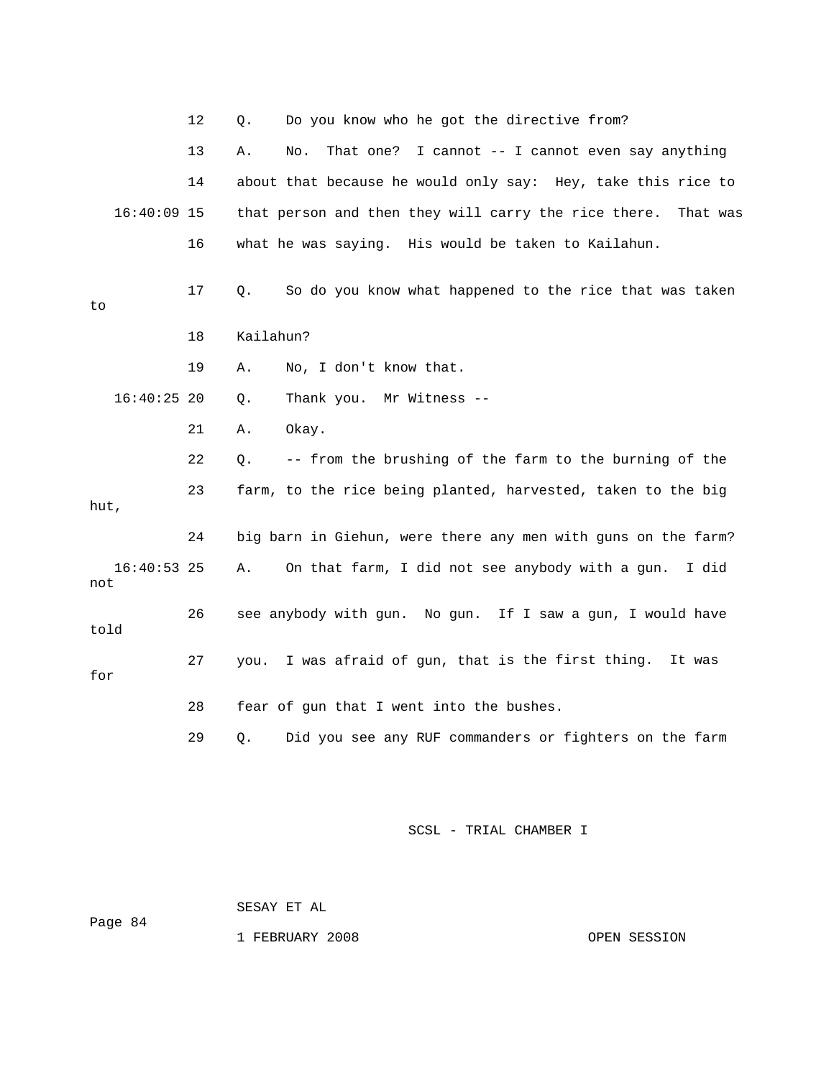|      |               | 12 | Q.        | Do you know who he got the directive from?                       |
|------|---------------|----|-----------|------------------------------------------------------------------|
|      |               | 13 | Α.        | That one?<br>I cannot -- I cannot even say anything<br>No.       |
|      |               | 14 |           | about that because he would only say: Hey, take this rice to     |
|      | 16:40:09 15   |    |           | that person and then they will carry the rice there.<br>That was |
|      |               | 16 |           | what he was saying. His would be taken to Kailahun.              |
| to   |               | 17 | Q.        | So do you know what happened to the rice that was taken          |
|      |               | 18 | Kailahun? |                                                                  |
|      |               | 19 | Α.        | No, I don't know that.                                           |
|      | $16:40:25$ 20 |    | Q.        | Thank you. Mr Witness --                                         |
|      |               | 21 | Α.        | Okay.                                                            |
|      |               | 22 | О.        | -- from the brushing of the farm to the burning of the           |
| hut, |               | 23 |           | farm, to the rice being planted, harvested, taken to the big     |
|      |               | 24 |           | big barn in Giehun, were there any men with guns on the farm?    |
| not  | $16:40:53$ 25 |    | Α.        | On that farm, I did not see anybody with a gun.<br>I did         |
| told |               | 26 |           | see anybody with gun. No gun. If I saw a gun, I would have       |
| for  |               | 27 | you.      | I was afraid of gun, that is the first thing. It was             |
|      |               | 28 |           | fear of gun that I went into the bushes.                         |
|      |               | 29 | $\circ$ . | Did you see any RUF commanders or fighters on the farm           |
|      |               |    |           |                                                                  |

 SESAY ET AL Page 84

1 FEBRUARY 2008 OPEN SESSION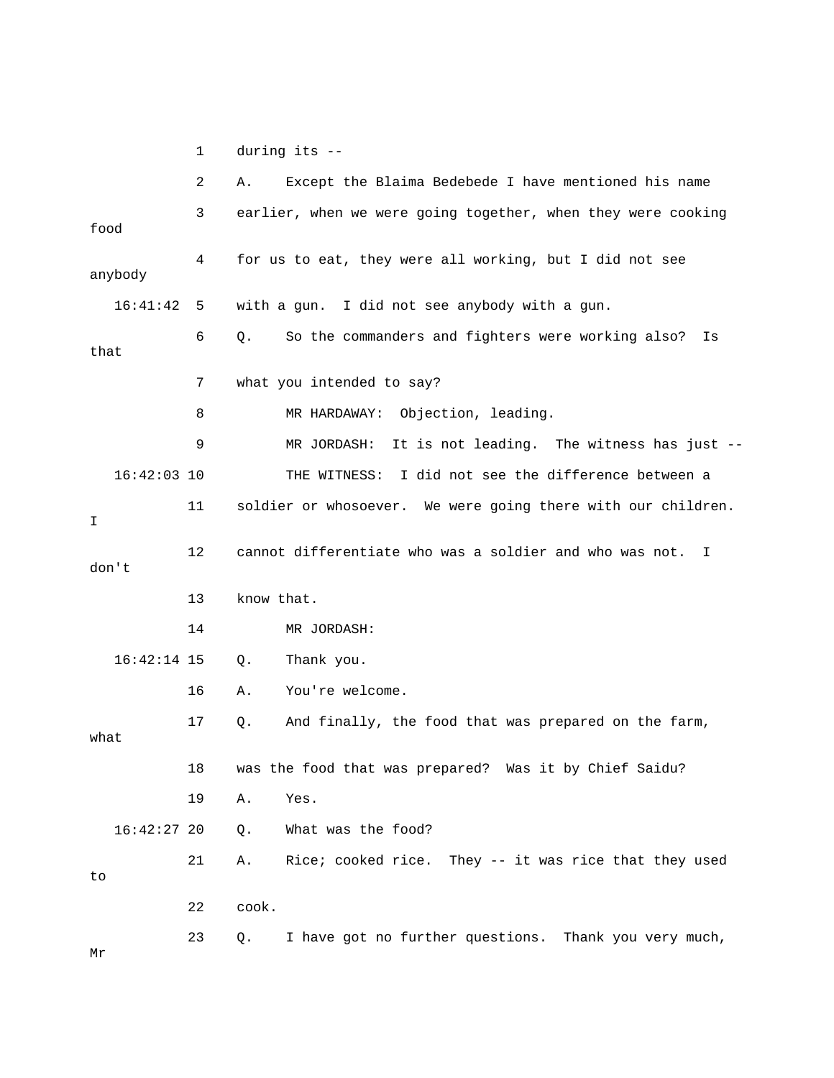1 during its --

|               | 2  | Except the Blaima Bedebede I have mentioned his name<br>Α.    |
|---------------|----|---------------------------------------------------------------|
| food          | 3  | earlier, when we were going together, when they were cooking  |
| anybody       | 4  | for us to eat, they were all working, but I did not see       |
| 16:41:42      | 5  | with a gun. I did not see anybody with a gun.                 |
| that          | 6  | So the commanders and fighters were working also?<br>Q.<br>Is |
|               | 7  | what you intended to say?                                     |
|               | 8  | MR HARDAWAY: Objection, leading.                              |
|               | 9  | It is not leading. The witness has just --<br>MR JORDASH:     |
| $16:42:03$ 10 |    | I did not see the difference between a<br>THE WITNESS:        |
| I             | 11 | soldier or whosoever. We were going there with our children.  |
| don't         | 12 | cannot differentiate who was a soldier and who was not.<br>I. |
|               | 13 | know that.                                                    |
|               | 14 | MR JORDASH:                                                   |
| $16:42:14$ 15 |    | Thank you.<br>Q.                                              |
|               | 16 | You're welcome.<br>Α.                                         |
| what          | 17 | And finally, the food that was prepared on the farm,<br>Q.    |
|               | 18 | was the food that was prepared? Was it by Chief Saidu?        |
|               | 19 | Α.<br>Yes.                                                    |
| $16:42:27$ 20 |    | What was the food?<br>Q.                                      |
| to            | 21 | Rice; cooked rice. They -- it was rice that they used<br>Α.   |
|               | 22 | cook.                                                         |
|               | 23 | I have got no further questions. Thank you very much,<br>Q.   |

Mr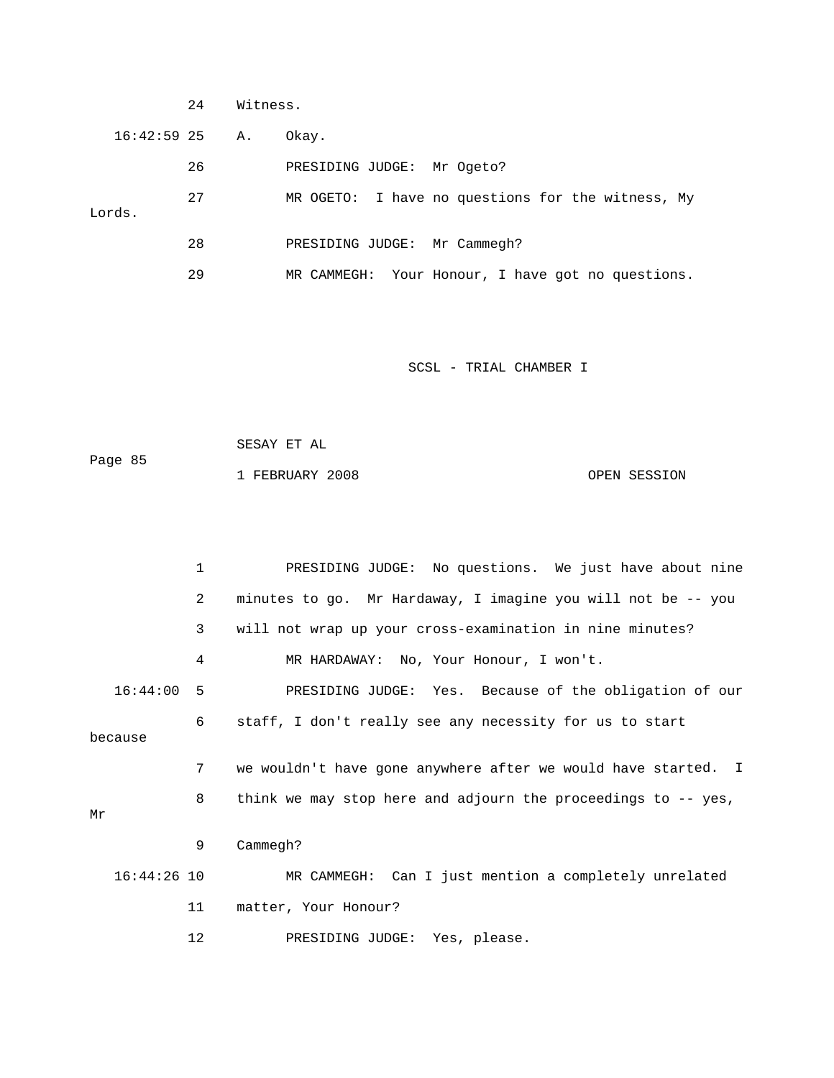|                  | 24 | Witness. |                                                      |  |
|------------------|----|----------|------------------------------------------------------|--|
| $16:42:59$ 25 A. |    |          | Okay.                                                |  |
|                  | 26 |          | PRESIDING JUDGE:<br>Mr Ogeto?                        |  |
| Lords.           | 27 |          | I have no questions for the witness, My<br>MR OGETO: |  |
|                  | 28 |          | PRESIDING JUDGE: Mr Cammegh?                         |  |
|                  | 29 |          | Your Honour, I have got no questions.<br>MR CAMMEGH: |  |

|         | SESAY ET AL                     |  |
|---------|---------------------------------|--|
| Page 85 |                                 |  |
|         | 1 FEBRUARY 2008<br>OPEN SESSION |  |

|               | 1              | PRESIDING JUDGE: No questions. We just have about nine        |
|---------------|----------------|---------------------------------------------------------------|
|               | $\overline{2}$ | minutes to go. Mr Hardaway, I imagine you will not be -- you  |
|               | 3              | will not wrap up your cross-examination in nine minutes?      |
|               | 4              | MR HARDAWAY: No, Your Honour, I won't.                        |
| $16:44:00$ 5  |                | PRESIDING JUDGE: Yes. Because of the obligation of our        |
| because       | 6              | staff, I don't really see any necessity for us to start       |
|               | 7              | we wouldn't have gone anywhere after we would have started. I |
| Mr            | 8              | think we may stop here and adjourn the proceedings to -- yes, |
|               | 9              | Cammegh?                                                      |
| $16:44:26$ 10 |                | MR CAMMEGH: Can I just mention a completely unrelated         |
|               | 11             | matter, Your Honour?                                          |
|               | 12             | PRESIDING JUDGE: Yes, please.                                 |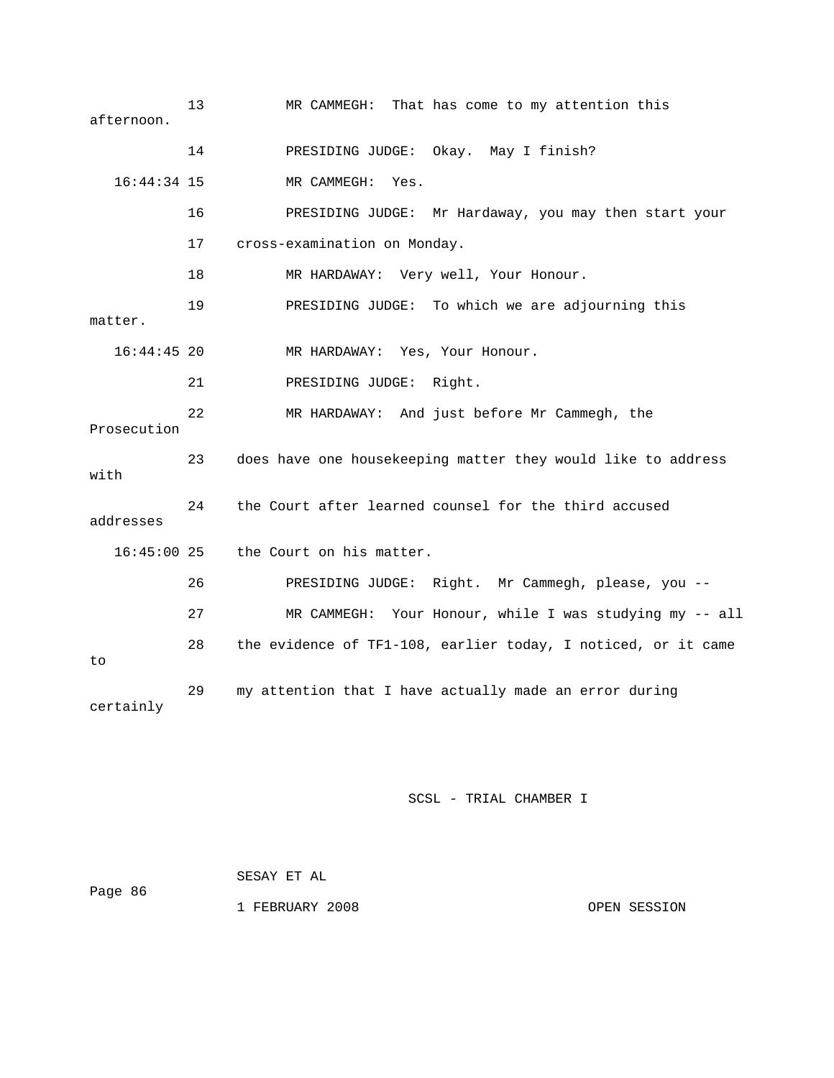| afternoon.    | 13 | MR CAMMEGH: That has come to my attention this                |
|---------------|----|---------------------------------------------------------------|
|               | 14 | PRESIDING JUDGE: Okay. May I finish?                          |
| $16:44:34$ 15 |    | MR CAMMEGH: Yes.                                              |
|               | 16 | PRESIDING JUDGE: Mr Hardaway, you may then start your         |
|               | 17 | cross-examination on Monday.                                  |
|               | 18 | MR HARDAWAY: Very well, Your Honour.                          |
| matter.       | 19 | PRESIDING JUDGE: To which we are adjourning this              |
| $16:44:45$ 20 |    | MR HARDAWAY: Yes, Your Honour.                                |
|               | 21 | PRESIDING JUDGE: Right.                                       |
| Prosecution   | 22 | MR HARDAWAY: And just before Mr Cammegh, the                  |
| with          | 23 | does have one housekeeping matter they would like to address  |
| addresses     | 24 | the Court after learned counsel for the third accused         |
| $16:45:00$ 25 |    | the Court on his matter.                                      |
|               | 26 | PRESIDING JUDGE: Right. Mr Cammegh, please, you --            |
|               | 27 | MR CAMMEGH: Your Honour, while I was studying my -- all       |
| to            | 28 | the evidence of TF1-108, earlier today, I noticed, or it came |
| certainly     | 29 | my attention that I have actually made an error during        |

| Page 86 | SESAY ET AL     |              |
|---------|-----------------|--------------|
|         | 1 FEBRUARY 2008 | OPEN SESSION |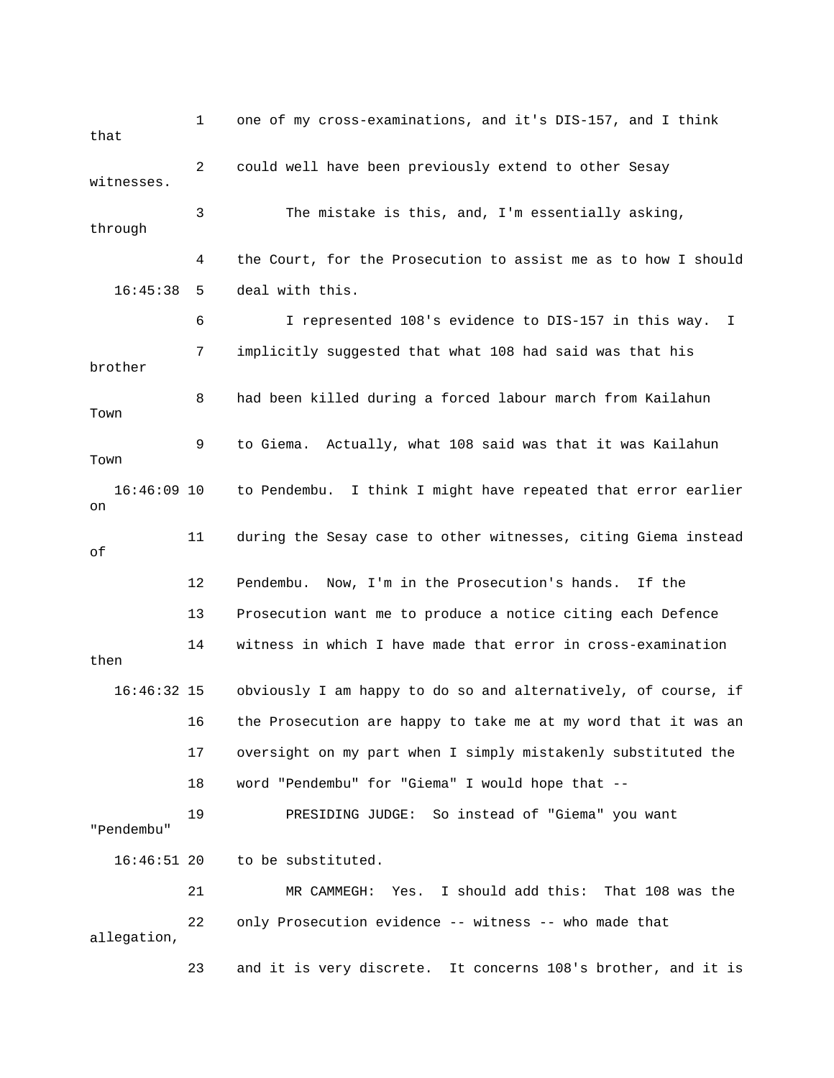1 one of my cross-examinations, and it's DIS-157, and I think that 2 could well have been previously extend to other Sesay 3 The mistake is this, and, I'm essentially asking, through 4 the Court, for the Prosecution to assist me as to how I should 6 I represented 108's evidence to DIS-157 in this way. I 7 implicitly suggested that what 108 had said was that his brother 8 had been killed during a forced labour march from Kailahun Town 9 to Giema. Actually, what 108 said was that it was Kailahun Town to Pendembu. I think I might have repeated that error earlier 13 Prosecution want me to produce a notice citing each Defence 14 witness in which I have made that error in cross-examination 16:46:32 15 obviously I am happy to do so and alternatively, of course, if 16 the Prosecution are happy to take me at my word that it was an 18 word "Pendembu" for "Giema" I would hope that -- "Pendembu" 21 MR CAMMEGH: Yes. I should add this: That 108 was the 22 only Prosecution evidence -- witness -- who made that allegation, 23 and it is very discrete. It concerns 108's brother, and it is witnesses. 16:45:38 5 deal with this. 16:46: on 11 during the Sesay case to other witnesses, citing Giema instead of 12 Pendembu. Now, I'm in the Prosecution's hands. If the then 17 oversight on my part when I simply mistakenly substituted the 19 PRESIDING JUDGE: So instead of "Giema" you want 16:46:51 20 to be substituted.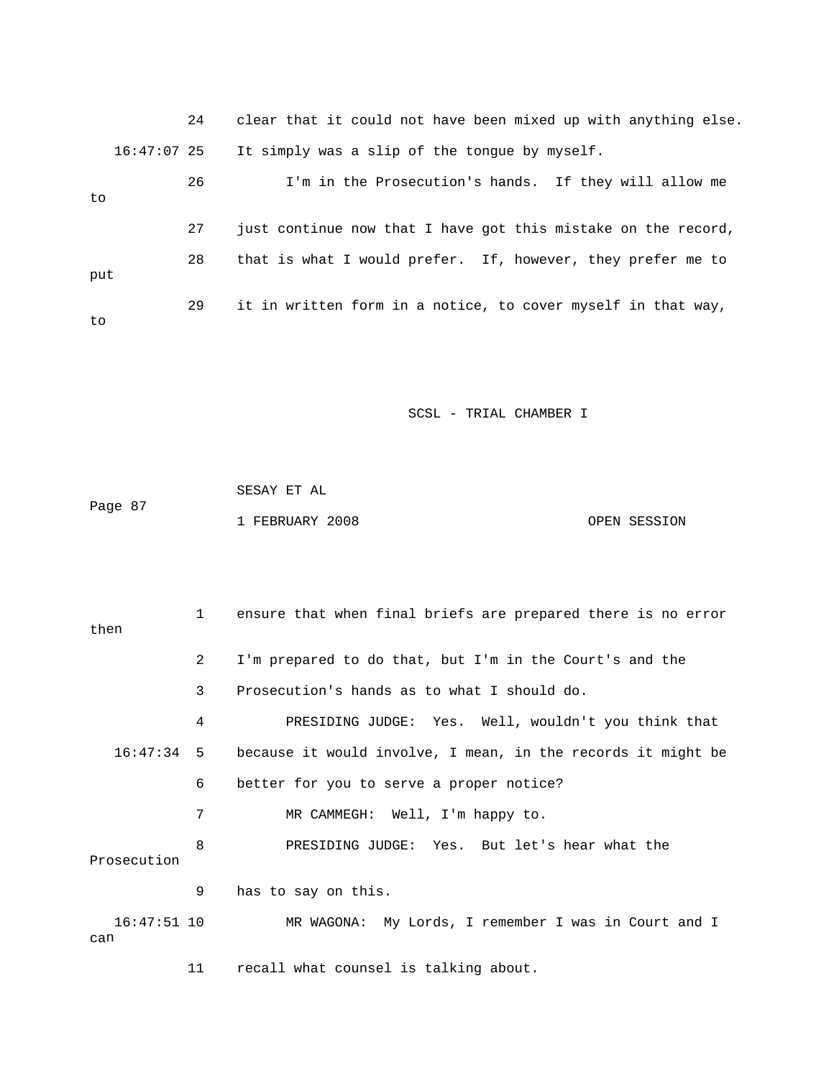24 clear that it could not have been mixed up with anything else. 16:47:07 25 It simply was a slip of the tongue by myself. 26 I'm in the Prosecution's hands. If they will allow me 27 just continue now that I have got this mistake on the record, 29 it in written form in a notice, to cover myself in that way, to 28 that is what I would prefer. If, however, they prefer me to put to

SCSL - TRIAL CHAMBER I

Page 87 SESAY ET AL 1 FEBRUARY 2008 OPEN SESSION

 1 ensure that when final briefs are prepared there is no error then 2 I'm prepared to do that, but I'm in the Court's and the 3 Prosecution's hands as to what I should do. 4 PRESIDING JUDGE: Yes. Well, wouldn't you think that 7 MR CAMMEGH: Well, I'm happy to. 8 PRESIDING JUDGE: Yes. But let's hear what the Prosecution 9 has to say on this. I 16:47:51 10 MR WAGONA: My Lords, I remember I was in Court and can 11 recall what counsel is talking about. 16:47:34 5 because it would involve, I mean, in the records it might be 6 better for you to serve a proper notice?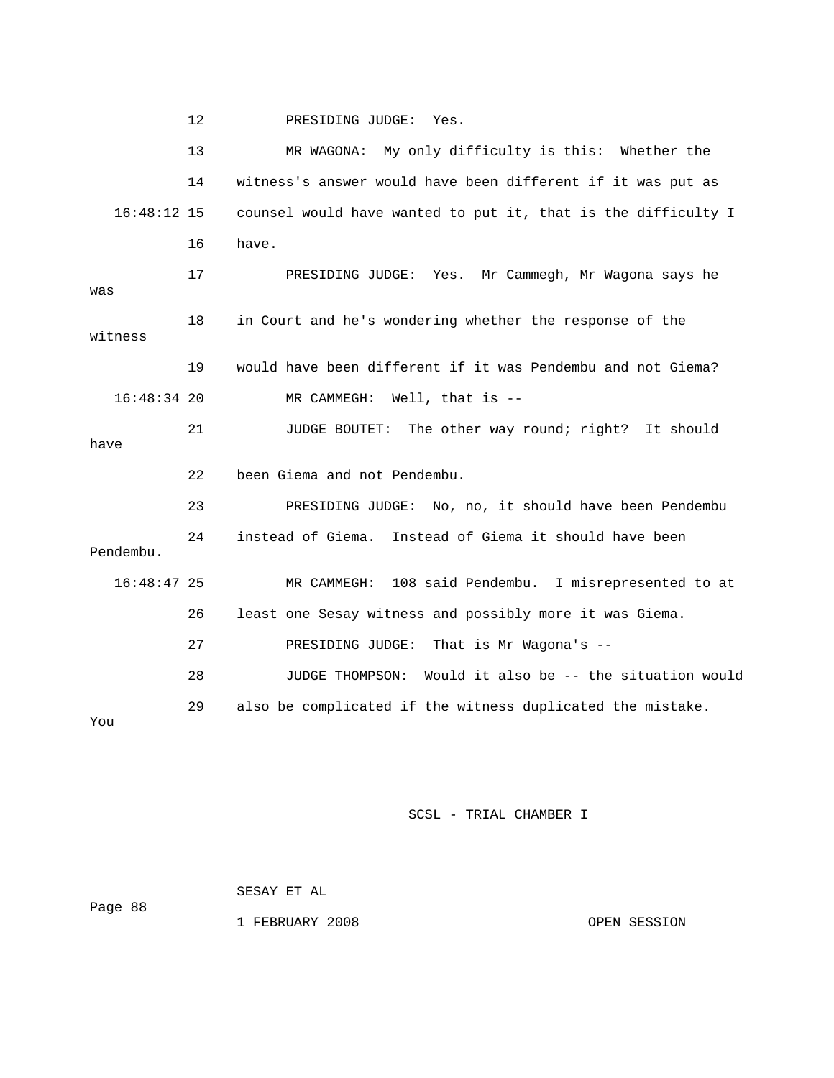12 PRESIDING JUDGE: Yes.

 13 MR WAGONA: My only difficulty is this: Whether the 14 witness's answer would have been different if it was put as  $16:48:12$  15 counsel would have wanted to put it, that is the difficulty I 16 have. : Yes. Mr Cammegh, Mr Wagona says he 17 PRESIDING JUDGE was 18 in Court and he's wondering whether the response of the witness 19 would have been different if it was Pendembu and not Giema? 21 JUDGE BOUTET: The other way round; right? It should RESIDING JUDGE: No, no, it should have been Pendembu Pendembu. 16:48:47 25 MR CAMMEGH: 108 said Pendembu. I misrepresented to at 26 least one Sesay witness and possibly more it was Giema. 27 PRESIDING JUDGE: That is Mr Wagona's -- 28 JUDGE THOMPSON: Would it also be -- the situation would 29 also be complicated if the witness duplicated the mistake.  $1$  16:48:34 20 MR CAMMEGH: Well, that is - have 22 been Giema and not Pendembu. 23 P 24 instead of Giema. Instead of Giema it should have been You

## SCSL - TRIAL CHAMBER I

SESAY ET AL

1 FEBRUARY 2008 OPEN SESSION

Page 88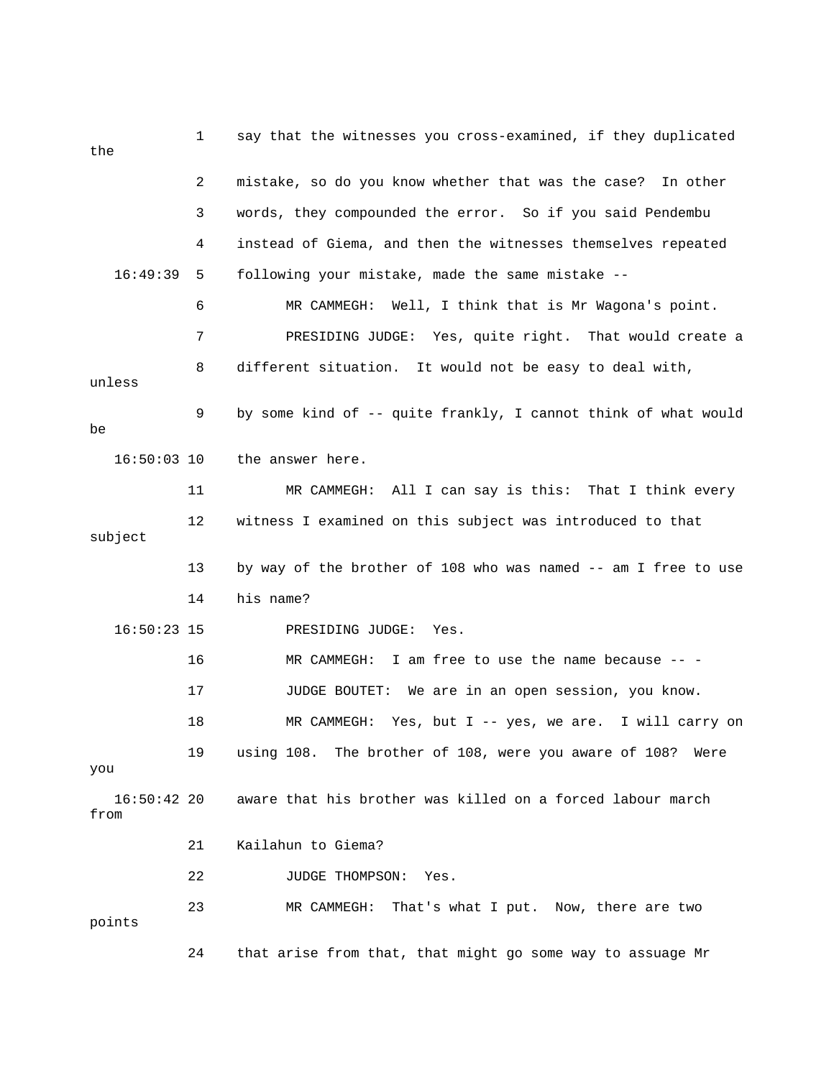| the                   | 1  | say that the witnesses you cross-examined, if they duplicated  |
|-----------------------|----|----------------------------------------------------------------|
|                       | 2  | mistake, so do you know whether that was the case? In other    |
|                       | 3  | words, they compounded the error. So if you said Pendembu      |
|                       | 4  | instead of Giema, and then the witnesses themselves repeated   |
| 16:49:39              | 5  | following your mistake, made the same mistake --               |
|                       | 6  | MR CAMMEGH: Well, I think that is Mr Wagona's point.           |
|                       | 7  | PRESIDING JUDGE: Yes, quite right. That would create a         |
| unless                | 8  | different situation. It would not be easy to deal with,        |
| be                    | 9  | by some kind of -- quite frankly, I cannot think of what would |
| $16:50:03$ 10         |    | the answer here.                                               |
|                       | 11 | MR CAMMEGH: All I can say is this: That I think every          |
| subject               | 12 | witness I examined on this subject was introduced to that      |
|                       | 13 | by way of the brother of 108 who was named -- am I free to use |
|                       | 14 | his name?                                                      |
| $16:50:23$ 15         |    | PRESIDING JUDGE:<br>Yes.                                       |
|                       | 16 | I am free to use the name because -- -<br>MR CAMMEGH:          |
|                       | 17 | We are in an open session, you know.<br>JUDGE BOUTET:          |
|                       | 18 | MR CAMMEGH: Yes, but $I -$ yes, we are. I will carry on        |
| you                   | 19 | using 108. The brother of 108, were you aware of 108? Were     |
| $16:50:42$ 20<br>from |    | aware that his brother was killed on a forced labour march     |
|                       | 21 | Kailahun to Giema?                                             |
|                       | 22 | JUDGE THOMPSON:<br>Yes.                                        |
| points                | 23 | MR CAMMEGH:<br>That's what I put. Now, there are two           |
|                       | 24 | that arise from that, that might go some way to assuage Mr     |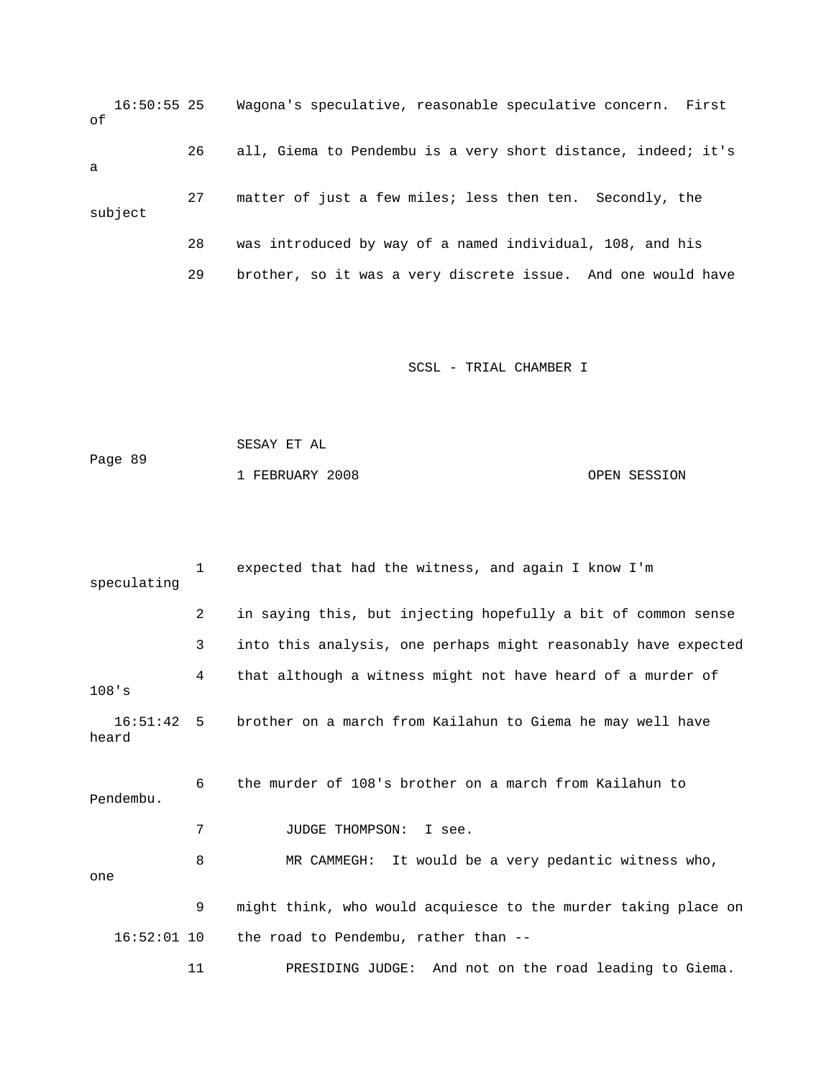16:50:55 25 Wagona's speculative, reasonable speculative concern. First subject 28 was introduced by way of a named individual, 108, and his 29 brother, so it was a very discrete issue. And one would have of 26 all, Giema to Pendembu is a very short distance, indeed; it's a 27 matter of just a few miles; less then ten. Secondly, the

```
 SESAY ET AL 
Page 89
            1 FEBRUARY 2008 OPEN SESSION
```

| speculating         | $\mathbf{1}$ | expected that had the witness, and again I know I'm            |
|---------------------|--------------|----------------------------------------------------------------|
|                     | 2            | in saying this, but injecting hopefully a bit of common sense  |
|                     | 3            | into this analysis, one perhaps might reasonably have expected |
| 108's               | 4            | that although a witness might not have heard of a murder of    |
| 16:51:42 5<br>heard |              | brother on a march from Kailahun to Giema he may well have     |
| Pendembu.           | 6            | the murder of 108's brother on a march from Kailahun to        |
|                     | 7            | <b>JUDGE THOMPSON:</b><br>I see.                               |
| one                 | 8            | MR CAMMEGH: It would be a very pedantic witness who,           |
|                     | 9            | might think, who would acquiesce to the murder taking place on |
| $16:52:01$ 10       |              | the road to Pendembu, rather than --                           |
|                     | 11           | And not on the road leading to Giema.<br>PRESIDING JUDGE:      |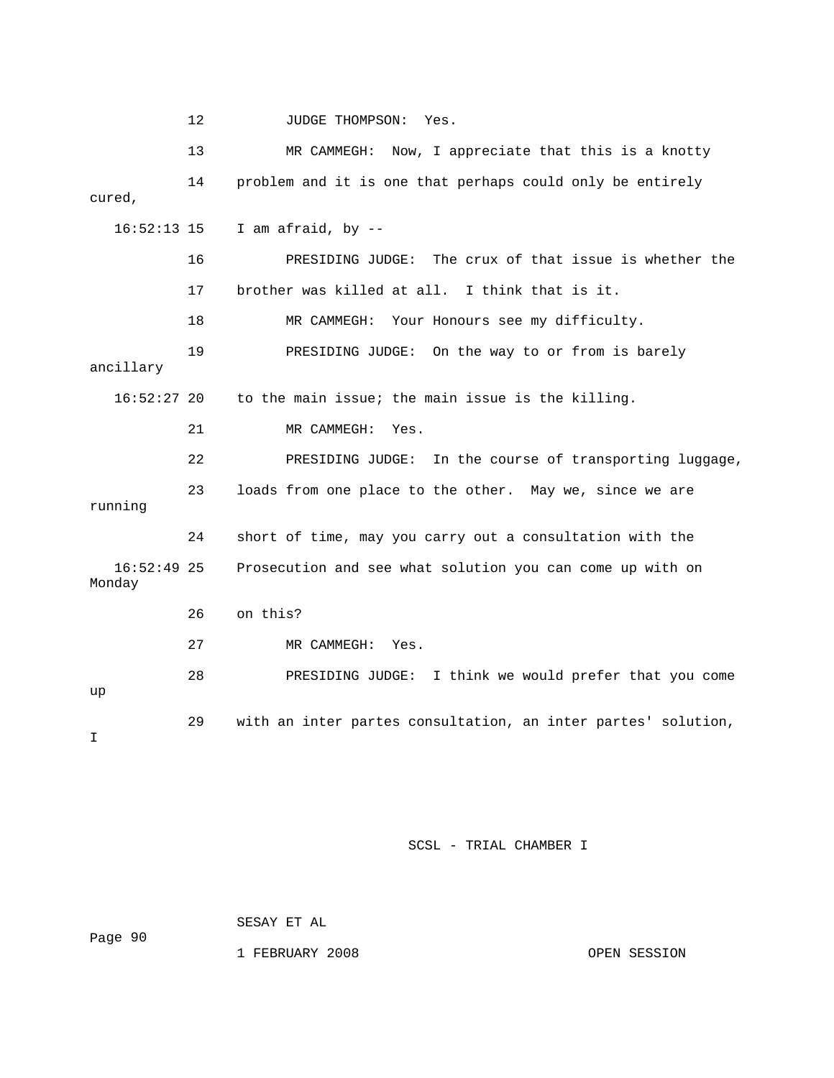12 JUDGE THOMPSON: Yes. 13 MR CAMMEGH: Now, I appreciate that this is a knotty 17 brother was killed at all. I think that is it. 18 MR CAMMEGH: Your Honours see my difficulty.  $16:52:27$  20 to the main issue; the main issue is the killing. 22 PRESIDING JUDGE: In the course of transporting luggage, 23 loads from one place to the other. May we, since we are 16:52:49 25 Prosecution and see what solution you can come up with on 26 on this? 27 MR CAMMEGH: Yes. 28 PRESIDING JUDGE: I think we would prefer that you come 29 with an inter partes consultation, an inter partes' solution, 14 problem and it is one that perhaps could only be entirely cured, 16:52:13 15 I am afraid, by -- 16 PRESIDING JUDGE: The crux of that issue is whether the 19 PRESIDING JUDGE: On the way to or from is barely ancillary 21 MR CAMMEGH: Yes. running 24 short of time, may you carry out a consultation with the Monday up  $\mathsf{T}$ 

SCSL - TRIAL CHAMBER I

Page 90

SESAY ET AL

1 FEBRUARY 2008 OPEN SESSION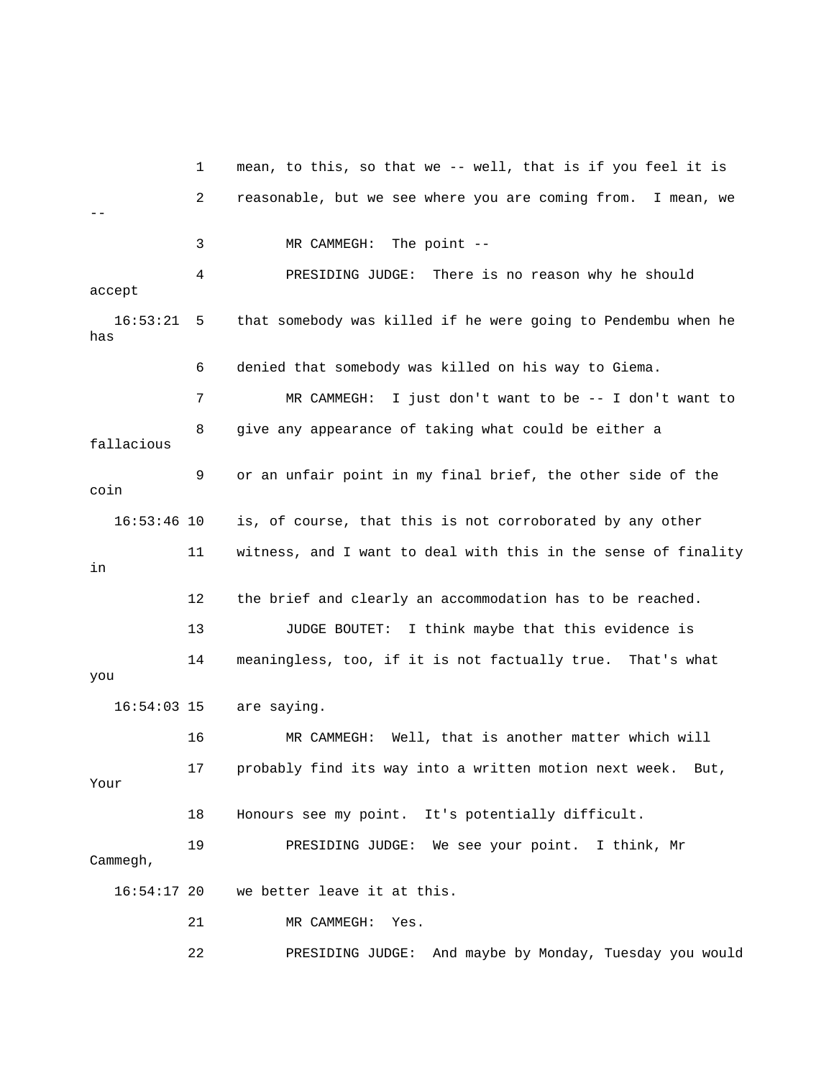1 mean, to this, so that we -- well, that is if you feel it is 2 reasonable, but we see where you are coming from. I mean, we 4 PRESIDING JUDGE: There is no reason why he should accept 6 denied that somebody was killed on his way to Giema. 7 MR CAMMEGH: I just don't want to be -- I don't want to 8 give any appearance of taking what could be either a 16:53:46 10 is, of course, that this is not corroborated by any other 11 witness, and I want to deal with this in the sense of finality 13 JUDGE BOUTET: I think maybe that this evidence is 14 meaningless, too, if it is not factually true. That's what 16 MR CAMMEGH: Well, that is another matter which will Your 19 PRESIDING JUDGE: We see your point. I think, Mr Cammegh, 16:54:17 20 we better leave it at this. -- 3 MR CAMMEGH: The point -- 16:53:21 5 that somebody was killed if he were going to Pendembu when he has fallacious 9 or an unfair point in my final brief, the other side of the coin in 12 the brief and clearly an accommodation has to be reached. you 16:54:03 15 are saying. 17 probably find its way into a written motion next week. But, 18 Honours see my point. It's potentially difficult. 21 MR CAMMEGH: Yes.

ld 22 PRESIDING JUDGE: And maybe by Monday, Tuesday you wou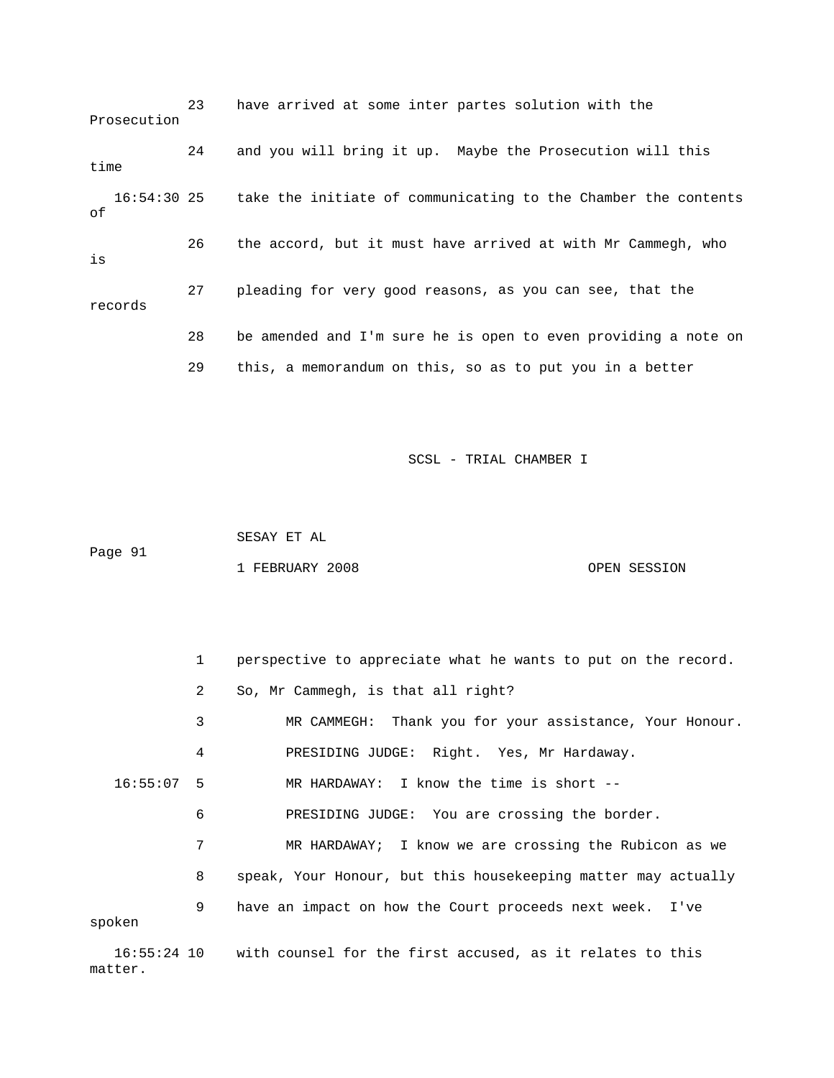|      | Prosecution | 23 | have arrived at some inter partes solution with the            |
|------|-------------|----|----------------------------------------------------------------|
| time |             | 24 | and you will bring it up. Maybe the Prosecution will this      |
| оf   | 16:54:30 25 |    | take the initiate of communicating to the Chamber the contents |
| is   |             | 26 | the accord, but it must have arrived at with Mr Cammegh, who   |
|      | records     | 27 | pleading for very good reasons, as you can see, that the       |
|      |             | 28 | be amended and I'm sure he is open to even providing a note on |
|      |             | 29 | this, a memorandum on this, so as to put you in a better       |

Page 91 SESAY ET AL 1 FEBRUARY 2008 OPEN SESSION

|              | $\mathbf{1}$ | perspective to appreciate what he wants to put on the record. |
|--------------|--------------|---------------------------------------------------------------|
|              | 2            | So, Mr Cammegh, is that all right?                            |
|              | 3            | MR CAMMEGH: Thank you for your assistance, Your Honour.       |
|              | 4            | PRESIDING JUDGE: Right. Yes, Mr Hardaway.                     |
| $16:55:07$ 5 |              | MR HARDAWAY: I know the time is short --                      |
|              | 6            | PRESIDING JUDGE: You are crossing the border.                 |
|              | 7            | MR HARDAWAY; I know we are crossing the Rubicon as we         |
|              | 8            | speak, Your Honour, but this housekeeping matter may actually |
| spoken       | 9            | have an impact on how the Court proceeds next week. I've      |

 16:55:24 10 with counsel for the first accused, as it relates to this matter.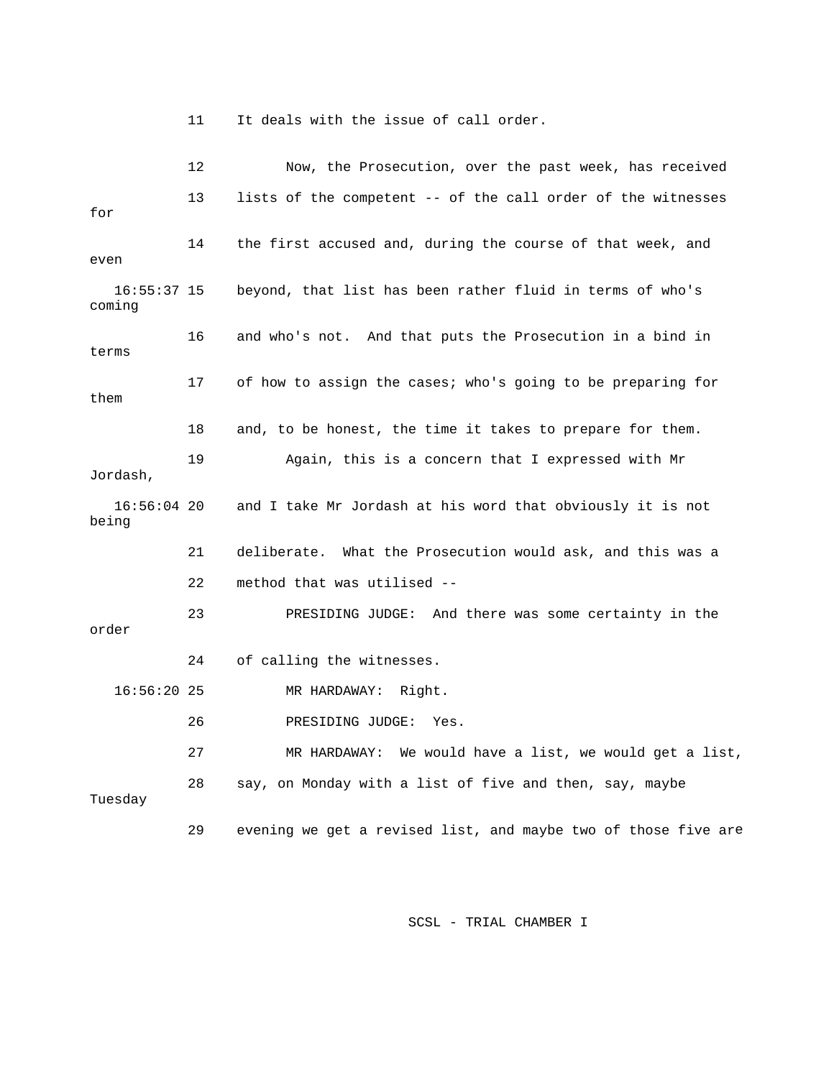11 It deals with the issue of call order.

 12 Now, the Prosecution, over the past week, has received 13 lists of the competent -- of the call order of the witnesses 16:55:37 15 beyond, that list has been rather fluid in terms of who's 16 and who's not. And that puts the Prosecution in a bind in 17 of how to assign the cases; who's going to be preparing for 18 and, to be honest, the time it takes to prepare for them. 19 Again, this is a concern that I expressed with Mr 16:56:04 20 and I take Mr Jordash at his word that obviously it is not 21 deliberate. What the Prosecution would ask, and this was a 16:56:20 25 MR HARDAWAY: Right. 27 MR HARDAWAY: We would have a list, we would get a list, 29 evening we get a revised list, and maybe two of those five are for 14 the first accused and, during the course of that week, and even coming terms them Jordash, being 22 method that was utilised -- 23 PRESIDING JUDGE: And there was some certainty in the order 24 of calling the witnesses. 26 PRESIDING JUDGE: Yes. 28 say, on Monday with a list of five and then, say, maybe Tuesday

SCSL - TRIAL CHAMBER I **SCSL**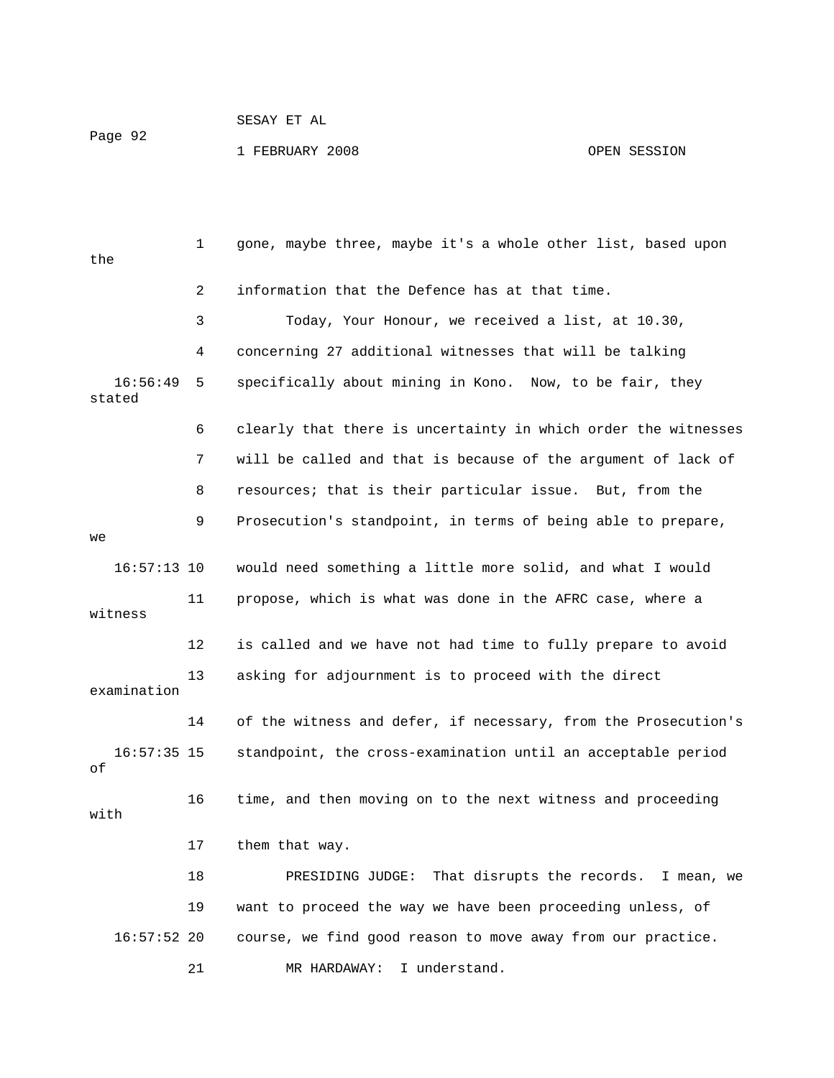## SESAY ET AL Page 92 1 FEBRUARY 2008 OPEN SESSION

 1 gone, maybe three, maybe it's a whole other list, based upon the 2 information that the Defence has at that time. 3 Today, Your Honour, we received a list, at 10.30, 4 concerning 27 additional witnesses that will be talking 16:56:49 5 specifically about mining in Kono. Now, to be fair, they 6 clearly that there is uncertainty in which order the witnesses 7 will be called and that is because of the argument of lack of 8 resources; that is their particular issue. But, from the 16:57:13 10 would need something a little more solid, and what I would witness 12 is called and we have not had time to fully prepare to avoid examination 16:57:35 15 standpoint, the cross-examination until an acceptable period 18 PRESIDING JUDGE: That disrupts the records. I mean, we 19 want to proceed the way we have been proceeding unless, of 16:57:52 20 course, we find good reason to move away from our practice. 21 MR HARDAWAY: I understand. stated 9 Prosecution's standpoint, in terms of being able to prepare,  $W^{\alpha}$  11 propose, which is what was done in the AFRC case, where a 13 asking for adjournment is to proceed with the direct 14 of the witness and defer, if necessary, from the Prosecution's of 16 time, and then moving on to the next witness and proceeding with 17 them that way. 2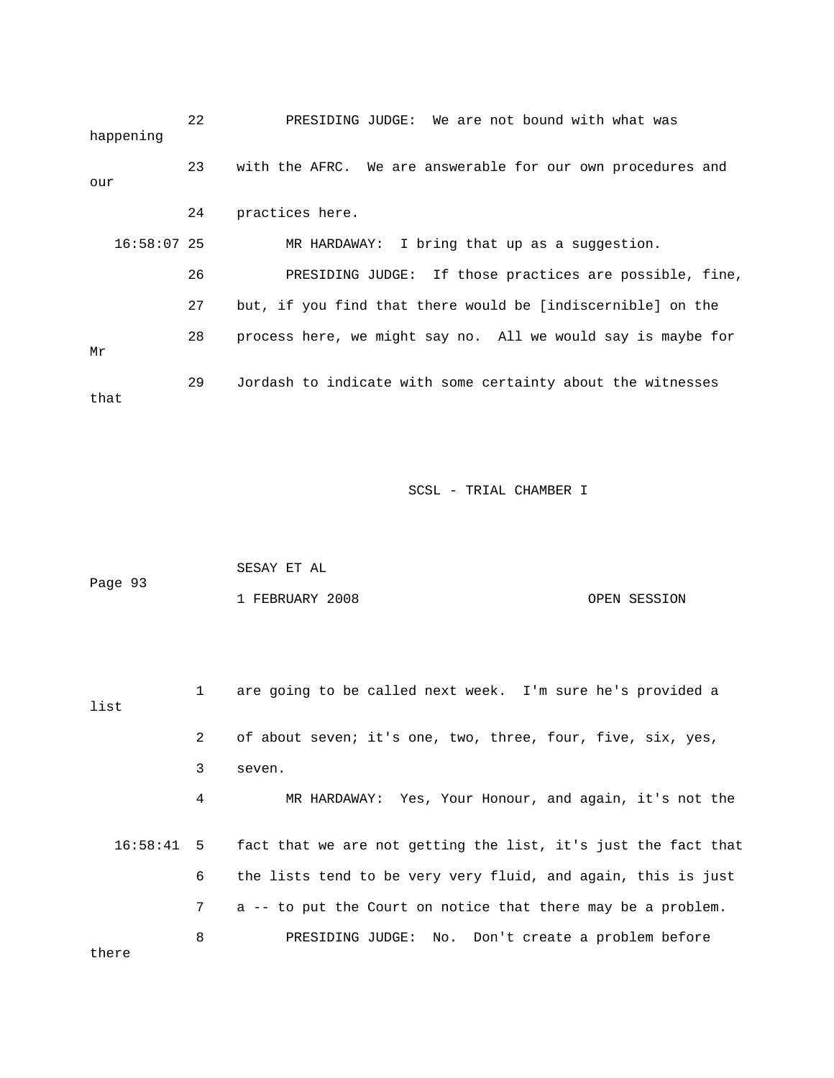| happening     | 22 | PRESIDING JUDGE: We are not bound with what was              |
|---------------|----|--------------------------------------------------------------|
| our           | 23 | with the AFRC. We are answerable for our own procedures and  |
|               | 24 | practices here.                                              |
| $16:58:07$ 25 |    | MR HARDAWAY: I bring that up as a suggestion.                |
|               | 26 | PRESIDING JUDGE: If those practices are possible, fine,      |
|               | 27 | but, if you find that there would be [indiscernible] on the  |
| Μr            | 28 | process here, we might say no. All we would say is maybe for |
| that          | 29 | Jordash to indicate with some certainty about the witnesses  |

SCSL - TRIAL CHAMBER I

|         | SESAY ET AL     |              |
|---------|-----------------|--------------|
| Page 93 |                 |              |
|         | 1 FEBRUARY 2008 | OPEN SESSION |

| list         | 1 | are going to be called next week. I'm sure he's provided a     |
|--------------|---|----------------------------------------------------------------|
|              | 2 | of about seven; it's one, two, three, four, five, six, yes,    |
|              | 3 | seven.                                                         |
|              | 4 | MR HARDAWAY: Yes, Your Honour, and again, it's not the         |
| $16:58:41$ 5 |   | fact that we are not getting the list, it's just the fact that |
|              | 6 | the lists tend to be very very fluid, and again, this is just  |
|              | 7 | a -- to put the Court on notice that there may be a problem.   |
| there        | 8 | PRESIDING JUDGE: No. Don't create a problem before             |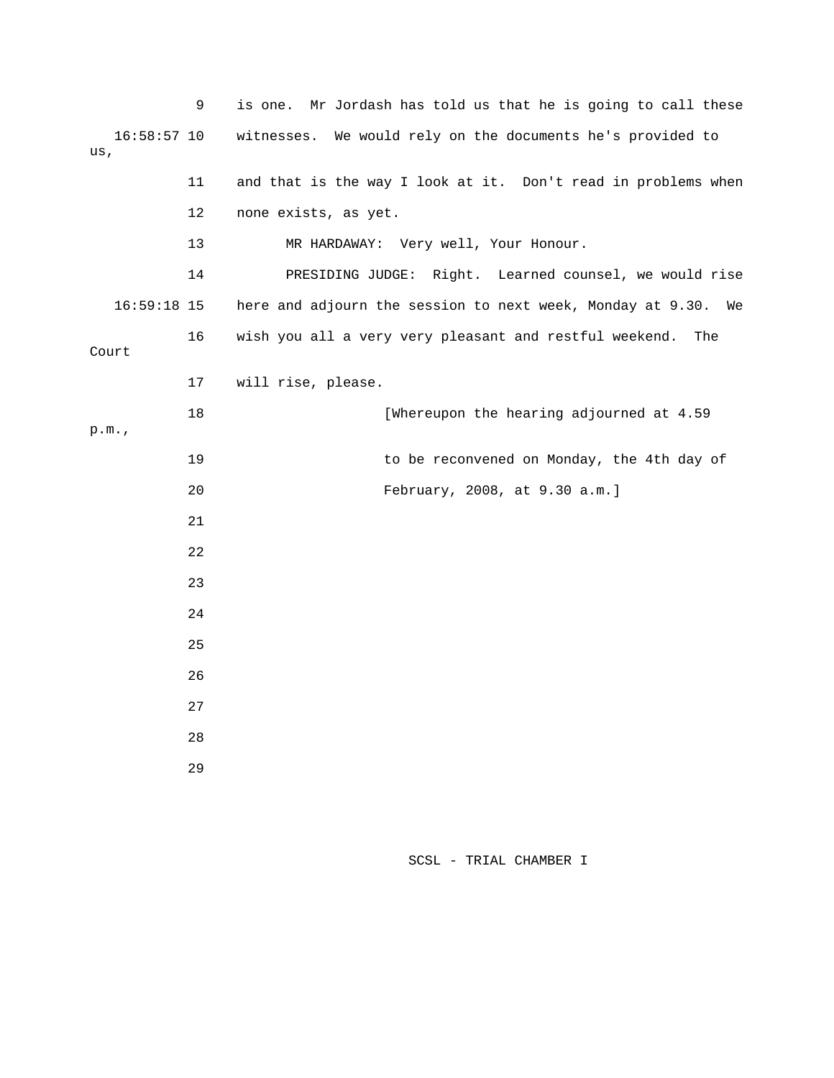|       |               | 9  | Mr Jordash has told us that he is going to call these<br>is one. |
|-------|---------------|----|------------------------------------------------------------------|
| us,   | $16:58:57$ 10 |    | We would rely on the documents he's provided to<br>witnesses.    |
|       |               | 11 | and that is the way I look at it. Don't read in problems when    |
|       |               | 12 | none exists, as yet.                                             |
|       |               | 13 | MR HARDAWAY: Very well, Your Honour.                             |
|       |               | 14 | PRESIDING JUDGE: Right. Learned counsel, we would rise           |
|       | $16:59:18$ 15 |    | here and adjourn the session to next week, Monday at 9.30.<br>We |
| Court |               | 16 | wish you all a very very pleasant and restful weekend.<br>The    |
|       |               | 17 | will rise, please.                                               |
| p.m.  |               | 18 | [Whereupon the hearing adjourned at 4.59                         |
|       |               | 19 | to be reconvened on Monday, the 4th day of                       |
|       |               | 20 | February, 2008, at 9.30 a.m.]                                    |
|       |               | 21 |                                                                  |
|       |               | 22 |                                                                  |
|       |               | 23 |                                                                  |
|       |               | 24 |                                                                  |
|       |               | 25 |                                                                  |
|       |               | 26 |                                                                  |
|       |               | 27 |                                                                  |
|       |               | 28 |                                                                  |
|       |               | 29 |                                                                  |
|       |               |    |                                                                  |

SCSL - TRIAL CHAMBER I